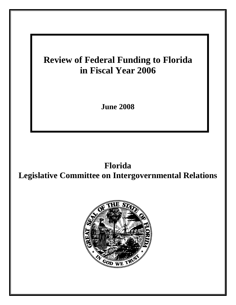# **Review of Federal Funding to Florida in Fiscal Year 2006**

**June 2008** 

# **Florida Legislative Committee on Intergovernmental Relations**

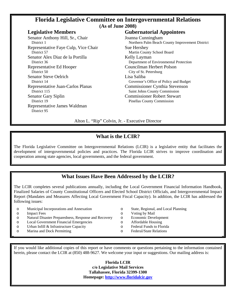# **Florida Legislative Committee on Intergovernmental Relations (As of June 2008)**

Senator Anthony Hill, Sr., Chair Joanna Cunningham Representative Faye Culp, Vice Chair Sue Hershey District 57 Martin County School Board Senator Alex Diaz de la Portilla Kelly Layman Representative Ed Hooper Councilman Herbert Polson District 50 City of St. Petersburg Senator Steve Oelrich Lisa Saliba Representative Juan-Carlos Planas Commissioner Cynthia Stevenson District 115 Saint Johns County Commission Senator Gary Siplin Commissioner Robert Stewart District 19 Pinellas County Commission Representative James Waldman District 95

#### *Cubernatorial Appointees* Gubernatorial Appointees

 District 1 Northern Palm Beach County Improvement District District 36 Department of Environmental Protection District 14 Governor's Office of Policy and Budget

Alton L. "Rip" Colvin, Jr. - Executive Director

# **What is the LCIR?**

The Florida Legislative Committee on Intergovernmental Relations (LCIR) is a legislative entity that facilitates the development of intergovernmental policies and practices. The Florida LCIR strives to improve coordination and cooperation among state agencies, local governments, and the federal government.

# **What Issues Have Been Addressed by the LCIR?**

The LCIR completes several publications annually, including the Local Government Financial Information Handbook, Finalized Salaries of County Constitutional Officers and Elected School District Officials, and Intergovernmental Impact Report (Mandates and Measures Affecting Local Government Fiscal Capacity). In addition, the LCIR has addressed the following issues:

- o Municipal Incorporations and Annexation
- o Impact Fees
- o Natural Disaster Preparedness, Response and Recovery
- o Local Government Financial Emergencies
- o Urban Infill & Infrastructure Capacity
- o Marina and Dock Permitting
- o State, Regional, and Local Planning
- o Voting by Mail
- o Economic Development
- o Affordable Housing
- o Federal Funds to Florida
- o Federal/State Relations

If you would like additional copies of this report or have comments or questions pertaining to the information contained herein, please contact the LCIR at (850) 488-9627. We welcome your input or suggestions. Our mailing address is:

> **Florida LCIR c/o Legislative Mail Services Tallahassee, Florida 32399-1300 Homepage: http://www.floridalcir.gov**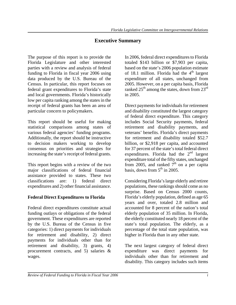# **Executive Summary**

The purpose of this report is to provide the Florida Legislature and other interested parties with a review and analysis of federal funding to Florida in fiscal year 2006 using data produced by the U.S. Bureau of the Census. In particular, this report focuses on federal grant expenditures to Florida's state and local governments. Florida's historically low per capita ranking among the states in the receipt of federal grants has been an area of particular concern to policymakers.

This report should be useful for making statistical comparisons among states of various federal agencies' funding programs. Additionally, the report should be instructive to decision makers working to develop consensus on priorities and strategies for increasing the state's receipt of federal grants.

This report begins with a review of the two major classifications of federal financial assistance provided to states. These two classifications are: 1) federal direct expenditures and 2) other financial assistance.

## **Federal Direct Expenditures to Florida**

Federal direct expenditures constitute actual funding outlays or obligations of the federal government. These expenditures are reported by the U.S. Bureau of the Census in five categories: 1) direct payments for individuals for retirement and disability, 2) direct payments for individuals other than for retirement and disability, 3) grants, 4) procurement contracts, and 5) salaries & wages.

In 2006, federal direct expenditures to Florida totaled \$143 billion or \$7,903 per capita, based on the state's 2006 population estimate of 18.1 million. Florida had the  $4<sup>th</sup>$  largest expenditure of all states, unchanged from 2005. However, on a per capita basis, Florida ranked  $25<sup>th</sup>$  among the states, down from  $23<sup>rd</sup>$ in 2005.

Direct payments for individuals for retirement and disability constituted the largest category of federal direct expenditure. This category includes Social Security payments, federal retirement and disability payments, and veterans' benefits. Florida's direct payments for retirement and disability totaled \$52.7 billion, or \$2,918 per capita, and accounted for 37 percent of the state's total federal direct expenditures. Florida had the  $2<sup>nd</sup>$  largest expenditure total of the fifty states, unchanged from 2005, and ranked  $7<sup>th</sup>$  on a per capita basis, down from  $5<sup>th</sup>$  in 2005.

Considering Florida's large elderly and retiree populations, these rankings should come as no surprise. Based on Census 2000 counts, Florida's elderly population, defined as age 65 years and over, totaled 2.8 million and accounted for 8 percent of the nation's total elderly population of 35 million. In Florida, the elderly constituted nearly 18 percent of the state's total population. The elderly, as a percentage of the total state population, was higher in Florida than in any other state.

The next largest category of federal direct expenditure was direct payments for individuals other than for retirement and disability. This category includes such items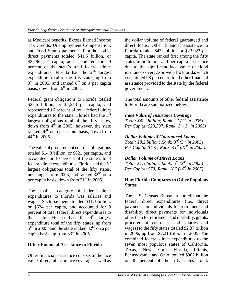as Medicare benefits, Excess Earned Income Tax Credits, Unemployment Compensation, and Food Stamp payments. Florida's other direct payments totaled \$41.5 billion, or \$2,296 per capita, and accounted for 29 percent of the state's total federal direct expenditures. Florida had the  $2<sup>nd</sup>$  largest expenditure total of the fifty states, up from  $3<sup>rd</sup>$  in 2005, and ranked  $8<sup>th</sup>$  on a per capita basis, down from  $6<sup>th</sup>$  in 2005.

Federal grant obligations to Florida totaled \$22.5 billion, or \$1,243 per capita, and represented 16 percent of total federal direct expenditures to the state. Florida had the  $5<sup>th</sup>$ largest obligations total of the fifty states, down from  $4<sup>th</sup>$  in 2005; however, the state ranked  $46<sup>th</sup>$  on a per capita basis, down from  $44^{\text{th}}$  in 2005.

The value of procurement contract obligations totaled \$14.8 billion, or \$821 per capita, and accounted for 10 percent of the state's total federal direct expenditures. Florida had the  $5<sup>th</sup>$ largest obligations total of the fifty states, unchanged from 2005, and ranked  $32<sup>nd</sup>$  on a per capita basis, down from  $31<sup>st</sup>$  in 2005.

The smallest category of federal direct expenditures to Florida was salaries and wages. Such payments totaled \$11.3 billion, or \$624 per capita, and accounted for 8 percent of total federal direct expenditures to the state. Florida had the  $4<sup>th</sup>$  largest expenditure total of the fifty states, up from  $5<sup>th</sup>$  in 2005; and the state ranked 32<sup>nd</sup> on a per capita basis, up from  $33<sup>rd</sup>$  in 2005.

# **Other Financial Assistance to Florida**

Other financial assistance consists of the face value of federal insurance coverage as well as the dollar volume of federal guaranteed and direct loans. Other financial assistance to Florida totaled \$432 billion or \$23,923 per capita. The state ranked first among the fifty states in both total and per capita assistance due to the significant face value of flood insurance coverage provided to Florida, which constituted 98 percent of total other financial assistance provided to the state by the federal government.

The total amounts of other federal assistance to Florida are summarized below.

## *Face Value of Insurance Coverage*

*Total: \$422 billion; Rank: 1st (1st in 2005) Per Capita: \$23,397; Rank: 1<sup>st</sup> (1<sup>st</sup> in 2005)* 

## *Dollar Volume of Guaranteed Loans*

*Total: \$8.2 billion; Rank: 3rd (3rd in 2005) Per Capita: \$457; Rank: 41st (37th in 2005)* 

# *Dollar Volume of Direct Loans*

*Total: \$1.3 billion; Rank: 5th (2nd in 2005) Per Capita: \$70; Rank: 18<sup>th</sup> (10<sup>th</sup> in 2005)* 

## **How Florida Compares to Other Populous States**

The U.S. Census Bureau reported that the federal direct expenditures (i.e., direct payments for individuals for retirement and disability, direct payments for individuals other than for retirement and disability, grants, procurement contracts, and salaries and wages) to the fifty states totaled \$2.37 trillion in 2006, up from \$2.21 trillion in 2005. The combined federal direct expenditures to the seven most populous states of California, Texas, New York, Florida, Illinois, Pennsylvania, and Ohio, totaled \$902 billion or 38 percent of the fifty states' total.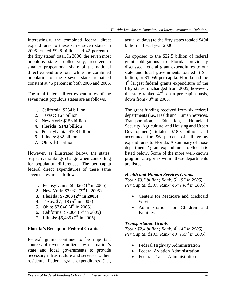Interestingly, the combined federal direct expenditures to these same seven states in 2005 totaled \$928 billion and 42 percent of the fifty states' total. In 2006, the seven most populous states, collectively, received a smaller proportional share of the national direct expenditure total while the combined population of these seven states remained constant at 45 percent in both 2005 and 2006.

The total federal direct expenditures of the seven most populous states are as follows.

- 1. California: \$254 billion
- 2. Texas: \$167 billion
- 3. New York: \$153 billion
- **4. Florida: \$143 billion**
- 5. Pennsylvania: \$103 billion
- 6. Illinois: \$82 billion
- 7. Ohio: \$81 billion

However, as illustrated below, the states' respective rankings change when controlling for population differences. The per capita federal direct expenditures of these same seven states are as follows.

- 1. Pennsylvania:  $$8,326$  ( $1<sup>st</sup>$  in 2005)
- 2. New York: \$7,931  $(3^{rd}$  in 2005)
- **3. Florida: \$7,903 (2nd in 2005)**
- 4. Texas:  $$7,118$  (6<sup>th</sup> in 2005)
- 5. Ohio:  $$7,046$  (4<sup>th</sup> in 2005)
- 6. California:  $$7,004$  ( $5^{\text{th}}$  in 2005)
- 7. Illinois:  $$6,435$  ( $7^{\text{th}}$  in 2005)

# **Florida's Receipt of Federal Grants**

Federal grants continue to be important sources of revenue utilized by our nation's state and local governments to provide necessary infrastructure and services to their residents. Federal grant expenditures (i.e.,

actual outlays) to the fifty states totaled \$404 billion in fiscal year 2006.

As opposed to the \$22.5 billion of federal grant obligations to Florida previously discussed, federal grant expenditures to our state and local governments totaled \$19.1 billion, or \$1,059 per capita. Florida had the 4<sup>th</sup> largest federal grants expenditure of the fifty states, unchanged from 2005; however, the state ranked  $47<sup>th</sup>$  on a per capita basis, down from  $43<sup>rd</sup>$  in 2005.

The grant funding received from six federal departments (i.e., Health and Human Services, Transportation, Education, Homeland Security, Agriculture, and Housing and Urban Development) totaled \$18.3 billion and accounted for 96 percent of all grants expenditures to Florida. A summary of those departments' grant expenditures to Florida is listed below. Some of the more well-known program categories within these departments are listed.

# *Health and Human Services Grants*

*Total: \$9.7 billion; Rank: 5th (5th in 2005) Per Capita: \$537; Rank: 46th (46th in 2005)* 

- Centers for Medicare and Medicaid **Services**
- Administration for Children and Families

# *Transportation Grants*

*Total: \$2.4 billion; Rank: 4th (4th in 2005) Per Capita: \$131; Rank: 40th (39th in 2005)* 

- Federal Highway Administration
- Federal Aviation Administration
- Federal Transit Administration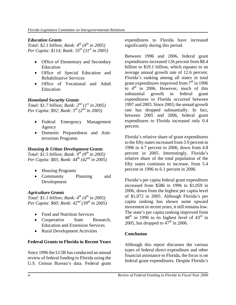### *Education Grants*

*Total: \$2.1 billion; Rank: 4th (4th in 2005) Per Capita: \$114; Rank: 35th (31st in 2005)* 

- Office of Elementary and Secondary Education
- Office of Special Education and Rehabilitative Services
- Office of Vocational and Adult Education

#### *Homeland Security Grants*

*Total: \$1.7 billion; Rank: 2nd (1st in 2005) Per Capita: \$92; Rank: 5th (2nd in 2005)* 

- Federal Emergency Management Agency
- Domestic Preparedness and Antiterrorism Programs

#### *Housing & Urban Development Grants*

*Total: \$1.5 billion; Rank: 9th (9th in 2005) Per Capita: \$83; Rank: 44<sup>th</sup> (42<sup>nd</sup> in 2005)* 

- Housing Programs
- Community Planning and Development

#### *Agriculture Grants*

*Total: \$1.1 billion; Rank: 4th (4th in 2005) Per Capita: \$60; Rank: 42<sup>nd</sup> (39<sup>th</sup> in 2005)* 

- Food and Nutrition Services
- Cooperative State Research, Education and Extension Services
- Rural Development Activities

#### **Federal Grants to Florida in Recent Years**

Since 1996 the LCIR has conducted an annual review of federal funding to Florida using the U.S. Census Bureau's data. Federal grant expenditures to Florida have increased significantly during this period.

Between 1996 and 2006, federal grant expenditures increased 126 percent from \$8.4 billion to \$19.1 billion, which equates to an average annual growth rate of 12.6 percent. Florida's ranking among all states in total grant expenditures improved from  $7<sup>th</sup>$  in 1996 to  $4<sup>th</sup>$  in 2006. However, much of this substantial growth in federal grant expenditures to Florida occurred between 1997 and 2003. Since 2003, the annual growth rate has dropped substantially. In fact, between 2005 and 2006, federal grant expenditures to Florida increased only 0.4 percent.

Florida's relative share of grant expenditures to the fifty states increased from 3.9 percent in 1996 to 4.7 percent in 2006, down from 4.8 percent in 2005. Interestingly, Florida's relative share of the total population of the fifty states continues to increase, from 5.4 percent in 1996 to 6.1 percent in 2006.

Florida's per capita federal grant expenditure increased from \$586 in 1996 to \$1,059 in 2006, down from the highest per capita level of \$1,072 in 2005. Although Florida's per capita ranking has shown some upward movement in recent years, it still remains low. The state's per capita ranking improved from  $48<sup>th</sup>$  in 1996 to its highest level of  $43<sup>rd</sup>$  in 2005, but dropped to  $47<sup>th</sup>$  in 2006.

## **Conclusion**

Although this report discusses the various types of federal direct expenditure and other financial assistance to Florida, the focus is on federal grant expenditures. Despite Florida's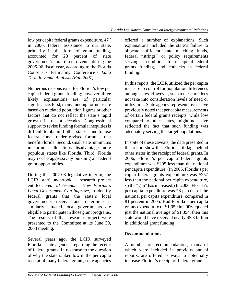low per capita federal grants expenditure,  $47<sup>th</sup>$ in 2006, federal assistance to our state, primarily in the form of grant funding, accounted for 28 percent of state government's total direct revenue during the 2005-06 fiscal year, according to the Florida Consensus Estimating Conference's *Long Term Revenue Analysis (Fall 2007)*.

Numerous reasons exist for Florida's low per capita federal grants funding; however, three likely explanations are of particular significance. First, many funding formulas are based on outdated population figures or other factors that do not reflect the state's rapid growth in recent decades. Congressional support to revise funding formula inequities is difficult to obtain if other states stand to lose federal funds under revised formulas that benefit Florida. Second, small state minimums in formula allocations disadvantage more populous states like Florida. Third, Florida may not be aggressively pursuing all federal grant opportunities.

During the 2007-08 legislative interim, the LCIR staff undertook a research project entitled, *Federal Grants – How Florida's Local Government Can Improve*, to identify federal grants that the state's local governments receive and determine if similarly situated local governments are eligible to participate in those grant programs. The results of that research project were presented to the Committee at its June 30, 2008 meeting.

Several years ago, the LCIR surveyed Florida's state agencies regarding the receipt of federal grants. In response to the question of why the state ranked low in the per capita receipt of many federal grants, state agencies

offered a number of explanations. Such explanations included the state's failure to allocate sufficient state matching funds, federal "strings" or policy requirements serving as conditions for receipt of federal grants funding, and cutbacks in federal funding.

In this report, the LCIR utilized the per capita measure to control for population differences among states. However, such a measure does not take into consideration levels of need or utilization. State agency representatives have previously noted that per capita measurements of certain federal grants receipts, while low compared to other states, might not have reflected the fact that such funding was adequately serving the target populations.

In spite of these caveats, the data presented in this report show that Florida still lags behind other states in the receipt of federal grants. In 2006, Florida's per capita federal grants expenditure was \$295 less than the national per capita expenditure. (In 2005, Florida's per capita federal grants expenditure was \$257 less than the national per capita expenditure, so the "gap" has increased.) In 2006, Florida's per capita expenditure was 78 percent of the national per capita expenditure, compared in 81 percent in 2005. Had Florida's per capita grants expenditure of \$1,059 in 2006 equaled just the national average of \$1,354, then this state would have received nearly \$5.3 billion in additional grant funding.

## **Recommendations**

A number of recommendations, many of which were included in previous annual reports, are offered as ways to potentially increase Florida's receipt of federal grants.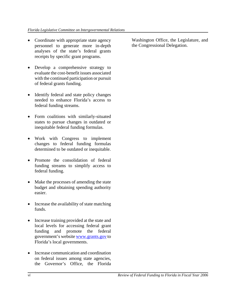- Coordinate with appropriate state agency personnel to generate more in-depth analyses of the state's federal grants receipts by specific grant programs.
- Develop a comprehensive strategy to evaluate the cost-benefit issues associated with the continued participation or pursuit of federal grants funding.
- Identify federal and state policy changes needed to enhance Florida's access to federal funding streams.
- Form coalitions with similarly-situated states to pursue changes in outdated or inequitable federal funding formulas.
- Work with Congress to implement changes to federal funding formulas determined to be outdated or inequitable.
- Promote the consolidation of federal funding streams to simplify access to federal funding.
- Make the processes of amending the state budget and obtaining spending authority easier.
- Increase the availability of state matching funds.
- Increase training provided at the state and local levels for accessing federal grant funding and promote the federal government's website www.grants.gov to Florida's local governments.
- Increase communication and coordination on federal issues among state agencies, the Governor's Office, the Florida

Washington Office, the Legislature, and the Congressional Delegation.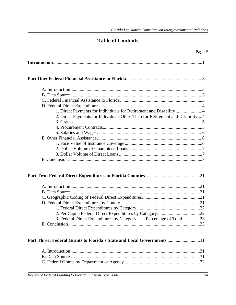# **Table of Contents**

| Page #                                                                       |
|------------------------------------------------------------------------------|
|                                                                              |
|                                                                              |
|                                                                              |
|                                                                              |
|                                                                              |
|                                                                              |
|                                                                              |
| 2. Direct Payments for Individuals Other Than for Retirement and Disability4 |
|                                                                              |
|                                                                              |
|                                                                              |
|                                                                              |
|                                                                              |
|                                                                              |
|                                                                              |
|                                                                              |
|                                                                              |
|                                                                              |
|                                                                              |
|                                                                              |
|                                                                              |
|                                                                              |
|                                                                              |
| 3. Federal Direct Expenditures by Category as a Percentage of Total23        |
| .23                                                                          |
| Part Three: Federal Grants to Florida's State and Local Governments31        |
|                                                                              |
|                                                                              |
|                                                                              |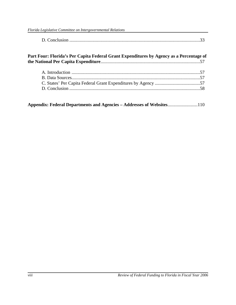|--|

| Part Four: Florida's Per Capita Federal Grant Expenditures by Agency as a Percentage of |  |
|-----------------------------------------------------------------------------------------|--|
|                                                                                         |  |
|                                                                                         |  |
|                                                                                         |  |
|                                                                                         |  |
|                                                                                         |  |

|  |  |  |  | Appendix: Federal Departments and Agencies – Addresses of Websites110 |  |
|--|--|--|--|-----------------------------------------------------------------------|--|
|--|--|--|--|-----------------------------------------------------------------------|--|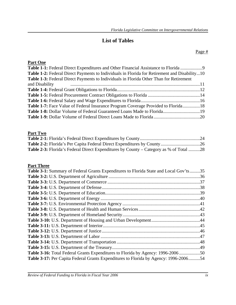# **List of Tables**

## Page #

| <b>Part One</b>                                                                                     |  |
|-----------------------------------------------------------------------------------------------------|--|
| Table 1-1: Federal Direct Expenditures and Other Financial Assistance to Florida                    |  |
| <b>Table 1-2:</b> Federal Direct Payments to Individuals in Florida for Retirement and Disability10 |  |
| Table 1-3: Federal Direct Payments to Individuals in Florida Other Than for Retirement              |  |
|                                                                                                     |  |
|                                                                                                     |  |
|                                                                                                     |  |
|                                                                                                     |  |
| <b>Table 1-7:</b> Face Value of Federal Insurance Program Coverage Provided to Florida18            |  |
|                                                                                                     |  |
|                                                                                                     |  |

# **Part Two**

| <b>Table 2-3:</b> Florida's Federal Direct Expenditures by County – Category as % of Total 28 |  |
|-----------------------------------------------------------------------------------------------|--|

# **Part Three**

| Table 3-1: Summary of Federal Grants Expenditures to Florida State and Local Gov'ts35   |  |
|-----------------------------------------------------------------------------------------|--|
|                                                                                         |  |
|                                                                                         |  |
|                                                                                         |  |
|                                                                                         |  |
|                                                                                         |  |
|                                                                                         |  |
|                                                                                         |  |
|                                                                                         |  |
|                                                                                         |  |
|                                                                                         |  |
|                                                                                         |  |
|                                                                                         |  |
|                                                                                         |  |
|                                                                                         |  |
| <b>Table 3-16:</b> Total Federal Grants Expenditures to Florida by Agency: 1996-2006 50 |  |
| Table 3-17: Per Capita Federal Grants Expenditures to Florida by Agency: 1996-200654    |  |
|                                                                                         |  |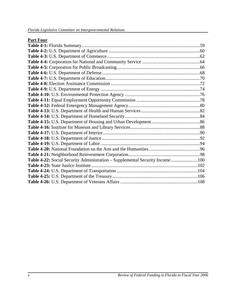### **Part Four**

| Table 4-22: Social Security Administration - Supplemental Security Income 100 |  |
|-------------------------------------------------------------------------------|--|
|                                                                               |  |
|                                                                               |  |
|                                                                               |  |
|                                                                               |  |
|                                                                               |  |
|                                                                               |  |
|                                                                               |  |
|                                                                               |  |
|                                                                               |  |
|                                                                               |  |
|                                                                               |  |
|                                                                               |  |
|                                                                               |  |
|                                                                               |  |
|                                                                               |  |
|                                                                               |  |
|                                                                               |  |
|                                                                               |  |
|                                                                               |  |
|                                                                               |  |
|                                                                               |  |
|                                                                               |  |
|                                                                               |  |
|                                                                               |  |
|                                                                               |  |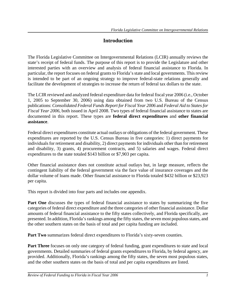# **Introduction**

The Florida Legislative Committee on Intergovernmental Relations (LCIR) annually reviews the state's receipt of federal funds. The purpose of this report is to provide the Legislature and other interested parties with an overview and analysis of federal financial assistance to Florida. In particular, the report focuses on federal grants to Florida's state and local governments. This review is intended to be part of an ongoing strategy to improve federal-state relations generally and facilitate the development of strategies to increase the return of federal tax dollars to the state.

The LCIR reviewed and analyzed federal expenditure data for federal fiscal year 2006 (i.e., October 1, 2005 to September 30, 2006) using data obtained from two U.S. Bureau of the Census publications: *Consolidated Federal Funds Report for Fiscal Year 2006* and *Federal Aid to States for Fiscal Year 2006*, both issued in April 2008. Two types of federal financial assistance to states are documented in this report. These types are **federal direct expenditures** and **other financial assistance**.

Federal direct expenditures constitute actual outlays or obligations of the federal government. These expenditures are reported by the U.S. Census Bureau in five categories: 1) direct payments for individuals for retirement and disability, 2) direct payments for individuals other than for retirement and disability, 3) grants, 4) procurement contracts, and 5) salaries and wages. Federal direct expenditures to the state totaled \$143 billion or \$7,903 per capita.

Other financial assistance does not constitute actual outlays but, in large measure, reflects the contingent liability of the federal government via the face value of insurance coverages and the dollar volume of loans made. Other financial assistance to Florida totaled \$432 billion or \$23,923 per capita.

This report is divided into four parts and includes one appendix.

Part One discusses the types of federal financial assistance to states by summarizing the five categories of federal direct expenditure and the three categories of other financial assistance. Dollar amounts of federal financial assistance to the fifty states collectively, and Florida specifically, are presented. In addition, Florida's rankings among the fifty states, the seven most populous states, and the other southern states on the basis of total and per capita funding are included.

**Part Two** summarizes federal direct expenditures to Florida's sixty-seven counties.

**Part Three** focuses on only one category of federal funding, grant expenditures to state and local governments. Detailed summaries of federal grants expenditures to Florida, by federal agency, are provided. Additionally, Florida's rankings among the fifty states, the seven most populous states, and the other southern states on the basis of total and per capita expenditures are listed.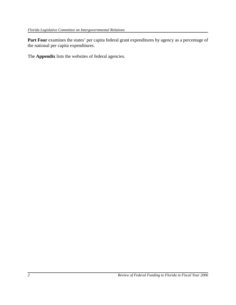Part Four examines the states' per capita federal grant expenditures by agency as a percentage of the national per capita expenditures.

The **Appendix** lists the websites of federal agencies.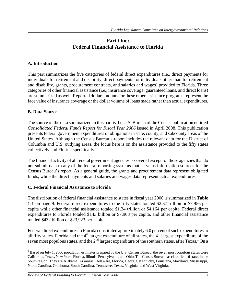# **Part One: Federal Financial Assistance to Florida**

#### **A. Introduction**

This part summarizes the five categories of federal direct expenditures (i.e., direct payments for individuals for retirement and disability, direct payments for individuals other than for retirement and disability, grants, procurement contracts, and salaries and wages) provided to Florida. Three categories of other financial assistance (i.e., insurance coverage, guaranteed loans, and direct loans) are summarized as well. Reported dollar amounts for these other assistance programs represent the face value of insurance coverage or the dollar volume of loans made rather than actual expenditures.

#### **B. Data Source**

The source of the data summarized in this part is the U.S. Bureau of the Census publication entitled *Consolidated Federal Funds Report for Fiscal Year 2006* issued in April 2008. This publication presents federal government expenditures or obligations in state, county, and subcounty areas of the United States. Although the Census Bureau's report includes the relevant data for the District of Columbia and U.S. outlying areas, the focus here is on the assistance provided to the fifty states collectively and Florida specifically.

The financial activity of all federal government agencies is covered except for those agencies that do not submit data to any of the federal reporting systems that serve as information sources for the Census Bureau's report. As a general guide, the grants and procurement data represent obligated funds, while the direct payments and salaries and wages data represent actual expenditures.

#### **C. Federal Financial Assistance to Florida**

The distribution of federal financial assistance to states in fiscal year 2006 is summarized in **Table 1-1** on page 9. Federal direct expenditures to the fifty states totaled \$2.37 trillion or \$7,956 per capita while other financial assistance totaled \$1.24 trillion or \$4,164 per capita. Federal direct expenditures to Florida totaled \$143 billion or \$7,903 per capita, and other financial assistance totaled \$432 billion or \$23,923 per capita.

Federal direct expenditures to Florida constituted approximately 6.0 percent of such expenditures to all fifty states. Florida had the  $4<sup>th</sup>$  largest expenditure of all states, the  $4<sup>th</sup>$  largest expenditure of the seven most populous states, and the  $2^{nd}$  largest expenditure of the southern states, after Texas.<sup>1</sup> On a

<sup>&</sup>lt;u>.</u>  $1$  Based on July 1, 2006 population estimates prepared by the U.S. Census Bureau, the seven most populous states were California, Texas, New York, Florida, Illinois, Pennsylvania, and Ohio. The Census Bureau has classified 16 states in the South region. They are Alabama, Arkansas, Delaware, Florida, Georgia, Kentucky, Louisiana, Maryland, Mississippi, North Carolina, Oklahoma, South Carolina, Tennessee, Texas, Virginia, and West Virginia.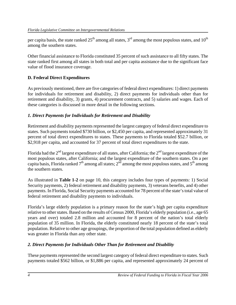per capita basis, the state ranked  $25<sup>th</sup>$  among all states,  $3<sup>rd</sup>$  among the most populous states, and  $10<sup>th</sup>$ among the southern states.

Other financial assistance to Florida constituted 35 percent of such assistance to all fifty states. The state ranked first among all states in both total and per capita assistance due to the significant face value of flood insurance coverage.

## **D. Federal Direct Expenditures**

As previously mentioned, there are five categories of federal direct expenditures: 1) direct payments for individuals for retirement and disability, 2) direct payments for individuals other than for retirement and disability, 3) grants, 4) procurement contracts, and 5) salaries and wages. Each of these categories is discussed in more detail in the following sections.

## *1. Direct Payments for Individuals for Retirement and Disability*

Retirement and disability payments represented the largest category of federal direct expenditure to states. Such payments totaled \$730 billion, or \$2,450 per capita, and represented approximately 31 percent of total direct expenditures to states. These payments to Florida totaled \$52.7 billion, or \$2,918 per capita, and accounted for 37 percent of total direct expenditures to the state.

Florida had the  $2<sup>nd</sup>$  largest expenditure of all states, after California; the  $2<sup>nd</sup>$  largest expenditure of the most populous states, after California; and the largest expenditure of the southern states. On a per capita basis, Florida ranked  $7<sup>th</sup>$  among all states;  $2<sup>nd</sup>$  among the most populous states, and  $5<sup>th</sup>$  among the southern states.

As illustrated in **Table 1-2** on page 10, this category includes four types of payments: 1) Social Security payments, 2) federal retirement and disability payments, 3) veterans benefits, and 4) other payments. In Florida, Social Security payments accounted for 78 percent of the state's total value of federal retirement and disability payments to individuals.

Florida's large elderly population is a primary reason for the state's high per capita expenditure relative to other states. Based on the results of Census 2000, Florida's elderly population (i.e., age 65 years and over) totaled 2.8 million and accounted for 8 percent of the nation's total elderly population of 35 million. In Florida, the elderly constituted nearly 18 percent of the state's total population. Relative to other age groupings, the proportion of the total population defined as elderly was greater in Florida than any other state.

## *2. Direct Payments for Individuals Other Than for Retirement and Disability*

These payments represented the second largest category of federal direct expenditure to states. Such payments totaled \$562 billion, or \$1,886 per capita, and represented approximately 24 percent of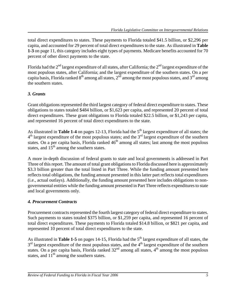total direct expenditures to states. These payments to Florida totaled \$41.5 billion, or \$2,296 per capita, and accounted for 29 percent of total direct expenditures to the state. As illustrated in **Table 1-3** on page 11, this category includes eight types of payments. Medicare benefits accounted for 70 percent of other direct payments to the state.

Florida had the  $2<sup>nd</sup>$  largest expenditure of all states, after California; the  $2<sup>nd</sup>$  largest expenditure of the most populous states, after California; and the largest expenditure of the southern states. On a per capita basis, Florida ranked  $8<sup>th</sup>$  among all states,  $2<sup>nd</sup>$  among the most populous states, and  $3<sup>rd</sup>$  among the southern states.

# *3. Grants*

Grant obligations represented the third largest category of federal direct expenditure to states. These obligations to states totaled \$484 billion, or \$1,623 per capita, and represented 20 percent of total direct expenditures. These grant obligations to Florida totaled \$22.5 billion, or \$1,243 per capita, and represented 16 percent of total direct expenditures to the state.

As illustrated in **Table 1-4** on pages 12-13, Florida had the  $5<sup>th</sup>$  largest expenditure of all states; the  $4<sup>th</sup>$  largest expenditure of the most populous states; and the  $3<sup>rd</sup>$  largest expenditure of the southern states. On a per capita basis, Florida ranked  $46<sup>th</sup>$  among all states; last among the most populous states, and  $15<sup>th</sup>$  among the southern states.

A more in-depth discussion of federal grants to state and local governments is addressed in Part Three of this report. The amount of total grant obligations to Florida discussed here is approximately \$3.3 billion greater than the total listed in Part Three. While the funding amount presented here reflects total obligations, the funding amount presented in this latter part reflects total expenditures (i.e., actual outlays). Additionally, the funding amount presented here includes obligations to nongovernmental entities while the funding amount presented in Part Three reflects expenditures to state and local governments only.

# *4. Procurement Contracts*

Procurement contracts represented the fourth largest category of federal direct expenditure to states. Such payments to states totaled \$375 billion, or \$1,259 per capita, and represented 16 percent of total direct expenditures. These payments to Florida totaled \$14.8 billion, or \$821 per capita, and represented 10 percent of total direct expenditures to the state.

As illustrated in **Table 1-5** on pages 14-15, Florida had the 5<sup>th</sup> largest expenditure of all states, the  $3<sup>rd</sup>$  largest expenditure of the most populous states, and the  $4<sup>th</sup>$  largest expenditure of the southern states. On a per capita basis, Florida ranked  $32<sup>nd</sup>$  among all states,  $4<sup>th</sup>$  among the most populous states, and  $11<sup>th</sup>$  among the southern states.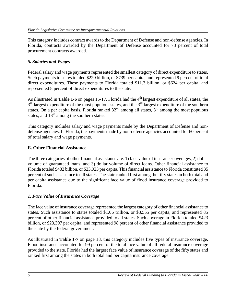This category includes contract awards to the Department of Defense and non-defense agencies. In Florida, contracts awarded by the Department of Defense accounted for 73 percent of total procurement contracts awarded.

## *5. Salaries and Wages*

Federal salary and wage payments represented the smallest category of direct expenditure to states. Such payments to states totaled \$220 billion, or \$739 per capita, and represented 9 percent of total direct expenditures. These payments to Florida totaled \$11.3 billion, or \$624 per capita, and represented 8 percent of direct expenditures to the state.

As illustrated in **Table 1-6** on pages 16-17, Florida had the 4<sup>th</sup> largest expenditure of all states, the  $3<sup>rd</sup>$  largest expenditure of the most populous states, and the  $3<sup>rd</sup>$  largest expenditure of the southern states. On a per capita basis, Florida ranked  $32<sup>nd</sup>$  among all states,  $3<sup>rd</sup>$  among the most populous states, and  $13<sup>th</sup>$  among the southern states.

This category includes salary and wage payments made by the Department of Defense and nondefense agencies. In Florida, the payments made by non-defense agencies accounted for 60 percent of total salary and wage payments.

## **E. Other Financial Assistance**

The three categories of other financial assistance are: 1) face value of insurance coverages, 2) dollar volume of guaranteed loans, and 3) dollar volume of direct loans. Other financial assistance to Florida totaled \$432 billion, or \$23,923 per capita. This financial assistance to Florida constituted 35 percent of such assistance to all states. The state ranked first among the fifty states in both total and per capita assistance due to the significant face value of flood insurance coverage provided to Florida.

## *1. Face Value of Insurance Coverage*

The face value of insurance coverage represented the largest category of other financial assistance to states. Such assistance to states totaled \$1.06 trillion, or \$3,555 per capita, and represented 85 percent of other financial assistance provided to all states. Such coverage in Florida totaled \$423 billion, or \$23,397 per capita, and represented 98 percent of other financial assistance provided to the state by the federal government.

As illustrated in **Table 1-7** on page 18, this category includes five types of insurance coverage. Flood insurance accounted for 99 percent of the total face value of all federal insurance coverage provided to the state. Florida had the largest face value of insurance coverage of the fifty states and ranked first among the states in both total and per capita insurance coverage.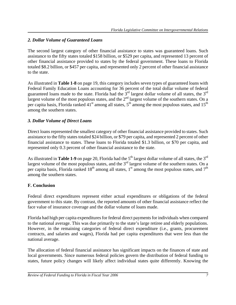## *2. Dollar Volume of Guaranteed Loans*

The second largest category of other financial assistance to states was guaranteed loans. Such assistance to the fifty states totaled \$158 billion, or \$529 per capita, and represented 13 percent of other financial assistance provided to states by the federal government. These loans to Florida totaled \$8.2 billion, or \$457 per capita, and represented only 2 percent of other financial assistance to the state.

As illustrated in **Table 1-8** on page 19, this category includes seven types of guaranteed loans with Federal Family Education Loans accounting for 36 percent of the total dollar volume of federal guaranteed loans made to the state. Florida had the  $3<sup>rd</sup>$  largest dollar volume of all states, the  $3<sup>rd</sup>$ largest volume of the most populous states, and the  $2<sup>nd</sup>$  largest volume of the southern states. On a per capita basis, Florida ranked 41<sup>st</sup> among all states, 5<sup>th</sup> among the most populous states, and 15<sup>th</sup> among the southern states.

## *3. Dollar Volume of Direct Loans*

Direct loans represented the smallest category of other financial assistance provided to states. Such assistance to the fifty states totaled \$24 billion, or \$79 per capita, and represented 2 percent of other financial assistance to states. These loans to Florida totaled \$1.3 billion, or \$70 per capita, and represented only 0.3 percent of other financial assistance to the state.

As illustrated in **Table 1-9** on page 20, Florida had the 5<sup>th</sup> largest dollar volume of all states, the 3<sup>rd</sup> largest volume of the most populous states, and the  $3<sup>rd</sup>$  largest volume of the southern states. On a per capita basis, Florida ranked 18<sup>th</sup> among all states, 1<sup>st</sup> among the most populous states, and 7<sup>th</sup> among the southern states.

## **F. Conclusion**

Federal direct expenditures represent either actual expenditures or obligations of the federal government to this state. By contrast, the reported amounts of other financial assistance reflect the face value of insurance coverage and the dollar volume of loans made.

Florida had high per capita expenditures for federal direct payments for individuals when compared to the national average. This was due primarily to the state's large retiree and elderly populations. However, in the remaining categories of federal direct expenditure (i.e., grants, procurement contracts, and salaries and wages), Florida had per capita expenditures that were less than the national average.

The allocation of federal financial assistance has significant impacts on the finances of state and local governments. Since numerous federal policies govern the distribution of federal funding to states, future policy changes will likely affect individual states quite differently. Knowing the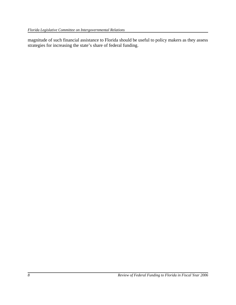magnitude of such financial assistance to Florida should be useful to policy makers as they assess strategies for increasing the state's share of federal funding.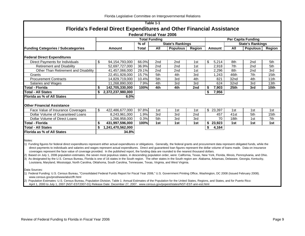|                                                                                                                                                                                              |                                                                             |                   |              | Table 1-1       |                         |               |    |          |                  |                         |                  |
|----------------------------------------------------------------------------------------------------------------------------------------------------------------------------------------------|-----------------------------------------------------------------------------|-------------------|--------------|-----------------|-------------------------|---------------|----|----------|------------------|-------------------------|------------------|
|                                                                                                                                                                                              | <b>Florida's Federal Direct Expenditures and Other Financial Assistance</b> |                   |              |                 |                         |               |    |          |                  |                         |                  |
| <b>Federal Fiscal Year 2006</b>                                                                                                                                                              |                                                                             |                   |              |                 |                         |               |    |          |                  |                         |                  |
| <b>Total Funding</b><br><b>Per Capita Funding</b>                                                                                                                                            |                                                                             |                   |              |                 |                         |               |    |          |                  |                         |                  |
|                                                                                                                                                                                              |                                                                             |                   | $%$ of       |                 | <b>State's Rankings</b> |               |    |          |                  | <b>State's Rankings</b> |                  |
| <b>Funding Categories / Subcategories</b>                                                                                                                                                    |                                                                             | Amount            | <b>Total</b> | All             | <b>Populous</b>         | <b>Region</b> |    | Amount   | All              | <b>Populous</b>         | <b>Region</b>    |
|                                                                                                                                                                                              |                                                                             |                   |              |                 |                         |               |    |          |                  |                         |                  |
| <b>Federal Direct Expenditures</b>                                                                                                                                                           |                                                                             |                   |              |                 |                         |               |    |          |                  |                         |                  |
| Direct Payments for Individuals                                                                                                                                                              | \$                                                                          | 94,154,793,000    | 66.0%        | 2nd             | 2nd                     | 1st           | \$ | 5,214    | 8th              | 2nd                     | 5th              |
| <b>Retirement and Disability</b>                                                                                                                                                             |                                                                             | 52,697,727,000    | 36.9%        | 2nd             | 2nd                     | 1st           |    | 2,918    | 7th              | 2 <sub>nd</sub>         | 5th              |
| Other Than Retirement and Disability                                                                                                                                                         |                                                                             | 41,457,066,000    | 29.1%        | 2 <sub>nd</sub> | 2 <sub>nd</sub>         | 1st           |    | 2,296    | 8th              | 2nd                     | 3rd              |
| Grants                                                                                                                                                                                       |                                                                             | 22,451,928,000    | 15.7%        | 5th             | 4th                     | 3rd           |    | 1,243    | 46th             | 7th                     | 15 <sub>th</sub> |
| <b>Procurement Contracts</b>                                                                                                                                                                 |                                                                             | 14,829,719,000    | 10.4%        | 5th             | 3rd                     | 4th           |    | 821      | 32nd             | 4th                     | 11th             |
| Salaries and Wages                                                                                                                                                                           |                                                                             | 11,268,890,000    | 7.9%         | 4th             | 3rd                     | 3rd           |    | 624      | 32nd             | 3rd                     | 13 <sub>th</sub> |
| Total - Florida                                                                                                                                                                              | \$                                                                          | 142,705,330,000   | 100%         | 4th             | 4th                     | 2nd           |    | 7,903    | 25th             | 3rd                     | 10th             |
| <b>Total - All States</b>                                                                                                                                                                    | \$                                                                          | 2,372,237,980,000 |              |                 |                         |               | S  | 7,956    |                  |                         |                  |
| Florida as % of All States                                                                                                                                                                   |                                                                             | 6.0%              |              |                 |                         |               |    |          |                  |                         |                  |
|                                                                                                                                                                                              |                                                                             |                   |              |                 |                         |               |    |          |                  |                         |                  |
| <b>Other Financial Assistance</b>                                                                                                                                                            |                                                                             |                   |              |                 |                         |               |    |          |                  |                         |                  |
| Face Value of Insurance Coverages                                                                                                                                                            | \$                                                                          | 422,486,677,000   | 97.8%        | 1st             | 1st                     | 1st           |    | \$23,397 | 1st              | 1st                     | 1st              |
| Dollar Volume of Guaranteed Loans                                                                                                                                                            |                                                                             | 8,243,961,000     | 1.9%         | 3rd             | 3rd                     | 2nd           |    | 457      | 41 <sub>st</sub> | 5th                     | 15 <sub>th</sub> |
| Dollar Volume of Direct Loans                                                                                                                                                                |                                                                             | 1,266,958,000     | 0.3%         | 5th             | 3rd                     | 3rd           |    | 70       | 18 <sub>th</sub> | 1st                     | 7th              |
| Total - Florida                                                                                                                                                                              | \$                                                                          | 431,997,596,000   | 100%         | 1st             | 1st                     | 1st           | \$ | 23,923   | 1st              | 1st                     | 1st              |
| Total - All States                                                                                                                                                                           | \$                                                                          | 1,241,470,562,000 |              |                 |                         |               | \$ | 4,164    |                  |                         |                  |
| <b>Florida as % of All States</b>                                                                                                                                                            |                                                                             | 34.8%             |              |                 |                         |               |    |          |                  |                         |                  |
|                                                                                                                                                                                              |                                                                             |                   |              |                 |                         |               |    |          |                  |                         |                  |
| Notes:                                                                                                                                                                                       |                                                                             |                   |              |                 |                         |               |    |          |                  |                         |                  |
| Funding figures for federal direct expenditures represent either actual expenditures or obligations. Generally, the federal grants and procurement data represent obligated funds, while the |                                                                             |                   |              |                 |                         |               |    |          |                  |                         |                  |
| direct payments to individuals and salaries and wages represent actual expenditures. Direct and guaranteed loan figures represent the dollar volume of loans made. Data on insurance         |                                                                             |                   |              |                 |                         |               |    |          |                  |                         |                  |
| coverages represent the face value of coverage provided. In the published report, the funding data are rounded to the nearest thousand dollars.                                              |                                                                             |                   |              |                 |                         |               |    |          |                  |                         |                  |

2) Based on July 1, 2006 population estimates, the seven most populous states, in descending population order, were: California, Texas, New York, Florida, Illinois, Pennsylvania, and Ohio.

3) As designated by the U.S. Census Bureau, Florida is one of 16 states in the South region. The other states in the South region are: Alabama, Arkansas, Delaware, Georgia, Kentucky, Louisiana, Maryland, Mississippi, North Carolina, Oklahoma, South Carolina, Tennessee, Texas, Virginia, and West Virginia.

Data Sources:

1) Federal Funding: U.S. Census Bureau, "Consolidated Federal Funds Report for Fiscal Year 2006," U.S. Government Printing Office, Washington, DC 2008 (Issued February 2008). www.census.gov/prod/www/abs/cffr.html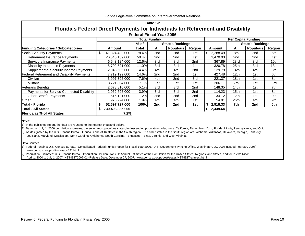| Table 1-2                                                                       |                                                   |                 |        |                 |                           |     |                |                  |                         |        |  |
|---------------------------------------------------------------------------------|---------------------------------------------------|-----------------|--------|-----------------|---------------------------|-----|----------------|------------------|-------------------------|--------|--|
| Florida's Federal Direct Payments for Individuals for Retirement and Disability |                                                   |                 |        |                 |                           |     |                |                  |                         |        |  |
| <b>Federal Fiscal Year 2006</b>                                                 |                                                   |                 |        |                 |                           |     |                |                  |                         |        |  |
|                                                                                 | <b>Per Capita Funding</b><br><b>Total Funding</b> |                 |        |                 |                           |     |                |                  |                         |        |  |
|                                                                                 |                                                   |                 | $%$ of |                 | <b>State's Rankings</b>   |     |                |                  | <b>State's Rankings</b> |        |  |
| <b>Funding Categories / Subcategories</b>                                       |                                                   | <b>Amount</b>   | Total  | All             | <b>Populous</b><br>Region |     | Amount         | All              | <b>Populous</b>         | Region |  |
| <b>Social Security Payments</b>                                                 | \$                                                | 41,324,489,000  | 78.4%  | 2nd             | 2nd                       | 1st | \$2,288.49     | 8th              | 2nd                     | 5th    |  |
| <b>Retirement Insurance Payments</b>                                            |                                                   | 26,545,159,000  | 50.4%  | 2 <sub>nd</sub> | 2nd                       | 1st | .470.03        | 2nd              | 2nd                     | 1st    |  |
| <b>Survivors Insurance Payments</b>                                             |                                                   | 6,643,124,000   | 12.6%  | 3rd             | 3rd                       | 2nd | 367.89         | 23rd             | 3rd                     | 10th   |  |
| Disability Insurance Payments                                                   |                                                   | 5,792,521,000   | 11.0%  | 3rd             | 3rd                       | 1st | 320.78         | 25th             | 3rd                     | 13th   |  |
| <b>Supplemental Security Income Payments</b>                                    |                                                   | 2,343,685,000   | 4.4%   | 4th             | 4th                       | 2nd | 129.79         | 14th             | 4th                     | 8th    |  |
| <b>Federal Retirement and Disability Payments</b>                               |                                                   | 7,719,199,000   | 14.6%  | 2 <sub>nd</sub> | 2nd                       | 1st | 427.48         | 12 <sub>th</sub> | 1st                     | 6th    |  |
| Civilian                                                                        |                                                   | 3,997,395,000   | 7.6%   | 4th             | 2nd                       | 3rd | 221.37         | 18th             | 1st                     | 8th    |  |
| Military                                                                        |                                                   | 3,721,804,000   | 7.1%   | 1st             | 1st                       | 1st | 206.11         | 7th              | 1st                     | 3rd    |  |
| <b>Veterans Benefits</b>                                                        |                                                   | 2,678,816,000   | 5.1%   | 3rd             | 3rd                       | 2nd | 148.35         | 14th             | 1st                     | 7th    |  |
| <b>Payments for Service Connected Disability</b>                                |                                                   | 2,062,695,000   | 3.9%   | 3rd             | 3rd                       | 2nd | 114.23         | 15 <sub>th</sub> | 1st                     | 8th    |  |
| <b>Other Benefit Payments</b>                                                   |                                                   | 616,121,000     | 1.2%   | 2 <sub>nd</sub> | 2nd                       | 2nd | 34.12          | 12 <sub>th</sub> | 1st                     | 9th    |  |
| Other                                                                           |                                                   | 975,224,000     | 1.9%   | 4th             | 4th                       | 1st | 54.01          | 26th             | 4th                     | 9th    |  |
| <b>Total - Florida</b>                                                          | S                                                 | 52,697,727,000  | 100%   | 2nd             | 2nd                       | 1st | 2,918.33       | 7th              | 2nd                     | 5th    |  |
| <b>Total - All States</b>                                                       |                                                   | 730,408,885,000 |        |                 |                           |     | 2,449.64<br>\$ |                  |                         |        |  |
| Florida as % of All States                                                      |                                                   | 7.2%            |        |                 |                           |     |                |                  |                         |        |  |

1) In the published report, the data are rounded to the nearest thousand dollars.

2) Based on July 1, 2006 population estimates, the seven most populous states, in descending population order, were: California, Texas, New York, Florida, Illinois, Pennsylvania, and Ohio.

3) As designated by the U.S. Census Bureau, Florida is one of 16 states in the South region. The other states in the South region are: Alabama, Arkansas, Delaware, Georgia, Kentucky, Louisiana, Maryland, Mississippi, North Carolina, Oklahoma, South Carolina, Tennessee, Texas, Virginia, and West Virginia.

Data Sources:

1) Federal Funding: U.S. Census Bureau, "Consolidated Federal Funds Report for Fiscal Year 2006," U.S. Government Printing Office, Washington, DC 2008 (Issued February 2008). www.census.gov/prod/www/abs/cffr.html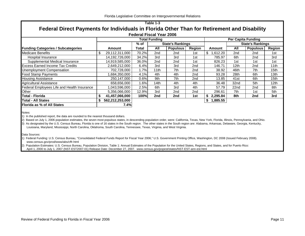|                                             | Table 1-3                                                                                   |                 |         |      |                         |                 |                |                         |                 |                  |  |
|---------------------------------------------|---------------------------------------------------------------------------------------------|-----------------|---------|------|-------------------------|-----------------|----------------|-------------------------|-----------------|------------------|--|
|                                             | Federal Direct Payments for Individuals in Florida Other Than for Retirement and Disability |                 |         |      |                         |                 |                |                         |                 |                  |  |
| <b>Federal Fiscal Year 2006</b>             |                                                                                             |                 |         |      |                         |                 |                |                         |                 |                  |  |
| <b>Per Capita Funding</b><br>Total Funding  |                                                                                             |                 |         |      |                         |                 |                |                         |                 |                  |  |
|                                             |                                                                                             |                 | $%$ of  |      | <b>State's Rankings</b> |                 |                | <b>State's Rankings</b> |                 |                  |  |
| <b>Funding Categories / Subcategories</b>   |                                                                                             | Amount          | Total   | All  | <b>Populous</b>         | Region          | Amount         | All                     | <b>Populous</b> | Region           |  |
| Medicare Benefits                           | \$                                                                                          | 29,112,311,000  | 70.2%   | 2nd  | 2nd                     | 1st             | .612.20<br>\$. | 2nd                     | 2nd             | 1st              |  |
| Hospital Insurance                          |                                                                                             | 14,192,726,000  | 34.2%   | 3rd  | 3rd                     | 1st             | 785.97         | 6th                     | 2nd             | 3rd              |  |
| Supplemental Medical Insurance              |                                                                                             | 14,919,585,000  | 36.0%   | 2nd  | 2nd                     | 1st             | 826.23         | 1st                     | 1st             | 1st              |  |
| Excess Earned Income Tax Credits            |                                                                                             | 2,649,212,000   | 6.4%    | 3rd  | 3rd                     | 2 <sub>nd</sub> | 146.71         | 12 <sub>th</sub>        | 2 <sub>nd</sub> | 11th             |  |
| Unemployment Compensation                   |                                                                                             | 702,728,000     | 1.7%    | 11th | 7th                     | 2 <sub>nd</sub> | 38.92          | 46th                    | 7th             | 15th             |  |
| Food Stamp Payments                         |                                                                                             | .684,350,000    | 4.1%    | 4th  | 4th                     | 2 <sub>nd</sub> | 93.28          | 28th                    | 6th             | 13th             |  |
| Housing Assistance                          |                                                                                             | 250,147,000     | $0.6\%$ | 9th  | 7th                     | 2 <sub>nd</sub> | 13.85          | 41st                    | 6th             | 15th             |  |
| Agricultural Assistance                     |                                                                                             | 658,656,000     | $1.6\%$ | 14th | 4th                     | 4th             | 36.48          | 32nd                    | 5th             | 12 <sub>th</sub> |  |
| Federal Employees Life and Health Insurance |                                                                                             | 1,043,596,000   | 2.5%    | 6th  | 3rd                     | 4th             | 57.79          | 22nd                    | 2 <sub>nd</sub> | 8th              |  |
| Other                                       |                                                                                             | 5,356,066,000   | 12.9%   | 3rd  | 2nd                     | 2 <sub>nd</sub> | 296.61         | 7th                     | 1st             | 5th              |  |
| Total - Florida                             | \$                                                                                          | 41,457,066,000  | 100%    | 2nd  | 2nd                     | 1st             | 2,295.84       | 8th                     | 2nd             | 3rd              |  |
| Total - All States                          | \$                                                                                          | 562,212,253,000 |         |      |                         |                 | 1,885.55<br>\$ |                         |                 |                  |  |
| Florida as % of All States                  |                                                                                             | 7.4%            |         |      |                         |                 |                |                         |                 |                  |  |

1) In the published report, the data are rounded to the nearest thousand dollars.

2) Based on July 1, 2006 population estimates, the seven most populous states, in descending population order, were: California, Texas, New York, Florida, Illinois, Pennsylvania, and Ohio.

3) As designated by the U.S. Census Bureau, Florida is one of 16 states in the South region. The other states in the South region are: Alabama, Arkansas, Delaware, Georgia, Kentucky, Louisiana, Maryland, Mississippi, North Carolina, Oklahoma, South Carolina, Tennessee, Texas, Virginia, and West Virginia.

Data Sources:

1) Federal Funding: U.S. Census Bureau, "Consolidated Federal Funds Report for Fiscal Year 2006," U.S. Government Printing Office, Washington, DC 2008 (Issued February 2008). www.census.gov/prod/www/abs/cffr.html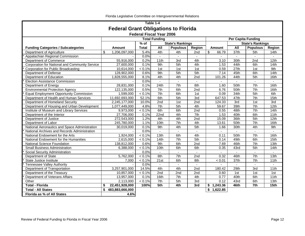| Table 1-4                                             |                                             |              |                                 |                         |                   |                |                           |                         |                          |
|-------------------------------------------------------|---------------------------------------------|--------------|---------------------------------|-------------------------|-------------------|----------------|---------------------------|-------------------------|--------------------------|
|                                                       | <b>Federal Grant Obligations to Florida</b> |              |                                 |                         |                   |                |                           |                         |                          |
|                                                       |                                             |              | <b>Federal Fiscal Year 2006</b> |                         |                   |                |                           |                         |                          |
|                                                       |                                             |              | <b>Total Funding</b>            |                         |                   |                | <b>Per Capita Funding</b> |                         |                          |
|                                                       |                                             | $%$ of       |                                 | <b>State's Rankings</b> |                   |                |                           | <b>State's Rankings</b> |                          |
| <b>Funding Categories / Subcategories</b>             | Amount                                      | <b>Total</b> | All                             | <b>Populous</b>         | Region            | <b>Amount</b>  | All                       | <b>Populous</b>         | Region                   |
| Department of Agriculture                             | $\mathfrak{S}$<br>1,206,097,000             | 5.4%         | 4th                             | 4th                     | 2nd               | \$<br>66.79    | 37th                      | 5th                     | 14th                     |
| Appalachian Regional Commission                       |                                             | 0.0%         | $\blacksquare$                  | $\blacksquare$          |                   |                | $\mathbf{r}$              | $\blacksquare$          | $\overline{\phantom{a}}$ |
| Department of Commerce                                | 55,916,000                                  | 0.2%         | 11th                            | 3rd                     | 4th               | 3.10           | 30th                      | 2nd                     | 12th                     |
| <b>Corporation for National and Community Service</b> | 27,600,000                                  | 0.1%         | 9th                             | 5th                     | 4th               | 1.53           | 44th                      | 6th                     | 14th                     |
| <b>Corporation for Public Broadcasting</b>            | 10,614,000                                  | $< 0.1\%$    | $\overline{1}$ st               | $\overline{1}$ st       | $\overline{1}$ st | 0.59           | 27th                      | 1st                     | 9th                      |
| Department of Defense                                 | 128,902,000                                 | 0.6%         | 9th                             | 5th                     | 5th               | 7.14           | 45th                      | 6th                     | 14th                     |
| Department of Education                               | 1,828,555,000                               | 8.1%         | 4th                             | 4th                     | 2nd               | 101.26         | 44th                      | 5th                     | 16th                     |
| <b>Election Assistance Commission</b>                 |                                             | 0.0%         | $\mathbf{r}$                    | $\mathbf{r}$            | $\sim$            | $\sim$         | $\mathbf{r}$              | $\sim$                  | $\sim$                   |
| Department of Energy                                  | 28,831,000                                  | 0.1%         | 24th                            | 7th                     | 8th               | 1.60           | 50th                      | 7th                     | 16th                     |
| <b>Environmental Protection Agency</b>                | 122,135,000                                 | 0.5%         | 7th                             | 6th                     | 2nd               | 6.76           | 50th                      | 7th                     | 16th                     |
| <b>Equal Employment Opportunity Commission</b>        | 1,599,000                                   | $< 0.1\%$    | 7th                             | 6th                     | 1st               | 0.09           | 34th                      | 5th                     | 6th                      |
| Department of Health and Human Services               | 11,692,693,000                              | 52.1%        | 6th                             | 5th                     | 3rd               | 647.53         | 47th                      | $\overline{7}$ th       | 15th                     |
| Department of Homeland Security                       | 2,245,177,000                               | 10.0%        | 2nd                             | 1st                     | 2nd               | 124.33         | 3rd                       | 1st                     | 3rd                      |
| Department of Housing and Urban Development           | 1,077,449,000                               | 4.8%         | 7th                             | 5th                     | 4th               | 59.67          | 39th                      | 7th                     | 12th                     |
| Institute of Museum and Library Services              | 9,973,000                                   | $< 0.1\%$    | 6th                             | 6th                     | 2nd               | 0.55           | 48th                      | 7th                     | 14th                     |
| Department of the Interior                            | 27,706,000                                  | 0.1%         | 22nd                            | 4th                     | $\overline{7}$ th | 1.53           | 40th                      | 6th                     | 11th                     |
| Department of Justice                                 | 272,543,000                                 | 1.2%         | 4th                             | 4th                     | 2nd               | 15.09          | 36th                      | 5th                     | 12th                     |
| Department of Labor                                   | 245,780,000                                 | 1.1%         | 10th                            | $\overline{7}$ th       | 4th               | 13.61          | 50th                      | $\overline{7}$ th       | 16th                     |
| National Aeronautics and Space Administration         | 30,019,000                                  | 0.1%         | 9th                             | 4th                     | 5th               | 1.66           | 30th                      | 4th                     | 9th                      |
| National Archives and Records Administration          |                                             | 0.0%         | $\overline{a}$                  |                         |                   |                |                           |                         |                          |
| National Endowment for the Arts                       | 1,924,000                                   | $< 0.1\%$    | 13th                            | 6th                     | 4th               | 0.11           | 50th                      | 7th                     | 16th                     |
| National Endowment for the Humanities                 | 2,615,000                                   | $< 0.1\%$    | 14th                            | $\overline{7}$ th       | 5th               | 0.14           | 49th                      | 6th                     | 15th                     |
| National Science Foundation                           | 138,812,000                                 | 0.6%         | 9th                             | 6th                     | 2nd               | 7.69           | 46th                      | 7th                     | 13th                     |
| <b>Small Business Administration</b>                  | 6,388,000                                   | $< 0.1\%$    | 10th                            | 6th                     | 6th               | 0.35           | 43rd                      | 5th                     | 14th                     |
| Social Security Administration                        |                                             | 0.0%         | $\sim$                          | $\blacksquare$          | $\sim$            | $\sim$         | $\mathbf{r}$              | $\blacksquare$          | $\sim$                   |
| Department of State                                   | 5,762,000                                   | $< 0.1\%$    | 8th                             | $\overline{7}$ th       | 2nd               | 0.32           | 46th                      | $\overline{7}$ th       | 13 <sub>th</sub>         |
| State Justice Institute                               | 7,000                                       | $< 0.1\%$    | 21st                            | 6th                     | 8th               | < 0.01         | 37th                      | $\overline{7}$ th       | 11th                     |
| Tennessee Valley Authority                            |                                             | 0.0%         | $\mathbf{r}$                    | $\blacksquare$          | $\blacksquare$    |                | $\mathbf{r}$              | $\omega$                | $\blacksquare$           |
| Department of Transportation                          | 3,257,901,000                               | 14.5%        | 4th                             | 4th                     | 2nd               | 180.42         | 29th                      | 3rd                     | 11th                     |
| Department of the Treasury                            | 10,857,000                                  | $< 0.1\%$    | 2nd                             | 2nd                     | 2nd               | 0.60           | 1st                       | 1st                     | 1st                      |
| Department of Veterans Affairs                        | 13,957,000                                  | 0.1%         | 16th                            | $\overline{7}$ th       | 4th               | 0.77           | 40th                      | 6th                     | 11th                     |
| Other                                                 | 2,113,000                                   | $< 0.1\%$    | 7th                             | 5th                     | 3rd               | 0.12           | 43rd                      | 6th                     | 13 <sub>th</sub>         |
| <b>Total - Florida</b>                                | \$<br>22,451,928,000                        | 100%         | 5th                             | 4th                     | 3rd               | 1,243.36<br>\$ | 46th                      | 7th                     | 15th                     |
| <b>Total - All States</b>                             | \$<br>483,883,666,000                       |              |                                 |                         |                   | \$<br>1,622.85 |                           |                         |                          |
| Florida as % of All States                            | 4.6%                                        |              |                                 |                         |                   |                |                           |                         |                          |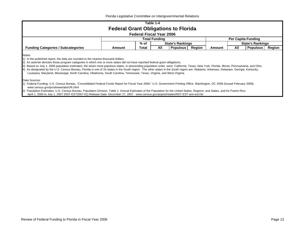|                                                                                                                              | <b>Federal Grant Obligations to Florida</b> |                                            | Table 1-4 |                         |        |        |                         |                 |        |
|------------------------------------------------------------------------------------------------------------------------------|---------------------------------------------|--------------------------------------------|-----------|-------------------------|--------|--------|-------------------------|-----------------|--------|
|                                                                                                                              |                                             | <b>Federal Fiscal Year 2006</b>            |           |                         |        |        |                         |                 |        |
|                                                                                                                              |                                             | <b>Per Capita Funding</b><br>Total Funding |           |                         |        |        |                         |                 |        |
|                                                                                                                              |                                             | % of                                       |           | <b>State's Rankings</b> |        |        | <b>State's Rankings</b> |                 |        |
| <b>Funding Categories / Subcategories</b>                                                                                    | Amount                                      | Total                                      | All       | <b>Populous</b>         | Region | Amount | All                     | <b>Populous</b> | Region |
|                                                                                                                              |                                             |                                            |           |                         |        |        |                         |                 |        |
| Notes:                                                                                                                       |                                             |                                            |           |                         |        |        |                         |                 |        |
| 1) In the published report, the data are rounded to the nearest thousand dollars.                                            |                                             |                                            |           |                         |        |        |                         |                 |        |
| 2) An asterisk denotes those program categories in which one or more states did not have reported federal grant obligations. |                                             |                                            |           |                         |        |        |                         |                 |        |

3) Based on July 1, 2006 population estimates, the seven most populous states, in descending population order, were: California, Texas, New York, Florida, Illinois, Pennsylvania, and Ohio. 4) As designated by the U.S. Census Bureau, Florida is one of 16 states in the South region. The other states in the South region are: Alabama, Arkansas, Delaware, Georgia, Kentucky,

Louisiana, Maryland, Mississippi, North Carolina, Oklahoma, South Carolina, Tennessee, Texas, Virginia, and West Virginia.

Data Sources:

1) Federal Funding: U.S. Census Bureau, "Consolidated Federal Funds Report for Fiscal Year 2006," U.S. Government Printing Office, Washington, DC 2008 (Issued February 2008). www.census.gov/prod/www/abs/cffr.html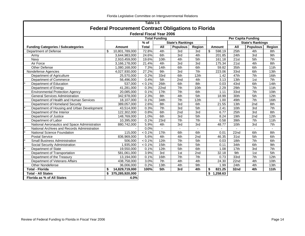|                                               |                                                            | Table 1-5          |                                 |                         |                   |                         |                           |                         |                   |
|-----------------------------------------------|------------------------------------------------------------|--------------------|---------------------------------|-------------------------|-------------------|-------------------------|---------------------------|-------------------------|-------------------|
|                                               | <b>Federal Procurement Contract Obligations to Florida</b> |                    |                                 |                         |                   |                         |                           |                         |                   |
|                                               |                                                            |                    |                                 |                         |                   |                         |                           |                         |                   |
|                                               |                                                            |                    | <b>Federal Fiscal Year 2006</b> |                         |                   |                         |                           |                         |                   |
|                                               |                                                            |                    | <b>Total Funding</b>            |                         |                   |                         | <b>Per Capita Funding</b> |                         |                   |
|                                               |                                                            | $\overline{\%}$ of |                                 | <b>State's Rankings</b> |                   |                         |                           | <b>State's Rankings</b> |                   |
| <b>Funding Categories / Subcategories</b>     | Amount                                                     | <b>Total</b>       | All                             | <b>Populous</b>         | Region            | Amount                  | <b>All</b>                | <b>Populous</b>         | Region            |
| Department of Defense                         | \$<br>10,801,789,000                                       | 72.8%              | 4th                             | 3rd                     | 3rd               | $\mathfrak s$<br>598.19 | 25th                      | 4th                     | 8th               |
| Army                                          | 3,644,983,000                                              | 24.6%              | 6th                             | 3rd                     | 4th               | 201.85                  | 24th                      | 3rd                     | 9th               |
| Navy                                          | 2,910,459,000                                              | 19.6%              | 10th                            | 4th                     | 5th               | 161.18                  | 21st                      | 5th                     | $\overline{7}$ th |
| Air Force                                     | 3,166,178,000                                              | 21.4%              | 4th                             | 3rd                     | 3rd               | 175.34                  | 21st                      | 4th                     | 8th               |
| Other Defense                                 | 1,080,168,000                                              | 7.3%               | 14th                            | 6th                     | 6th               | 59.82                   | 35th                      | 6th                     | 11th              |
| Nondefense Agencies                           | 4,027,930,000                                              | 27.2%              | 9th                             | 3rd                     | $\overline{7}$ th | 223.06                  | 33rd                      | 6th                     | 13th              |
| Department of Agriculture                     | 25,570,000                                                 | 0.2%               | 33rd                            | 6th                     | 12th              | 1.42                    | 47th                      | $\overline{7}$ th       | 16th              |
| Department of Commerce                        | 56,496,000                                                 | 0.4%               | 5th                             | 2nd                     | 4th               | 3.13                    | 13 <sub>th</sub>          | $\overline{1}$ st       | 7th               |
| Department of Education                       | 537,000                                                    | < 0.1%             | 26th                            | 6th                     | 8th               | 0.03                    | 43rd                      | 6th                     | 14th              |
| Department of Energy                          | 41,281,000                                                 | 0.3%               | 22nd                            | 7th                     | 10th              | 2.29                    | 29th                      | 7th                     | 11th              |
| <b>Environmental Protection Agency</b>        | 20,085,000                                                 | 0.1%               | 17th                            | 7th                     | 6th               | 1.11                    | 33rd                      | 7th                     | 10th              |
| <b>General Services Administration</b>        | 342,978,000                                                | 2.3%               | 8th                             | 4th                     | 5th               | 18.99                   | 30th                      | 5th                     | 12th              |
| Department of Health and Human Services       | 18,107,000                                                 | 0.1%               | 34th                            | 7th                     | 12th              | 1.00                    | 49th                      | $\overline{7}$ th       | 16th              |
| Department of Homeland Security               | 389,057,000                                                | 2.6%               | 8th                             | 3rd                     | 6th               | 21.55                   | 13th                      | 2nd                     | 8th               |
| Department of Housing and Urban Development   | 43,514,000                                                 | 0.3%               | $\overline{7}$ th               | 3rd                     | 5th               | 2.41                    | 10th                      | 3rd                     | $\overline{7}$ th |
| Department of the Interior                    | 122,302,000                                                | 0.8%               | 6th                             | 2nd                     | 3rd               | 6.77                    | 25th                      | 3rd                     | 8th               |
| Department of Justice                         | 148,769,000                                                | 1.0%               | 6th                             | 3rd                     | 5th               | 8.24                    | 19th                      | 2nd                     | 12th              |
| Department of Labor                           | 10,395,000                                                 | 0.1%               | 23rd                            | 7th                     | 7th               | 0.58                    | 39th                      | 7th                     | 11th              |
| National Aeronautics and Space Administration | 880,742,000                                                | 5.9%               | 4th                             | 3rd                     | 3rd               | 48.77                   | 10th                      | 3rd                     | 7th               |
| National Archives and Records Administration  |                                                            | 0.0%               | $\overline{a}$                  |                         |                   |                         |                           |                         |                   |
| <b>National Science Foundation</b>            | 115,000                                                    | $< 0.1\%$          | 17th                            | 6th                     | 6th               | 0.01                    | 22nd                      | 6th                     | 8th               |
| <b>Postal Service</b>                         | 836,969,000                                                | 5.6%               | 4th                             | 4th                     | 2nd               | 46.35                   | 31st                      | 5th                     | 6th               |
| <b>Small Business Administration</b>          | 506,000                                                    | $< 0.1\%$          | 12th                            | 7th                     | 5th               | 0.03                    | 18 <sub>th</sub>          | 7th                     | 6th               |
| Social Security Administration                | 1,935,000                                                  | $< 0.1\%$          | 15th                            | 5th                     | 5th               | 0.11                    | 34th                      | 6th                     | 9th               |
| Department of State                           | 19,550,000                                                 | 0.1%               | 12th                            | 5th                     | 6th               | 1.08                    | 17th                      | 3rd                     | $\overline{7}$ th |
| Department of Transportation                  | 581,061,000                                                | 3.9%               | 3rd                             | 1st                     | 2nd               | 32.18                   | 9th                       | 1st                     | 5th               |
| Department of the Treasury                    | 13,194,000                                                 | 0.1%               | 16th                            | 7th                     | $\overline{7}$ th | 0.73                    | 33rd                      | $\overline{7}$ th       | 12th              |
| Department of Veterans Affairs                | 438,758,000                                                | 3.0%               | 7th                             | 4th                     | 4th               | 24.30                   | 22nd                      | 4th                     | 10th              |
| Other Nondefense                              | 36,006,000                                                 | 0.2%               | 13th                            | 4th                     | 9th               | 1.99                    | 24th                      | 4th                     | 13th              |
| <b>Total - Florida</b>                        | 14,829,719,000<br>\$                                       | 100%               | 5th                             | 3rd                     | 4th               | 821.25<br>\$            | 32nd                      | 4th                     | 11th              |
| <b>Total - All States</b>                     | 375,285,920,000<br>\$                                      |                    |                                 |                         |                   | \$<br>1,258.63          |                           |                         |                   |
| Florida as % of All States                    | 4.0%                                                       |                    |                                 |                         |                   |                         |                           |                         |                   |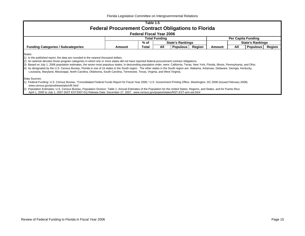| Table 1-5                                                                                                                                                                                                                                                                                                                                                                                                                                                                                                                                                                                                                                                                                                                                                |        |       |     |          |        |        |     |          |        |  |
|----------------------------------------------------------------------------------------------------------------------------------------------------------------------------------------------------------------------------------------------------------------------------------------------------------------------------------------------------------------------------------------------------------------------------------------------------------------------------------------------------------------------------------------------------------------------------------------------------------------------------------------------------------------------------------------------------------------------------------------------------------|--------|-------|-----|----------|--------|--------|-----|----------|--------|--|
| <b>Federal Procurement Contract Obligations to Florida</b><br><b>Federal Fiscal Year 2006</b>                                                                                                                                                                                                                                                                                                                                                                                                                                                                                                                                                                                                                                                            |        |       |     |          |        |        |     |          |        |  |
|                                                                                                                                                                                                                                                                                                                                                                                                                                                                                                                                                                                                                                                                                                                                                          |        |       |     |          |        |        |     |          |        |  |
| % of<br><b>State's Rankings</b><br><b>State's Rankings</b>                                                                                                                                                                                                                                                                                                                                                                                                                                                                                                                                                                                                                                                                                               |        |       |     |          |        |        |     |          |        |  |
| <b>Funding Categories / Subcategories</b>                                                                                                                                                                                                                                                                                                                                                                                                                                                                                                                                                                                                                                                                                                                | Amount | Total | All | Populous | Region | Amount | All | Populous | Region |  |
| 1) In the published report, the data are rounded to the nearest thousand dollars.<br>2) An asterisk denotes those program categories in which one or more states did not have reported federal procurement contract obligations.<br>3) Based on July 1, 2006 population estimates, the seven most populous states, in descending population order, were: California, Texas, New York, Florida, Illinois, Pennsylvania, and Ohio.<br>4) As designated by the U.S. Census Bureau, Florida is one of 16 states in the South region. The other states in the South region are: Alabama, Arkansas, Delaware, Georgia, Kentucky,<br>Louisiana, Maryland, Mississippi, North Carolina, Oklahoma, South Carolina, Tennessee, Texas, Virginia, and West Virginia. |        |       |     |          |        |        |     |          |        |  |
| Data Sources:<br>1) Federal Funding: U.S. Census Bureau, "Consolidated Federal Funds Report for Fiscal Year 2006," U.S. Government Printing Office, Washington, DC 2008 (Issued February 2008).<br>www.census.gov/prod/www/abs/cffr.html                                                                                                                                                                                                                                                                                                                                                                                                                                                                                                                 |        |       |     |          |        |        |     |          |        |  |
| 2) Population Estimates: U.S. Census Bureau, Population Division, Table 1: Annual Estimates of the Population for the United States, Regions, and States, and for Puerto Rico:<br>April 1, 2000 to July 1, 2007 (NST-EST2007-01) Release Date: December 27, 2007. www.census.gov/popest/states/NST-EST-ann-est.html                                                                                                                                                                                                                                                                                                                                                                                                                                      |        |       |     |          |        |        |     |          |        |  |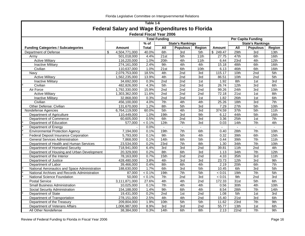|                                               |                                                        |                  |                                 |                         |                             | Table 1-6              |                  |                           |                   |  |  |  |  |  |  |  |
|-----------------------------------------------|--------------------------------------------------------|------------------|---------------------------------|-------------------------|-----------------------------|------------------------|------------------|---------------------------|-------------------|--|--|--|--|--|--|--|
|                                               | <b>Federal Salary and Wage Expenditures to Florida</b> |                  |                                 |                         |                             |                        |                  |                           |                   |  |  |  |  |  |  |  |
|                                               |                                                        |                  | <b>Federal Fiscal Year 2006</b> |                         |                             |                        |                  |                           |                   |  |  |  |  |  |  |  |
|                                               |                                                        |                  | <b>Total Funding</b>            |                         |                             |                        |                  | <b>Per Capita Funding</b> |                   |  |  |  |  |  |  |  |
|                                               |                                                        | $\frac{1}{6}$ of |                                 | <b>State's Rankings</b> |                             |                        |                  | <b>State's Rankings</b>   |                   |  |  |  |  |  |  |  |
| <b>Funding Categories / Subcategories</b>     | <b>Amount</b>                                          | <b>Total</b>     | All                             | <b>Populous</b>         | Region                      | Amount                 | All              | <b>Populous</b>           | Region            |  |  |  |  |  |  |  |
| Department of Defense                         | \$<br>4,504,771,000                                    | 40.0%            | 6th                             | 3rd                     | 5th                         | $\overline{\$}$ 249.47 | 29th             | 3rd                       | 13th              |  |  |  |  |  |  |  |
| Army                                          | 501,018,000                                            | 4.4%             | 21st                            | 5th                     | 11th                        | 27.75                  | 47th             | 6th                       | 16th              |  |  |  |  |  |  |  |
| <b>Active Military</b>                        | 116,220,000                                            | 1.0%             | 20th                            | 4th                     | 11th                        | 6.44                   | 23rd             | 4th                       | 12th              |  |  |  |  |  |  |  |
| <b>Inactive Military</b>                      | 274,161,000                                            | 2.4%             | 9th                             | 4th                     | 4th                         | 15.18                  | 48th             | 6th                       | 16th              |  |  |  |  |  |  |  |
| Civilian                                      | 110,637,000                                            | 1.0%             | 21st                            | 6th                     | 10th                        | 6.13                   | 46th             | 6th                       | 16th              |  |  |  |  |  |  |  |
| Navy                                          | 2,079,753,000                                          | 18.5%            | 4th                             | 2nd                     | 3rd                         | 115.17                 | 10 <sub>th</sub> | 2nd                       | 5th               |  |  |  |  |  |  |  |
| <b>Active Military</b>                        | 1,562,235,000                                          | 13.9%            | 4th                             | 2nd                     | 3rd                         | 86.51                  | 10th             | 2nd                       | 5th               |  |  |  |  |  |  |  |
| <b>Inactive Military</b>                      | 34,692,000                                             | 0.3%             | 2nd                             | 2nd                     | 1st                         | 1.92                   | 8th              | 1st                       | 3rd               |  |  |  |  |  |  |  |
| Civilian                                      | 482,826,000                                            | 4.3%             | 5th                             | 2nd                     | 3rd                         | 26.74                  | 12th             | 3rd                       | 6th               |  |  |  |  |  |  |  |
| Air Force                                     | 1,792,330,000                                          | 15.9%            | 2nd                             | 2nd                     | 2nd                         | 99.26                  | 24th             | 3rd                       | 10th              |  |  |  |  |  |  |  |
| <b>Active Military</b>                        | 1,303,362,000                                          | 11.6%            | 2nd                             | 2nd                     | 2nd                         | 72.18                  | 21st             | $\overline{1}$ st         | 8th               |  |  |  |  |  |  |  |
| <b>Inactive Military</b>                      | 32,868,000                                             | 0.3%             | 2nd                             | 2nd                     | 1st                         | 1.82                   | 26th             | $\overline{1}$ st         | 6th               |  |  |  |  |  |  |  |
| Civilian                                      | 456,100,000                                            | 4.0%             | 7th                             | 4th                     | 4th                         | 25.26                  | 18th             | 3rd                       | 7th               |  |  |  |  |  |  |  |
| Other Defense: Civilian                       | 131,670,000                                            | 1.2%             | 8th                             | 5th                     | 3rd                         | 7.29                   | 27th             | 5th                       | 10th              |  |  |  |  |  |  |  |
| Nondefense Agencies                           | 6,764,119,000                                          | 60.0%            | 5th                             | 4th                     | 3rd                         | 374.59                 | 37th             | 5th                       | 11th              |  |  |  |  |  |  |  |
| Department of Agriculture                     | 110,449,000                                            | 1.0%             | 19th                            | 3rd                     | 9th                         | 6.12                   | 44th             | 5th                       | 16th              |  |  |  |  |  |  |  |
| Department of Commerce                        | 60,605,000                                             | 0.5%             | 6th                             | 2nd                     | 3rd                         | 3.36                   | 25th             | 1st                       | 7th               |  |  |  |  |  |  |  |
| Department of Education                       | 577,000                                                | $< 0.1\%$        | 12th                            | 7th                     | 3rd                         | 0.03                   | 14th             | 7th                       | 4th               |  |  |  |  |  |  |  |
| Department of Energy                          |                                                        | 0.0%             | $\mathcal{L}_{\mathcal{A}}$     | $\sim$                  | $\mathcal{L}_{\mathcal{A}}$ | $\sim$                 | $\mathcal{L}$    | $\sim$                    | $\mathbf{r}$      |  |  |  |  |  |  |  |
| <b>Environmental Protection Agency</b>        | 7,194,000                                              | 0.1%             | 19th                            | $\overline{7}$ th       | 6th                         | 0.40                   | 28th             | 7th                       | 10 <sub>th</sub>  |  |  |  |  |  |  |  |
| Federal Deposit Insurance Corporation         | 5,793,000                                              | 0.1%             | 9th                             | 5th                     | 4th                         | 0.32                   | 39th             | 6th                       | 15th              |  |  |  |  |  |  |  |
| <b>General Services Administration</b>        | 7,868,000                                              | 0.1%             | 14th                            | 6th                     | 5th                         | 0.44                   | 39th             | 7th                       | 11th              |  |  |  |  |  |  |  |
| Department of Health and Human Services       | 23,534,000                                             | 0.2%             | 23rd                            | 7th                     | 8th                         | 1.30                   | 34th             | 7th                       | 10th              |  |  |  |  |  |  |  |
| Department of Homeland Security               | 718,941,000                                            | 6.4%             | 3rd                             | 3rd                     | 2nd                         | 39.81                  | 11th             | 2nd                       | 4th               |  |  |  |  |  |  |  |
| Department of Housing and Urban Development   | 20,329,000                                             | 0.2%             | 8th                             | 6th                     | 3rd                         | 1.13                   | 34th             | 7th                       | 12th              |  |  |  |  |  |  |  |
| Department of the Interior                    | 78,163,000                                             | 0.7%             | 15th                            | 2nd                     | 2nd                         | 4.33                   | 35th             | 3rd                       | 11th              |  |  |  |  |  |  |  |
| Department of Justice                         | 428,480,000                                            | 3.8%             | 4th                             | 3rd                     | 3rd                         | 23.73                  | 12th             | 3rd                       | 9th               |  |  |  |  |  |  |  |
| Department of Labor                           | 39,466,000                                             | 0.4%             | 8th                             | 6th                     | 4th                         | 2.19                   | 20th             | 6th                       | $\overline{7}$ th |  |  |  |  |  |  |  |
| National Aeronautics and Space Administration | 188,630,000                                            | 1.7%             | 6th                             | 3rd                     | 5th                         | 10.45                  | 6th              | 3rd                       | 5th               |  |  |  |  |  |  |  |
| National Archives and Records Administration  | 87,000                                                 | $< 0.1\%$        | 19th                            | 7th                     | 5th                         | < 0.01                 | 19th             | 7th                       | 5th               |  |  |  |  |  |  |  |
| National Science Foundation                   | 50,000                                                 | $< 0.1\%$        | 7th                             | 2nd                     | 3rd                         | < 0.01                 | 9th              | 2nd                       | 3rd               |  |  |  |  |  |  |  |
| <b>Postal Service</b>                         | 3,111,871,000                                          | 27.6%            | 4th                             | 4th                     | 2nd                         | 172.33                 | 31st             | 5th                       | 6th               |  |  |  |  |  |  |  |
| <b>Small Business Administration</b>          | 10,025,000                                             | 0.1%             | 7th                             | 4th                     | 4th                         | 0.56                   | 30th             | 4th                       | 10th              |  |  |  |  |  |  |  |
| Social Security Administration                | 154,188,000                                            | 1.4%             | 9th                             | 6th                     | 4th                         | 8.54                   | 28th             | 7th                       | 14th              |  |  |  |  |  |  |  |
| Department of State                           | 19,431,000                                             | 0.2%             | 2nd                             | 1st                     | 2nd                         | 1.08                   | 5th              | 1st                       | 3rd               |  |  |  |  |  |  |  |
| Department of Transportation                  | 278,151,000                                            | 2.5%             | 4th                             | 4th                     | 2nd                         | 15.40                  | 21st             | 3rd                       | 6th               |  |  |  |  |  |  |  |
| Department of the Treasury                    | 209,804,000                                            | 1.9%             | 10th                            | 5th                     | 5th                         | 11.62                  | 23rd             | 7th                       | 9th               |  |  |  |  |  |  |  |
| Department of Veterans Affairs                | 1,006,987,000                                          | 8.9%             | 3rd                             | 3rd                     | 2nd                         | 55.77                  | 13 <sub>th</sub> | 1st                       | 6th               |  |  |  |  |  |  |  |
| All Other Nondefense                          | 38,384,000                                             | 0.3%             | 14th                            | 6th                     | 8th                         | 2.13                   | 22nd             | 7th                       | 9th               |  |  |  |  |  |  |  |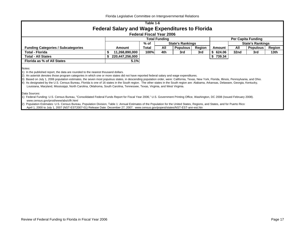|                                                                                                                                                                                                                                                                                                                                                                                                                                                                                                                                                                                                                                  |     |                 | Table 1-6                       |     |                 |        |          |      |                 |                         |  |  |
|----------------------------------------------------------------------------------------------------------------------------------------------------------------------------------------------------------------------------------------------------------------------------------------------------------------------------------------------------------------------------------------------------------------------------------------------------------------------------------------------------------------------------------------------------------------------------------------------------------------------------------|-----|-----------------|---------------------------------|-----|-----------------|--------|----------|------|-----------------|-------------------------|--|--|
| <b>Federal Salary and Wage Expenditures to Florida</b>                                                                                                                                                                                                                                                                                                                                                                                                                                                                                                                                                                           |     |                 |                                 |     |                 |        |          |      |                 |                         |  |  |
| <b>Federal Fiscal Year 2006</b>                                                                                                                                                                                                                                                                                                                                                                                                                                                                                                                                                                                                  |     |                 |                                 |     |                 |        |          |      |                 |                         |  |  |
| <b>Total Funding</b><br>Per Capita Funding                                                                                                                                                                                                                                                                                                                                                                                                                                                                                                                                                                                       |     |                 |                                 |     |                 |        |          |      |                 |                         |  |  |
|                                                                                                                                                                                                                                                                                                                                                                                                                                                                                                                                                                                                                                  |     |                 | % of<br><b>State's Rankings</b> |     |                 |        |          |      |                 | <b>State's Rankings</b> |  |  |
| <b>Funding Categories / Subcategories</b>                                                                                                                                                                                                                                                                                                                                                                                                                                                                                                                                                                                        |     | Amount          | Total                           | All | <b>Populous</b> | Region | Amount   | All  | <b>Populous</b> | Region                  |  |  |
| <b>Total - Florida</b>                                                                                                                                                                                                                                                                                                                                                                                                                                                                                                                                                                                                           | -39 | 11,268,890,000  | 100%                            | 4th | 3rd             | 3rd    | \$624.06 | 32nd | 3rd             | 13th                    |  |  |
| <b>Total - All States</b>                                                                                                                                                                                                                                                                                                                                                                                                                                                                                                                                                                                                        |     | 220.447.256.000 |                                 |     |                 |        | \$739.34 |      |                 |                         |  |  |
| Florida as % of All States                                                                                                                                                                                                                                                                                                                                                                                                                                                                                                                                                                                                       |     | 5.1%            |                                 |     |                 |        |          |      |                 |                         |  |  |
| Notes:<br>1) In the published report, the data are rounded to the nearest thousand dollars.<br>2) An asterisk denotes those program categories in which one or more states did not have reported federal salary and wage expenditures.<br>3) Based on July 1, 2006 population estimates, the seven most populous states, in descending population order, were: California, Texas, New York, Florida, Illinois, Pennsylvania, and Ohio.<br>4) As designated by the U.S. Census Bureau, Florida is one of 16 states in the South region. The other states in the South region are: Alabama, Arkansas, Delaware, Georgia, Kentucky, |     |                 |                                 |     |                 |        |          |      |                 |                         |  |  |

Louisiana, Maryland, Mississippi, North Carolina, Oklahoma, South Carolina, Tennessee, Texas, Virginia, and West Virginia.

Data Sources:

1) Federal Funding: U.S. Census Bureau, "Consolidated Federal Funds Report for Fiscal Year 2006," U.S. Government Printing Office, Washington, DC 2008 (Issued February 2008). www.census.gov/prod/www/abs/cffr.html

2) Population Estimates: U.S. Census Bureau, Population Division, Table 1: Annual Estimates of the Population for the United States, Regions, and States, and for Puerto Rico:

April 1, 2000 to July 1, 2007 (NST-EST2007-01) Release Date: December 27, 2007. www.census.gov/popest/states/NST-EST-ann-est.htm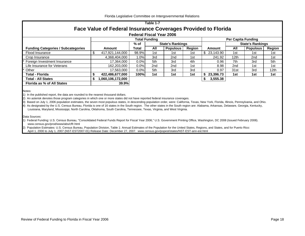|                                            | Table 1-7<br><b>Face Value of Federal Insurance Coverages Provided to Florida</b> |                  |         |                 |                         |        |                 |      |                         |                  |  |  |  |
|--------------------------------------------|-----------------------------------------------------------------------------------|------------------|---------|-----------------|-------------------------|--------|-----------------|------|-------------------------|------------------|--|--|--|
| <b>Federal Fiscal Year 2006</b>            |                                                                                   |                  |         |                 |                         |        |                 |      |                         |                  |  |  |  |
| <b>Per Capita Funding</b><br>Total Funding |                                                                                   |                  |         |                 |                         |        |                 |      |                         |                  |  |  |  |
|                                            |                                                                                   |                  | % of    |                 | <b>State's Rankings</b> |        |                 |      | <b>State's Rankings</b> |                  |  |  |  |
| <b>Funding Categories / Subcategories</b>  |                                                                                   | Amount           | Total   | All             | <b>Populous</b>         | Region | Amount          | All  | <b>Populous</b>         | <b>Region</b>    |  |  |  |
| Flood Insurance                            | \$                                                                                | 417,921,144,000  | 98.9%   | 1st             | 1st                     | 1st    | \$23.143.90     | 1st  | 1st                     | 1st              |  |  |  |
| Crop Insurance                             |                                                                                   | 4.368.404.000    | 1.0%    | 3rd             | 2nd                     | 1st    | 241.92          | 12th | 2nd                     | 1st              |  |  |  |
| Foreign Investment Insurance               |                                                                                   | 17.364.000       | $0.0\%$ | 5th             | 3rd                     | 4th    | 0.96            | 7th  | 3rd                     | 5th              |  |  |  |
| Life Insurance for Veterans                |                                                                                   | 162,203,000      | 0.0%    | 2 <sub>nd</sub> | 2nd                     | 1st    | 8.98            | 2nd  | 1st                     | 1st              |  |  |  |
| Other                                      |                                                                                   | 17.563.000       | 0.0%    | 5th             | 3rd                     | 3rd    | 0.97            | 31st | 3rd                     | 12 <sub>th</sub> |  |  |  |
| <b>Total - Florida</b>                     | \$                                                                                | 422,486,677,000  | 100%    | 1st             | 1st                     | 1st    | 23,396.73<br>S. | 1st  | 1st                     | 1st              |  |  |  |
| <b>Total - All States</b>                  | \$                                                                                | 060,106,172,000, |         |                 |                         |        | 3,555.38        |      |                         |                  |  |  |  |
| Florida as % of All States                 |                                                                                   | 39.9%            |         |                 |                         |        |                 |      |                         |                  |  |  |  |

1) In the published report, the data are rounded to the nearest thousand dollars.

2) An asterisk denotes those program categories in which one or more states did not have reported federal insurance coverages.

3) Based on July 1, 2006 population estimates, the seven most populous states, in descending population order, were: California, Texas, New York, Florida, Illinois, Pennsylvania, and Ohio.

4) As designated by the U.S. Census Bureau, Florida is one of 16 states in the South region. The other states in the South region are: Alabama, Arkansas, Delaware, Georgia, Kentucky, Louisiana, Maryland, Mississippi, North Carolina, Oklahoma, South Carolina, Tennessee, Texas, Virginia, and West Virginia.

Data Sources:

1) Federal Funding: U.S. Census Bureau, "Consolidated Federal Funds Report for Fiscal Year 2006," U.S. Government Printing Office, Washington, DC 2008 (Issued February 2008). www.census.gov/prod/www/abs/cffr.html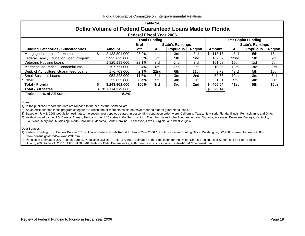|                                                   |                                                           |                 |        | Table 1-8 |                         |                 |              |                  |                         |                  |  |  |  |
|---------------------------------------------------|-----------------------------------------------------------|-----------------|--------|-----------|-------------------------|-----------------|--------------|------------------|-------------------------|------------------|--|--|--|
|                                                   | Dollar Volume of Federal Guaranteed Loans Made to Florida |                 |        |           |                         |                 |              |                  |                         |                  |  |  |  |
| <b>Federal Fiscal Year 2006</b>                   |                                                           |                 |        |           |                         |                 |              |                  |                         |                  |  |  |  |
| <b>Per Capita Funding</b><br><b>Total Funding</b> |                                                           |                 |        |           |                         |                 |              |                  |                         |                  |  |  |  |
|                                                   |                                                           |                 | $%$ of |           | <b>State's Rankings</b> |                 |              |                  | <b>State's Rankings</b> |                  |  |  |  |
| <b>Funding Categories / Subcategories</b>         |                                                           | Amount          | Total  | All       | <b>Populous</b>         | Region          | Amount       | All              | <b>Populous</b>         | Region           |  |  |  |
| Mortgage Insurance for Homes                      |                                                           | 2,133,804,000   | 25.9%  | 4th       | 3rd                     | 3rd             | \$<br>118.17 | 43rd             | 5th                     | 15th             |  |  |  |
| Federal Family Education Loan Program             |                                                           | 2,925,623,000   | 35.5%l | 6th       | 5th                     | 2 <sub>nd</sub> | 162.02       | 32nd             | 5th                     | 9th              |  |  |  |
| <b>Veterans Housing Loans</b>                     |                                                           | .825.199.000    | 22.1%  | 3rd       | 2nd                     | 3rd             | 101.08       | 16th             | 1st                     | 6th              |  |  |  |
| Mortgage Insurance: Condominiums                  |                                                           | 197.771.000     | 2.4%   | 4th       | 2nd                     | 1st             | 10.95        | 13 <sub>th</sub> | 3rd                     | 3rd              |  |  |  |
| Dept. of Agriculture: Guaranteed Loans            |                                                           | 176.703.000     | 2.1%   | 22nd      | 6th                     | 11th            | 9.79         | 43rd             | 5th                     | 15th             |  |  |  |
| <b>Small Business Loans</b>                       |                                                           | 952,228,000     | 11.6%  | 3rd       | 3rd                     | 2 <sub>nd</sub> | 52.73        | 19th             | 3rd                     | 3rd              |  |  |  |
| Other                                             |                                                           | 32,633,000      | 0.4%   | 4th       | 4th                     | 1st             | 1.81         | 4th              | 4th                     | 1st              |  |  |  |
| <b>Total - Florida</b>                            |                                                           | 8,243,961,000   | 100%   | 3rd       | 3rd                     | 2nd             | 456.54<br>S  | 41st             | 5th                     | 15 <sub>th</sub> |  |  |  |
| <b>Total - All States</b>                         |                                                           | 157,774,279,000 |        |           |                         |                 | 529.14<br>\$ |                  |                         |                  |  |  |  |
| Florida as % of All States                        |                                                           | 5.2%            |        |           |                         |                 |              |                  |                         |                  |  |  |  |

1) In the published report, the data are rounded to the nearest thousand dollars.

2) An asterisk denotes those program categories in which one or more states did not have reported federal guaranteed loans.

3) Based on July 1, 2006 population estimates, the seven most populous states, in descending population order, were: California, Texas, New York, Florida, Illinois, Pennsylvania, and Ohio.

4) As designated by the U.S. Census Bureau, Florida is one of 16 states in the South region. The other states in the South region are: Alabama, Arkansas, Delaware, Georgia, Kentucky, Louisiana, Maryland, Mississippi, North Carolina, Oklahoma, South Carolina, Tennessee, Texas, Virginia, and West Virginia.

Data Sources:

1) Federal Funding: U.S. Census Bureau, "Consolidated Federal Funds Report for Fiscal Year 2006," U.S. Government Printing Office, Washington, DC 2008 (Issued February 2008). www.census.gov/prod/www/abs/cffr.html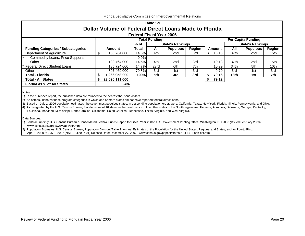|                                                   | Table 1-9<br>Dollar Volume of Federal Direct Loans Made to Florida |                |         |                |                          |        |  |        |      |                         |                  |  |  |
|---------------------------------------------------|--------------------------------------------------------------------|----------------|---------|----------------|--------------------------|--------|--|--------|------|-------------------------|------------------|--|--|
| <b>Federal Fiscal Year 2006</b>                   |                                                                    |                |         |                |                          |        |  |        |      |                         |                  |  |  |
| <b>Total Funding</b><br><b>Per Capita Funding</b> |                                                                    |                |         |                |                          |        |  |        |      |                         |                  |  |  |
|                                                   |                                                                    |                | $%$ of  |                | <b>State's Rankings</b>  |        |  |        |      | <b>State's Rankings</b> |                  |  |  |
| <b>Funding Categories / Subcategories</b>         |                                                                    | Amount         | Total   | All            | <b>Populous</b>          | Region |  | Amount | All  | <b>Populous</b>         | Region           |  |  |
| Department of Agriculture                         | \$                                                                 | 183.764.000    | 14.5%   | 4th            | 2nd                      | 3rd    |  | 10.18  | 37th | 2nd                     | 15 <sub>th</sub> |  |  |
| <b>Commodity Loans: Price Supports</b>            |                                                                    | $\sim$         | $0.0\%$ | $\blacksquare$ | $\overline{\phantom{0}}$ |        |  |        |      |                         |                  |  |  |
| Other                                             |                                                                    | 183.764.000    | 14.5%   | 4th            | 2nd                      | 3rd    |  | 10.18  | 37th | 2 <sub>nd</sub>         | 15 <sub>th</sub> |  |  |
| <b>Federal Direct Student Loans</b>               |                                                                    | 185.724.000    | 14.7%   | 23rd           | 6th                      | 7th    |  | 10.29  | 34th | 5th                     | 10th             |  |  |
| Other                                             |                                                                    | 897.469.000    | 70.8%   | 3rd            | 1st                      | 3rd    |  | 49.70  | 3rd  | 1st                     | 3rd              |  |  |
| <b>Total - Florida</b>                            | S                                                                  | .266.958.000   | 100%    | 5th            | 3rd                      | 3rd    |  | 70.16  | 18th | 1st                     | 7th              |  |  |
| <b>Total - All States</b>                         |                                                                    | 23,590,111,000 |         |                |                          |        |  | 79.12  |      |                         |                  |  |  |
| Florida as % of All States                        |                                                                    | 5.4%           |         |                |                          |        |  |        |      |                         |                  |  |  |

1) In the published report, the published data are rounded to the nearest thousand dollars.

2) An asterisk denotes those program categories in which one or more states did not have reported federal direct loans.

3) Based on July 1, 2006 population estimates, the seven most populous states, in descending population order, were: California, Texas, New York, Florida, Illinois, Pennsylvania, and Ohio.

4) As designated by the U.S. Census Bureau, Florida is one of 16 states in the South region. The other states in the South region are: Alabama, Arkansas, Delaware, Georgia, Kentucky, Louisiana, Maryland, Mississippi, North Carolina, Oklahoma, South Carolina, Tennessee, Texas, Virginia, and West Virginia.

Data Sources:

1) Federal Funding: U.S. Census Bureau, "Consolidated Federal Funds Report for Fiscal Year 2006," U.S. Government Printing Office, Washington, DC 2008 (Issued February 2008). www.census.gov/prod/www/abs/cffr.html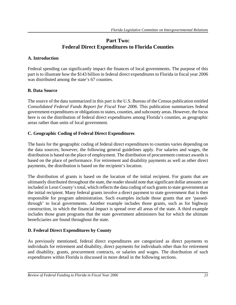# **Part Two: Federal Direct Expenditures to Florida Counties**

## **A. Introduction**

Federal spending can significantly impact the finances of local governments. The purpose of this part is to illustrate how the \$143 billion in federal direct expenditures to Florida in fiscal year 2006 was distributed among the state's 67 counties.

## **B. Data Source**

The source of the data summarized in this part is the U.S. Bureau of the Census publication entitled *Consolidated Federal Funds Report for Fiscal Year 2006*. This publication summarizes federal government expenditures or obligations to states, counties, and subcounty areas. However, the focus here is on the distribution of federal direct expenditures among Florida's counties, as geographic areas rather than units of local government.

# **C. Geographic Coding of Federal Direct Expenditures**

The basis for the geographic coding of federal direct expenditures to counties varies depending on the data sources; however, the following general guidelines apply. For salaries and wages, the distribution is based on the place of employment. The distribution of procurement contract awards is based on the place of performance. For retirement and disability payments as well as other direct payments, the distribution is based on the recipient's location.

The distribution of grants is based on the location of the initial recipient. For grants that are ultimately distributed throughout the state, the reader should note that significant dollar amounts are included in Leon County's total, which reflects the data coding of such grants to state government as the initial recipient. Many federal grants involve a direct payment to state government that is then responsible for program administration. Such examples include those grants that are 'passedthrough' to local governments. Another example includes those grants, such as for highway construction, in which the financial impact is spread over all areas of the state. A third example includes those grant programs that the state government administers but for which the ultimate beneficiaries are found throughout the state.

# **D. Federal Direct Expenditures by County**

As previously mentioned, federal direct expenditures are categorized as direct payments to individuals for retirement and disability, direct payments for individuals other than for retirement and disability, grants, procurement contracts, or salaries and wages. The distribution of such expenditures within Florida is discussed in more detail in the following sections.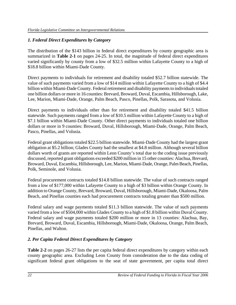# *1. Federal Direct Expenditures by Category*

The distribution of the \$143 billion in federal direct expenditures by county geographic area is summarized in **Table 2-1** on pages 24-25. In total, the magnitude of federal direct expenditures varied significantly by county from a low of \$32.5 million within Lafayette County to a high of \$18.8 billion within Miami-Dade County.

Direct payments to individuals for retirement and disability totaled \$52.7 billion statewide. The value of such payments varied from a low of \$14 million within Lafayette County to a high of \$4.4 billion within Miami-Dade County. Federal retirement and disability payments to individuals totaled one billion dollars or more in 16 counties: Brevard, Broward, Duval, Escambia, Hillsborough, Lake, Lee, Marion, Miami-Dade, Orange, Palm Beach, Pasco, Pinellas, Polk, Sarasota, and Volusia.

Direct payments to individuals other than for retirement and disability totaled \$41.5 billion statewide. Such payments ranged from a low of \$10.5 million within Lafayette County to a high of \$7.1 billion within Miami-Dade County. Other direct payments to individuals totaled one billion dollars or more in 9 counties: Broward, Duval, Hillsborough, Miami-Dade, Orange, Palm Beach, Pasco, Pinellas, and Volusia.

Federal grant obligations totaled \$22.5 billion statewide. Miami-Dade County had the largest grant obligation at \$5.2 billion; Glades County had the smallest at \$4.8 million. Although several billion dollars worth of grants are reported within Leon County's total due to the coding issue previously discussed, reported grant obligations exceeded \$200 million in 15 other counties: Alachua, Brevard, Broward, Duval, Escambia, Hillsborough, Lee, Marion, Miami-Dade, Orange, Palm Beach, Pinellas, Polk, Seminole, and Volusia.

Federal procurement contracts totaled \$14.8 billion statewide. The value of such contracts ranged from a low of \$177,000 within Lafayette County to a high of \$3 billion within Orange County. In addition to Orange County, Brevard, Broward, Duval, Hillsborough, Miami-Dade, Okaloosa, Palm Beach, and Pinellas counties each had procurement contracts totaling greater than \$500 million.

Federal salary and wage payments totaled \$11.3 billion statewide. The value of such payments varied from a low of \$504,000 within Glades County to a high of \$1.8 billion within Duval County. Federal salary and wage payments totaled \$200 million or more in 13 counties: Alachua, Bay, Brevard, Broward, Duval, Escambia, Hillsborough, Miami-Dade, Okaloosa, Orange, Palm Beach, Pinellas, and Walton.

# *2. Per Capita Federal Direct Expenditures by Category*

**Table 2-2** on pages 26-27 lists the per capita federal direct expenditures by category within each county geographic area. Excluding Leon County from consideration due to the data coding of significant federal grant obligations to the seat of state government, per capita total direct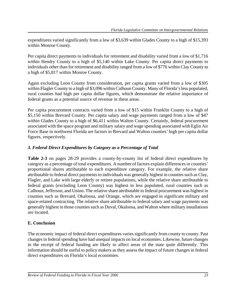expenditures varied significantly from a low of \$3,639 within Glades County to a high of \$15,393 within Monroe County.

Per capita direct payments to individuals for retirement and disability varied from a low of \$1,716 within Hendry County to a high of \$5,140 within Lake County. Per capita direct payments to individuals other than for retirement and disability ranged from a low of \$776 within Clay County to a high of \$5,817 within Monroe County.

Again excluding Leon County from consideration, per capita grants varied from a low of \$305 within Flagler County to a high of \$3,096 within Calhoun County. Many of Florida's less populated, rural counties had high per capita dollar figures, which demonstrate the relative importance of federal grants as a potential source of revenue in these areas.

Per capita procurement contracts varied from a low of \$15 within Franklin County to a high of \$5,150 within Brevard County. Per capita salary and wage payments ranged from a low of \$47 within Glades County to a high of \$6,411 within Walton County. Certainly, federal procurement associated with the space program and military salary and wage spending associated with Eglin Air Force Base in northwest Florida are factors in Brevard and Walton counties' high per capita dollar figures, respectively.

## *3. Federal Direct Expenditures by Category as a Percentage of Total*

**Table 2-3** on pages 28-29 provides a county-by-county list of federal direct expenditures by category as a percentage of total expenditures. A number of factors explain differences in counties' proportional shares attributable to each expenditure category. For example, the relative share attributable to federal direct payments to individuals was generally highest in counties such as Clay, Flagler, and Lake with large elderly or retiree populations, while the relative share attributable to federal grants (excluding Leon County) was highest in less populated, rural counties such as Calhoun, Jefferson, and Union. The relative share attributable to federal procurement was highest in counties such as Brevard, Okaloosa, and Orange, which are engaged in significant military and space-related contracting. The relative share attributable to federal salary and wage payments was generally highest in those counties such as Duval, Okaloosa, and Walton where military installations are located.

## **E. Conclusion**

The economic impact of federal direct expenditures varies significantly from county to county. Past changes in federal spending have had unequal impacts on local economies. Likewise, future changes in the receipt of federal funding are likely to affect areas of the state quite differently. This information should be useful to policy makers as they assess the impact of future changes in federal direct expenditures on Florida's local economies.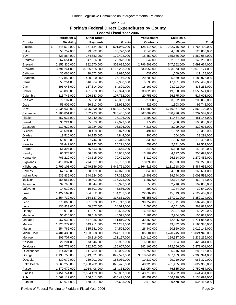| Table 2-1           |                              |                            |                                 |                                                        |                          |                              |  |  |  |  |  |
|---------------------|------------------------------|----------------------------|---------------------------------|--------------------------------------------------------|--------------------------|------------------------------|--|--|--|--|--|
|                     |                              |                            | <b>Federal Fiscal Year 2006</b> | <b>Florida's Federal Direct Expenditures by County</b> |                          |                              |  |  |  |  |  |
|                     | <b>Retirement &amp;</b>      | <b>Other Direct</b>        |                                 | Procurement                                            | Salaries &               |                              |  |  |  |  |  |
| County              | <b>Disability</b>            | <b>Payments</b>            | Grants                          | <b>Contracts</b>                                       | <b>Wages</b>             | Total                        |  |  |  |  |  |
| Alachua             | \$<br>545,579,000            | 357,134,000<br>\$          | \$<br>501,949,000               | \$<br>128,115,000                                      | 232,716,000<br>\$        | 1,765,492,000<br>\$          |  |  |  |  |  |
| Baker               | 58,752,000                   | 29,662,000                 | 30,770,000                      | 2,546,000                                              | 4,070,000                | 125,800,000                  |  |  |  |  |  |
| Bay                 | 623,884,000                  | 274,652,000                | 172,492,000                     | 415,359,000                                            | 375,666,000              | 1,862,054,000                |  |  |  |  |  |
| <b>Bradford</b>     | 67,654,000                   | 47,516,000                 | 29,978,000                      | 1,542,000                                              | 2,597,000                | 149,288,000                  |  |  |  |  |  |
| <b>Brevard</b>      | 2,155,330,000                | 882,570,000                | 309,695,000                     | 2,796,508,000                                          | 547,562,000              | 6,691,664,000                |  |  |  |  |  |
| <b>Broward</b>      | 3,791,241,000                | 3,955,625,000              | 1,115,283,000                   | 633,052,000                                            | 583,973,000              | 10,079,174,000               |  |  |  |  |  |
| Calhoun             | 35,060,000                   | 30,072,000                 | 43,696,000                      | 631,000                                                | 1,669,000                | 111,128,000                  |  |  |  |  |  |
| Charlotte           | 677,852,000                  | 400,210,000                | 66,146,000                      | 20,200,000                                             | 25,569,000               | 1,189,975,000                |  |  |  |  |  |
| Citrus              | 658,254,000                  | 316,564,000                | 52,930,000                      | 5,530,000                                              | 17,181,000               | 1,050,459,000                |  |  |  |  |  |
| Clay                | 596,043,000                  | 137,314,000                | 64,829,000                      | 16,167,000                                             | 23,902,000               | 838,256,000                  |  |  |  |  |  |
| Collier             | 945,808,000                  | 401,913,000                | 122,394,000                     | 33,826,000                                             | 49,630,000               | 1,553,571,000                |  |  |  |  |  |
| Columbia            | 215,745,000                  | 106,183,000                | 107,752,000                     | 20,753,000                                             | 66,575,000               | 517,008,000                  |  |  |  |  |  |
| De Soto             | 79,107,000                   | 85,522,000                 | 40,362,000                      | (271,000)                                              | 3,332,000                | 208,052,000                  |  |  |  |  |  |
| Dixie               | 53,909,000                   | 26,113,000                 | 13,993,000                      | 425,000                                                | 1,303,000                | 95,742,000                   |  |  |  |  |  |
| Duval               | 2,234,630,000                | 1,695,890,000              | 1,018,127,000                   | 1,142,589,000                                          | 1,776,867,000            | 7,868,102,000                |  |  |  |  |  |
| Escambia            | 1,200,851,000                | 562,793,000                | 375,405,000                     | 367,807,000                                            | 730,726,000              | 3,237,582,000                |  |  |  |  |  |
| Flagler             | 357,027,000                  | 82,240,000                 | 27,126,000                      | 3,290,000                                              | 11,464,000               | 481,146,000                  |  |  |  |  |  |
| Franklin            | 33,224,000                   | 35,573,000                 | 29,929,000                      | 177,000                                                | 1,786,000                | 100,688,000                  |  |  |  |  |  |
| Gadsden             | 119,629,000                  | 98,924,000                 | 98,826,000                      | 4,215,000                                              | 8,099,000                | 329,693,000                  |  |  |  |  |  |
| Gilchrist           | 46,694,000                   | 20,418,000                 | 9,877,000                       | 491,000                                                | 1,872,000                | 79,353,000                   |  |  |  |  |  |
| Glades              | 19,510,000                   | 14,125,000                 | 4,844,000                       | 306,000                                                | 504,000                  | 39,291,000                   |  |  |  |  |  |
| Gulf                | 50,012,000                   | 37,746,000                 | 23,313,000                      | 338,000                                                | 1,086,000                | 112,495,000                  |  |  |  |  |  |
| Hamilton            | 37,442,000                   | 26,122,000                 | 26,271,000                      | 553,000                                                | 2,171,000                | 92,559,000                   |  |  |  |  |  |
| Hardee              | 51,394,000                   | 56,553,000                 | 38,545,000                      | 842,000                                                | 5,120,000                | 152,453,000                  |  |  |  |  |  |
| Hendry              | 66,374,000                   | 86,436,000                 | 38,651,000                      | 13,109,000                                             | 4,127,000                | 208,697,000                  |  |  |  |  |  |
| Hernando            | 766,210,000                  | 408,115,000                | 70,401,000                      | 8,110,000                                              | 26,614,000               | 1,279,452,000                |  |  |  |  |  |
| Highlands           | 419,387,000                  | 274,327,000                | 62,782,000                      | 13,099,000                                             | 15,683,000               | 785,278,000                  |  |  |  |  |  |
| Hillsborough        | 2,799,103,000                | 1,749,356,000              | 1,442,761,000                   | 1,364,513,000                                          | 1,131,918,000            | 8,487,652,000                |  |  |  |  |  |
| Holmes              | 67,143,000                   | 50,009,000                 | 47,075,000                      | 845,000                                                | 4,558,000                | 169,631,000                  |  |  |  |  |  |
| <b>Indian River</b> | 535,835,000                  | 344,224,000                | 77,392,000                      | 16,403,000                                             | 29,744,000               | 1,003,598,000                |  |  |  |  |  |
| Jackson             | 155,957,000                  | 129,402,000                | 136,273,000                     | 6,887,000                                              | 32,194,000               | 460,713,000                  |  |  |  |  |  |
| Jefferson           | 39,793,000                   | 30,844,000                 | 36,392,000                      | 555,000                                                | 2,216,000                | 109,800,000                  |  |  |  |  |  |
| Lafayette           | 14,019,000                   | 10,501,000                 | 6,686,000                       | 299,000                                                | 1,044,000                | 32,549,000                   |  |  |  |  |  |
| Lake                | 1,422,569,000                | 504,352,000                | 134,287,000                     | 22,682,000                                             | 45,519,000               | 2,129,409,000                |  |  |  |  |  |
| Lee                 | 1,854,739,000                | 954,137,000                | 317,851,000                     | 65,355,000                                             | 167,091,000              | 3,359,174,000                |  |  |  |  |  |
| Leon                | 778,866,000                  | 301,823,000                | 4,280,712,000                   | 99,757,000                                             | 121,311,000              | 5,582,469,000                |  |  |  |  |  |
| Levy                | 130,839,000                  | 69,877,000                 | 54,073,000                      | 2,596,000                                              | 6,501,000                | 263,887,000                  |  |  |  |  |  |
| Liberty             | 18,919,000                   | 11,377,000                 | 10,508,000                      | 16,246,000                                             | 2,207,000                | 59,258,000                   |  |  |  |  |  |
| Madison             | 56,610,000                   | 48,616,000                 | 46,571,000                      | 1,181,000                                              | 2,904,000                | 155,883,000                  |  |  |  |  |  |
| Manatee             | 967,032,000                  | 547,335,000                | 151,810,000                     | 32,353,000                                             | 72,525,000               | 1,771,056,000                |  |  |  |  |  |
| Marion              | 1,325,272,000                | 549,211,000                | 214,239,000                     | 27,181,000                                             | 49,482,000               | 2,165,385,000                |  |  |  |  |  |
| Martin              | 554,766,000                  | 335,551,000                | 74,525,000                      | 26,442,000                                             | 20,860,000               | 1,012,145,000                |  |  |  |  |  |
| Miami-Dade          | 4,401,438,000                | 7,103,558,000              | 5,244,101,000                   | 605,604,000                                            | 1,470,245,000            | 18,824,946,000               |  |  |  |  |  |
| Monroe              | 209,707,000                  | 468,316,000                | 121,197,000                     | 310,110,000                                            | 129,937,000              | 1,239,266,000                |  |  |  |  |  |
| Nassau              | 222,201,000                  | 73,546,000                 | 38,992,000                      | 6,601,000                                              | 81,104,000               | 422,444,000                  |  |  |  |  |  |
| Okaloosa            | 868,772,000                  | 232,702,000                | 156,607,000                     | 942,165,000                                            | 672,656,000              | 2,872,901,000                |  |  |  |  |  |
| Okeechobee          | 114,325,000                  | 111,789,000                | 42,029,000                      | 15,756,000                                             | 5,216,000                | 289,116,000                  |  |  |  |  |  |
| Orange              | 2,130,755,000                | 1,319,831,000              | 829,599,000                     | 3,018,041,000                                          | 607,169,000              | 7,905,394,000                |  |  |  |  |  |
| Osceola             | 530,070,000                  | 239,001,000                | 158,069,000                     | 10,230,000                                             | 29,010,000               | 966,379,000                  |  |  |  |  |  |
| Palm Beach          | 3,863,250,000                | 2,958,282,000              | 820,475,000                     | 548,926,000                                            | 431,425,000              | 8,622,358,000                |  |  |  |  |  |
| Pasco               | 1,370,979,000                | 1,014,408,000              | 184,358,000                     | 113,054,000                                            | 76,885,000               | 2,759,684,000                |  |  |  |  |  |
| Pinellas            | 3,451,744,000                | 2,604,429,000              | 743,857,000                     | 1,343,719,000                                          | 500,702,000              | 8,644,451,000                |  |  |  |  |  |
| Polk<br>Putnam      | 1,667,112,000<br>259,674,000 | 866,511,000<br>168,081,000 | 410,421,000<br>96,603,000       | 83,859,000<br>2,578,000                                | 106,190,000<br>9,478,000 | 3,134,093,000<br>536,415,000 |  |  |  |  |  |
|                     |                              |                            |                                 |                                                        |                          |                              |  |  |  |  |  |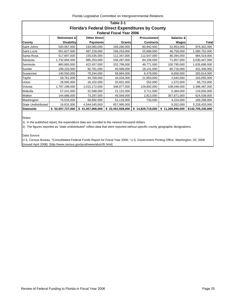|                            |                                 |                      | Table 2-1                                              |                  |                  |                   |  |  |  |  |  |  |
|----------------------------|---------------------------------|----------------------|--------------------------------------------------------|------------------|------------------|-------------------|--|--|--|--|--|--|
|                            |                                 |                      | <b>Florida's Federal Direct Expenditures by County</b> |                  |                  |                   |  |  |  |  |  |  |
|                            | <b>Federal Fiscal Year 2006</b> |                      |                                                        |                  |                  |                   |  |  |  |  |  |  |
|                            | <b>Retirement &amp;</b>         | <b>Other Direct</b>  |                                                        | Procurement      | Salaries &       |                   |  |  |  |  |  |  |
| <b>County</b>              | <b>Disability</b>               | <b>Payments</b>      | Grants                                                 | <b>Contracts</b> | Wages            | Total             |  |  |  |  |  |  |
| Saint Johns                | 500,067,000                     | 193,060,000          | 169,280,000                                            | 60,942,000       | 52,953,000       | 976,302,000       |  |  |  |  |  |  |
| Saint Lucie                | 851,627,000                     | 497,229,000          | 159,253,000                                            | 25,886,000       | 46,758,000       | 1,580,752,000     |  |  |  |  |  |  |
| Santa Rosa                 | 517,697,000                     | 155,535,000          | 112,347,000                                            | 112,547,000      | 86,394,000       | 984,519,000       |  |  |  |  |  |  |
| Sarasota                   | 1,732,894,000                   | 985,253,000          | 156,287,000                                            | 84,156,000       | 71,857,000       | 3,030,447,000     |  |  |  |  |  |  |
| Seminole                   | 860,865,000                     | 422,457,000          | 202,799,000                                            | 48,771,000       | 100,795,000      | 1,635,686,000     |  |  |  |  |  |  |
| Sumter                     | 199,220,000                     | 92,761,000           | 40,598,000                                             | 18,141,000       | 80,716,000       | 431,436,000       |  |  |  |  |  |  |
| Suwannee                   | 140,550,000                     | 79,244,000           | 58,684,000                                             | 6,479,000        | 8,658,000        | 293,614,000       |  |  |  |  |  |  |
| Taylor                     | 59,761,000                      | 44,769,000           | 34,034,000                                             | 21,850,000       | 2,640,000        | 163,055,000       |  |  |  |  |  |  |
| Union                      | 26,565,000                      | 16,102,000           | 20,931,000                                             | 552,000          | 1,572,000        | 65,723,000        |  |  |  |  |  |  |
| Volusia                    | 1,797,299,000                   | 1,015,172,000        | 348,077,000                                            | 129,892,000      | 108,048,000      | 3,398,487,000     |  |  |  |  |  |  |
| Wakulla                    | 57,241,000                      | 31,568,000           | 21,131,000                                             | 3,711,000        | 5,384,000        | 119,035,000       |  |  |  |  |  |  |
| Walton                     | 144,688,000                     | 73,297,000           | 45,569,000                                             | 2,813,000        | 357,671,000      | 624,039,000       |  |  |  |  |  |  |
| Washington                 | 74,534,000                      | 58,692,000           | 51,116,000                                             | 733,000          | 4,224,000        | 189,298,000       |  |  |  |  |  |  |
| <b>State Undistributed</b> | 16,631,000                      | 4,544,545,000        | 657,995,000                                            |                  | 9,262,000        | 5,228,433,000     |  |  |  |  |  |  |
| Statewide                  | 52,697,727,000<br>\$            | 41,457,066,000<br>\$ | \$22,451,928,000                                       | \$14,829,719,000 | \$11,268,890,000 | \$142,705,330,000 |  |  |  |  |  |  |

Notes:

1) In the published report, the expenditure data are rounded to the nearest thousand dollars.

2) The figures reported as "state undistributed" reflect data that were reported without specific county geographic designations.

Data Source:

U.S. Census Bureau, "Consolidated Federal Funds Report for Fiscal Year 2006," U.S. Government Printing Office, Washington, DC 2008 (Issued April 2008) [http://www.census.gov/prod/www/abs/cffr.html]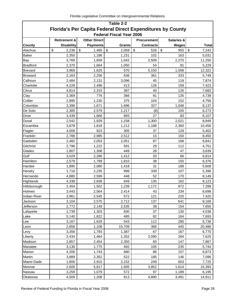|                     | Table 2-2<br><b>Florida's Per Capita Federal Direct Expenditures by County</b> |                                    |                                 |                    |              |              |  |  |  |  |  |  |  |
|---------------------|--------------------------------------------------------------------------------|------------------------------------|---------------------------------|--------------------|--------------|--------------|--|--|--|--|--|--|--|
|                     |                                                                                |                                    |                                 |                    |              |              |  |  |  |  |  |  |  |
|                     |                                                                                |                                    | <b>Federal Fiscal Year 2006</b> |                    |              |              |  |  |  |  |  |  |  |
|                     | <b>Retirement &amp;</b>                                                        | <b>Other Direct</b>                |                                 | <b>Procurement</b> | Salaries &   |              |  |  |  |  |  |  |  |
| <b>County</b>       | <b>Disability</b>                                                              | <b>Payments</b>                    | <b>Grants</b>                   | <b>Contracts</b>   | <b>Wages</b> | <b>Total</b> |  |  |  |  |  |  |  |
| Alachua             | \$<br>2,238                                                                    | $\boldsymbol{\mathsf{S}}$<br>1,465 | \$<br>2,059                     | \$<br>526          | \$<br>955    | \$<br>7,242  |  |  |  |  |  |  |  |
| <b>Baker</b>        | 2,350                                                                          | 1,186                              | 1,231                           | 102                | 163          | 5,031        |  |  |  |  |  |  |  |
| Bay                 | 3,769                                                                          | 1,659                              | 1,042                           | 2,509              | 2,270        | 11,250       |  |  |  |  |  |  |  |
| <b>Bradford</b>     | 2,370                                                                          | 1,664                              | 1,050                           | 54                 | 91           | 5,229        |  |  |  |  |  |  |  |
| <b>Brevard</b>      | 3,969                                                                          | 1,625                              | 570                             | 5,150              | 1,008        | 12,322       |  |  |  |  |  |  |  |
| <b>Broward</b>      | 2,163                                                                          | 2,256                              | 636                             | 361                | 333          | 5,749        |  |  |  |  |  |  |  |
| Calhoun             | 2,484                                                                          | 2,131                              | 3,096                           | 45                 | 118          | 7,874        |  |  |  |  |  |  |  |
| Charlotte           | 4,228                                                                          | 2,496                              | 413                             | 126                | 159          | 7,423        |  |  |  |  |  |  |  |
| Citrus              | 4,814                                                                          | 2,315                              | 387                             | 40                 | 126          | 7,682        |  |  |  |  |  |  |  |
| Clay                | 3,369                                                                          | 776                                | 366                             | 91                 | 135          | 4,739        |  |  |  |  |  |  |  |
| Collier             | 2,895                                                                          | 1,230                              | 375                             | 104                | 152          | 4,756        |  |  |  |  |  |  |  |
| Columbia            | 3,396                                                                          | 1,671                              | 1,696                           | 327                | 1,048        | 8,137        |  |  |  |  |  |  |  |
| De Soto             | 2,385                                                                          | 2,579                              | 1,217                           | (8)                | 100          | 6,273        |  |  |  |  |  |  |  |
| <b>Dixie</b>        | 3,439                                                                          | 1,666                              | 893                             | 27                 | 83           | 6,107        |  |  |  |  |  |  |  |
| Duval               | 2,542                                                                          | 1,929                              | 1,158                           | 1,300              | 2,021        | 8,949        |  |  |  |  |  |  |  |
| Escambia            | 3,878                                                                          | 1,818                              | 1,212                           | 1,188              | 2,360        | 10,456       |  |  |  |  |  |  |  |
| Flagler             | 4,008                                                                          | 923                                | 305                             | 37                 | 129          | 5,402        |  |  |  |  |  |  |  |
| Franklin            | 2,788                                                                          | 2,985                              | 2,512                           | 15                 | 150          | 8,450        |  |  |  |  |  |  |  |
| Gadsden             | 2,482                                                                          | 2,053                              | 2,051                           | 87                 | 168          | 6,841        |  |  |  |  |  |  |  |
| Gilchrist           | 2,796                                                                          | 1,222                              | 591                             | 29                 | 112          | 4,751        |  |  |  |  |  |  |  |
| Glades              | 1,807                                                                          | 1,308                              | 449                             | 28                 | 47           | 3,639        |  |  |  |  |  |  |  |
| Gulf                | 3,029                                                                          | 2,286                              | 1,412                           | 20                 | 66           | 6,814        |  |  |  |  |  |  |  |
| Hamilton            | 2,579                                                                          | 1,799                              | 1,810                           | 38                 | 150          | 6,376        |  |  |  |  |  |  |  |
| Hardee              | 1,890                                                                          | 2,080                              | 1,418                           | 31                 | 188          | 5,608        |  |  |  |  |  |  |  |
| Hendry              | 1,716                                                                          | 2,235                              | 999                             | 339                | 107          | 5,396        |  |  |  |  |  |  |  |
| Hernando            | 4,880                                                                          | 2,599                              | 448                             | 52                 | 170          | 8,149        |  |  |  |  |  |  |  |
| Highlands           | 4,338                                                                          | 2,838                              | 649                             | 135                | 162          | 8,123        |  |  |  |  |  |  |  |
| Hillsborough        | 2,404                                                                          | 1,502                              | 1,239                           | 1,172              | 972          | 7,289        |  |  |  |  |  |  |  |
| Holmes              | 3,443                                                                          | 2,564                              | 2,414                           | 43                 | 234          | 8,698        |  |  |  |  |  |  |  |
| <b>Indian River</b> | 3,961                                                                          | 2,545                              | 572                             | 121                | 220          | 7,420        |  |  |  |  |  |  |  |
| Jackson             | 3,104                                                                          | 2,575                              | 2,712                           | 137                | 641          | 9,169        |  |  |  |  |  |  |  |
| Jefferson           | 2,772                                                                          | 2,149                              | 2,535                           | 39                 | 154          | 7,650        |  |  |  |  |  |  |  |
| Lafayette           | 1,739                                                                          | 1,303                              | 830                             | 37                 | 130          | 4,038        |  |  |  |  |  |  |  |
| Lake                | 5,140                                                                          | 1,822                              | 485                             | 82                 | 164          | 7,693        |  |  |  |  |  |  |  |
| Lee                 | 3,167                                                                          | 1,629                              | 543                             | 112                | 285          | 5,736        |  |  |  |  |  |  |  |
| Leon                | 2,858                                                                          | 1,108                              | 15,709                          | 366                | 445          | 20,486       |  |  |  |  |  |  |  |
| Levy                | 3,356                                                                          | 1,793                              | 1,387                           | 67                 | 167          | 6,770        |  |  |  |  |  |  |  |
| Liberty             | 2,434                                                                          | 1,464                              | 1,352                           | 2,090              | 284          | 7,625        |  |  |  |  |  |  |  |
| Madison             | 2,857                                                                          | 2,454                              | 2,350                           | 60                 | 147          | 7,867        |  |  |  |  |  |  |  |
| Manatee             | 3,136                                                                          | 1,775                              | 492                             | 105                | 235          | 5,744        |  |  |  |  |  |  |  |
| Marion              | 4,206                                                                          | 1,743                              | 680                             | 86                 | 157          | 6,873        |  |  |  |  |  |  |  |
| Martin              | 3,889                                                                          | 2,352                              | 522                             | 185                | 146          | 7,096        |  |  |  |  |  |  |  |
| Miami-Dade          | 1,806                                                                          | 2,915                              | 2,152                           | 249                | 603          | 7,725        |  |  |  |  |  |  |  |
| Monroe              | 2,605                                                                          | 5,817                              | 1,505                           | 3,852              | 1,614        | 15,393       |  |  |  |  |  |  |  |
| Nassau              | 3,259                                                                          | 1,079                              | 572                             | 97                 | 1,189        | 6,195        |  |  |  |  |  |  |  |
| Okaloosa            | 4,509                                                                          | 1,208                              | 813                             | 4,890              | 3,491        | 14,911       |  |  |  |  |  |  |  |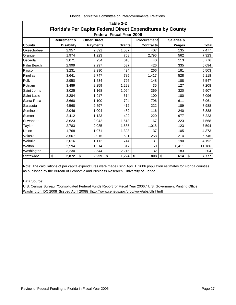|                  |                                                                   |                     | Table 2-2                       |                    |              |              |  |  |  |  |  |  |  |  |
|------------------|-------------------------------------------------------------------|---------------------|---------------------------------|--------------------|--------------|--------------|--|--|--|--|--|--|--|--|
|                  | <b>Florida's Per Capita Federal Direct Expenditures by County</b> |                     |                                 |                    |              |              |  |  |  |  |  |  |  |  |
|                  |                                                                   |                     | <b>Federal Fiscal Year 2006</b> |                    |              |              |  |  |  |  |  |  |  |  |
|                  | <b>Retirement &amp;</b>                                           | <b>Other Direct</b> |                                 | <b>Procurement</b> | Salaries &   |              |  |  |  |  |  |  |  |  |
| <b>County</b>    | <b>Disability</b>                                                 | <b>Payments</b>     | <b>Grants</b>                   | <b>Contracts</b>   | <b>Wages</b> | <b>Total</b> |  |  |  |  |  |  |  |  |
| Okeechobee       | 2,957                                                             | 2,891               | 1,087                           | 407                | 135          | 7,477        |  |  |  |  |  |  |  |  |
| Orange           | 1,974                                                             | 1,223               | 768                             | 2,796              | 562          | 7,323        |  |  |  |  |  |  |  |  |
| Osceola          | 2,071                                                             | 934                 | 618                             | 40                 | 113          | 3,776        |  |  |  |  |  |  |  |  |
| Palm Beach       | 2,999                                                             | 2,297               | 637                             | 426                | 335          | 6,694        |  |  |  |  |  |  |  |  |
| Pasco            | 3,231                                                             | 2,390               | 434                             | 266                | 181          | 6,503        |  |  |  |  |  |  |  |  |
| Pinellas         | 3,641                                                             | 2,747               | 785                             | 1,417              | 528          | 9,118        |  |  |  |  |  |  |  |  |
| Polk             | 2,950                                                             | 1,534               | 726                             | 148                | 188          | 5,547        |  |  |  |  |  |  |  |  |
| Putnam           | 3,489                                                             | 2,259               | 1,298                           | 35                 | 127          | 7,208        |  |  |  |  |  |  |  |  |
| Saint Johns      | 3,025                                                             | 1,168               | 1,024                           | 369                | 320          | 5,907        |  |  |  |  |  |  |  |  |
| Saint Lucie      | 3,284                                                             | 1,917               | 614                             | 100                | 180          | 6,096        |  |  |  |  |  |  |  |  |
| Santa Rosa       | 3,660                                                             | 1,100               | 794                             | 796                | 611          | 6,961        |  |  |  |  |  |  |  |  |
| Sarasota         | 4,568                                                             | 2,597               | 412                             | 222                | 189          | 7,988        |  |  |  |  |  |  |  |  |
| Seminole         | 2,046                                                             | 1,004               | 482                             | 116                | 240          | 3,888        |  |  |  |  |  |  |  |  |
| Sumter           | 2,412                                                             | 1,123               | 492                             | 220                | 977          | 5,223        |  |  |  |  |  |  |  |  |
| Suwannee         | 3,623                                                             | 2,042               | 1,513                           | 167                | 223          | 7,568        |  |  |  |  |  |  |  |  |
| Taylor           | 2,783                                                             | 2,085               | 1,585                           | 1,018              | 123          | 7,594        |  |  |  |  |  |  |  |  |
| Union            | 1,768                                                             | 1,071               | 1,393                           | 37                 | 105          | 4,373        |  |  |  |  |  |  |  |  |
| Volusia          | 3,567                                                             | 2,015               | 691                             | 258                | 214          | 6,745        |  |  |  |  |  |  |  |  |
| Wakulla          | 2,016                                                             | 1,112               | 744                             | 131                | 190          | 4,192        |  |  |  |  |  |  |  |  |
| Walton           | 2,594                                                             | 1,314               | 817                             | 50                 | 6,411        | 11,186       |  |  |  |  |  |  |  |  |
| Washington       | 3,230                                                             | 2,544               | 2,215                           | 32                 | 183          | 8,204        |  |  |  |  |  |  |  |  |
| <b>Statewide</b> | \$<br>2,872                                                       | \$<br>2,259         | \$<br>1,224                     | \$<br>808          | \$<br>614    | \$<br>7,777  |  |  |  |  |  |  |  |  |

Note: The calculations of per capita expenditures were made using April 1, 2006 population estimates for Florida counties as published by the Bureau of Economic and Business Research, University of Florida.

Data Source:

U.S. Census Bureau, "Consolidated Federal Funds Report for Fiscal Year 2006," U.S. Government Printing Office, Washington, DC 2008 (Issued April 2008) [http://www.census.gov/prod/www/abs/cffr.html]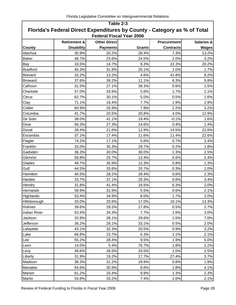|                     |                                                                                                             | Table 2-3           |               |                    |                       |  |  |  |  |  |  |  |
|---------------------|-------------------------------------------------------------------------------------------------------------|---------------------|---------------|--------------------|-----------------------|--|--|--|--|--|--|--|
|                     | Florida's Federal Direct Expenditures by County - Category as % of Total<br><b>Federal Fiscal Year 2006</b> |                     |               |                    |                       |  |  |  |  |  |  |  |
|                     |                                                                                                             |                     |               |                    |                       |  |  |  |  |  |  |  |
|                     | <b>Retirement &amp;</b>                                                                                     | <b>Other Direct</b> |               | <b>Procurement</b> | <b>Salaries &amp;</b> |  |  |  |  |  |  |  |
| <b>County</b>       | <b>Disability</b>                                                                                           | <b>Payments</b>     | <b>Grants</b> | <b>Contracts</b>   | <b>Wages</b>          |  |  |  |  |  |  |  |
| Alachua             | 30.9%                                                                                                       | 20.2%               | 28.4%         | 7.3%               | 13.2%                 |  |  |  |  |  |  |  |
| <b>Baker</b>        | 46.7%                                                                                                       | 23.6%               | 24.5%         | 2.0%               | 3.2%                  |  |  |  |  |  |  |  |
| Bay                 | 33.5%                                                                                                       | 14.7%               | 9.3%          | 22.3%              | 20.2%                 |  |  |  |  |  |  |  |
| <b>Bradford</b>     | 45.3%                                                                                                       | 31.8%               | 20.1%         | 1.0%               | 1.7%                  |  |  |  |  |  |  |  |
| <b>Brevard</b>      | 32.2%                                                                                                       | 13.2%               | 4.6%          | 41.8%              | 8.2%                  |  |  |  |  |  |  |  |
| <b>Broward</b>      | 37.6%                                                                                                       | 39.2%               | 11.1%         | 6.3%               | 5.8%                  |  |  |  |  |  |  |  |
| Calhoun             | 31.5%                                                                                                       | 27.1%               | 39.3%         | 0.6%               | 1.5%                  |  |  |  |  |  |  |  |
| Charlotte           | 57.0%                                                                                                       | 33.6%               | 5.6%          | 1.7%               | 2.1%                  |  |  |  |  |  |  |  |
| Citrus              | 62.7%                                                                                                       | 30.1%               | 5.0%          | 0.5%               | 1.6%                  |  |  |  |  |  |  |  |
| Clay                | 71.1%                                                                                                       | 16.4%               | 7.7%          | 1.9%               | 2.9%                  |  |  |  |  |  |  |  |
| Collier             | 60.9%                                                                                                       | 25.9%               | 7.9%          | 2.2%               | 3.2%                  |  |  |  |  |  |  |  |
| Columbia            | 41.7%                                                                                                       | 20.5%               | 20.8%         | 4.0%               | 12.9%                 |  |  |  |  |  |  |  |
| De Soto             | 38.0%                                                                                                       | 41.1%               | 19.4%         | $-0.1%$            | 1.6%                  |  |  |  |  |  |  |  |
| <b>Dixie</b>        | 56.3%                                                                                                       | 27.3%               | 14.6%         | 0.4%               | 1.4%                  |  |  |  |  |  |  |  |
| Duval               | 28.4%                                                                                                       | 21.6%               | 12.9%         | 14.5%              | 22.6%                 |  |  |  |  |  |  |  |
| Escambia            | 37.1%                                                                                                       | 17.4%               | 11.6%         | 11.4%              | 22.6%                 |  |  |  |  |  |  |  |
| Flagler             | 74.2%                                                                                                       | 17.1%               | 5.6%          | 0.7%               | 2.4%                  |  |  |  |  |  |  |  |
| Franklin            | 33.0%                                                                                                       | 35.3%               | 29.7%         | 0.2%               | 1.8%                  |  |  |  |  |  |  |  |
| Gadsden             | 36.3%                                                                                                       | 30.0%               | 30.0%         | 1.3%               | 2.5%                  |  |  |  |  |  |  |  |
| Gilchrist           | 58.8%                                                                                                       | 25.7%               | 12.4%         | 0.6%               | 2.4%                  |  |  |  |  |  |  |  |
| Glades              | 49.7%                                                                                                       | 35.9%               | 12.3%         | 0.8%               | 1.3%                  |  |  |  |  |  |  |  |
| Gulf                | 44.5%                                                                                                       | 33.6%               | 20.7%         | 0.3%               | 1.0%                  |  |  |  |  |  |  |  |
| Hamilton            | 40.5%                                                                                                       | 28.2%               | 28.4%         | 0.6%               | 2.3%                  |  |  |  |  |  |  |  |
| Hardee              | 33.7%                                                                                                       | 37.1%               | 25.3%         | 0.6%               | 3.4%                  |  |  |  |  |  |  |  |
| Hendry              | 31.8%                                                                                                       | 41.4%               | 18.5%         | 6.3%               | 2.0%                  |  |  |  |  |  |  |  |
| Hernando            | 59.9%                                                                                                       | 31.9%               | 5.5%          | 0.6%               | 2.1%                  |  |  |  |  |  |  |  |
| Highlands           | 53.4%                                                                                                       | 34.9%               | 8.0%          | 1.7%               | 2.0%                  |  |  |  |  |  |  |  |
| Hillsborough        | 33.0%                                                                                                       | 20.6%               | 17.0%         | 16.1%              | 13.3%                 |  |  |  |  |  |  |  |
| Holmes              | 39.6%                                                                                                       | 29.5%               | 27.8%         | 0.5%               | 2.7%                  |  |  |  |  |  |  |  |
| <b>Indian River</b> | 53.4%                                                                                                       | 34.3%               | 7.7%          | 1.6%               | 3.0%                  |  |  |  |  |  |  |  |
| Jackson             | 33.9%                                                                                                       | 28.1%               | 29.6%         | 1.5%               | 7.0%                  |  |  |  |  |  |  |  |
| Jefferson           | 36.2%                                                                                                       | 28.1%               | 33.1%         | 0.5%               | 2.0%                  |  |  |  |  |  |  |  |
| Lafayette           | 43.1%                                                                                                       | 32.3%               | 20.5%         | 0.9%               | 3.2%                  |  |  |  |  |  |  |  |
| Lake                | 66.8%                                                                                                       | 23.7%               | 6.3%          | 1.1%               | 2.1%                  |  |  |  |  |  |  |  |
| Lee                 | 55.2%                                                                                                       | 28.4%               | 9.5%          | 1.9%               | 5.0%                  |  |  |  |  |  |  |  |
| Leon                | 14.0%                                                                                                       | 5.4%                | 76.7%         | 1.8%               | 2.2%                  |  |  |  |  |  |  |  |
| Levy                | 49.6%                                                                                                       | 26.5%               | 20.5%         | 1.0%               | 2.5%                  |  |  |  |  |  |  |  |
| Liberty             | 31.9%                                                                                                       | 19.2%               | 17.7%         | 27.4%              | 3.7%                  |  |  |  |  |  |  |  |
| Madison             | 36.3%                                                                                                       | 31.2%               | 29.9%         | 0.8%               | 1.9%                  |  |  |  |  |  |  |  |
| Manatee             | 54.6%                                                                                                       | 30.9%               | 8.6%          | 1.8%               | 4.1%                  |  |  |  |  |  |  |  |
| Marion              | 61.2%                                                                                                       | 25.4%               | 9.9%          | 1.3%               | 2.3%                  |  |  |  |  |  |  |  |
| Martin              | 54.8%                                                                                                       | 33.2%               | 7.4%          | 2.6%               | 2.1%                  |  |  |  |  |  |  |  |
|                     |                                                                                                             |                     |               |                    |                       |  |  |  |  |  |  |  |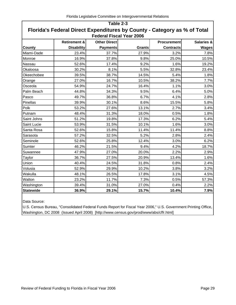|                  |                                                                          |                     | Table 2-3                       |                    |              |
|------------------|--------------------------------------------------------------------------|---------------------|---------------------------------|--------------------|--------------|
|                  | Florida's Federal Direct Expenditures by County - Category as % of Total |                     |                                 |                    |              |
|                  |                                                                          |                     | <b>Federal Fiscal Year 2006</b> |                    |              |
|                  | <b>Retirement &amp;</b>                                                  | <b>Other Direct</b> |                                 | <b>Procurement</b> | Salaries &   |
| <b>County</b>    | <b>Disability</b>                                                        | <b>Payments</b>     | <b>Grants</b>                   | <b>Contracts</b>   | <b>Wages</b> |
| Miami-Dade       | 23.4%                                                                    | 37.7%               | 27.9%                           | 3.2%               | 7.8%         |
| Monroe           | 16.9%                                                                    | 37.8%               | 9.8%                            | 25.0%              | 10.5%        |
| Nassau           | 52.6%                                                                    | 17.4%               | 9.2%                            | 1.6%               | 19.2%        |
| Okaloosa         | 30.2%                                                                    | 8.1%                | 5.5%                            | 32.8%              | 23.4%        |
| Okeechobee       | 39.5%                                                                    | 38.7%               | 14.5%                           | 5.4%               | 1.8%         |
| Orange           | 27.0%                                                                    | 16.7%               | 10.5%                           | 38.2%              | 7.7%         |
| Osceola          | 54.9%                                                                    | 24.7%               | 16.4%                           | 1.1%               | 3.0%         |
| Palm Beach       | 44.8%                                                                    | 34.3%               | 9.5%                            | 6.4%               | 5.0%         |
| Pasco            | 49.7%                                                                    | 36.8%               | 6.7%                            | 4.1%               | 2.8%         |
| Pinellas         | 39.9%                                                                    | 30.1%               | 8.6%                            | 15.5%              | 5.8%         |
| Polk             | 53.2%                                                                    | 27.6%               | 13.1%                           | 2.7%               | 3.4%         |
| Putnam           | 48.4%                                                                    | 31.3%               | 18.0%                           | 0.5%               | 1.8%         |
| Saint Johns      | 51.2%                                                                    | 19.8%               | 17.3%                           | 6.2%               | 5.4%         |
| Saint Lucie      | 53.9%                                                                    | 31.5%               | 10.1%                           | 1.6%               | 3.0%         |
| Santa Rosa       | 52.6%                                                                    | 15.8%               | 11.4%                           | 11.4%              | 8.8%         |
| Sarasota         | 57.2%                                                                    | 32.5%               | 5.2%                            | 2.8%               | 2.4%         |
| Seminole         | 52.6%                                                                    | 25.8%               | 12.4%                           | 3.0%               | 6.2%         |
| Sumter           | 46.2%                                                                    | 21.5%               | 9.4%                            | 4.2%               | 18.7%        |
| Suwannee         | 47.9%                                                                    | 27.0%               | 20.0%                           | 2.2%               | 2.9%         |
| Taylor           | 36.7%                                                                    | 27.5%               | 20.9%                           | 13.4%              | 1.6%         |
| Union            | 40.4%                                                                    | 24.5%               | 31.8%                           | 0.8%               | 2.4%         |
| Volusia          | 52.9%                                                                    | 29.9%               | 10.2%                           | 3.8%               | 3.2%         |
| Wakulla          | 48.1%                                                                    | 26.5%               | 17.8%                           | 3.1%               | 4.5%         |
| Walton           | 23.2%                                                                    | 11.7%               | 7.3%                            | 0.5%               | 57.3%        |
| Washington       | 39.4%                                                                    | 31.0%               | 27.0%                           | 0.4%               | 2.2%         |
| <b>Statewide</b> | 36.9%                                                                    | 29.1%               | 15.7%                           | 10.4%              | 7.9%         |

Data Source:

U.S. Census Bureau, "Consolidated Federal Funds Report for Fiscal Year 2006," U.S. Government Printing Office, Washington, DC 2008 (Issued April 2008) [http://www.census.gov/prod/www/abs/cffr.html]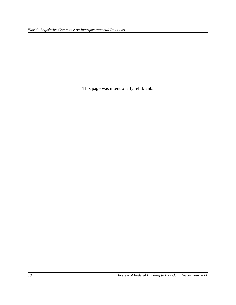This page was intentionally left blank.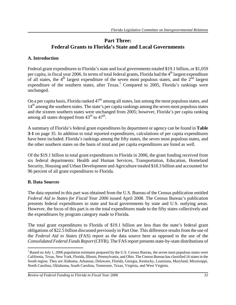### **Part Three: Federal Grants to Florida's State and Local Governments**

#### **A. Introduction**

Federal grant expenditures to Florida's state and local governments totaled \$19.1 billion, or \$1,059 per capita, in fiscal year 2006. In terms of total federal grants, Florida had the  $4<sup>th</sup>$  largest expenditure of all states, the  $4<sup>th</sup>$  largest expenditure of the seven most populous states, and the  $2<sup>nd</sup>$  largest expenditure of the southern states, after  $Texas<sup>1</sup>$  Compared to 2005, Florida's rankings were unchanged.

On a per capita basis, Florida ranked  $47<sup>th</sup>$  among all states, last among the most populous states, and 14<sup>th</sup> among the southern states. The state's per capita rankings among the seven most populous states and the sixteen southern states were unchanged from 2005; however, Florida's per capita ranking among all states dropped from  $43^{\text{rd}}$  to  $47^{\text{th}}$ .

A summary of Florida's federal grant expenditures by department or agency can be found in **Table 3-1** on page 35. In addition to total reported expenditures, calculations of per capita expenditures have been included. Florida's rankings among the fifty states, the seven most populous states, and the other southern states on the basis of total and per capita expenditures are listed as well.

Of the \$19.1 billion in total grant expenditures to Florida in 2006, the grant funding received from six federal departments: Health and Human Services, Transportation, Education, Homeland Security, Housing and Urban Development and Agriculture totaled \$18.3 billion and accounted for 96 percent of all grant expenditures to Florida.

#### **B. Data Sources**

 $\overline{a}$ 

The data reported in this part was obtained from the U.S. Bureau of the Census publication entitled *Federal Aid to States for Fiscal Year 2006* issued April 2008. The Census Bureau's publication presents federal expenditures to state and local governments by state and U.S. outlying areas. However, the focus of this part is on the total expenditures made to the fifty states collectively and the expenditures by program category made to Florida.

The total grant expenditures to Florida of \$19.1 billion are less than the state's federal grant obligations of \$22.5 billion discussed previously in Part One. This difference results from the use of the *Federal Aid to States* (FAS) report as the data source here as opposed to the use of the *Consolidated Federal Funds Report* (CFFR). The FAS report presents state-by-state distributions of

 $1$  Based on July 1, 2006 population estimates prepared by the U.S. Census Bureau, the seven most populous states were California, Texas, New York, Florida, Illinois, Pennsylvania, and Ohio. The Census Bureau has classified 16 states in the South region. They are Alabama, Arkansas, Delaware, Florida, Georgia, Kentucky, Louisiana, Maryland, Mississippi, North Carolina, Oklahoma, South Carolina, Tennessee, Texas, Virginia, and West Virginia.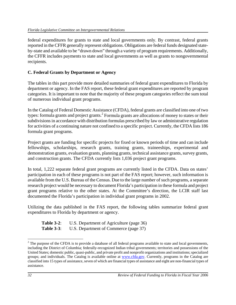federal expenditures for grants to state and local governments only. By contrast, federal grants reported in the CFFR generally represent obligations. Obligations are federal funds designated stateby-state and available to be "drawn down" through a variety of program requirements. Additionally, the CFFR includes payments to state and local governments as well as grants to nongovernmental recipients.

### **C. Federal Grants by Department or Agency**

The tables in this part provide more detailed summaries of federal grant expenditures to Florida by department or agency. In the FAS report, these federal grant expenditures are reported by program categories. It is important to note that the majority of these program categories reflect the sum total of numerous individual grant programs.

In the Catalog of Federal Domestic Assistance (CFDA), federal grants are classified into one of two types: formula grants and project grants.<sup>2</sup> Formula grants are allocations of money to states or their subdivisions in accordance with distribution formulas prescribed by law or administrative regulation for activities of a continuing nature not confined to a specific project. Currently, the CFDA lists 186 formula grant programs.

Project grants are funding for specific projects for fixed or known periods of time and can include fellowships, scholarships, research grants, training grants, traineeships, experimental and demonstration grants, evaluation grants, planning grants, technical assistance grants, survey grants, and construction grants. The CFDA currently lists 1,036 project grant programs.

In total, 1,222 separate federal grant programs are currently listed in the CFDA. Data on states' participation in each of these programs is not part of the FAS report; however, such information is available from the U.S. Bureau of the Census. Due to the large number of such programs, a separate research project would be necessary to document Florida's participation in these formula and project grant programs relative to the other states. At the Committee's direction, the LCIR staff last documented the Florida's participation in individual grant programs in 2002.

Utilizing the data published in the FAS report, the following tables summarize federal grant expenditures to Florida by department or agency.

**Table 3-2**: U.S. Department of Agriculture (page 36) **Table 3-3**: U.S. Department of Commerce (page 37)

 $\overline{a}$ 

 $2^2$  The purpose of the CFDA is to provide a database of all federal programs available to state and local governments, including the District of Columbia; federally-recognized Indian tribal governments; territories and possessions of the United States; domestic public, quasi-public, and private profit and nonprofit organizations and institutions; specialized groups; and individuals. The Catalog is available online at www.cfda.gov. Currently, programs in the Catalog are classified into 15 types of assistance, seven of which are financial types of assistance and eight are non-financial types of assistance.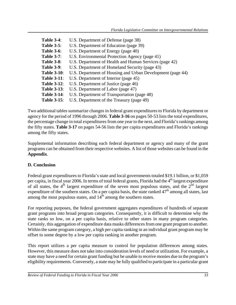| <b>Table 3-4:</b>  | U.S. Department of Defense (page 38)                       |
|--------------------|------------------------------------------------------------|
| <b>Table 3-5:</b>  | U.S. Department of Education (page 39)                     |
| <b>Table 3-6:</b>  | U.S. Department of Energy (page 40)                        |
| <b>Table 3-7:</b>  | U.S. Environmental Protection Agency (page 41)             |
| <b>Table 3-8:</b>  | U.S. Department of Health and Human Services (page 42)     |
| <b>Table 3-9:</b>  | U.S. Department of Homeland Security (page 43)             |
| <b>Table 3-10:</b> | U.S. Department of Housing and Urban Development (page 44) |
| <b>Table 3-11:</b> | U.S. Department of Interior (page 45)                      |
| <b>Table 3-12:</b> | U.S. Department of Justice (page 46)                       |
| <b>Table 3-13:</b> | U.S. Department of Labor (page 47)                         |
| <b>Table 3-14:</b> | U.S. Department of Transportation (page 48)                |
| <b>Table 3-15:</b> | U.S. Department of the Treasury (page 49)                  |

Two additional tables summarize changes in federal grant expenditures to Florida by department or agency for the period of 1996 through 2006. **Table 3-16** on pages 50-53 lists the total expenditures, the percentage change in total expenditures from one year to the next, and Florida's rankings among the fifty states. **Table 3-17** on pages 54-56 lists the per capita expenditures and Florida's rankings among the fifty states.

Supplemental information describing each federal department or agency and many of the grant programs can be obtained from their respective websites. A list of those websites can be found in the **Appendix**.

### **D. Conclusion**

Federal grant expenditures to Florida's state and local governments totaled \$19.1 billion, or \$1,059 per capita, in fiscal year 2006. In terms of total federal grants, Florida had the 4<sup>th</sup> largest expenditure of all states, the  $4<sup>th</sup>$  largest expenditure of the seven most populous states, and the  $2<sup>nd</sup>$  largest expenditure of the southern states. On a per capita basis, the state ranked  $47<sup>th</sup>$  among all states, last among the most populous states, and  $14<sup>th</sup>$  among the southern states.

For reporting purposes, the federal government aggregates expenditures of hundreds of separate grant programs into broad program categories. Consequently, it is difficult to determine why the state ranks so low, on a per capita basis, relative to other states in many program categories. Certainly, this aggregation of expenditure data masks differences from one grant program to another. Within the same program category, a high per capita ranking in an individual grant program may be offset to some degree by a low per capita ranking in another program.

This report utilizes a per capita measure to control for population differences among states. However, this measure does not take into consideration levels of need or utilization. For example, a state may have a need for certain grant funding but be unable to receive monies due to the program's eligibility requirements. Conversely, a state may be fully qualified to participate in a particular grant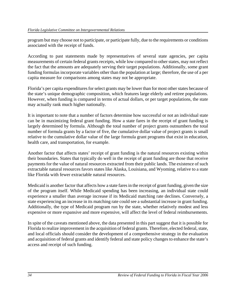program but may choose not to participate, or participate fully, due to the requirements or conditions associated with the receipt of funds.

According to past statements made by representatives of several state agencies, per capita measurements of certain federal grants receipts, while low compared to other states, may not reflect the fact that the amounts are adequately serving their target populations. Additionally, some grant funding formulas incorporate variables other than the population at large; therefore, the use of a per capita measure for comparisons among states may not be appropriate.

Florida's per capita expenditures for select grants may be lower than for most other states because of the state's unique demographic composition, which features large elderly and retiree populations. However, when funding is compared in terms of actual dollars, or per target populations, the state may actually rank much higher nationally.

It is important to note that a number of factors determine how successful or not an individual state can be in maximizing federal grant funding. How a state fares in the receipt of grant funding is largely determined by formula. Although the total number of project grants outnumbers the total number of formula grants by a factor of five, the cumulative dollar value of project grants is small relative to the cumulative dollar value of the large formula grant programs that exist in education, health care, and transportation, for example.

Another factor that affects states' receipt of grant funding is the natural resources existing within their boundaries. States that typically do well in the receipt of grant funding are those that receive payments for the value of natural resources extracted from their public lands. The existence of such extractable natural resources favors states like Alaska, Louisiana, and Wyoming, relative to a state like Florida with fewer extractable natural resources.

Medicaid is another factor that affects how a state fares in the receipt of grant funding, given the size of the program itself. While Medicaid spending has been increasing, an individual state could experience a smaller than average increase if its Medicaid matching rate declines. Conversely, a state experiencing an increase in its matching rate could see a substantial increase in grant funding. Additionally, the type of Medicaid program run by the state, whether relatively modest and less expensive or more expansive and more expensive, will affect the level of federal reimbursements.

In spite of the caveats mentioned above, the data presented in this part suggest that it is possible for Florida to realize improvement in the acquisition of federal grants. Therefore, elected federal, state, and local officials should consider the development of a comprehensive strategy in the evaluation and acquisition of federal grants and identify federal and state policy changes to enhance the state's access and receipt of such funding.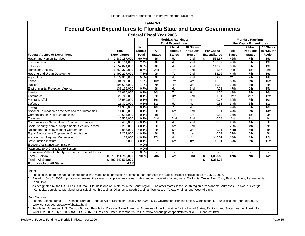|                                                                          | Table 3-1            |              |                                 |                            |                  |                     |                |                                |                  |  |  |  |  |
|--------------------------------------------------------------------------|----------------------|--------------|---------------------------------|----------------------------|------------------|---------------------|----------------|--------------------------------|------------------|--|--|--|--|
| <b>Federal Grant Expenditures to Florida State and Local Governments</b> |                      |              |                                 |                            |                  |                     |                |                                |                  |  |  |  |  |
|                                                                          |                      |              | <b>Federal Fiscal Year 2006</b> |                            |                  |                     |                |                                |                  |  |  |  |  |
|                                                                          |                      |              |                                 | <b>Florida's Rankings:</b> |                  |                     |                | <b>Florida's Rankings:</b>     |                  |  |  |  |  |
|                                                                          |                      |              |                                 | <b>Total Expenditures</b>  |                  |                     |                | <b>Per Capita Expenditures</b> |                  |  |  |  |  |
|                                                                          |                      | $%$ of       |                                 | 7 Most                     | <b>16 States</b> |                     |                | 7 Most                         | <b>16 States</b> |  |  |  |  |
|                                                                          | Total                | State's      | All                             | <b>Populous</b>            | in "South"       | Per Capita          | All            | <b>Populous</b>                | in "South"       |  |  |  |  |
| <b>Federal Agency or Department</b>                                      | <b>Expenditures</b>  | <b>Total</b> | <b>States</b>                   | <b>States</b>              | Region           | <b>Expenditures</b> | <b>States</b>  | <b>States</b>                  | Region           |  |  |  |  |
| <b>Health and Human Services</b>                                         | 9,689,187,000<br>\$  | 50.7%        | 5th                             | 5th                        | 2nd              | \$<br>536.57        | 46th           | 7th                            | 15th             |  |  |  |  |
| Transportation                                                           | 2,363,114,000        | 12.4%        | 4th                             | 4th                        | 2nd              | 130.87              | 40th           | 6th                            | 13 <sub>th</sub> |  |  |  |  |
| Education                                                                | 2,057,824,000        | 10.8%        | 4th                             | 4th                        | 2nd              | 113.96              | 35th           | 5th                            | 13 <sub>th</sub> |  |  |  |  |
| <b>Homeland Security</b>                                                 | 1,653,372,000        | 8.6%         | 2nd                             | 1st                        | 2nd              | 91.56               | 5th            | 1st                            | 3rd              |  |  |  |  |
| Housing and Urban Development                                            | 1,499,207,000        | 7.8%         | 9th                             | 7th                        | 2nd              | 83.02               | 44th           | 7th                            | 16th             |  |  |  |  |
| <b>Agriculture</b>                                                       | 1,079,860,000        | 5.6%         | 4th                             | 4th                        | 2nd              | 59.80               | 42nd           | 7th                            | 14th             |  |  |  |  |
| Labor                                                                    | 304,746,000          | 1.6%         | 10th                            | 7th                        | 4th              | 16.88               | 50th           | 7th                            | 16th             |  |  |  |  |
| Justice                                                                  | 195,626,000          | 1.0%         | 7th                             | 4th                        | 3rd              | 10.83               | 29th           | 4th                            | 8th              |  |  |  |  |
| <b>Environmental Protection Agency</b>                                   | 139,188,000          | 0.7%         | 8th                             | 6th                        | 2nd              | 7.71                | 47th           | 6th                            | 15th             |  |  |  |  |
| Interior                                                                 | 28,080,000           | 0.1%         | 30th                            | 7th                        | 8th              | 1.56                | 49th           | 7th                            | 16th             |  |  |  |  |
| Commerce                                                                 | 23,742,000           | 0.1%         | 7th                             | 3rd                        | 2nd              | 1.31                | 32nd           | 2 <sub>nd</sub>                | 12 <sub>th</sub> |  |  |  |  |
| Veterans Affairs                                                         | 13,959,000           | 0.1%         | 16th                            | $\overline{7}$ th          | 4th              | 0.77                | 39th           | 6th                            | 10th             |  |  |  |  |
| Defense                                                                  | 11,370,000           | 0.1%         | 11th                            | 5th                        | 4th              | 0.63                | 34th           | 6th                            | 11th             |  |  |  |  |
| Energy                                                                   | 11,306,000           | 0.1%         | 18th                            | 7th                        | 4th              | 0.63                | 49th           | 6th                            | 16th             |  |  |  |  |
| National Foundation on the Arts and the Humanities                       | 11,009,000           | 0.1%         | 6th                             | 6th                        | 2nd              | 0.61                | 47th           | 5th                            | 14th             |  |  |  |  |
| Corporation for Public Broadcasting                                      | 10,614,000           | 0.1%         | 1st                             | 1st                        | 1st              | 0.59                | 27th           | 1st                            | 9th              |  |  |  |  |
| Treasury                                                                 | 10,558,000           | 0.1%         | 2nd                             | 2 <sub>nd</sub>            | 2nd              | 0.58                | 1st            | 1st                            | 1st              |  |  |  |  |
| Corporation for National and Community Service                           | 6,455,000            | $< 0.1\%$    | 5th                             | 4th                        | 2nd              | 0.36                | 28th           | 4th                            | 8th              |  |  |  |  |
| Social Security Admin.-Supplemental Security Income                      | 2,282,000            | $< 0.1\%$    | 5th                             | 5th                        | 2nd              | 0.13                | 20th           | 4th                            | 7th              |  |  |  |  |
| Neighborhood Reinvestment Corporation                                    | 2,056,000            | $< 0.1\%$    | 8th                             | 5th                        | 3rd              | 0.11                | 43rd           | 6th                            | 4th              |  |  |  |  |
| Equal Employment Opportunity Commission                                  | 1,202,000            | $< 0.1\%$    | 7th                             | 5th                        | 1st              | 0.07                | 37th           | 5th                            | 7th              |  |  |  |  |
| Appalachian Regional Commission                                          | 18,000               | $< 0.1\%$    | 17th                            | 4th                        | 11th             | < 0.01              | 18th           | 4th                            | 12th             |  |  |  |  |
| State Justice Institute                                                  | 7,000                | $< 0.1\%$    | 21st                            | 6th                        | 8th              | < 0.01              | 37th           | 7th                            | 11th             |  |  |  |  |
| Election Assistance Commission                                           |                      | 0.0%         | $\sim$                          | ÷.                         | $\overline{a}$   |                     |                | ٠                              |                  |  |  |  |  |
| Payments to D.C. and Metro System                                        |                      | 0.0%         | $\sim$                          | $\overline{\phantom{a}}$   | $\overline{a}$   |                     | $\overline{a}$ | ÷.                             |                  |  |  |  |  |
| Tennessee Valley Authority-Payments in Lieu of Taxes                     |                      | 0.0%         | $\blacksquare$                  | $\blacksquare$             | $\blacksquare$   |                     | $\overline{a}$ | $\blacksquare$                 |                  |  |  |  |  |
| <b>Total - Florida</b>                                                   | 19,114,782,000<br>\$ | 100%         | 4th                             | 4th                        | 2nd              | 1,058.55<br>-\$     | 47th           | 7th                            | 14 <sub>th</sub> |  |  |  |  |
| <b>Total - All States</b>                                                | \$403,649,593,000    |              |                                 |                            |                  | \$<br>1,353.76      |                |                                |                  |  |  |  |  |
| Florida as % of All States                                               | 4.7%                 |              |                                 |                            |                  |                     |                |                                |                  |  |  |  |  |

Notes:

1) The calculation of per capita expenditures was made using population estimates that represent the state's resident population as of July 1, 2006.

2) Based on July 1, 2006 population estimates, the seven most populous states, in descending population order, were: California, Texas, New York, Florida, Illinois, Pennsylvania, and Ohio.

3) As designated by the U.S. Census Bureau, Florida is one of 16 states in the South region. The other states in the South region are: Alabama, Arkansas, Delaware, Georgia, Kentucky, Louisiana, Maryland, Mississippi, North Carolina, Oklahoma, South Carolina, Tennessee, Texas, Virginia, and West Virginia.

Data Sources:

1) Federal Expenditures: U.S. Census Bureau, "Federal Aid to States for Fiscal Year 2006," U.S. Government Printing Office, Washington, DC 2008 (Issued February 2008). www.census.gov/prod/www/abs/fas.html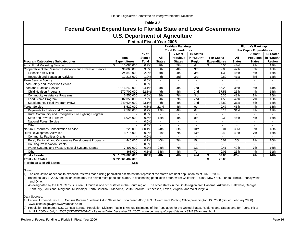| Table 3-2                                                                                                                                                                                       |                                                             |           |                                 |                            |                          |             |        |                            |                          |  |  |  |  |
|-------------------------------------------------------------------------------------------------------------------------------------------------------------------------------------------------|-------------------------------------------------------------|-----------|---------------------------------|----------------------------|--------------------------|-------------|--------|----------------------------|--------------------------|--|--|--|--|
|                                                                                                                                                                                                 |                                                             |           |                                 |                            |                          |             |        |                            |                          |  |  |  |  |
| <b>Federal Grant Expenditures to Florida State and Local Governments</b>                                                                                                                        |                                                             |           |                                 |                            |                          |             |        |                            |                          |  |  |  |  |
|                                                                                                                                                                                                 | <b>U.S. Department of Agriculture</b>                       |           |                                 |                            |                          |             |        |                            |                          |  |  |  |  |
|                                                                                                                                                                                                 |                                                             |           | <b>Federal Fiscal Year 2006</b> |                            |                          |             |        |                            |                          |  |  |  |  |
|                                                                                                                                                                                                 |                                                             |           |                                 | <b>Florida's Rankings:</b> |                          |             |        | <b>Florida's Rankings:</b> |                          |  |  |  |  |
|                                                                                                                                                                                                 | <b>Per Capita Expenditures</b><br><b>Total Expenditures</b> |           |                                 |                            |                          |             |        |                            |                          |  |  |  |  |
| $%$ of<br>7 Most<br>7 Most<br><b>16 States</b><br><b>16 States</b>                                                                                                                              |                                                             |           |                                 |                            |                          |             |        |                            |                          |  |  |  |  |
| in "South"<br>in "South"<br>State's<br>All<br><b>Populous</b><br>Total<br>All<br><b>Populous</b><br>Per Capita                                                                                  |                                                             |           |                                 |                            |                          |             |        |                            |                          |  |  |  |  |
| <b>Expenditures</b><br><b>Total</b><br><b>States</b><br><b>Expenditures</b><br><b>Program Categories / Subcategories</b><br><b>States</b><br>Region<br><b>States</b><br><b>States</b><br>Region |                                                             |           |                                 |                            |                          |             |        |                            |                          |  |  |  |  |
| <b>Agricultural Marketing Service</b>                                                                                                                                                           | 10,085,000<br>\$.                                           | 0.9%      | 9th                             | 5th                        | 4th                      | \$<br>0.56  | 43rd   | 7th                        | 13th                     |  |  |  |  |
| Cooperative State Research Education and Extension Service                                                                                                                                      | 36,063,000                                                  | 3.3%      | 5th                             | 4th                        | 3rd                      | 2.00        | 47th   | 5th                        | 16th                     |  |  |  |  |
| <b>Extension Activities</b>                                                                                                                                                                     | 24,848,000                                                  | 2.3%      | 7th                             | 4th                        | 3rd                      | 1.38        | 46th   | 6th                        | 16th                     |  |  |  |  |
| Research and Education Activities                                                                                                                                                               | 11,215,000                                                  | 1.0%      | 4th                             | 3rd                        | 3rd                      | 0.62        | 41st   | 3rd                        | 12th                     |  |  |  |  |
| Farm Service Agency                                                                                                                                                                             |                                                             | 0.0%      |                                 | $\blacksquare$             | $\overline{\phantom{a}}$ |             |        | $\overline{\phantom{a}}$   | $\overline{\phantom{a}}$ |  |  |  |  |
| Food Safety and Inspection Service                                                                                                                                                              |                                                             | 0.0%      | $\sim$                          | $\blacksquare$             | $\blacksquare$           |             | $\sim$ | $\blacksquare$             |                          |  |  |  |  |
| <b>Food and Nutrition Service</b>                                                                                                                                                               | 1.016.242.000                                               | 94.1%     | 4th                             | 4th                        | 2 <sub>nd</sub>          | 56.28       | 36th   | 6th                        | 14th                     |  |  |  |  |
| <b>Child Nutrition Programs</b>                                                                                                                                                                 | 677,709,000                                                 | 62.8%     | 4th                             | 4th                        | 2 <sub>nd</sub>          | 37.53       | 25th   | 4th                        | 14th                     |  |  |  |  |
| <b>Commodity Assistance Programs</b>                                                                                                                                                            | 6.556.000                                                   | 0.6%      | 9th                             | 7th                        | 3rd                      | 0.36        | 48th   | 7th                        | 15th                     |  |  |  |  |
| Food Stamp Program                                                                                                                                                                              | 82,353,000                                                  | 7.6%      | 9th                             | 7th                        | 2 <sub>nd</sub>          | 4.56        | 49th   | 7th                        | 16th                     |  |  |  |  |
| Supplemental Food Program (WIC)                                                                                                                                                                 | 249,624,000                                                 | 23.1%     | 4th                             | 4th                        | 2nd                      | 13.82       | 31st   | 6th                        | 13 <sub>th</sub>         |  |  |  |  |
| <b>Forest Service</b>                                                                                                                                                                           | 8,529,000                                                   | 0.8%      | 22 <sub>nd</sub>                | 4th                        | 9th                      | 0.47        | 45th   | 4th                        | 15th                     |  |  |  |  |
| Payments to States and Counties                                                                                                                                                                 | 2,504,000                                                   | 0.2%      | 19th                            | 4th                        | 6th                      | 0.14        | 31st   | 4th                        | 11th                     |  |  |  |  |
| Rural Community and Emergency Fire Fighting Program                                                                                                                                             |                                                             | 0.0%      |                                 |                            |                          |             |        |                            |                          |  |  |  |  |
| <b>State and Private Forestry</b>                                                                                                                                                               | 6,025,000                                                   | 0.6%      | 18th                            | 4th                        | 8th                      | 0.33        | 46th   | 4th                        | 16th                     |  |  |  |  |
| <b>National Forest Service</b>                                                                                                                                                                  |                                                             | 0.0%      |                                 | $\blacksquare$             |                          |             |        | $\overline{\phantom{a}}$   |                          |  |  |  |  |
| Other                                                                                                                                                                                           |                                                             | 0.0%      |                                 |                            |                          |             |        |                            |                          |  |  |  |  |
| <b>Natural Resources Conservation Service</b>                                                                                                                                                   | 226.000                                                     | $< 0.1\%$ | 24th                            | 5th                        | 10th                     | 0.01        | 33rd   | 5th                        | 13 <sub>th</sub>         |  |  |  |  |
| <b>Rural Development Activities</b>                                                                                                                                                             | 8,715,000                                                   | 0.8%      | 31st                            | $\overline{7}$ th          | 13 <sub>th</sub>         | 0.48        | 49th   | 7th                        | 16th                     |  |  |  |  |
| <b>Community Facilities Grants</b>                                                                                                                                                              |                                                             | 0.0%      |                                 | $\sim$                     |                          |             |        | $\sim$                     |                          |  |  |  |  |
| Rural, Regional, and Cooperative Development Programs                                                                                                                                           | 445,000                                                     | $< 0.1\%$ | 40th                            | 7th                        | 15th                     | 0.02        | 50t    | 7th                        | 16th                     |  |  |  |  |
| <b>Housing Preservation Grants</b>                                                                                                                                                              |                                                             | 0.0%      |                                 | $\sim$                     | $\sim$                   | $\sim$      | $\sim$ | $\overline{\phantom{a}}$   | $\overline{\phantom{a}}$ |  |  |  |  |
| Water Systems and Waste Disposal Systems Grants                                                                                                                                                 | 7.407.000                                                   | 0.7%      | 28th                            | 7th                        | 13th                     | 0.41        | 49th   | 7th                        | 16th                     |  |  |  |  |
| Other                                                                                                                                                                                           | 863,000                                                     | 0.1%      | 14th                            | 4th                        | 7th                      | 0.05        | 26th   | 4th                        | 11th                     |  |  |  |  |
| <b>Total - Florida</b>                                                                                                                                                                          | 1,079,860,000<br>S                                          | 100%      | 4th                             | 4th                        | 2nd                      | 59.80<br>\$ | 42nd   | 7th                        | 14th                     |  |  |  |  |
| <b>Total - All States</b>                                                                                                                                                                       | \$22,661,482,000                                            |           |                                 |                            |                          | \$<br>76.00 |        |                            |                          |  |  |  |  |
| Florida as % of All States                                                                                                                                                                      | 4.8%                                                        |           |                                 |                            |                          |             |        |                            |                          |  |  |  |  |

Notes:

1) The calculation of per capita expenditures was made using population estimates that represent the state's resident population as of July 1, 2006.

2) Based on July 1, 2006 population estimates, the seven most populous states, in descending population order, were: California, Texas, New York, Florida, Illinois, Pennsylvania, and Ohio.

3) As designated by the U.S. Census Bureau, Florida is one of 16 states in the South region. The other states in the South region are: Alabama, Arkansas, Delaware, Georgia, Kentucky, Louisiana, Maryland, Mississippi, North Carolina, Oklahoma, South Carolina, Tennessee, Texas, Virginia, and West Virginia.

Data Sources:

1) Federal Expenditures: U.S. Census Bureau, "Federal Aid to States for Fiscal Year 2006," U.S. Government Printing Office, Washington, DC 2008 (Issued February 2008). www.census.gov/prod/www/abs/fas.html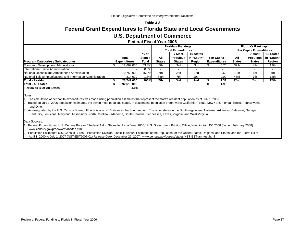### **Table 3-3U.S. Department of Commerce Federal Grant Expenditures to Florida State and Local Governments**

#### **Federal Fiscal Year 2006**

|                                                            |                     |         |               | <b>Florida's Rankings:</b> |                  |  |                     |                                | <b>Florida's Rankings:</b> |            |
|------------------------------------------------------------|---------------------|---------|---------------|----------------------------|------------------|--|---------------------|--------------------------------|----------------------------|------------|
|                                                            |                     |         |               | <b>Total Expenditures</b>  |                  |  |                     | <b>Per Capita Expenditures</b> |                            |            |
|                                                            |                     | $%$ of  |               | 7 Most                     | <b>16 States</b> |  |                     |                                | 7 Most                     | 16 States  |
|                                                            | Total               | State's | All           | <b>Populous</b>            | in "South"       |  | <b>Per Capita</b>   | All                            | <b>Populous</b>            | in "South" |
| <b>Program Categories / Subcategories</b>                  | <b>Expenditures</b> | Total   | <b>States</b> | <b>States</b>              | Region           |  | <b>Expenditures</b> | <b>States</b>                  | <b>States</b>              | Region     |
| Economic Development Administration                        | 12,669,000          | 53.4%   | 5th           | 3rd                        | 3rd              |  | 0.70                | 37th                           | 4th                        | 13th       |
| International Trade Administration                         |                     | 0.0%    |               |                            |                  |  |                     |                                |                            |            |
| National Oceanic and Atmospheric Administation             | 10,759,000          | 45.3%   | 6th           | 2 <sub>nd</sub>            | 2nd              |  | 0.60                | 19th                           | 1st                        | 7th        |
| National Telecommunications and Information Administration | 314,000             | .3%     | 35th          | 7th                        | 10th             |  | 0.02                | 43rd                           | 7th                        | 12th       |
| Total - Florida                                            | 23,742,000          | 100%    | 7th           | 3rd                        | 2nd              |  | 1.31                | 32nd                           | 2nd                        | 12th       |
| <b>Total - All States</b>                                  | 592,616,000         |         |               |                            |                  |  | 1.99                |                                |                            |            |
| Florida as % of All States                                 | 4.0%                |         |               |                            |                  |  |                     |                                |                            |            |

Notes:

1) The calculation of per capita expenditures was made using population estimates that represent the state's resident population as of July 1, 2006.

2) Based on July 1, 2006 population estimates, the seven most populous states, in descending population order, were: California, Texas, New York, Florida, Illinois, Pennsylvania, and Ohio.

3) As designated by the U.S. Census Bureau, Florida is one of 16 states in the South region. The other states in the South region are: Alabama, Arkansas, Delaware, Georgia, Kentucky, Louisiana, Maryland, Mississippi, North Carolina, Oklahoma, South Carolina, Tennessee, Texas, Virginia, and West Virginia.

Data Sources:

1) Federal Expenditures: U.S. Census Bureau, "Federal Aid to States for Fiscal Year 2006," U.S. Government Printing Office, Washington, DC 2008 (Issued February 2008). www.census.gov/prod/www/abs/fas.html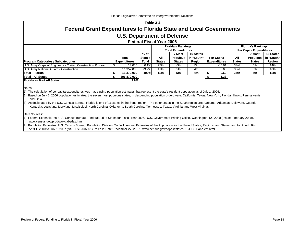### **Table 3-4U.S. Department of Defense Federal Grant Expenditures to Florida State and Local Governments**

#### **Federal Fiscal Year 2006**

|                                                              | <b>Florida's Rankings:</b><br><b>Total Expenditures</b> |                          |                      |                                            |                                   |  | <b>Florida's Rankings:</b><br><b>Per Capita Expenditures</b> |                      |                                            |                                   |
|--------------------------------------------------------------|---------------------------------------------------------|--------------------------|----------------------|--------------------------------------------|-----------------------------------|--|--------------------------------------------------------------|----------------------|--------------------------------------------|-----------------------------------|
| <b>Program Categories / Subcategories</b>                    | Total<br><b>Expenditures</b>                            | % of<br>State's<br>Total | All<br><b>States</b> | 7 Most<br><b>Populous</b><br><b>States</b> | 16 States<br>in "South"<br>Region |  | <b>Per Capita</b><br><b>Expenditures</b>                     | All<br><b>States</b> | 7 Most<br><b>Populous</b><br><b>States</b> | 16 States<br>in "South"<br>Region |
| U.S. Army Corps of Engineers - Civilian Construction Program | 13.000                                                  | 0.1%                     | 27th                 | 6th                                        | 13th                              |  | < 0.01                                                       | 33rd                 | 6th                                        | 14th                              |
| U.S. Army National Guard - Construction                      | 11.357.000                                              | 99.9%                    | 11 <sub>th</sub>     | 5th                                        | 4th                               |  | 0.63                                                         | 33rd                 | 6th                                        | 10th                              |
| Total - Florida                                              | 11.370.000                                              | 100%                     | 11 <sub>th</sub>     | 5th                                        | 4th                               |  | 0.63                                                         | 34th                 | 6th                                        | 11th                              |
| Total - All States                                           | 396.879.000                                             |                          |                      |                                            |                                   |  | 1.33                                                         |                      |                                            |                                   |
| Florida as % of All States                                   | 2.9%                                                    |                          |                      |                                            |                                   |  |                                                              |                      |                                            |                                   |

Notes:

1) The calculation of per capita expenditures was made using population estimates that represent the state's resident population as of July 1, 2006.

2) Based on July 1, 2006 population estimates, the seven most populous states, in descending population order, were: California, Texas, New York, Florida, Illinois, Pennsylvania, and Ohio.

3) As designated by the U.S. Census Bureau, Florida is one of 16 states in the South region. The other states in the South region are: Alabama, Arkansas, Delaware, Georgia, Kentucky, Louisiana, Maryland, Mississippi, North Carolina, Oklahoma, South Carolina, Tennessee, Texas, Virginia, and West Virginia.

Data Sources:

1) Federal Expenditures: U.S. Census Bureau, "Federal Aid to States for Fiscal Year 2006," U.S. Government Printing Office, Washington, DC 2008 (Issued February 2008). www.census.gov/prod/www/abs/fas.html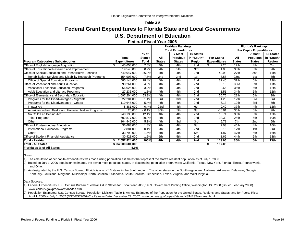|                                                                                                                                                                                                 | Table 3-5                           |        |                  |                            |     |              |                  |                            |                  |  |  |  |  |
|-------------------------------------------------------------------------------------------------------------------------------------------------------------------------------------------------|-------------------------------------|--------|------------------|----------------------------|-----|--------------|------------------|----------------------------|------------------|--|--|--|--|
|                                                                                                                                                                                                 |                                     |        |                  |                            |     |              |                  |                            |                  |  |  |  |  |
| <b>Federal Grant Expenditures to Florida State and Local Governments</b>                                                                                                                        |                                     |        |                  |                            |     |              |                  |                            |                  |  |  |  |  |
|                                                                                                                                                                                                 | <b>U.S. Department of Education</b> |        |                  |                            |     |              |                  |                            |                  |  |  |  |  |
| <b>Federal Fiscal Year 2006</b>                                                                                                                                                                 |                                     |        |                  |                            |     |              |                  |                            |                  |  |  |  |  |
|                                                                                                                                                                                                 |                                     |        |                  | <b>Florida's Rankings:</b> |     |              |                  | <b>Florida's Rankings:</b> |                  |  |  |  |  |
| <b>Total Expenditures</b><br><b>Per Capita Expenditures</b>                                                                                                                                     |                                     |        |                  |                            |     |              |                  |                            |                  |  |  |  |  |
| $%$ of<br>7 Most<br><b>16 States</b><br>7 Most<br><b>16 States</b>                                                                                                                              |                                     |        |                  |                            |     |              |                  |                            |                  |  |  |  |  |
| in "South"<br>in "South"<br>Total<br>State's<br>All<br><b>Populous</b><br><b>Per Capita</b><br>All<br><b>Populous</b>                                                                           |                                     |        |                  |                            |     |              |                  |                            |                  |  |  |  |  |
| <b>Program Categories / Subcategories</b><br><b>Expenditures</b><br><b>Total</b><br><b>States</b><br><b>States</b><br><b>Expenditures</b><br><b>States</b><br><b>States</b><br>Region<br>Region |                                     |        |                  |                            |     |              |                  |                            |                  |  |  |  |  |
| Office of English Language Acquisition                                                                                                                                                          | \$<br>40,658,000                    | 2.0%   | 4th              | 4th                        | 2nd | \$<br>2.25   | 12 <sub>th</sub> | 4th                        | 2nd              |  |  |  |  |
| Office of Educational Research and Improvement                                                                                                                                                  | 19,543,000                          | 0.9%   | 7th              | 5th                        | 3rd | 1.08         | 30th             | 5th                        | 9 <sub>th</sub>  |  |  |  |  |
| Office of Special Education and Rehabilitative Services                                                                                                                                         | 740,047,000                         | 36.0%  | 4th              | 4th                        | 2nd | 40.98        | 27th             | 2 <sub>nd</sub>            | 11th             |  |  |  |  |
| Rehabilitation Services and Disability Research Programs                                                                                                                                        | 154,903,000                         | 7.5%   | 2nd              | 2nd                        | 1st | 8.58         | 22 <sub>nd</sub> | 1st                        | 8th              |  |  |  |  |
| 28.4%<br>4th<br>4th<br>37th<br>6th<br>13th<br>Office of Special Education Programs<br>585,144,000<br>2 <sub>nd</sub><br>32.40                                                                   |                                     |        |                  |                            |     |              |                  |                            |                  |  |  |  |  |
| Office of Vocational and Adult Education                                                                                                                                                        | 93,261,000                          | 4.5%   | 4th              | 4th                        | 2nd | 5.16         | 33rd             | 6th                        | 11th             |  |  |  |  |
| <b>Vocational Technical Education Programs</b>                                                                                                                                                  | 66,026,000                          | 3.2%   | 4th              | 4th                        | 2nd | 3.66         | 35th             | 6th                        | 12th             |  |  |  |  |
| <b>Adult Education and Literacy Programs</b>                                                                                                                                                    | 27,235,000                          | 1.3%   | 4th              | 4th                        | 2nd | 1.51         | 34th             | 6th                        | 12th             |  |  |  |  |
| Office of Elementary and Secondary Education                                                                                                                                                    | 1,097,204,000                       | 53.3%  | 4th              | 4th                        | 2nd | 60.76        | 28th             | 6th                        | 9th              |  |  |  |  |
| Programs for the Disadvantaged - Migrants                                                                                                                                                       | 22,201,000                          | 1.1%   | $\overline{3rd}$ | 3rd                        | 2nd | 1.23         | 12th             | 3rd                        | 3rd              |  |  |  |  |
| Programs for the Disadvantaged - Others                                                                                                                                                         | 110,645,000                         | 5.4%   | 4th              | 4th                        | 2nd | 6.13         | 12th             | 3rd                        | 6th              |  |  |  |  |
| Impact Aid                                                                                                                                                                                      | 8,881,000                           | 0.4%   | 23rd             | 4th                        | 6th | 0.49         | 37th             | 4th                        | 12 <sub>th</sub> |  |  |  |  |
| American Indian, Alaska and Hawaiian Native Programs                                                                                                                                            | 25,000                              | < 0.1% | 36th             | 5th                        | 9th | < 0.01       | 36th             | 5th                        | 9th              |  |  |  |  |
| No Child Left Behind Act                                                                                                                                                                        | 248,130,000                         | 12.1%  | 4th              | 4th                        | 2nd | 13.74        | 35th             | 5th                        | 12th             |  |  |  |  |
| Title I Programs                                                                                                                                                                                | 602,877,000                         | 29.3%  | 4th              | 4th                        | 2nd | 33.39        | 25th             | 6th                        | 10th             |  |  |  |  |
| Other                                                                                                                                                                                           | 104,445,000                         | 5.1%   | 4th              | 3rd                        | 3rd | 5.78         | 7th              | 2 <sub>nd</sub>            | 5th              |  |  |  |  |
| Office of Postsecondary Education                                                                                                                                                               | 36,683,000                          | 1.8%   | 7th              | 4th                        | 5th | 2.03         | 46th             | 4th                        | 16th             |  |  |  |  |
| <b>International Education Programs</b>                                                                                                                                                         | 2.884.000                           | 0.1%   | 7th              | 4th                        | 2nd | 0.16         | 17th             | 4th                        | 3rd              |  |  |  |  |
| Other                                                                                                                                                                                           | 33,799,000                          | 1.6%   | 7th              | 4th                        | 5th | 1.87         | 47th             | 5th                        | 16th             |  |  |  |  |
| Office of Student Financial Assistance                                                                                                                                                          | 30,428,000                          | 1.5%   | 5th              | 5th                        | 2nd | 1.69         | 44th             | 6th                        | 13th             |  |  |  |  |
| <b>Total - Florida</b>                                                                                                                                                                          | \$2,057,824,000                     | 100%   | 4th              | 4th                        | 2nd | \$<br>113.96 | 35th             | 5th                        | 13 <sub>th</sub> |  |  |  |  |
| <b>Total - All States</b>                                                                                                                                                                       | \$34,900,601,000                    |        |                  |                            |     | \$<br>117.05 |                  |                            |                  |  |  |  |  |
| Florida as % of All States                                                                                                                                                                      | 5.9%                                |        |                  |                            |     |              |                  |                            |                  |  |  |  |  |

Notes:

1) The calculation of per capita expenditures was made using population estimates that represent the state's resident population as of July 1, 2006.

2) Based on July 1, 2006 population estimates, the seven most populous states, in descending population order, were: California, Texas, New York, Florida, Illinois, Pennsylvania, and Ohio.

3) As designated by the U.S. Census Bureau, Florida is one of 16 states in the South region. The other states in the South region are: Alabama, Arkansas, Delaware, Georgia, Kentucky, Louisiana, Maryland, Mississippi, North Carolina, Oklahoma, South Carolina, Tennessee, Texas, Virginia, and West Virginia.

Data Sources:

1) Federal Expenditures: U.S. Census Bureau, "Federal Aid to States for Fiscal Year 2006," U.S. Government Printing Office, Washington, DC 2008 (Issued February 2008). www.census.gov/prod/www/abs/fas.html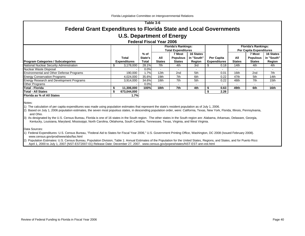## **Table 3-6U.S. Department of Energy Federal Grant Expenditures to Florida State and Local Governments**

#### **Federal Fiscal Year 2006**

|                                                 |                              |                            |                      | <b>Florida's Rankings:</b><br><b>Total Expenditures</b> |                                          |  |                                   |                      | <b>Florida's Rankings:</b><br><b>Per Capita Expenditures</b> |                                   |
|-------------------------------------------------|------------------------------|----------------------------|----------------------|---------------------------------------------------------|------------------------------------------|--|-----------------------------------|----------------------|--------------------------------------------------------------|-----------------------------------|
| <b>Program Categories / Subcategories</b>       | Total<br><b>Expenditures</b> | $%$ of<br>State's<br>Total | All<br><b>States</b> | 7 Most<br><b>Populous</b><br><b>States</b>              | <b>16 States</b><br>in "South"<br>Region |  | Per Capita<br><b>Expenditures</b> | All<br><b>States</b> | 7 Most<br><b>Populous</b><br><b>States</b>                   | 16 States<br>in "South"<br>Region |
| National Nuclear Security Administration        | 3.178.000                    | 28.1%                      | 7th                  | 4th                                                     | 3rd                                      |  | 0.18                              | 14th                 | 4th                                                          | 4th                               |
| Nuclear Waste Disposal                          |                              | 0.0%                       |                      | $\overline{\phantom{a}}$                                | $\overline{\phantom{a}}$                 |  |                                   |                      | $\overline{\phantom{a}}$                                     |                                   |
| <b>Environmental and Other Defense Programs</b> | 190,000                      | 1.7%                       | 12 <sub>th</sub>     | 2 <sub>nd</sub>                                         | 5th                                      |  | 0.01                              | 16th                 | 2 <sub>nd</sub>                                              | 7th                               |
| <b>Energy Conservation Programs</b>             | 4,024,000                    | 35.6%                      | 19th                 | 7th                                                     | 6th                                      |  | 0.22                              | 47th                 | 5th                                                          | 14th                              |
| <b>Energy Research and Development Programs</b> | 3,914,000                    | 34.6%                      | 18th                 | 7th                                                     | 5th                                      |  | 0.22                              | 48th                 | 7th                                                          | 15th                              |
| Other Programs                                  |                              | 0.0%                       |                      |                                                         | ٠                                        |  |                                   |                      | -                                                            |                                   |
| <b>Total - Florida</b>                          | 11.306.000                   | 100%                       | 18th                 | 7th                                                     | 4th                                      |  | 0.63                              | 49th                 | 6th                                                          | 16th                              |
| <b>Total - All States</b>                       | 673,044,000                  |                            |                      |                                                         |                                          |  | 2.26                              |                      |                                                              |                                   |
| Florida as % of All States                      | 1.7%                         |                            |                      |                                                         |                                          |  |                                   |                      |                                                              |                                   |

Notes:

1) The calculation of per capita expenditures was made using population estimates that represent the state's resident population as of July 1, 2006.

2) Based on July 1, 2006 population estimates, the seven most populous states, in descending population order, were: California, Texas, New York, Florida, Illinois, Pennsylvania, and Ohio.

3) As designated by the U.S. Census Bureau, Florida is one of 16 states in the South region. The other states in the South region are: Alabama, Arkansas, Delaware, Georgia, Kentucky, Louisiana, Maryland, Mississippi, North Carolina, Oklahoma, South Carolina, Tennessee, Texas, Virginia, and West Virginia.

Data Sources:

1) Federal Expenditures: U.S. Census Bureau, "Federal Aid to States for Fiscal Year 2006," U.S. Government Printing Office, Washington, DC 2008 (Issued February 2008). www.census.gov/prod/www/abs/fas.html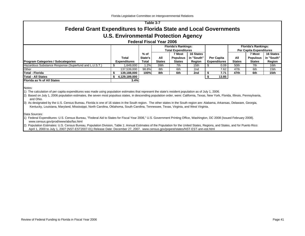# **U.S. Environmental Protection Agency Federal Grant Expenditures to Florida State and Local Governments**

#### **Federal Fiscal Year 2006**

|                                                       |                     |                 | <b>Florida's Rankings:</b><br><b>Total Expenditures</b> |                           |                                |                     |               | <b>Florida's Rankings:</b><br><b>Per Capita Expenditures</b> |                         |
|-------------------------------------------------------|---------------------|-----------------|---------------------------------------------------------|---------------------------|--------------------------------|---------------------|---------------|--------------------------------------------------------------|-------------------------|
|                                                       | Total               | % of<br>State's | All                                                     | 7 Most<br><b>Populous</b> | <b>16 States</b><br>in "South" | Per Capita          | All           | 7 Most<br><b>Populous</b>                                    | 16 States<br>in "South" |
| <b>Program Categories / Subcategories</b>             | <b>Expenditures</b> | Total           | <b>States</b>                                           | <b>States</b>             | Region                         | <b>Expenditures</b> | <b>States</b> | <b>States</b>                                                | Region                  |
| Hazardous Substance Response (Superfund and L.U.S.T.) | 1.649.000           | .2%             | 39th                                                    | 7th                       | 15th                           | 0.09                | 50th          | 7th                                                          | 16th                    |
| Other                                                 | 137.539.000         | 98.8%           | 8th                                                     | 6th                       | 2nd                            | 7.62                | 47th          | 6th                                                          | 15th                    |
| Total - Florida                                       | 139.188.000         | 100%            | 8th                                                     | 6th                       | 2nd                            | 7.71                | 47th          | 6th                                                          | 15th                    |
| Total - All States                                    | 4,129,189,000       |                 |                                                         |                           |                                | 13.85               |               |                                                              |                         |
| <b>IFlorida as % of All States</b>                    | 3.4%                |                 |                                                         |                           |                                |                     |               |                                                              |                         |

Notes:

1) The calculation of per capita expenditures was made using population estimates that represent the state's resident population as of July 1, 2006.

2) Based on July 1, 2006 population estimates, the seven most populous states, in descending population order, were: California, Texas, New York, Florida, Illinois, Pennsylvania, and Ohio.

3) As designated by the U.S. Census Bureau, Florida is one of 16 states in the South region. The other states in the South region are: Alabama, Arkansas, Delaware, Georgia, Kentucky, Louisiana, Maryland, Mississippi, North Carolina, Oklahoma, South Carolina, Tennessee, Texas, Virginia, and West Virginia.

Data Sources:

1) Federal Expenditures: U.S. Census Bureau, "Federal Aid to States for Fiscal Year 2006," U.S. Government Printing Office, Washington, DC 2008 (Issued February 2008). www.census.gov/prod/www/abs/fas.html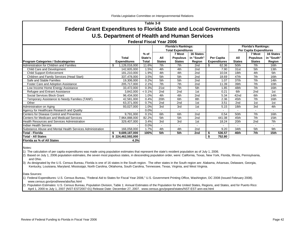### **Table 3-8U.S. Department of Health and Human Services Federal Grant Expenditures to Florida State and Local Governments**

#### **Federal Fiscal Year 2006**

|                                                           |                     |              |                 |                            |                 |                     |                            | 1 GUGLAH 1 1964 1 GUGLADO 0    |                          |  |  |  |  |  |  |  |  |  |  |  |  |
|-----------------------------------------------------------|---------------------|--------------|-----------------|----------------------------|-----------------|---------------------|----------------------------|--------------------------------|--------------------------|--|--|--|--|--|--|--|--|--|--|--|--|
|                                                           |                     |              |                 | <b>Florida's Rankings:</b> |                 |                     | <b>Florida's Rankings:</b> |                                |                          |  |  |  |  |  |  |  |  |  |  |  |  |
|                                                           |                     |              |                 | <b>Total Expenditures</b>  |                 |                     |                            | <b>Per Capita Expenditures</b> |                          |  |  |  |  |  |  |  |  |  |  |  |  |
|                                                           |                     | $%$ of       |                 | 7 Most                     | 16 States       |                     |                            | 7 Most                         | 16 States                |  |  |  |  |  |  |  |  |  |  |  |  |
|                                                           | Total               | State's      | All             | <b>Populous</b>            | in "South"      | Per Capita          | All                        | <b>Populous</b>                | in "South"               |  |  |  |  |  |  |  |  |  |  |  |  |
| <b>Program Categories / Subcategories</b>                 | <b>Expenditures</b> | <b>Total</b> | <b>States</b>   | <b>States</b>              | Region          | <b>Expenditures</b> | <b>States</b>              | <b>States</b>                  | Region                   |  |  |  |  |  |  |  |  |  |  |  |  |
| Administration for Children and Families                  | 1,126,016,000<br>\$ | 11.6%        | 7th             | 7th                        | 2 <sub>nd</sub> | \$<br>62.36         | 50th                       | 7th                            | 16th                     |  |  |  |  |  |  |  |  |  |  |  |  |
| Child Care and Development                                | 142,605,000         | 1.5%         | 4th             | 4th                        | 2 <sub>nd</sub> | 7.90                | 31st                       | 5th                            | 13th                     |  |  |  |  |  |  |  |  |  |  |  |  |
| <b>Child Support Enforcement</b>                          | 181,210,000         | 1.9%         | 4th             | 4th                        | 2nd             | 10.04               | 18th                       | 4th                            | 5th                      |  |  |  |  |  |  |  |  |  |  |  |  |
| Children and Family Services (Head Start)                 | 337,478,000         | 3.5%         | 5th             | 5th                        | 2nd             | 18.69               | 47th                       | 7th                            | 16th                     |  |  |  |  |  |  |  |  |  |  |  |  |
| Safe and Stable Families                                  | 19,306,000          | 0.2%         | 5th             | 5th                        | 2 <sub>nd</sub> | 1.07                | 37th                       | 7th                            | 14th                     |  |  |  |  |  |  |  |  |  |  |  |  |
| Foster Care and Adoption Assistance                       | 205,717,000         | 2.1%         | 7th             | 7th                        | 2 <sub>nd</sub> | 11.39               | 39th                       | 7th                            | 10th                     |  |  |  |  |  |  |  |  |  |  |  |  |
| Low Income Home Energy Assistance                         | 33,472,000          | 0.3%         | 21st            | 7th                        | 5th             | 1.85                | 48th                       | 7th                            | 16th                     |  |  |  |  |  |  |  |  |  |  |  |  |
| Refugee and Entrant Assistance                            | 3,842,000           | $< 0.1\%$    | 2 <sub>nd</sub> | 2 <sub>nd</sub>            | 1st             | 0.21                | 6th                        | 2nd                            | 1st                      |  |  |  |  |  |  |  |  |  |  |  |  |
| Social Services Block Grant                               | 96,434,000          | 1.0%         | 4th             | 4th                        | 2 <sub>nd</sub> | 5.34                | 42nd                       | 6th                            | 14th                     |  |  |  |  |  |  |  |  |  |  |  |  |
| Temporary Assistance to Needy Families (TANF)             | 42,581,000          | 0.4%         | 20th            | 6th                        | 8th             | 2.36                | 45th                       | 7th                            | 16th                     |  |  |  |  |  |  |  |  |  |  |  |  |
| Other                                                     | 63,371,000          | 0.7%         | 2 <sub>nd</sub> | 2nd                        | 1st             | 3.51                | 2 <sub>nd</sub>            | 1st                            | 1st                      |  |  |  |  |  |  |  |  |  |  |  |  |
| Administration on Aging                                   | 93,027,000          | 1.0%         | 3rd             | 3rd                        | 1st             | 5.15                | 18th                       | 3rd                            | 4th                      |  |  |  |  |  |  |  |  |  |  |  |  |
| Agency for Healthcare Research and Quality                |                     | 0.0%         |                 |                            |                 |                     |                            |                                |                          |  |  |  |  |  |  |  |  |  |  |  |  |
| Centers for Disease Control and Prevention                | 9,791,000           | 0.1%         | 6th             | 6th                        | 2nd             | 0.54                | 50th                       | 7th                            | 16th                     |  |  |  |  |  |  |  |  |  |  |  |  |
| Centers for Medicare and Medicaid Services                | 7,964,888,000       | 82.2%        | 5th             | 5th                        | 2nd             | 441.08              | 45th                       | 7th                            | 15th                     |  |  |  |  |  |  |  |  |  |  |  |  |
| <b>Health Resources and Services Administration</b>       | 329,407,000         | 3.4%         | 3rd             | 3rd                        | 1st             | 18.24               | 20th                       | 2nd                            | 7th                      |  |  |  |  |  |  |  |  |  |  |  |  |
| <b>Indian Health Service</b>                              |                     | 0.0%         | $\blacksquare$  | $\blacksquare$             |                 |                     |                            | $\blacksquare$                 | $\overline{\phantom{a}}$ |  |  |  |  |  |  |  |  |  |  |  |  |
| Substance Abuse and Mental Health Services Administration | 166,058,000         | 1.7%         | 4th             | 4th                        | 2nd             | 9.20                | 34th                       | 5th                            | 9th                      |  |  |  |  |  |  |  |  |  |  |  |  |
| Total - Florida                                           | 9,689,187,000       | 100%         | 5th             | 5th                        | 2nd             | 536.57              | 46th                       | 7th                            | 15th                     |  |  |  |  |  |  |  |  |  |  |  |  |
| <b>Total - All States</b>                                 | 224,462,592,000     |              |                 |                            |                 | \$<br>752.80        |                            |                                |                          |  |  |  |  |  |  |  |  |  |  |  |  |
| Florida as % of All States                                | 4.3%                |              |                 |                            |                 |                     |                            |                                |                          |  |  |  |  |  |  |  |  |  |  |  |  |

Notes:

1) The calculation of per capita expenditures was made using population estimates that represent the state's resident population as of July 1, 2006.

2) Based on July 1, 2006 population estimates, the seven most populous states, in descending population order, were: California, Texas, New York, Florida, Illinois, Pennsylvania, and Ohio.

3) As designated by the U.S. Census Bureau, Florida is one of 16 states in the South region. The other states in the South region are: Alabama, Arkansas, Delaware, Georgia, Kentucky, Louisiana, Maryland, Mississippi, North Carolina, Oklahoma, South Carolina, Tennessee, Texas, Virginia, and West Virginia.

#### Data Sources:

1) Federal Expenditures: U.S. Census Bureau, "Federal Aid to States for Fiscal Year 2006," U.S. Government Printing Office, Washington, DC 2008 (Issued February 2008). www.census.gov/prod/www/abs/fas.html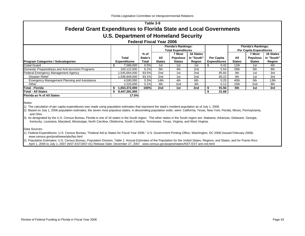### **Table 3-9U.S. Department of Homeland Security Federal Grant Expenditures to Florida State and Local Governments**

#### **Federal Fiscal Year 2006**

|                                                   |                              |                            | <b>Florida's Rankings:</b><br><b>Total Expenditures</b> |                                            |                                          |  |                                   | <b>Florida's Rankings:</b><br><b>Per Capita Expenditures</b> |                                            |                                   |
|---------------------------------------------------|------------------------------|----------------------------|---------------------------------------------------------|--------------------------------------------|------------------------------------------|--|-----------------------------------|--------------------------------------------------------------|--------------------------------------------|-----------------------------------|
| <b>Program Categories / Subcategories</b>         | Total<br><b>Expenditures</b> | $%$ of<br>State's<br>Total | All<br><b>States</b>                                    | 7 Most<br><b>Populous</b><br><b>States</b> | <b>16 States</b><br>in "South"<br>Region |  | Per Capita<br><b>Expenditures</b> | All<br><b>States</b>                                         | 7 Most<br><b>Populous</b><br><b>States</b> | 16 States<br>in "South"<br>Region |
| <b>Coast Guard</b>                                | 7.586.000                    | 0.5%                       | 1st                                                     | 1st                                        | 1st                                      |  | 0.42                              | 11th                                                         | 1st                                        | 4th                               |
| Domestic Preparedness and Anti-terrorism Programs | 100,122,000                  | 6.1%                       | 5th                                                     | 4th                                        | 2nd                                      |  | 5.54                              | 29th                                                         | 5th                                        | 8th                               |
| <b>Federal Emergency Management Agency</b>        | 1,545,664,000                | 93.5%                      | 2 <sub>nd</sub>                                         | 1st                                        | 2nd                                      |  | 85.60                             | 4th                                                          | 1st                                        | 3rd                               |
| Disaster Relief                                   | 1.538.849.000                | 93.1%                      | 2 <sub>nd</sub>                                         | 1st                                        | 2nd                                      |  | 85.22                             | 4th                                                          | 1st                                        | 3rd                               |
| Emergency Management Planning and Assistance      | 4,590,000                    | 0.3%                       | 14 <sub>th</sub>                                        | 4th                                        | 6th                                      |  | 0.25                              | 40th                                                         | 5th                                        | 13th                              |
| Other                                             | 2,225,000                    | 0.1%                       | 4th                                                     | 2 <sub>nd</sub>                            | 4th                                      |  | 0.12                              | 15th                                                         | 2 <sub>nd</sub>                            | 8th                               |
| Total - Florida                                   | .653,372,000                 | 100%                       | 2nd                                                     | 1st                                        | 2nd                                      |  | 91.56                             | 5th                                                          | 1st                                        | 3rd                               |
| Total - All States                                | 9,447,291,000                |                            |                                                         |                                            |                                          |  | 31.68                             |                                                              |                                            |                                   |
| <b>IFlorida as % of All States</b>                | 17.5%                        |                            |                                                         |                                            |                                          |  |                                   |                                                              |                                            |                                   |

Notes:

1) The calculation of per capita expenditures was made using population estimates that represent the state's resident population as of July 1, 2006.

2) Based on July 1, 2006 population estimates, the seven most populous states, in descending population order, were: California, Texas, New York, Florida, Illinois, Pennsylvania, and Ohio.

3) As designated by the U.S. Census Bureau, Florida is one of 16 states in the South region. The other states in the South region are: Alabama, Arkansas, Delaware, Georgia, Kentucky, Louisiana, Maryland, Mississippi, North Carolina, Oklahoma, South Carolina, Tennessee, Texas, Virginia, and West Virginia.

Data Sources:

1) Federal Expenditures: U.S. Census Bureau, "Federal Aid to States for Fiscal Year 2006," U.S. Government Printing Office, Washington, DC 2008 (Issued February 2008). www.census.gov/prod/www/abs/fas.html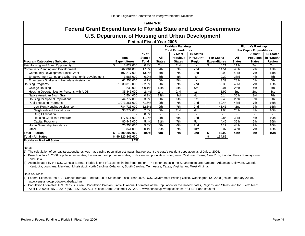### **Table 3-10U.S. Department of Housing and Urban Development Federal Grant Expenditures to Florida State and Local Governments**

#### **Federal Fiscal Year 2006**

|                                                         | 1 GUGLU 1 1900 1900 ZUVO |           |                 |                            |                  |                            |                 |                                |                          |  |  |  |  |
|---------------------------------------------------------|--------------------------|-----------|-----------------|----------------------------|------------------|----------------------------|-----------------|--------------------------------|--------------------------|--|--|--|--|
|                                                         |                          |           |                 | <b>Florida's Rankings:</b> |                  | <b>Florida's Rankings:</b> |                 |                                |                          |  |  |  |  |
|                                                         |                          |           |                 | <b>Total Expenditures</b>  |                  |                            |                 | <b>Per Capita Expenditures</b> |                          |  |  |  |  |
|                                                         |                          | $%$ of    |                 | 7 Most                     | <b>16 States</b> |                            |                 | 7 Most                         | 16 States                |  |  |  |  |
|                                                         | Total                    | State's   | All             | <b>Populous</b>            | in "South"       | Per Capita                 | All             | <b>Populous</b>                | in "South"               |  |  |  |  |
| <b>Program Categories / Subcategories</b>               | <b>Expenditures</b>      | Total     | <b>States</b>   | <b>States</b>              | Region           | <b>Expenditures</b>        | <b>States</b>   | <b>States</b>                  | Region                   |  |  |  |  |
| Fair Housing and Equal Opportunity                      | \$<br>3,827,000          | 0.3%      | 2 <sub>nd</sub> | 2 <sub>nd</sub>            | 1st              | \$<br>0.21                 | 11th            | 2nd                            | 2 <sub>nd</sub>          |  |  |  |  |
| Community Planning and Development                      | 262,061,000              | 17.5%     | 7th             | 7th                        | 2nd              | 14.51                      | 40th            | 7th                            | 12 <sub>th</sub>         |  |  |  |  |
| <b>Community Development Block Grant</b>                | 197,217,000              | 13.2%     | 7th             | 7th                        | 2nd              | 10.92                      | 43rd            | 7th                            | 14th                     |  |  |  |  |
| <b>Empowerment Zones and Other Economic Development</b> | 3,586,000                | 0.2%      | 8th             | 4th                        | 4th              | 0.20                       | 23rd            | 4th                            | 8th                      |  |  |  |  |
| <b>Emergency Shelter and Homeless Assistance</b>        | 61,258,000               | 4.1%      | 6th             | 5th                        | 1st              | 3.39                       | 28th            | 6th                            | 5th                      |  |  |  |  |
| <b>Housing Programs</b>                                 | 1,233,319,000            | 82.3%     | 9th             | 7th                        | 2 <sub>nd</sub>  | 68.30                      | 43rd            | 7th                            | 16th                     |  |  |  |  |
| College Housing                                         | 232,000                  | $< 0.1\%$ | 15th            | 5th                        | 6th              | 0.01                       | 25th            | 4th                            | 7th                      |  |  |  |  |
| Housing Opportunities for Persons with AIDS             | 35,846,000               | 2.4%      | 2nd             | 2nd                        | 1st              | 1.99                       | 2 <sub>nd</sub> | 2 <sub>nd</sub>                | 1st                      |  |  |  |  |
| Native American Block Grant                             | 2,504,000                | 0.2%      | 24th            | 3rd                        | 4th              | 0.14                       | 30th            | 3rd                            | 7th                      |  |  |  |  |
| <b>Housing for Special Populations</b>                  | 44,777,000               | 3.0%      | 5th             | 5th                        | 1st              | 2.48                       | 25th            | 5th                            | 6th                      |  |  |  |  |
| <b>Public Housing Programs</b>                          | 1,073,361,000            | 71.6%     | 9th             | 7th                        | 2 <sub>nd</sub>  | 59.44                      | 43rd            | 7th                            | 16th                     |  |  |  |  |
| Low Rent Housing Assistance                             | 784,726,000              | 52.3%     | 9th             | 7th                        | 2nd              | 43.46                      | 42nd            | 7th                            | 16th                     |  |  |  |  |
| Neighborhood Revitalization                             | 30,277,000               | 2.0%      | 5th             | 2nd                        | 4th              | 1.68                       | 20th            | 4th                            | 10th                     |  |  |  |  |
| Drug Elimination                                        |                          | 0.0%      |                 |                            | $\blacksquare$   |                            |                 |                                | $\overline{\phantom{a}}$ |  |  |  |  |
| <b>Housing Certificate Program</b>                      | 177,911,000              | 11.9%     | 9th             | 6th                        | 2nd              | 9.85                       | 33rd            | 6th                            | 10th                     |  |  |  |  |
| Capital Programs                                        | 80,447,000               | 5.4%      | 11th            | 7th                        | 5th              | 4.46                       | 36th            | 6th                            | 16th                     |  |  |  |  |
| Home Ownership Assistance                               | 75,258,000               | 5.0%      | 6th             | 6th                        | 2nd              | 4.17                       | 44th            | 7th                            | 16th                     |  |  |  |  |
| Other                                                   | 1,341,000                | 0.1%      | 29th            | 7th                        | 10th             | 0.07                       | 40th            | 7th                            | 15th                     |  |  |  |  |
| <b>Total - Florida</b>                                  | 1,499,207,000            | 100%      | 9th             | 7th                        | 2nd              | 83.02                      | 44th            | 7th                            | 16th                     |  |  |  |  |
| <b>Total - All States</b>                               | 40,220,342,000           |           |                 |                            |                  | \$<br>134.89               |                 |                                |                          |  |  |  |  |
| Florida as % of All States                              | 3.7%                     |           |                 |                            |                  |                            |                 |                                |                          |  |  |  |  |

Notes:

1) The calculation of per capita expenditures was made using population estimates that represent the state's resident population as of July 1, 2006.

2) Based on July 1, 2006 population estimates, the seven most populous states, in descending population order, were: California, Texas, New York, Florida, Illinois, Pennsylvania, and Ohio.

3) As designated by the U.S. Census Bureau, Florida is one of 16 states in the South region. The other states in the South region are: Alabama, Arkansas, Delaware, Georgia, Kentucky, Louisiana, Maryland, Mississippi, North Carolina, Oklahoma, South Carolina, Tennessee, Texas, Virginia, and West Virginia.

#### Data Sources:

1) Federal Expenditures: U.S. Census Bureau, "Federal Aid to States for Fiscal Year 2006," U.S. Government Printing Office, Washington, DC 2008 (Issued February 2008). www.census.gov/prod/www/abs/fas.html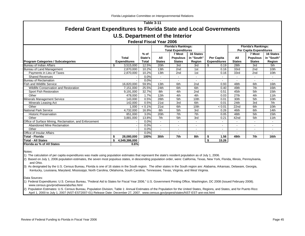| Table 3-11                                                                                                                                                                                      |                                        |                     |                                 |                            |                          |                |      |                                |      |  |  |  |  |  |
|-------------------------------------------------------------------------------------------------------------------------------------------------------------------------------------------------|----------------------------------------|---------------------|---------------------------------|----------------------------|--------------------------|----------------|------|--------------------------------|------|--|--|--|--|--|
| <b>Federal Grant Expenditures to Florida State and Local Governments</b>                                                                                                                        |                                        |                     |                                 |                            |                          |                |      |                                |      |  |  |  |  |  |
|                                                                                                                                                                                                 |                                        |                     |                                 |                            |                          |                |      |                                |      |  |  |  |  |  |
|                                                                                                                                                                                                 | <b>U.S. Department of the Interior</b> |                     |                                 |                            |                          |                |      |                                |      |  |  |  |  |  |
|                                                                                                                                                                                                 |                                        |                     | <b>Federal Fiscal Year 2006</b> |                            |                          |                |      |                                |      |  |  |  |  |  |
|                                                                                                                                                                                                 |                                        |                     |                                 | <b>Florida's Rankings:</b> |                          |                |      | <b>Florida's Rankings:</b>     |      |  |  |  |  |  |
|                                                                                                                                                                                                 |                                        |                     |                                 | <b>Total Expenditures</b>  |                          |                |      | <b>Per Capita Expenditures</b> |      |  |  |  |  |  |
| 7 Most<br>16 States<br><b>16 States</b><br>$%$ of<br>7 Most                                                                                                                                     |                                        |                     |                                 |                            |                          |                |      |                                |      |  |  |  |  |  |
| in "South"<br>All<br>in "South"<br>State's<br>All<br><b>Populous</b><br><b>Total</b><br><b>Populous</b><br><b>Per Capita</b>                                                                    |                                        |                     |                                 |                            |                          |                |      |                                |      |  |  |  |  |  |
| <b>Total</b><br><b>Program Categories / Subcategories</b><br><b>Expenditures</b><br><b>States</b><br><b>States</b><br><b>Expenditures</b><br><b>States</b><br><b>States</b><br>Region<br>Region |                                        |                     |                                 |                            |                          |                |      |                                |      |  |  |  |  |  |
| Bureau of Indian Affairs                                                                                                                                                                        | 3,515,000                              | $12.\overline{5\%}$ | 20th                            | 3rd                        | 3rd                      | 0.19<br>\$.    | 28th | 3rd                            | 5th  |  |  |  |  |  |
| Bureau of Land Management                                                                                                                                                                       | 2,870,000                              | 10.2%               | 13th                            | 2nd                        | 1st                      | 0.16           | 33rd | 2 <sub>nd</sub>                | 10th |  |  |  |  |  |
| Payments in Lieu of Taxes                                                                                                                                                                       | 2,870,000                              | 10.2%               | 13th                            | 2nd                        | 1st                      | 0.16           | 33rd | 2 <sub>nd</sub>                | 10th |  |  |  |  |  |
| <b>Shared Revenues</b>                                                                                                                                                                          |                                        | 0.0%                |                                 |                            |                          |                |      |                                |      |  |  |  |  |  |
| <b>Bureau of Reclamation</b>                                                                                                                                                                    |                                        | 0.0%                |                                 |                            |                          |                |      |                                |      |  |  |  |  |  |
| <b>Fish and Wildlife Service</b>                                                                                                                                                                | 16,820,000                             | 59.9%               | 13th                            | 6th                        | 2nd                      | 0.93           | 48th | 6th                            | 16th |  |  |  |  |  |
| Wildlife Conservation and Restoration                                                                                                                                                           | 7,151,000                              | 25.5%               | 24th                            | 6th                        | 6th                      | 0.40           | 49th | 7th                            | 16th |  |  |  |  |  |
| Sport Fish Restoration                                                                                                                                                                          | 9,191,000                              | 32.7%               | 8th                             | 4th                        | 2nd                      | 0.51           | 45th | 5th                            | 15th |  |  |  |  |  |
| Other                                                                                                                                                                                           | 478.000                                | 1.7%                | 12th                            | 4th                        | 4th                      | 0.03           | 27th | 4th                            | 11th |  |  |  |  |  |
| Minerals Management Service                                                                                                                                                                     | 143.000                                | 0.5%                | 28th                            | 5th                        | 10th                     | 0.01           | 30th | 5th                            | 10th |  |  |  |  |  |
| <b>Minerals Leasing Act</b>                                                                                                                                                                     | 142.000                                | 0.5%                | 21st                            | 3rd                        | 6th                      | 0.01           | 24th | 3rd                            | 7th  |  |  |  |  |  |
| Other                                                                                                                                                                                           | 1.000                                  | $< 0.1\%$           | 21st                            | 6th                        | 10th                     | < 0.01         | 22nd | 6th                            | 10th |  |  |  |  |  |
| National Park Service                                                                                                                                                                           | 4,732,000                              | 16.9%               | 8th                             | 5th                        | 3rd                      | 0.26           | 46th | 6th                            | 14th |  |  |  |  |  |
| <b>Historic Preservation</b>                                                                                                                                                                    | 851.000                                | 3.0%                | 20th                            | 7th                        | 7th                      | 0.05           | 48th | 5th                            | 15th |  |  |  |  |  |
| Other                                                                                                                                                                                           | 3,881,000                              | 13.8%               | 7th                             | 5th                        | 3rd                      | 0.21           | 42nd | 5th                            | 11th |  |  |  |  |  |
| Office of Surface Mining, Reclamation, and Enforcement                                                                                                                                          |                                        | 0.0%                | ä,                              |                            |                          |                |      | $\blacksquare$                 |      |  |  |  |  |  |
| Abandoned Mine Reclamation                                                                                                                                                                      |                                        | 0.0%                | $\overline{a}$                  |                            |                          | ÷.             |      | ٠                              |      |  |  |  |  |  |
| Other                                                                                                                                                                                           |                                        | 0.0%                |                                 |                            |                          | $\blacksquare$ |      |                                |      |  |  |  |  |  |
| <b>Office of Insular Affairs</b>                                                                                                                                                                |                                        | 0.0%                |                                 | $\overline{\phantom{a}}$   | $\overline{\phantom{a}}$ | $\blacksquare$ |      | $\overline{\phantom{a}}$       |      |  |  |  |  |  |
| <b>Total - Florida</b>                                                                                                                                                                          | 28.080.000<br>\$                       | 100%                | 30th                            | 7th                        | 8th                      | 1.56<br>\$     | 49th | 7th                            | 16th |  |  |  |  |  |
| <b>Total - All States</b>                                                                                                                                                                       | \$<br>4,549,386,000                    |                     |                                 |                            |                          | \$<br>15.26    |      |                                |      |  |  |  |  |  |
| <b>Florida as % of All States</b>                                                                                                                                                               | 0.6%                                   |                     |                                 |                            |                          |                |      |                                |      |  |  |  |  |  |

Notes:

1) The calculation of per capita expenditures was made using population estimates that represent the state's resident population as of July 1, 2006.

2) Based on July 1, 2006 population estimates, the seven most populous states, in descending population order, were: California, Texas, New York, Florida, Illinois, Pennsylvania, and Ohio.

3) As designated by the U.S. Census Bureau, Florida is one of 16 states in the South region. The other states in the South region are: Alabama, Arkansas, Delaware, Georgia, Kentucky, Louisiana, Maryland, Mississippi, North Carolina, Oklahoma, South Carolina, Tennessee, Texas, Virginia, and West Virginia.

Data Sources:

1) Federal Expenditures: U.S. Census Bureau, "Federal Aid to States for Fiscal Year 2006," U.S. Government Printing Office, Washington, DC 2008 (Issued February 2008). www.census.gov/prod/www/abs/fas.html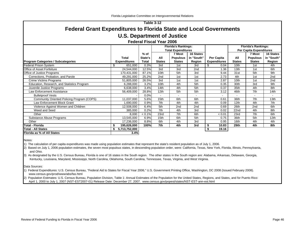| <b>Table 3-12</b>                                                        |  |
|--------------------------------------------------------------------------|--|
| <b>Federal Grant Expenditures to Florida State and Local Governments</b> |  |
| <b>U.S. Department of Justice</b>                                        |  |

#### **Federal Fiscal Year 2006**

| <b>Florida's Rankings:</b>                  |                     |         |                  |                           |                 |                     | <b>Florida's Rankings:</b> |                                |                  |  |  |  |  |
|---------------------------------------------|---------------------|---------|------------------|---------------------------|-----------------|---------------------|----------------------------|--------------------------------|------------------|--|--|--|--|
|                                             |                     |         |                  | <b>Total Expenditures</b> |                 |                     |                            | <b>Per Capita Expenditures</b> |                  |  |  |  |  |
|                                             |                     | $%$ of  |                  | 7 Most                    | 16 States       |                     |                            | 7 Most                         | 16 States        |  |  |  |  |
|                                             | Total               | State's | All              | <b>Populous</b>           | in "South"      | Per Capita          | All                        | <b>Populous</b>                | in "South"       |  |  |  |  |
| <b>Program Categories / Subcategories</b>   | <b>Expenditures</b> | Total   | <b>States</b>    | <b>States</b>             | Region          | <b>Expenditures</b> | <b>States</b>              | <b>States</b>                  | Region           |  |  |  |  |
| <b>Federal Prison System</b>                | 651,000<br>\$       | 0.3%    | 3rd              | 1st                       | 3rd             | 0.04                | 10th                       | 1st                            | 4th              |  |  |  |  |
| Office of Asset Forfeiture                  | 24,544,000          | 12.5%   | 3rd              | 3rd                       | 2 <sub>nd</sub> | 1.36                | 13th                       | 1st                            | 6th              |  |  |  |  |
| Office of Justice Programs                  | 170,431,000         | 87.1%   | 10th             | 5th                       | 3rd             | 9.44                | 31st                       | 5th                            | 9th              |  |  |  |  |
| Corrections, Probation, and Parole          | 49,291,000          | 25.2%   | 2nd              | 1st                       | 1st             | 2.73                | 4th                        | 1st                            | 2 <sub>nd</sub>  |  |  |  |  |
| Crime Victims Programs                      | 51,805,000          | 26.5%   | 3rd              | 1st                       | 1st             | 2.87                | 10th                       | 1st                            | 2 <sub>nd</sub>  |  |  |  |  |
| Education, Research, and Statistics Program | 6,288,000           | 3.2%    | 10th             | 4th                       | 5th             | 0.35                | 30th                       | 3rd                            | 9th              |  |  |  |  |
| Juvenile Justice Programs                   | 6,638,000           | 3.4%    | 14th             | 4th                       | 5th             | 0.37                | 35th                       | 4th                            | 8th              |  |  |  |  |
| <b>Law Enforcement Assistance</b>           | 56,409,000          | 28.8%   | 12 <sub>th</sub> | 5th                       | 5th             | 3.12                | 46th                       | 7th                            | 14th             |  |  |  |  |
| <b>Bulletproof Vests</b>                    |                     | 0.0%    |                  |                           |                 |                     |                            |                                |                  |  |  |  |  |
| Community Oriented Policing Program (COPS)  | 11,037,000          | 5.6%    | 15th             | 6th                       | 6th             | 0.61                | 36th                       | 7th                            | 13 <sub>th</sub> |  |  |  |  |
| Law Enforcement Block Grant                 | 1,690,000           | 0.9%    | 7th              | 4th                       | 4th             | 0.09                | 12th                       | 4th                            | 7th              |  |  |  |  |
| Violence Against Women and Children         | 12,508,000          | 6.4%    | 5th              | 2 <sub>nd</sub>           | 2 <sub>nd</sub> | 0.69                | 26th                       | 2nd                            | 6th              |  |  |  |  |
| Weed and Seed                               | 385,000             | 0.2%    | 7th              | 4th                       | 3rd             | 0.02                | 22nd                       | 4th                            | 8th              |  |  |  |  |
| Other                                       | 8,000               | < 0.1%  | 23rd             | 7th                       | 6th             | < 0.01              | 23rd                       | 7th                            | 6th              |  |  |  |  |
| Substance Abuse Programs                    | 13,545,000          | 6.9%    | 15th             | 6th                       | 5th             | 0.75                | 36th                       | 5th                            | 12 <sub>th</sub> |  |  |  |  |
| Other                                       | 17,236,000          | 8.8%    | 6th              | 4th                       | 3rd             | 0.95                | 16th                       | 4th                            | 4th              |  |  |  |  |
| <b>Total - Florida</b>                      | 195,626,000<br>S    | 100%    | 7th              | 4th                       | 3rd             | 10.83               | 29th                       | 4th                            | 8th              |  |  |  |  |
| <b>Total - All States</b>                   | 5,713,752,000       |         |                  |                           |                 | 19.16               |                            |                                |                  |  |  |  |  |
| <b>Florida as % of All States</b>           | 3.4%                |         |                  |                           |                 |                     |                            |                                |                  |  |  |  |  |

Notes:

1) The calculation of per capita expenditures was made using population estimates that represent the state's resident population as of July 1, 2006.

2) Based on July 1, 2006 population estimates, the seven most populous states, in descending population order, were: California, Texas, New York, Florida, Illinois, Pennsylvania, and Ohio.

3) As designated by the U.S. Census Bureau, Florida is one of 16 states in the South region. The other states in the South region are: Alabama, Arkansas, Delaware, Georgia, Kentucky, Louisiana, Maryland, Mississippi, North Carolina, Oklahoma, South Carolina, Tennessee, Texas, Virginia, and West Virginia.

Data Sources:

1) Federal Expenditures: U.S. Census Bureau, "Federal Aid to States for Fiscal Year 2006," U.S. Government Printing Office, Washington, DC 2008 (Issued February 2008). www.census.gov/prod/www/abs/fas.html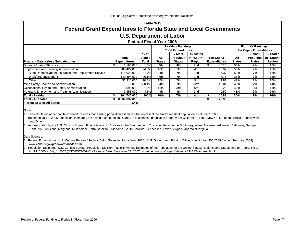## **Table 3-13U.S. Department of Labor Federal Grant Expenditures to Florida State and Local Governments**

#### **Federal Fiscal Year 2006**

|                                                     |                     |           |               | <b>Florida's Rankings:</b> |                  |                     |               | <b>Florida's Rankings:</b>     |                  |
|-----------------------------------------------------|---------------------|-----------|---------------|----------------------------|------------------|---------------------|---------------|--------------------------------|------------------|
|                                                     |                     |           |               | <b>Total Expenditures</b>  |                  |                     |               | <b>Per Capita Expenditures</b> |                  |
|                                                     |                     | $%$ of    |               | 7 Most                     | <b>16 States</b> |                     |               | 7 Most                         | 16 States        |
|                                                     | Total               | State's   | All           | <b>Populous</b>            | in "South"       | Per Capita          | All           | <b>Populous</b>                | in "South"       |
| <b>Program Categories / Subcategories</b>           | <b>Expenditures</b> | Total     | <b>States</b> | <b>States</b>              | Region           | <b>Expenditures</b> | <b>States</b> | <b>States</b>                  | Region           |
| Bureau of Labor Statistics                          | 3,195,000           | 1.0%      | 4th           | 4th                        | 2nd              | 0.18                | 50th          | 7th                            | 16th             |
| <b>Employment and Training Administration</b>       | 288.427.000         | 94.6%     | 10th          | 7th                        | 4th              | 15.97               | 50th          | 7th                            | 16th             |
| State Unemployment Insurance and Employment Service | 115.023.000         | 37.7%     | 9th           | 7th                        | 2nd              | 6.37                | 50th          | 7th                            | 16th             |
| Workforce Investment                                | 140.494.000         | 46.1%     | 7th           | 7th                        | 2nd              | 7.78                | 36th          | 7th                            | 13th             |
| Other                                               | 32.910.000          | 10.8%     | 17th          | 7th                        | 9th              | 1.82                | 49th          | 7th                            | 16th             |
| Mine Safety Health and Administration               | 79,000              | $< 0.1\%$ | 34th          | 7th                        | 12th             | < 0.01              | 46th          | 7th                            | 14th             |
| Occupational Health and Safety Administration       | 3.592.000           | 1.2%      | 16th          | 3rd                        | 6th              | 0.20                | 40th          | 3rd                            | 11th             |
| Veterans Employment and Training Administration     | 9.453.000           | 3.1%      | 4th           | 4th                        | 2 <sub>nd</sub>  | 0.52                | 43rd          | 6th                            | 14 <sub>th</sub> |
| Total - Florida                                     | 304,746,000         | 100%      | 10th          | 7th                        | 4th              | 16.88               | 50th          | 7th                            | 16th             |
| Total - All States                                  | 8,937,832,000       |           |               |                            |                  | 29.98               |               |                                |                  |
| <b>IFlorida as % of All States</b>                  | 3.4%                |           |               |                            |                  |                     |               |                                |                  |

Notes:

1) The calculation of per capita expenditures was made using population estimates that represent the state's resident population as of July 1, 2006.

2) Based on July 1, 2006 population estimates, the seven most populous states, in descending population order, were: California, Texas, New York, Florida, Illinois, Pennsylvania, and Ohio.

3) As designated by the U.S. Census Bureau, Florida is one of 16 states in the South region. The other states in the South region are: Alabama, Arkansas, Delaware, Georgia, Kentucky, Louisiana, Maryland, Mississippi, North Carolina, Oklahoma, South Carolina, Tennessee, Texas, Virginia, and West Virginia.

Data Sources:

1) Federal Expenditures: U.S. Census Bureau, "Federal Aid to States for Fiscal Year 2006," U.S. Government Printing Office, Washington, DC 2008 (Issued February 2008). www.census.gov/prod/www/abs/fas.html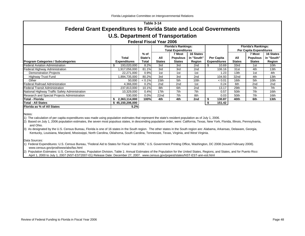### **Table 3-14U.S. Department of Transportation Federal Grant Expenditures to Florida State and Local Governments**

#### **Federal Fiscal Year 2006**

|                                                |                     |           | <b>Florida's Rankings:</b> |                           |                  |  |                     | <b>Florida's Rankings:</b> |                                |                  |  |
|------------------------------------------------|---------------------|-----------|----------------------------|---------------------------|------------------|--|---------------------|----------------------------|--------------------------------|------------------|--|
|                                                |                     |           |                            | <b>Total Expenditures</b> |                  |  |                     |                            | <b>Per Capita Expenditures</b> |                  |  |
|                                                |                     | $%$ of    |                            | 7 Most                    | <b>16 States</b> |  |                     |                            | 7 Most                         | 16 States        |  |
|                                                | Total               | State's   | All                        | <b>Populous</b>           | in "South"       |  | Per Capita          | All                        | <b>Populous</b>                | in "South"       |  |
| <b>Program Categories / Subcategories</b>      | <b>Expenditures</b> | Total     | <b>States</b>              | <b>States</b>             | Region           |  | <b>Expenditures</b> | <b>States</b>              | <b>States</b>                  | Region           |  |
| <b>Federal Aviation Administration</b>         | 193,020,000         | 8.2%      | 3rd                        | 3rd                       | 2nd              |  | 10.69               | 33rd                       | 1st                            | 10th             |  |
| Federal Highway Administration                 | 1,917,056,000       | 81.1%     | 3rd                        | 3rd                       | 2nd              |  | 106.16              | 31st                       | 4th                            | 13 <sub>th</sub> |  |
| <b>Demonstration Projects</b>                  | 22.271.000          | 0.9%      | 1st                        | 1st                       | 1st              |  | 1.23                | 13 <sub>th</sub>           | 1st                            | 4th              |  |
| <b>Highway Trust Fund</b>                      | 1,894,735,000       | 80.2%     | 3rd                        | 3rd                       | 2nd              |  | 104.93              | 32nd                       | 4th                            | 13th             |  |
| Other                                          | 50,000              | $< 0.1\%$ | 15 <sub>th</sub>           | 5th                       | 10th             |  | < 0.01              | 16th                       | 5th                            | 10th             |  |
| <b>Federal Railroad Administration</b>         | 4,366,000           | 0.2%      | 2 <sub>nd</sub>            | 2 <sub>nd</sub>           | 1st              |  | 0.24                | 6th                        | 2 <sub>nd</sub>                | 2 <sub>nd</sub>  |  |
| <b>Federal Transit Administration</b>          | 237,813,000         | 10.1%     | 8th                        | 6th                       | 2 <sub>nd</sub>  |  | 13.17               | 29th                       | 7th                            | 7th              |  |
| National Highway Traffic Safety Administration | 10,329,000          | 0.4%      | 17 <sub>th</sub>           | 7th                       | 7th              |  | 0.57                | 50th                       | 7th                            | 16th             |  |
| Research and Special Projects Administration   | 530.000             | 0.0%      | 22nd                       | 7th                       | 8th              |  | 0.03                | 50th                       | 7th                            | 16th             |  |
| Total - Florida                                | 2,363,114,000       | 100%      | 4th                        | 4th                       | 2nd              |  | 130.87              | 40th                       | 6th                            | 13th             |  |
| Total - All States                             | 45,150,206,000      |           |                            |                           |                  |  | 151.42              |                            |                                |                  |  |
| <b>IFlorida as % of All States</b>             | 5.2%                |           |                            |                           |                  |  |                     |                            |                                |                  |  |

Notes:

1) The calculation of per capita expenditures was made using population estimates that represent the state's resident population as of July 1, 2006.

2) Based on July 1, 2006 population estimates, the seven most populous states, in descending population order, were: California, Texas, New York, Florida, Illinois, Pennsylvania, and Ohio.

3) As designated by the U.S. Census Bureau, Florida is one of 16 states in the South region. The other states in the South region are: Alabama, Arkansas, Delaware, Georgia, Kentucky, Louisiana, Maryland, Mississippi, North Carolina, Oklahoma, South Carolina, Tennessee, Texas, Virginia, and West Virginia.

Data Sources:

1) Federal Expenditures: U.S. Census Bureau, "Federal Aid to States for Fiscal Year 2006," U.S. Government Printing Office, Washington, DC 2008 (Issued February 2008). www.census.gov/prod/www/abs/fas.html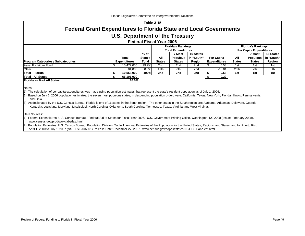## **Table 3-15U.S. Department of the Treasury Federal Grant Expenditures to Florida State and Local Governments**

#### **Federal Fiscal Year 2006**

|                                           |                     |         |                  | <b>Florida's Rankings:</b> |            |  |                     |               | <b>Florida's Rankings:</b>     |            |
|-------------------------------------------|---------------------|---------|------------------|----------------------------|------------|--|---------------------|---------------|--------------------------------|------------|
|                                           |                     |         |                  | <b>Total Expenditures</b>  |            |  |                     |               | <b>Per Capita Expenditures</b> |            |
|                                           |                     | % of    |                  | 7 Most                     | 16 States  |  |                     |               | 7 Most                         | 16 States  |
|                                           | Total               | State's | All              | <b>Populous</b>            | in "South" |  | Per Capita          | All           | <b>Populous</b>                | in "South" |
| <b>Program Categories / Subcategories</b> | <b>Expenditures</b> | Total   | <b>States</b>    | <b>States</b>              | Region     |  | <b>Expenditures</b> | <b>States</b> | <b>States</b>                  | Region     |
| Asset Forfeiture Fund                     | 10,477,000          | 99.2%   | 2 <sub>nd</sub>  | 2 <sub>nd</sub>            | 2nd        |  | 0.58                | 1st           | 1st                            | 1st        |
| Other                                     | 81.000              | 0.8%    | 11 <sub>th</sub> | 6th                        | 2nd        |  | < 0.01              | 26th          | 7th                            | 5th        |
| Total - Florida                           | 10.558.000          | 100%    | 2nd              | 2nd                        | 2nd        |  | 0.58                | 1st           | 1st                            | 1st        |
| <b>Total - All States</b>                 | 66.101.000          |         |                  |                            |            |  | 0.22                |               |                                |            |
| Florida as % of All States                | 16.0%               |         |                  |                            |            |  |                     |               |                                |            |

Notes:

1) The calculation of per capita expenditures was made using population estimates that represent the state's resident population as of July 1, 2006.

2) Based on July 1, 2006 population estimates, the seven most populous states, in descending population order, were: California, Texas, New York, Florida, Illinois, Pennsylvania, and Ohio.

3) As designated by the U.S. Census Bureau, Florida is one of 16 states in the South region. The other states in the South region are: Alabama, Arkansas, Delaware, Georgia, Kentucky, Louisiana, Maryland, Mississippi, North Carolina, Oklahoma, South Carolina, Tennessee, Texas, Virginia, and West Virginia.

Data Sources:

1) Federal Expenditures: U.S. Census Bureau, "Federal Aid to States for Fiscal Year 2006," U.S. Government Printing Office, Washington, DC 2008 (Issued February 2008). www.census.gov/prod/www/abs/fas.html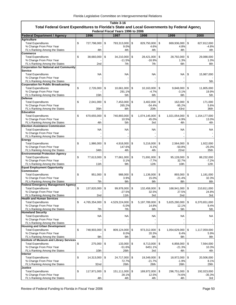| Table 3-16<br>Total Federal Grant Expenditures to Florida's State and Local Governments by Federal Agency |    |               |    |                                           |    |                        |    |                          |    |                        |  |  |
|-----------------------------------------------------------------------------------------------------------|----|---------------|----|-------------------------------------------|----|------------------------|----|--------------------------|----|------------------------|--|--|
|                                                                                                           |    | 1996          |    | Federal Fiscal Years 1996 to 2006<br>1997 |    | 1998                   |    | 1999                     |    |                        |  |  |
| <b>Federal Department / Agency</b><br>Agriculture                                                         |    |               |    |                                           |    |                        |    |                          |    | 2000                   |  |  |
| <b>Total Expenditures</b>                                                                                 | \$ | 727,798,000   | \$ | 793,313,000                               | \$ | 829,750,000            | \$ | 869,936,000              | \$ | 827,812,000            |  |  |
| % Change From Prior Year                                                                                  |    |               |    | 9.0%                                      |    | 4.6%                   |    | 4.8%                     |    | $-4.8%$                |  |  |
| FL's Ranking Among the States                                                                             |    | 4th           |    | 4th                                       |    | 4th                    |    | 4th                      |    | 4th                    |  |  |
| <b>Commerce</b>                                                                                           |    |               |    |                                           |    |                        |    |                          |    |                        |  |  |
| <b>Total Expenditures</b>                                                                                 | \$ | 38,660,000    | \$ | 34,210,000                                | \$ | 28,421,000             | \$ | 28,792,000               | \$ | 29,088,000             |  |  |
| % Change From Prior Year<br>FL's Ranking Among the States                                                 |    | 2nd           |    | $-11.5%$<br>7th                           |    | $-16.9%$<br>7th        |    | 1.3%<br>6th              |    | 1.0%<br>8th            |  |  |
| <b>Corporation for National and Community</b>                                                             |    |               |    |                                           |    |                        |    |                          |    |                        |  |  |
| <b>Service</b>                                                                                            |    |               |    |                                           |    |                        |    |                          |    |                        |  |  |
| <b>Total Expenditures</b>                                                                                 |    | <b>NA</b>     |    | <b>NA</b>                                 |    | <b>NA</b>              |    | <b>NA</b>                | \$ | 15,987,000             |  |  |
| % Change From Prior Year                                                                                  |    |               |    |                                           |    |                        |    |                          |    |                        |  |  |
| FL's Ranking Among the States                                                                             |    |               |    |                                           |    |                        |    |                          |    | 5th                    |  |  |
| <b>Corporation for Public Broadcasting</b>                                                                |    |               |    |                                           |    |                        |    |                          |    |                        |  |  |
| <b>Total Expenditures</b><br>% Change From Prior Year                                                     | \$ | 2,726,000     | \$ | 10,661,000<br>291.1%                      | \$ | 10,163,000<br>$-4.7%$  | \$ | 9,848,000<br>$-3.1%$     | \$ | 11,805,000<br>19.9%    |  |  |
| FL's Ranking Among the States                                                                             |    | 15th          |    | 5th                                       |    | 6th                    |    | 6th                      |    | 5th                    |  |  |
| <b>Defense</b>                                                                                            |    |               |    |                                           |    |                        |    |                          |    |                        |  |  |
| <b>Total Expenditures</b>                                                                                 | \$ | 2,041,000     | \$ | 7,453,000                                 | \$ | 3,402,000              | \$ | 162,000                  | \$ | 171,000                |  |  |
| % Change From Prior Year                                                                                  |    |               |    | 265.2%                                    |    | $-54.4%$               |    | $-95.2%$                 |    | 5.6%                   |  |  |
| FL's Ranking Among the States                                                                             |    | 35th          |    | 8th                                       |    | 20th                   |    | 43rd                     |    | 36th                   |  |  |
| <b>Education</b>                                                                                          |    |               |    |                                           |    |                        |    |                          |    |                        |  |  |
| <b>Total Expenditures</b><br>% Change From Prior Year                                                     | \$ | 670,655,000   | \$ | 740,893,000<br>10.5%                      | \$ | 1,074,145,000<br>45.0% | \$ | 1,021,054,000<br>$-4.9%$ | \$ | 1,154,177,000<br>13.0% |  |  |
| FL's Ranking Among the States                                                                             |    | 4th           |    | 5th                                       |    | 3rd                    |    | 4th                      |    | 4th                    |  |  |
| <b>Election Assistance Commission</b>                                                                     |    |               |    |                                           |    |                        |    |                          |    |                        |  |  |
| <b>Total Expenditures</b>                                                                                 |    | NA            |    | NA                                        |    | NA                     |    | NA                       |    | NA                     |  |  |
| % Change From Prior Year                                                                                  |    |               |    |                                           |    |                        |    |                          |    |                        |  |  |
| FL's Ranking Among the States                                                                             |    |               |    |                                           |    |                        |    |                          |    |                        |  |  |
| Energy                                                                                                    |    |               |    |                                           |    |                        |    |                          |    |                        |  |  |
| <b>Total Expenditures</b>                                                                                 | \$ | 1,986,000     | \$ | 4,918,000                                 | \$ | 5,216,000              | \$ | 2,564,000                | \$ | 1,922,000              |  |  |
| % Change From Prior Year<br>FL's Ranking Among the States                                                 |    | 34th          |    | 147.6%<br>4th                             |    | 6.1%<br>4th            |    | $-50.8%$<br>22nd         |    | $-25.0%$<br>35th       |  |  |
| <b>Environmental Protection Agency</b>                                                                    |    |               |    |                                           |    |                        |    |                          |    |                        |  |  |
| <b>Total Expenditures</b>                                                                                 | \$ | 77,613,000    | \$ | 77,661,000                                | \$ | 71,691,000             | \$ | 95,128,000               | \$ | 88,232,000             |  |  |
| % Change From Prior Year                                                                                  |    |               |    | 0.1%                                      |    | $-7.7%$                |    | 32.7%                    |    | $-7.2%$                |  |  |
| FL's Ranking Among the States                                                                             |    | 11th          |    | 9th                                       |    | 12th                   |    | 10th                     |    | 12th                   |  |  |
| <b>Equal Employment Opportunity</b>                                                                       |    |               |    |                                           |    |                        |    |                          |    |                        |  |  |
| <b>Commission</b><br><b>Total Expenditures</b>                                                            | \$ | 951,000       | \$ | 988,000                                   | \$ | 1,136,000              | \$ | 893.000                  | \$ | 1,181,000              |  |  |
| % Change From Prior Year                                                                                  |    |               |    | 3.9%                                      |    | 15.0%                  |    | $-21.4%$                 |    | 32.3%                  |  |  |
| FL's Ranking Among the States                                                                             |    | 7th           |    | 9th                                       |    | 9th                    |    | 8th                      |    | 8th                    |  |  |
| <b>Federal Emergency Management Agency</b>                                                                |    |               |    |                                           |    |                        |    |                          |    |                        |  |  |
| <b>Total Expenditures</b>                                                                                 | \$ | 137,820,000   | \$ | 99,978,000                                | \$ | 132,458,000            | \$ | 168,941,000              | \$ | 210,811,000            |  |  |
| % Change From Prior Year                                                                                  |    |               |    | $-27.5%$                                  |    | 32.5%                  |    | 27.5%                    |    | 24.8%                  |  |  |
| FL's Ranking Among the States                                                                             |    | 2nd           |    | 11th                                      |    | 3rd                    |    | 2nd                      |    | 3rd                    |  |  |
| <b>Health and Human Services</b><br><b>Total Expenditures</b>                                             | \$ | 4,765,354,000 | \$ | 4,529,224,000                             | \$ | 5,197,789,000          | \$ | 5,825,280,000            | \$ | 6,370,651,000          |  |  |
| % Change From Prior Year                                                                                  |    |               |    | $-5.0%$                                   |    | 14.8%                  |    | 12.1%                    |    | 9.4%                   |  |  |
| FL's Ranking Among the States                                                                             |    | 7th           |    | 7th                                       |    | 6th                    |    | 5th                      |    | 5th                    |  |  |
| <b>Homeland Security</b>                                                                                  |    |               |    |                                           |    |                        |    |                          |    |                        |  |  |
| <b>Total Expenditures</b>                                                                                 |    | <b>NA</b>     |    | NA                                        |    | <b>NA</b>              |    | <b>NA</b>                |    | NA                     |  |  |
| % Change From Prior Year                                                                                  |    |               |    |                                           |    |                        |    |                          |    |                        |  |  |
| FL's Ranking Among the States                                                                             |    |               |    |                                           |    |                        |    |                          |    |                        |  |  |
| <b>Housing and Urban Development</b><br><b>Total Expenditures</b>                                         | \$ |               | \$ | 809,124,000                               | \$ |                        | \$ | 1,054,629,000            | \$ |                        |  |  |
| % Change From Prior Year                                                                                  |    | 748,903,000   |    | 8.0%                                      |    | 973,312,000<br>20.3%   |    | 8.4%                     |    | 1,117,059,000<br>5.9%  |  |  |
| FL's Ranking Among the States                                                                             |    | 9th           |    | 9th                                       |    | 9th                    |    | 9th                      |    | 9th                    |  |  |
| <b>Institute of Museum and Library Services</b>                                                           |    |               |    |                                           |    |                        |    |                          |    |                        |  |  |
| <b>Total Expenditures</b>                                                                                 | \$ | 275,000       | \$ | 133,000                                   | \$ | 8,713,000              | \$ | 6,858,000                | \$ | 7,564,000              |  |  |
| % Change From Prior Year                                                                                  |    |               |    | $-51.6%$                                  |    | 6451.1%                |    | $-21.3%$                 |    | 10.3%                  |  |  |
| FL's Ranking Among the States                                                                             |    | 10th          |    | 26th                                      |    | 3rd                    |    | 4th                      |    | 4th                    |  |  |
| Interior<br><b>Total Expenditures</b>                                                                     | \$ | 14,313,000    | \$ | 24,717,000                                | \$ | 19,349,000             | \$ | 18,972,000               | \$ | 20,506,000             |  |  |
| % Change From Prior Year                                                                                  |    |               |    | 72.7%                                     |    | $-21.7%$               |    | $-1.9%$                  |    | 8.1%                   |  |  |
| FL's Ranking Among the States                                                                             |    | 32nd          |    | 26th                                      |    | 28th                   |    | 26th                     |    | 29th                   |  |  |
| Justice                                                                                                   |    |               |    |                                           |    |                        |    |                          |    |                        |  |  |
| <b>Total Expenditures</b>                                                                                 | \$ | 117,971,000   | \$ | 151,111,000                               | \$ | 169,972,000            | \$ | 296,751,000              | \$ | 192,023,000            |  |  |
| % Change From Prior Year                                                                                  |    |               |    | 28.1%                                     |    | 12.5%                  |    | 74.6%                    |    | $-35.3%$               |  |  |
| FL's Ranking Among the States                                                                             |    | 4th           |    | 4th                                       |    | 4th                    |    | 4th                      |    | 3rd                    |  |  |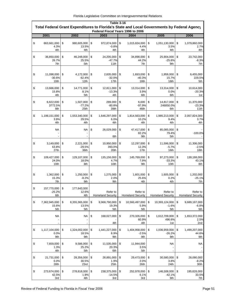| <b>Table 3-16</b><br>Total Federal Grant Expenditures to Florida's State and Local Governments by Federal Agency |    |                                           |    |                                           |    |                                      |    |                                      |    |                                      |  |  |
|------------------------------------------------------------------------------------------------------------------|----|-------------------------------------------|----|-------------------------------------------|----|--------------------------------------|----|--------------------------------------|----|--------------------------------------|--|--|
| 2001                                                                                                             |    | 2002                                      |    | Federal Fiscal Years 1996 to 2006<br>2003 |    | 2004                                 |    | 2005                                 |    | 2006                                 |  |  |
| \$<br>863,661,000<br>4.3%<br>4th                                                                                 | \$ | 980,605,000<br>13.5%<br>4th               | \$ | 972,874,000<br>$-0.8%$<br>4th             | \$ | 1,015,824,000<br>4.4%<br>4th         | \$ | 1,051,130,000<br>3.5%<br>4th         | \$ | 1,079,860,000<br>2.7%<br>4th         |  |  |
| \$<br>36,850,000<br>26.7%<br>7th                                                                                 | \$ | 46,248,000<br>25.5%<br>5th                | \$ | 24,205,000<br>$-47.7%$<br>11th            | \$ | 34,898,000<br>44.2%<br>7th           | \$ | 25,904,000<br>$-25.8%$<br>9th        | \$ | 23,742,000<br>$-8.3%$<br>7th         |  |  |
| \$<br>11,098,000<br>$-30.6%$<br>10th                                                                             | \$ | 4,172,000<br>$-62.4%$<br>12 <sub>th</sub> | \$ | 2,835,000<br>$-32.0%$<br>17th             | \$ | 1,693,000<br>$-40.3%$<br>18th        | \$ | 1,959,000<br>15.7%<br>18th           | \$ | 6,455,000<br>229.5%<br>5th           |  |  |
| \$<br>13,666,000<br>15.8%<br>4th                                                                                 | \$ | 14,771,000<br>8.1%<br>5th                 | \$ | 12,811,000<br>$-13.3%$<br>4th             | \$ | 13,314,000<br>3.9%<br>6th            | \$ | 13,314,000<br>0.0%<br>6th            | \$ | 10,614,000<br>$-20.3%$<br>1st        |  |  |
| \$<br>6,622,000<br>3772.5%<br>8th                                                                                | \$ | 1,507,000<br>$-77.2%$<br>25th             | \$ | 289,000<br>$-80.8%$<br>39th               | \$ | 6,000<br>$-97.9%$<br>46th            | \$ | 14,817,000<br>246850.0%<br>6th       | \$ | 11,370,000<br>$-23.3%$<br>11th       |  |  |
| \$<br>1,199,151,000<br>3.9%<br>4th                                                                               | \$ | 1,553,340,000<br>29.5%<br>4th             | \$ | 1,646,297,000<br>6.0%<br>4th              | \$ | 1,814,563,000<br>10.2%<br>4th        | \$ | 1,985,213,000<br>9.4%<br>4th         | \$ | 2,057,824,000<br>3.7%<br>4th         |  |  |
| NA                                                                                                               |    | NA.                                       | \$ | 26,029,000<br>6th                         | \$ | 47,417,000<br>82.2%<br>9th           | \$ | 85,085,000<br>79.4%<br>5th           | \$ | $-100.0%$                            |  |  |
| \$<br>3,149,000<br>63.8%<br>27th                                                                                 | \$ | 2,221,000<br>$-29.5%$<br>36th             | \$ | 10,950,000<br>393.0%<br>20th              | \$ | 12,297,000<br>12.3%<br>17th          | \$ | 11,596,000<br>$-5.7%$<br>16th        | \$ | 11,306,000<br>$-2.5%$<br>18th        |  |  |
| \$<br>109,427,000<br>24.0%<br>10th                                                                               | \$ | 129,107,000<br>18.0%<br>8th               | \$ | 135,156,000<br>4.7%<br>10th               | \$ | 145,769,000<br>7.9%<br>9th           | \$ | 97,273,000<br>$-33.3%$<br>10th       | \$ | 139,188,000<br>43.1%<br>8th          |  |  |
| \$<br>1,362,000<br>15.3%<br>7th                                                                                  | \$ | 1,250,000<br>$-8.2%$<br>9th               | \$ | 1,275,000<br>2.0%<br>9th                  | \$ | 1,601,000<br>25.6%<br>4th            | \$ | 1,605,000<br>0.2%<br>4th             | \$ | 1,202,000<br>$-25.1%$<br>7th         |  |  |
| \$<br>157,770,000<br>$-25.2%$<br>6th                                                                             | \$ | 177,643,000<br>12.6%<br>4th               |    | Refer to<br><b>Homeland Security</b>      |    | Refer to<br><b>Homeland Security</b> |    | Refer to<br><b>Homeland Security</b> |    | Refer to<br><b>Homeland Security</b> |  |  |
| \$<br>7,362,945,000<br>15.6%<br>5th                                                                              | \$ | 8,355,365,000<br>13.5%<br>5th             | \$ | 9,968,790,000<br>19.3%<br>5th             | \$ | 10,560,497,000<br>5.9%<br>5th        | \$ | 10,393,124,000<br>$-1.6%$<br>5th     | \$ | 9,689,187,000<br>$-6.8%$<br>5th      |  |  |
| NA                                                                                                               |    | <b>NA</b><br>÷,                           | \$ | 168,027,000<br>4th                        | \$ | 270,326,000<br>60.9%<br>4th          | \$ | 1,612,709,000<br>496.6%<br>1st       | \$ | 1,653,372,000<br>2.5%<br>2nd         |  |  |
| \$<br>1,117,104,000<br>0.0%<br>9th                                                                               | \$ | 1,324,002,000<br>18.5%<br>9th             | \$ | 1,441,227,000<br>8.9%<br>9th              | \$ | 1,404,958,000<br>$-2.5%$<br>9th      | \$ | 1,036,959,000<br>$-26.2%$<br>9th     | \$ | 1,499,207,000<br>44.6%<br>9th        |  |  |
| \$<br>7,659,000<br>1.3%<br>4th                                                                                   | \$ | 9,586,000<br>25.2%<br>5th                 | \$ | 11,535,000<br>20.3%<br>6th                | \$ | 11,944,000<br>3.5%<br>5th            |    | <b>NA</b>                            |    | <b>NA</b>                            |  |  |
| \$<br>21,731,000<br>6.0%<br>28th                                                                                 | \$ | 28,356,000<br>30.5%<br>23rd               | \$ | 28,891,000<br>1.9%<br>25th                | \$ | 29,473,000<br>2.0%<br>26th           | \$ | 30,580,000<br>3.8%<br>24th           | \$ | 28,080,000<br>$-8.2%$<br>30th        |  |  |
| \$<br>273,674,000<br>42.5%<br>3rd                                                                                | \$ | 278,818,000<br>1.9%<br>4th                | \$ | 238,375,000<br>$-14.5%$<br>3rd            | \$ | 252,978,000<br>6.1%<br>3rd           | \$ | 146,508,000<br>$-42.1%$<br>9th       | \$ | 195,626,000<br>33.5%<br>7th          |  |  |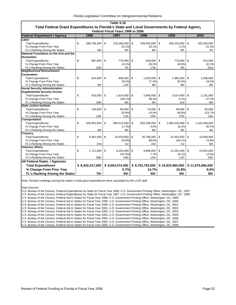| <b>Table 3-16</b>                                                                           |    |                 |    |                                           |    |                 |    |                  |    |                  |  |  |
|---------------------------------------------------------------------------------------------|----|-----------------|----|-------------------------------------------|----|-----------------|----|------------------|----|------------------|--|--|
| Total Federal Grant Expenditures to Florida's State and Local Governments by Federal Agency |    |                 |    |                                           |    |                 |    |                  |    |                  |  |  |
|                                                                                             |    |                 |    | Federal Fiscal Years 1996 to 2006<br>1997 |    |                 |    |                  |    |                  |  |  |
| <b>Federal Department / Agency</b>                                                          |    | 1996            |    |                                           |    | 1998            |    | 1999             |    | 2000             |  |  |
| Labor                                                                                       |    |                 |    |                                           |    |                 |    |                  |    |                  |  |  |
| <b>Total Expenditures</b>                                                                   | \$ | 288,756,000     | \$ | 216,366,000                               | \$ | 259,853,000     | \$ | 265,255,000      | \$ | 182,334,000      |  |  |
| % Change From Prior Year                                                                    |    |                 |    | $-25.1%$                                  |    | 20.1%           |    | 2.1%             |    | $-31.3%$         |  |  |
| FL's Ranking Among the States                                                               |    | 6th             |    | 6th                                       |    | 6th             |    | 6th              |    | 7th              |  |  |
| National Foundation on the Arts and the                                                     |    |                 |    |                                           |    |                 |    |                  |    |                  |  |  |
| <b>Humanities</b>                                                                           |    |                 |    |                                           |    |                 |    |                  |    |                  |  |  |
| <b>Total Expenditures</b>                                                                   | \$ | 897,000         | \$ | 779,000                                   | \$ | 549.000         | \$ | 773,000          | \$ | 524.000          |  |  |
| % Change From Prior Year                                                                    |    |                 |    | $-13.2%$                                  |    | $-29.5%$        |    | 40.8%            |    | $-32.2%$         |  |  |
| FL's Ranking Among the States                                                               |    | 12th            |    | 7th                                       |    | 17th            |    | 4th              |    | 33rd             |  |  |
| <b>Neighborhood Reinvestment</b>                                                            |    |                 |    |                                           |    |                 |    |                  |    |                  |  |  |
| Corporation                                                                                 |    |                 |    |                                           |    |                 |    |                  |    |                  |  |  |
| <b>Total Expenditures</b>                                                                   | \$ | 624.000         | \$ | 808.000                                   | \$ | 1,029,000       | \$ | 1,982,000        | \$ | 1,596,000        |  |  |
| % Change From Prior Year                                                                    |    |                 |    | 29.5%                                     |    | 27.4%           |    | 92.6%            |    | $-19.5%$         |  |  |
| FL's Ranking Among the States                                                               |    | 6th             |    | 11th                                      |    | 9th             |    | 9th              |    | 8th              |  |  |
| <b>Social Security Administration:</b>                                                      |    |                 |    |                                           |    |                 |    |                  |    |                  |  |  |
| <b>Supplemental Security Income</b>                                                         |    |                 |    |                                           |    |                 |    |                  |    |                  |  |  |
| <b>Total Expenditures</b>                                                                   | \$ | 915,000         | \$ | 1,914,000                                 | \$ | 2,840,000       | \$ | 3,014,000        | \$ | 2,191,000        |  |  |
| % Change From Prior Year                                                                    |    |                 |    | 109.2%                                    |    | 48.4%           |    | 6.1%             |    | $-27.3%$         |  |  |
| FL's Ranking Among the States                                                               |    | 10th            |    | 9th                                       |    | 5th             |    | 2 <sub>nd</sub>  |    | 6th              |  |  |
| <b>State Justice Institute</b>                                                              |    |                 |    |                                           |    |                 |    |                  |    |                  |  |  |
| <b>Total Expenditures</b>                                                                   | \$ | 134,000         | \$ | 86,000                                    | \$ | 74,000          | \$ | 38,000           | \$ | 85,000           |  |  |
| % Change From Prior Year                                                                    |    |                 |    | $-35.8%$                                  |    | $-14.0%$        |    | $-48.6%$         |    | 123.7%           |  |  |
| FL's Ranking Among the States                                                               |    | 13th            |    | 11th                                      |    | 16th            |    | 27th             |    | 14th             |  |  |
| <b>Transportation</b>                                                                       |    |                 |    |                                           |    |                 |    |                  |    |                  |  |  |
| <b>Total Expenditures</b>                                                                   | \$ | 835,953,000     | \$ | 980,515,000                               | \$ | 933,196,000     | \$ | 1,085,345,000    | \$ | 1,415,456,000    |  |  |
| % Change From Prior Year                                                                    |    |                 |    | 17.3%                                     |    | $-4.8%$         |    | 16.3%            |    | 30.4%            |  |  |
| FL's Ranking Among the States                                                               |    | 9th             |    | 8th                                       |    | 8th             |    | 5th              |    | 4th              |  |  |
| <b>Treasury</b>                                                                             |    |                 |    |                                           |    |                 |    |                  |    |                  |  |  |
| <b>Total Expenditures</b>                                                                   | \$ | 6,361,000       | \$ | 10,419,000                                | \$ | 20,796,000      | \$ | 42,454,000       | \$ | 10,658,000       |  |  |
| % Change From Prior Year                                                                    |    |                 |    | 63.8%                                     |    | 99.6%           |    | 104.1%           |    | $-74.9%$         |  |  |
| FL's Ranking Among the States                                                               |    | 2nd             |    | 1st                                       |    | 2nd             |    | 1st              |    | 4th              |  |  |
| <b>Veterans Affairs</b>                                                                     |    |                 |    |                                           |    |                 |    |                  |    |                  |  |  |
| <b>Total Expenditures</b>                                                                   | \$ | 1,711,000       | \$ | 9,202,000                                 | \$ | 9,908,000       | \$ | 12,291,000       | \$ | 13,824,000       |  |  |
| % Change From Prior Year                                                                    |    |                 |    | 437.8%                                    |    | 7.7%            |    | 24.1%            |    | 12.5%            |  |  |
| FL's Ranking Among the States                                                               |    | 39th            |    | 10th                                      |    | 11th            |    | 11th             |    | 10th             |  |  |
| All Federal Depts. / Agencies                                                               |    |                 |    |                                           |    |                 |    |                  |    |                  |  |  |
| <b>Total Expenditures</b>                                                                   |    | \$8,442,417,000 |    | \$8,504,474,000                           |    | \$9,753,762,000 |    | \$10,810,960,000 |    | \$11,675,656,000 |  |  |
| % Change From Prior Year                                                                    |    |                 |    | 0.7%                                      |    | 14.7%           |    | 10.8%            |    | 8.0%             |  |  |
| <b>FL's Ranking Among the States</b>                                                        |    | 7th             |    | 6th                                       |    | 6th             |    | 5th              |    | 5th              |  |  |
|                                                                                             |    |                 |    |                                           |    |                 |    |                  |    |                  |  |  |

Note: Florida's rankings among the states in total grant expenditures were calculated by the LCIR staff.

Data Sources:

U.S. Bureau of the Census. Federal Expenditures by State for Fiscal Year 1996. U.S. Government Printing Office, Washington, DC, 1997.

U.S. Bureau of the Census. Federal Expenditures by State for Fiscal Year 1997. U.S. Government Printing Office, Washington, DC, 1998.

U.S. Bureau of the Census. Federal Aid to States for Fiscal Year 1998. U.S. Government Printing Office, Washington, DC, 1999.

U.S. Bureau of the Census. Federal Aid to States for Fiscal Year 1999. U.S. Government Printing Office, Washington, DC, 2000.

U.S. Bureau of the Census. Federal Aid to States for Fiscal Year 2000. U.S. Government Printing Office, Washington, DC, 2001.

U.S. Bureau of the Census. Federal Aid to States for Fiscal Year 2001. U.S. Government Printing Office, Washington, DC, 2002. U.S. Bureau of the Census. Federal Aid to States for Fiscal Year 2002. U.S. Government Printing Office, Washington, DC, 2003.

U.S. Bureau of the Census. Federal Aid to States for Fiscal Year 2003. U.S. Government Printing Office, Washington, DC, 2004.

U.S. Bureau of the Census. Federal Aid to States for Fiscal Year 2004. U.S. Government Printing Office, Washington, DC, 2006.

U.S. Bureau of the Census. Federal Aid to States for Fiscal Year 2005. U.S. Government Printing Office, Washington, DC, 2007.

U.S. Bureau of the Census. Federal Aid to States for Fiscal Year 2006. U.S. Government Printing Office, Washington, DC, 2008.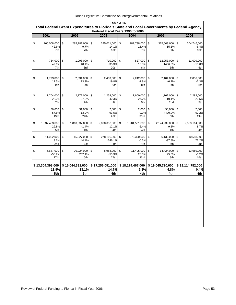| Table 3-16<br>Total Federal Grant Expenditures to Florida's State and Local Governments by Federal Agency |                                       |    |                                  |    |                                   |    |                                 |    |                                 |  |  |  |  |
|-----------------------------------------------------------------------------------------------------------|---------------------------------------|----|----------------------------------|----|-----------------------------------|----|---------------------------------|----|---------------------------------|--|--|--|--|
|                                                                                                           |                                       |    |                                  |    | Federal Fiscal Years 1996 to 2006 |    |                                 |    |                                 |  |  |  |  |
| 2001                                                                                                      | 2002                                  |    | 2003                             |    | 2004                              |    | 2005                            |    | 2006                            |  |  |  |  |
| \$<br>260,008,000<br>42.6%<br>7th                                                                         | \$<br>285,281,000<br>9.7%<br>7th      | \$ | 245,011,000<br>$-14.1%$<br>10th  | \$ | 282,798,000<br>15.4%<br>7th       | \$ | 325,503,000<br>15.1%<br>8th     | \$ | 304,746,000<br>$-6.4%$<br>10th  |  |  |  |  |
| \$<br>784,000<br>49.6%<br>7th                                                                             | \$<br>1,098,000<br>40.1%<br>3rd       | \$ | 710,000<br>$-35.3%$<br>20th      | \$ | 827,000<br>16.5%<br>8th           | \$ | 12,953,000<br>1466.3%<br>6th    | \$ | 11,009,000<br>$-15.0%$<br>6th   |  |  |  |  |
| \$<br>1,793,000<br>12.3%<br>9th                                                                           | \$<br>2,031,000<br>13.3%<br>9th       | \$ | 2,433,000<br>19.8%<br>6th        | \$ | 2,242,000<br>$-7.9%$<br>8th       | \$ | 2,104,000<br>$-6.2%$<br>8th     | \$ | 2,056,000<br>$-2.3%$<br>8th     |  |  |  |  |
| \$<br>1,704,000<br>$-22.2%$<br>7th                                                                        | \$<br>2,172,000<br>27.5%<br>7th       | \$ | 1,253,000<br>$-42.3%$<br>9th     | \$ | 1,600,000<br>27.7%<br>5th         | \$ | 1,762,000<br>10.1%<br>2nd       | \$ | 2,282,000<br>29.5%<br>5th       |  |  |  |  |
| \$<br>36,000<br>$-57.6%$<br>19th                                                                          | \$<br>31,000<br>$-13.9%$<br>24th      | \$ | 2,000<br>$-93.5%$<br>26th        | \$ | 2,000<br>0.0%<br>33rd             | \$ | 90,000<br>4400.0%<br>6th        | \$ | 7,000<br>$-92.2%$<br>21st       |  |  |  |  |
| \$<br>1,837,463,000<br>29.8%<br>5th                                                                       | \$<br>1,810,837,000<br>$-1.4%$<br>4th | \$ | 2,030,052,000<br>12.1%<br>4th    | \$ | 1,981,531,000<br>$-2.4%$<br>4th   | \$ | 2,174,939,000<br>9.8%<br>4th    | \$ | 2,363,114,000<br>8.7%<br>4th    |  |  |  |  |
| \$<br>11,052,000<br>3.7%<br>2nd                                                                           | \$<br>15,927,000<br>44.1%<br>1st      | \$ | 278,106,000<br>1646.1%<br>4th    | \$ | 276,390,000<br>$-0.6%$<br>4th     | \$ | 6,132,000<br>$-97.8%$<br>5th    | \$ | 10,558,000<br>72.2%<br>2nd      |  |  |  |  |
| \$<br>5,687,000<br>$-58.9%$<br>27th                                                                       | \$<br>20,024,000<br>252.1%<br>6th     | \$ | 8,958,000<br>$-55.3%$<br>27th    | \$ | 11,495,000<br>28.3%<br>23rd       | \$ | 14,424,000<br>25.5%<br>19th     | \$ | 13,959,000<br>$-3.2%$<br>16th   |  |  |  |  |
| \$13,304,398,000<br>13.9%<br>5th                                                                          | \$15,044,391,000<br>13.1%<br>5th      |    | \$17,256,091,000<br>14.7%<br>4th |    | \$18,174,467,000<br>5.3%<br>4th   |    | \$19,045,720,000<br>4.8%<br>4th |    | \$19,114,782,000<br>0.4%<br>4th |  |  |  |  |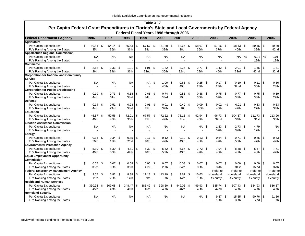| Table 3-17                                                                                                                                 |               |           |    |                  |    |           |    |                  |    |           |               |                  |    |           |    |                  |      |          |        |          |      |           |
|--------------------------------------------------------------------------------------------------------------------------------------------|---------------|-----------|----|------------------|----|-----------|----|------------------|----|-----------|---------------|------------------|----|-----------|----|------------------|------|----------|--------|----------|------|-----------|
| Per Capita Federal Grant Expenditures to Florida's State and Local Governments by Federal Agency<br>Federal Fiscal Years 1996 through 2006 |               |           |    |                  |    |           |    |                  |    |           |               |                  |    |           |    |                  |      |          |        |          |      |           |
|                                                                                                                                            |               |           |    |                  |    |           |    |                  |    |           |               |                  |    |           |    |                  |      |          |        |          |      |           |
| <b>Federal Department / Agency</b>                                                                                                         |               | 1996      |    | 1997             |    | 1998      |    | 1999             |    | 2000      |               | 2001             |    | 2002      |    | 2003             | 2004 |          |        | 2005     | 2006 |           |
| <b>Agriculture</b>                                                                                                                         |               |           |    |                  |    |           |    |                  |    |           |               |                  |    |           |    |                  |      |          |        |          |      |           |
| Per Capita Expenditures                                                                                                                    | $\mathsf{\$}$ | 50.54     | \$ | 54.14            | \$ | 55.63     | \$ | 57.57            | \$ | 51.80     | \$            | 52.67            | \$ | 58.67     | \$ | 57.16            | \$   | 58.43    | \$     | 59.16    | \$   | 59.80     |
| FL's Ranking Among the States                                                                                                              |               | 35th      |    | 36th             |    | 36th      |    | 34th             |    | 38th      |               | 38th             |    | 36th      |    | 37th             |      | 40th     |        | 39th     |      | 42nd      |
| Appalachian Regional Commission                                                                                                            |               |           |    |                  |    |           |    |                  |    |           |               |                  |    |           |    |                  |      |          |        |          |      |           |
| Per Capita Expenditures                                                                                                                    |               | <b>NA</b> |    | <b>NA</b>        |    | <b>NA</b> |    | <b>NA</b>        |    | <b>NA</b> |               | <b>NA</b>        |    | <b>NA</b> |    | <b>NA</b>        |      | NA       | $<$ \$ | 0.01     | <    | 0.01      |
| FL's Ranking Among the States                                                                                                              |               |           |    |                  |    |           |    |                  |    |           |               |                  |    |           |    |                  |      |          |        | 19th     |      | 18th      |
| <b>Commerce</b>                                                                                                                            |               |           |    |                  |    |           |    |                  |    |           |               |                  |    |           |    |                  |      |          |        |          |      |           |
| Per Capita Expenditures                                                                                                                    | \$            | 2.68      | \$ | 2.33             | \$ | 1.91      | \$ | 1.91             | \$ | 1.82      | \$            | 2.25             | \$ | 2.77      | \$ | 1.42             | \$   | 2.01     | \$     | 1.46     | \$.  | 1.31      |
| FL's Ranking Among the States                                                                                                              |               | 26th      |    | 34th             |    | 36th      |    | 32nd             |    | 36th      |               | 32nd             |    | 28th      |    | 45th             |      | 33rd     |        | 42nd     |      | 32nd      |
| <b>Corporation for National and Community</b>                                                                                              |               |           |    |                  |    |           |    |                  |    |           |               |                  |    |           |    |                  |      |          |        |          |      |           |
| <b>Service</b>                                                                                                                             |               |           |    |                  |    |           |    |                  |    |           |               |                  |    |           |    |                  |      |          |        |          |      |           |
| Per Capita Expenditures                                                                                                                    |               | <b>NA</b> |    | <b>NA</b>        |    | <b>NA</b> |    | <b>NA</b>        | \$ | 1.00      | \$            | 0.68             | \$ | 0.25      | \$ | 0.17             | \$   | 0.10     | \$     | 0.11     | \$.  | 0.36      |
| FL's Ranking Among the States                                                                                                              |               |           |    |                  |    |           |    |                  |    | 40th      |               | 49th             |    | 28th      |    | 28th             |      | 32nd     |        | 30th     |      | 28th      |
| <b>Corporation for Public Broadcasting</b>                                                                                                 |               |           |    |                  |    |           |    |                  |    |           |               |                  |    |           |    |                  |      |          |        |          |      |           |
| Per Capita Expenditures                                                                                                                    | \$            | 0.19      | \$ | 0.73             | \$ | 0.68      | \$ | 0.65             | \$ | 0.74      | \$            | 0.83             | \$ | 0.88      | \$ | 0.75             | \$   | 0.77     | \$     | 0.75     | \$   | 0.59      |
| FL's Ranking Among the States                                                                                                              |               | 44th      |    | 31 <sub>st</sub> |    | 33rd      |    | 34th             |    | 33rd      |               | 29th             |    | 30th      |    | 39th             |      | 38th     |        | 38th     |      | 27th      |
| <b>Defense</b>                                                                                                                             |               |           |    |                  |    |           |    |                  |    |           |               |                  |    |           |    |                  |      |          |        |          |      |           |
| Per Capita Expenditures                                                                                                                    | \$            | 0.14      | \$ | 0.51             | \$ | 0.23      | \$ | 0.01             | \$ | 0.01      | \$            | 0.40             | \$ | 0.09      | \$ | 0.02             | <    | 0.01     | \$     | 0.83     | \$   | 0.63      |
| FL's Ranking Among the States                                                                                                              |               | 44th      |    | 23rd             |    | 33rd      |    | 45th             |    | 39th      |               | 16th             |    | 35th      |    | 40th             |      | 47th     |        | 27th     |      | 34th      |
| <b>Education</b>                                                                                                                           |               |           |    |                  |    |           |    |                  |    |           |               |                  |    |           |    |                  |      |          |        |          |      |           |
| Per Capita Expenditures                                                                                                                    | \$            | 46.57     | \$ | 50.56            | \$ | 72.01     | \$ | 67.57            | \$ | 72.22     | \$            | 73.13            | \$ | 92.94     | \$ | 96.73            | \$   | 104.37   | \$     | 111.73   | \$   | 113.96    |
| FL's Ranking Among the States                                                                                                              |               | 40th      |    | 48th             |    | 35th      |    | 45th             |    | 49th      |               | 41 <sub>st</sub> |    | 45th      |    | 32nd             |      | 34th     |        | 31st     |      | 35th      |
| <b>Election Assistance Commission</b>                                                                                                      |               |           |    |                  |    |           |    |                  |    |           |               |                  |    |           |    |                  |      |          |        |          |      |           |
| Per Capita Expenditures                                                                                                                    |               | <b>NA</b> |    | <b>NA</b>        |    | <b>NA</b> |    | NA               |    | <b>NA</b> |               | ΝA               |    | NA        | \$ | 1.53             | \$   | 2.73     | \$     | 4.79     |      | <b>NA</b> |
| FL's Ranking Among the States                                                                                                              |               |           |    |                  |    |           |    |                  |    |           |               |                  |    |           |    | 37th             |      | 39th     |        | 17th     |      |           |
| Energy                                                                                                                                     |               |           |    |                  |    |           |    |                  |    |           |               |                  |    |           |    |                  |      |          |        |          |      |           |
| Per Capita Expenditures                                                                                                                    | \$            | 0.14      | \$ | 0.34             | \$ | 0.35      | \$ | 0.17             | \$ | 0.12      | \$            | 0.19             | \$ | 0.13      | \$ | 0.64             | \$   | 0.71     | \$     | 0.65     | \$   | 0.63      |
| FL's Ranking Among the States                                                                                                              |               | 50th      |    | 17th             |    | 32nd      |    | 48th             |    | 49th      |               | 49th             |    | 48th      |    | 49th             |      | 50th     |        | 47th     |      | 49th      |
| <b>Environmental Protection Agency</b>                                                                                                     |               |           |    |                  |    |           |    |                  |    |           |               |                  |    |           |    |                  |      |          |        |          |      |           |
| Per Capita Expenditures                                                                                                                    | \$            | 5.39      | \$ | 5.30             | \$ | 4.81      | \$ | 6.30             | \$ | 5.52      | \$            | 6.67             | \$ | 7.72      | \$ | 7.94             | \$   | 8.38     | \$     | 5.47     | \$   | 7.71      |
| FL's Ranking Among the States                                                                                                              |               | 49th      |    | 50th             |    | 49th      |    | 48th             |    | 50th      |               | 49th             |    | 47th      |    | 46th             |      | 48th     |        | 48th     |      | 47th      |
| <b>Equal Employment Opportunity</b>                                                                                                        |               |           |    |                  |    |           |    |                  |    |           |               |                  |    |           |    |                  |      |          |        |          |      |           |
| <b>Commission</b>                                                                                                                          |               |           |    |                  |    |           |    |                  |    |           |               |                  |    |           |    |                  |      |          |        |          |      |           |
| Per Capita Expenditures                                                                                                                    | $\mathsf{\$}$ | 0.07      | \$ | 0.07             | \$ | 0.08      | \$ | 0.06             | \$ | 0.07      | $\mathfrak s$ | 0.08             | \$ | 0.07      | \$ | $0.07$ \$        |      | 0.09     | \$     | 0.09     | \$   | 0.07      |
| FL's Ranking Among the States                                                                                                              |               | 33rd      |    | 36th             |    | 35th      |    | 41 <sub>st</sub> |    | 28th      |               | 34th             |    | 35th      |    | 37th             |      | 31st     |        | 32nd     |      | 37th      |
| <b>Federal Emergency Management Agency</b>                                                                                                 |               |           |    |                  |    |           |    |                  |    |           |               |                  |    |           |    | Refer to         |      | Refer to |        | Refer to |      | Refer to  |
| Per Capita Expenditures                                                                                                                    | \$            | 9.57      | \$ | 6.82             | \$ | 8.88      | \$ | 11.18            | \$ | 13.19     | \$            | 9.62             | \$ | 10.63     |    | Homeland         |      | Homeland |        | Homeland |      | Homeland  |
| FL's Ranking Among the States                                                                                                              |               | 11th      |    | 26th             |    | 14th      |    | 9th              |    | 5th       |               | 14th             |    | 10th      |    | Security         |      | Security |        | Security |      | Security  |
| <b>Health and Human Services</b>                                                                                                           |               |           |    |                  |    |           |    |                  |    |           |               |                  |    |           |    |                  |      |          |        |          |      |           |
| Per Capita Expenditures                                                                                                                    | \$            | 330.93    | \$ | 309.08           | \$ | 348.47    | \$ | 385.49           | \$ | 398.60    | \$            | 449.06           | \$ | 499.93    | \$ | 585.74           | \$   | 607.43   | \$     | 584.93   | \$   | 536.57    |
| FL's Ranking Among the States                                                                                                              |               | 45th      |    | 47th             |    | 46th      |    | 46th             |    | 46th      |               | 46th             |    | 46th      |    | 42nd             |      | 45th     |        | 46th     |      | 46th      |
| <b>Homeland Security</b>                                                                                                                   |               |           |    |                  |    |           |    |                  |    |           |               |                  |    |           |    |                  |      |          |        |          |      |           |
| Per Capita Expenditures                                                                                                                    |               | NA        |    | NA               |    | NA        |    | NA               |    | NA        |               | NA               |    | NA.       | \$ | 9.87             | \$   | 15.55    | \$     | 90.76    | ٩    | 91.56     |
| FL's Ranking Among the States                                                                                                              |               |           |    |                  |    |           |    |                  |    |           |               |                  |    |           |    | 12 <sub>th</sub> |      | 38th     |        | 2nd      |      | 5th       |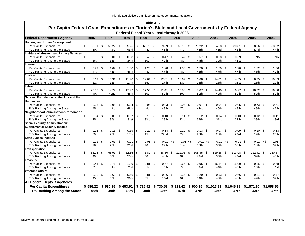| Table 3-17                                                                                                                                 |    |               |    |               |                |               |     |               |    |               |     |               |        |                  |        |               |        |                  |    |               |        |               |
|--------------------------------------------------------------------------------------------------------------------------------------------|----|---------------|----|---------------|----------------|---------------|-----|---------------|----|---------------|-----|---------------|--------|------------------|--------|---------------|--------|------------------|----|---------------|--------|---------------|
| Per Capita Federal Grant Expenditures to Florida's State and Local Governments by Federal Agency<br>Federal Fiscal Years 1996 through 2006 |    |               |    |               |                |               |     |               |    |               |     |               |        |                  |        |               |        |                  |    |               |        |               |
|                                                                                                                                            |    | 1996          |    | 1997          |                | 1998          |     | 1999          |    | 2000          |     | 2001          |        | 2002             |        | 2003          |        | 2004             |    | 2005          |        | 2006          |
| <b>Federal Department / Agency</b>                                                                                                         |    |               |    |               |                |               |     |               |    |               |     |               |        |                  |        |               |        |                  |    |               |        |               |
| <b>Housing and Urban Development</b>                                                                                                       |    |               |    |               |                |               |     |               |    |               |     |               |        |                  |        |               |        |                  |    |               |        |               |
| Per Capita Expenditures                                                                                                                    | \$ | 52.01<br>50th | \$ | 55.22<br>43rd | \$             | 65.25<br>43rd | \$  | 69.79<br>44th | \$ | 69.89<br>45th | \$  | 68.13<br>47th | \$     | 79.22<br>45th    | \$     | 84.68<br>43rd | \$     | 80.81<br>46th    | \$ | 58.36<br>42nd | \$     | 83.02<br>44th |
| FL's Ranking Among the States<br><b>Institute of Museum and Library Services</b>                                                           |    |               |    |               |                |               |     |               |    |               |     |               |        |                  |        |               |        |                  |    |               |        |               |
| Per Capita Expenditures                                                                                                                    | \$ | 0.02          | \$ | 0.01          | $\mathfrak{S}$ | 0.58          | \$. | 0.45          | \$ | 0.47          | \$  | 0.47          | \$     | 0.57             | \$     | 0.68          | \$     | 0.69             |    | <b>NA</b>     |        |               |
| FL's Ranking Among the States                                                                                                              |    | 36th          |    | 38th          |                | 34th          |     | 50th          |    | 49th          |     | 48th          |        | 44th             |        | 39th          |        |                  |    |               |        | <b>NA</b>     |
| <b>Interior</b>                                                                                                                            |    |               |    |               |                |               |     |               |    |               |     |               |        |                  |        |               |        | 41 <sub>st</sub> |    |               |        |               |
| Per Capita Expenditures                                                                                                                    | \$ | 0.99          | \$ | 1.69          | -\$            | 1.30          | \$  | 1.26          | \$ | 1.28          | \$  | 1.33          | \$     |                  | \$     | 1.70          | \$     |                  | \$ | 1.72          | \$     | 1.56          |
| FL's Ranking Among the States                                                                                                              |    | 47th          |    | 46th          |                | 46th          |     | 48th          |    | 47th          |     | 48th          |        | 1.70<br>46th     |        | 47th          |        | 1.70<br>47th     |    | 48th          |        | 49th          |
| <b>Justice</b>                                                                                                                             |    |               |    |               |                |               |     |               |    |               |     |               |        |                  |        |               |        |                  |    |               |        |               |
| Per Capita Expenditures                                                                                                                    | \$ | 8.19          | \$ | 10.31         | \$             | 11.40         | \$  | 19.64         | \$ | 12.01         | \$  | 16.69         | \$     | 16.68            | \$     | 14.01         | \$     | 14.55            | \$ | 8.25          | \$     | 10.83         |
| FL's Ranking Among the States                                                                                                              |    | 12th          |    | 12th          |                | 17th          |     | 15th          |    | 27th          |     | 13th          |        | 18th             |        | 26th          |        | 31st             |    | 25th          |        | 29th          |
| Labor                                                                                                                                      |    |               |    |               |                |               |     |               |    |               |     |               |        |                  |        |               |        |                  |    |               |        |               |
| Per Capita Expenditures                                                                                                                    | \$ | 20.05         | \$ | 14.77         | $\mathfrak{S}$ | 17.42         | \$  | 17.55         | \$ | 11.41         | \$  | 15.86         | \$     | 17.07            | \$     | 14.40         | \$     | 16.27            | \$ | 18.32         | \$     | 16.88         |
| FL's Ranking Among the States                                                                                                              |    | 40th          |    | 42nd          |                | 48th          |     | 50th          |    | 50th          |     | 50th          |        | 50th             |        | 49th          |        | 50th             |    | 50th          |        | 50th          |
| National Foundation on the Arts and the                                                                                                    |    |               |    |               |                |               |     |               |    |               |     |               |        |                  |        |               |        |                  |    |               |        |               |
| <b>Humanities</b>                                                                                                                          |    |               |    |               |                |               |     |               |    |               |     |               |        |                  |        |               |        |                  |    |               |        |               |
| Per Capita Expenditures                                                                                                                    | \$ | 0.06          | \$ | 0.05          | -\$            | 0.04          | \$  | 0.05          | \$ | 0.03          | \$  | 0.05          | \$     | 0.07             | \$     |               |        | 0.05             | \$ | 0.73          | \$     | 0.61          |
| FL's Ranking Among the States                                                                                                              |    | 45th          |    | 43rd          |                | 48th          |     | 44th          |    | 49th          |     | 47th          |        | 41 <sub>st</sub> |        | 46th          |        | 49th             |    | 48th          |        | 47th          |
| <b>Neighborhood Reinvestment Corporation</b>                                                                                               |    |               |    |               |                |               |     |               |    |               |     |               |        |                  |        |               |        |                  |    |               |        |               |
| Per Capita Expenditures                                                                                                                    | \$ | 0.04          | \$ | 0.06          | $\mathfrak{S}$ | 0.07          | \$  | 0.13          | \$ | 0.10          | \$  | 0.11          | \$     | 0.12             | \$     | 0.14          | \$     | 0.13             | \$ | 0.12          | \$     | 0.11          |
| FL's Ranking Among the States                                                                                                              |    | 25th          |    | 36th          |                | 31st          |     | 33rd          |    | 29th          |     | 33rd          |        | 37th             |        | 31st          |        | 37th             |    | 39th          |        | 43rd          |
| <b>Social Security Administration:</b>                                                                                                     |    |               |    |               |                |               |     |               |    |               |     |               |        |                  |        |               |        |                  |    |               |        |               |
| <b>Supplemental Security Income</b>                                                                                                        |    |               |    |               |                |               |     |               |    |               |     |               |        |                  |        |               |        |                  |    |               |        |               |
| Per Capita Expenditures                                                                                                                    | \$ | 0.06          | \$ | 0.13          | -\$            | 0.19          | \$  | 0.20          | \$ | 0.14          | \$  | 0.10          | \$     | 0.13             | \$     | 0.07          | \$     | 0.09             | \$ | 0.10          | \$     | 0.13          |
| FL's Ranking Among the States                                                                                                              |    | 39th          |    | 25th          |                | 17th          |     | 15th          |    | 22nd          |     | 23rd          |        | 26th             |        | 28th          |        | 23rd             |    | 19th          |        | 20th          |
| <b>State Justice Institute</b>                                                                                                             |    |               |    |               |                |               |     |               |    |               |     |               |        |                  |        |               |        |                  |    |               |        |               |
| Per Capita Expenditures                                                                                                                    | \$ | 0.01          | \$ | 0.01          | \$             | 0.01          | \$  | 0.01          | \$ | 0.01          | <\$ | 0.01          | $\leq$ | 0.01             | $<$ \$ | 0.01          | $<$ \$ | 0.01             | -S | 0.01          | $\leq$ | 0.01          |
| FL's Ranking Among the States                                                                                                              |    | 26th          |    | 25th          |                | 32nd          |     | 40th          |    | 29th          |     | 31st          |        | 35th             |        | 35th          |        | 36th             |    | 18th          |        | 37th          |
| <b>Transportation</b>                                                                                                                      |    |               |    |               |                |               |     |               |    |               |     |               |        |                  |        |               |        |                  |    |               |        |               |
| Per Capita Expenditures                                                                                                                    | \$ | 58.05         | \$ | 66.91         | \$             | 62.56         | \$  | 71.82         | \$ | 88.56         | \$  | 112.06        | \$     | 108.35           | \$     | 119.28        | \$     | 113.98           | \$ | 122.41        | \$     | 130.87        |
| FL's Ranking Among the States                                                                                                              |    | 49th          |    | 50th          |                | 50th          |     | 50th          |    | 48th          |     | 40th          |        | 43rd             |        | 35th          |        | 43rd             |    | 39th          |        | 40th          |
| <b>Treasury</b>                                                                                                                            |    |               |    |               |                |               |     |               |    |               |     |               |        |                  |        |               |        |                  |    |               |        |               |
| Per Capita Expenditures                                                                                                                    | \$ | 0.44          | \$ | 0.71          | \$             | 1.39          | \$  | 2.81          | \$ | 0.67          | \$  | 0.67          | \$     | 0.95             | \$     | 16.34         | \$     | 15.90            | \$ | 0.35          | \$     | 0.58          |
| FL's Ranking Among the States                                                                                                              |    | 2nd           |    | 1st           |                | 2nd           |     | 1st           |    | 5th           |     | 3rd           |        | 3rd              |        | 44th          |        | 46th             |    | 10th          |        | 1st           |
| <b>Veterans Affairs</b>                                                                                                                    |    |               |    |               |                |               |     |               |    |               |     |               |        |                  |        |               |        |                  |    |               |        |               |
| Per Capita Expenditures                                                                                                                    | \$ | 0.12          | \$ | 0.63          | \$             | 0.66          | \$  | 0.81          | \$ | 0.86          | \$  | 0.35          | \$     | 1.20             | \$     | 0.53          | \$     | 0.66             | \$ | 0.81          | \$.    | 0.77          |
| FL's Ranking Among the States                                                                                                              |    | 45th          |    | 36th          |                | 36th          |     | 35th          |    | 33rd          |     | 46th          |        | 34th             |        | 46th          |        | 48th             |    | 49th          |        | 39th          |
| All Federal Depts. / Agencies                                                                                                              |    |               |    |               |                |               |     |               |    |               |     |               |        |                  |        |               |        |                  |    |               |        |               |
| <b>Per Capita Expenditures</b>                                                                                                             |    | \$586.22      |    | \$580.35      |                | \$653.91      |     | \$715.42      |    | \$730.53      |     | \$811.42      |        | \$900.15         |        | \$1,013.93    |        | \$1,045.38       |    | \$1,071.90    |        | \$1,058.55    |
| <b>FL's Ranking Among the States</b>                                                                                                       |    | 48th          |    | 49th          |                | 48th          |     | 48th          |    | 48th          |     | 47th          |        | 47th             |        | 45th          |        | 47th             |    | 43rd          |        | 47th          |
|                                                                                                                                            |    |               |    |               |                |               |     |               |    |               |     |               |        |                  |        |               |        |                  |    |               |        |               |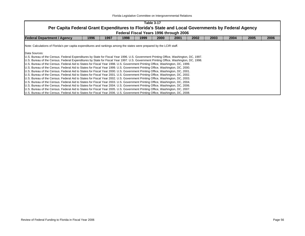|                                                                                                                                       |      |      |      |      | Table 3-17  |      |      |      |      |      |      |  |  |
|---------------------------------------------------------------------------------------------------------------------------------------|------|------|------|------|-------------|------|------|------|------|------|------|--|--|
| Per Capita Federal Grant Expenditures to Florida's State and Local Governments by Federal Agency                                      |      |      |      |      |             |      |      |      |      |      |      |  |  |
| Federal Fiscal Years 1996 through 2006                                                                                                |      |      |      |      |             |      |      |      |      |      |      |  |  |
| <b>Federal Department / Agency</b>                                                                                                    | 1996 | 1997 | 1998 | 1999 | <b>2000</b> | 2001 | 2002 | 2003 | 2004 | 2005 | 2006 |  |  |
| Note: Calculations of Florida's per capita expenditures and rankings among the states were prepared by the LCIR staff.                |      |      |      |      |             |      |      |      |      |      |      |  |  |
| Data Sources:                                                                                                                         |      |      |      |      |             |      |      |      |      |      |      |  |  |
| U.S. Bureau of the Census. Federal Expenditures by State for Fiscal Year 1996. U.S. Government Printing Office, Washington, DC, 1997. |      |      |      |      |             |      |      |      |      |      |      |  |  |
| U.S. Bureau of the Census. Federal Expenditures by State for Fiscal Year 1997. U.S. Government Printing Office, Washington, DC, 1998. |      |      |      |      |             |      |      |      |      |      |      |  |  |
| U.S. Bureau of the Census. Federal Aid to States for Fiscal Year 1998. U.S. Government Printing Office, Washington, DC, 1999.         |      |      |      |      |             |      |      |      |      |      |      |  |  |
| U.S. Bureau of the Census. Federal Aid to States for Fiscal Year 1999. U.S. Government Printing Office, Washington, DC, 2000.         |      |      |      |      |             |      |      |      |      |      |      |  |  |
| U.S. Bureau of the Census. Federal Aid to States for Fiscal Year 2000. U.S. Government Printing Office, Washington, DC, 2001.         |      |      |      |      |             |      |      |      |      |      |      |  |  |
| U.S. Bureau of the Census. Federal Aid to States for Fiscal Year 2001. U.S. Government Printing Office, Washington, DC, 2002.         |      |      |      |      |             |      |      |      |      |      |      |  |  |
| U.S. Bureau of the Census. Federal Aid to States for Fiscal Year 2002. U.S. Government Printing Office, Washington, DC, 2003.         |      |      |      |      |             |      |      |      |      |      |      |  |  |
| U.S. Bureau of the Census. Federal Aid to States for Fiscal Year 2003. U.S. Government Printing Office, Washington, DC, 2004.         |      |      |      |      |             |      |      |      |      |      |      |  |  |
| U.S. Bureau of the Census. Federal Aid to States for Fiscal Year 2004. U.S. Government Printing Office, Washington, DC, 2006.         |      |      |      |      |             |      |      |      |      |      |      |  |  |
| U.S. Bureau of the Census. Federal Aid to States for Fiscal Year 2005. U.S. Government Printing Office, Washington, DC, 2007.         |      |      |      |      |             |      |      |      |      |      |      |  |  |
| U.S. Bureau of the Census. Federal Aid to States for Fiscal Year 2006. U.S. Government Printing Office, Washington, DC, 2008.         |      |      |      |      |             |      |      |      |      |      |      |  |  |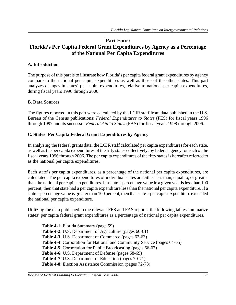### **Part Four: Florida's Per Capita Federal Grant Expenditures by Agency as a Percentage of the National Per Capita Expenditures**

#### **A. Introduction**

The purpose of this part is to illustrate how Florida's per capita federal grant expenditures by agency compare to the national per capita expenditures as well as those of the other states. This part analyzes changes in states' per capita expenditures, relative to national per capita expenditures, during fiscal years 1996 through 2006.

#### **B. Data Sources**

The figures reported in this part were calculated by the LCIR staff from data published in the U.S. Bureau of the Census publications: *Federal Expenditures to States* (FES) for fiscal years 1996 through 1997 and its successor *Federal Aid to States* (FAS) for fiscal years 1998 through 2006.

#### **C. States' Per Capita Federal Grant Expenditures by Agency**

In analyzing the federal grants data, the LCIR staff calculated per capita expenditures for each state, as well as the per capita expenditures of the fifty states collectively, by federal agency for each of the fiscal years 1996 through 2006. The per capita expenditures of the fifty states is hereafter referred to as the national per capita expenditures.

Each state's per capita expenditures, as a percentage of the national per capita expenditures, are calculated. The per capita expenditures of individual states are either less than, equal to, or greater than the national per capita expenditures. If a state's percentage value in a given year is less than 100 percent, then that state had a per capita expenditure less than the national per capita expenditure. If a state's percentage value is greater than 100 percent, then that state's per capita expenditure exceeded the national per capita expenditure.

Utilizing the data published in the relevant FES and FAS reports, the following tables summarize states' per capita federal grant expenditures as a percentage of national per capita expenditures.

**Table 4-1**: Florida Summary (page 59) **Table 4-2**: U.S. Department of Agriculture (pages 60-61) **Table 4-3**: U.S. Department of Commerce (pages 62-63) **Table 4-4**: Corporation for National and Community Service (pages 64-65) **Table 4-5**: Corporation for Public Broadcasting (pages 66-67) **Table 4-6**: U.S. Department of Defense (pages 68-69) **Table 4-7**: U.S. Department of Education (pages 70-71) **Table 4-8**: Election Assistance Commission (pages 72-73)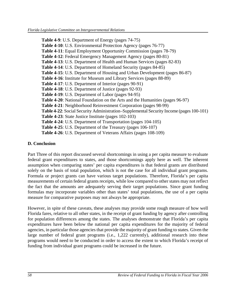**Table 4-9**: U.S. Department of Energy (pages 74-75) **Table 4-10**: U.S. Environmental Protection Agency (pages 76-77) **Table 4-11**: Equal Employment Opportunity Commission (pages 78-79) **Table 4-12**: Federal Emergency Management Agency (pages 80-81) **Table 4-13**: U.S. Department of Health and Human Services (pages 82-83) **Table 4-14**: U.S. Department of Homeland Security (pages 84-85) **Table 4-15**: U.S. Department of Housing and Urban Development (pages 86-87) **Table 4-16**: Institute for Museum and Library Services (pages 88-89) **Table 4-17**: U.S. Department of Interior (pages 90-91) **Table 4-18**: U.S. Department of Justice (pages 92-93) **Table 4-19**: U.S. Department of Labor (pages 94-95) **Table 4-20**: National Foundation on the Arts and the Humanities (pages 96-97) **Table 4-21**: Neighborhood Reinvestment Corporation (pages 98-99) **Table 4-22**: Social Security Administration–Supplemental Security Income (pages 100-101) **Table 4-23**: State Justice Institute (pages 102-103) **Table 4-24**: U.S. Department of Transportation (pages 104-105) **Table 4-25**: U.S. Department of the Treasury (pages 106-107) **Table 4-26**: U.S. Department of Veterans Affairs (pages 108-109)

### **D. Conclusion**

Part Three of this report discussed several shortcomings in using a per capita measure to evaluate federal grant expenditures to states, and those shortcomings apply here as well. The inherent assumption when comparing states' per capita expenditures is that federal grants are distributed solely on the basis of total population, which is not the case for all individual grant programs. Formula or project grants can have various target populations. Therefore, Florida's per capita measurements of certain federal grants receipts, while low compared to other states may not reflect the fact that the amounts are adequately serving their target populations. Since grant funding formulas may incorporate variables other than states' total populations, the use of a per capita measure for comparative purposes may not always be appropriate.

However, in spite of these caveats, these analyses may provide some rough measure of how well Florida fares, relative to all other states, in the receipt of grant funding by agency after controlling for population differences among the states. The analyses demonstrate that Florida's per capita expenditures have been below the national per capita expenditures for the majority of federal agencies, in particular those agencies that provide the majority of grant funding to states. Given the large number of federal grant programs (i.e., 1,222 currently), additional research into these programs would need to be conducted in order to access the extent to which Florida's receipt of funding from individual grant programs could be increased in the future.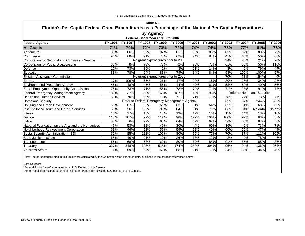| Table 4-1                                                                                               |         |                                                   |         |                                              |                |         |         |         |                                   |                |                |  |
|---------------------------------------------------------------------------------------------------------|---------|---------------------------------------------------|---------|----------------------------------------------|----------------|---------|---------|---------|-----------------------------------|----------------|----------------|--|
| Florida's Per Capita Federal Grant Expenditures as a Percentage of the National Per Capita Expenditures |         |                                                   |         |                                              |                |         |         |         |                                   |                |                |  |
|                                                                                                         |         |                                                   |         | by Agency                                    |                |         |         |         |                                   |                |                |  |
|                                                                                                         |         |                                                   |         | Federal Fiscal Years 1996 to 2006            |                |         |         |         |                                   |                |                |  |
| <b>Federal Agency</b>                                                                                   | FY 1996 | FY 1997                                           | FY 1998 | FY 1999                                      | <b>FY 2000</b> | FY 2001 | FY 2002 | FY 2003 | FY 2004                           | <b>FY 2005</b> | <b>FY 2006</b> |  |
| <b>IAII Grants</b>                                                                                      | 71%     | 70%                                               | 72%     | 73%                                          | 72%            | 74%     | 74%     | 78%     | 77%                               | 81%            | 78%            |  |
| <b>Agriculture</b>                                                                                      | 88%     | 86%                                               | 87%     | 92%                                          | 81%            | 83%     | 86%     | 83%     | 82%                               | 80%            | 79%            |  |
| Commerce                                                                                                | 94%     | 68%                                               | 71%     | 70%                                          | 62%            | 74%     | 84%     | 45%     | 66%                               | 50%            | 66%            |  |
| Corporation for National and Community Service                                                          |         | No grant expenditures prior to 2003<br>34%<br>26% |         |                                              |                |         |         |         |                                   |                |                |  |
| Corporation for Public Broadcasting                                                                     | 38%     | 78%                                               | 73%     | 73%                                          | 72%            | 78%     | 73%     | 61%     | 56%                               | 56%            | 116%           |  |
| Defense                                                                                                 | 15%     | 73%                                               | 36%     | 2%                                           | 3%             | 91%     | 14%     | 3%      | 0%                                | 79%            | 47%            |  |
| Education                                                                                               | 83%     | 78%                                               | 94%     | 83%                                          | 79%            | 84%     | 84%     | 98%     | 100%                              | 100%           | 97%            |  |
| <b>Election Assistance Commission</b>                                                                   |         |                                                   |         | No grant expenditures prior to 2003          |                |         |         | 70%     | 61%                               | 154%           | 0%             |  |
| Energy                                                                                                  | 17%     | 109%                                              | 65%     | 26%                                          | 17%            | 20%     | 16%     | 30%     | 26%                               | 34%            | 28%            |  |
| <b>Environmental Protection Agency</b>                                                                  | 46%     | 48%                                               | 45%     | 55%                                          | 44%            | 49%     | 61%     | 58%     | 59%                               | 49%            | 56%            |  |
| Equal Employment Opportunity Commission                                                                 | 76%     | 73%                                               | 71%     | 55%                                          | 78%            | 79%     | 71%     | 71%     | 93%                               | 91%            | 72%            |  |
| Federal Emergency Management Agency                                                                     | 182%    | 37%                                               | 162%    | 163%                                         | 187%           | 112%    | 96%     |         | <b>Refer to Homeland Security</b> |                |                |  |
| <b>Health and Human Services</b>                                                                        | 69%     | 70%                                               | 69%     | 71%                                          | 71%            | 71%     | 71%     | 78%     | 77%                               | 73%            | 71%            |  |
| <b>Homeland Security</b>                                                                                |         |                                                   |         | Refer to Federal Emergency Management Agency |                |         |         | 65%     | 87%                               | 344%           | 289%           |  |
| Housing and Urban Development                                                                           | 63%     | 67%                                               | 68%     | 65%                                          | 63%            | 61%     | 64%     | 65%     | 61%                               | 63%            | 62%            |  |
| Institute for Museum and Library Services                                                               | 55%     | 26%                                               | 102%    | 83%                                          | 84%            | 91%     | 79%     | 86%     | 84%                               | No data        | No data        |  |
| Interior                                                                                                | 16%     | 17%                                               | 15%     | 14%                                          | 13%            | 12%     | 16%     | 15%     | 14%                               | 13%            | 10%            |  |
| Justice                                                                                                 | 113%    | 107%                                              | 99%     | 112%                                         | 98%            | 127%    | 106%    | 100%    | 97%                               | 63%            | 57%            |  |
| Labor                                                                                                   | 83%     | 76%                                               | 72%     | 68%                                          | 64%            | 62%     | 62%     | 56%     | 58%                               | 67%            | 56%            |  |
| National Foundation on the Arts and the Humanities                                                      | 47%     | 53%                                               | 38%     | 49%                                          | 30%            | 44%     | 60%     | 36%     | 40%                               | 73%            | 71%            |  |
| Neighborhood Reinvestment Corporation                                                                   | 61%     | 46%                                               | 52%     | 56%                                          | 59%            | 52%     | 49%     | 60%     | 50%                               | 47%            | 44%            |  |
| Social Security Administration - SSI                                                                    | 56%     | 85%                                               | 112%    | 106%                                         | 80%            | 75%     | 77%     | 70%     | 87%                               | 111%           | 105%           |  |
| State Justice Institute                                                                                 | 65%     | 49%                                               | 21%     | 10%                                          | 26%            | 13%     | 12%     | 2%      | 2%                                | 78%            | 6%             |  |
| Transportation                                                                                          | 66%     | 68%                                               | 63%     | 69%                                          | 80%            | 89%     | 84%     | 91%     | 85%                               | 88%            | 86%            |  |
| Treasury                                                                                                | 327%    | 848%                                              | 398%    | 518%                                         | 174%           | 230%    | 394%    | 96%     | 94%                               | 136%           | 264%           |  |
| Veterans Affairs                                                                                        | 11%     | 59%                                               | 53%     | 52%                                          | 68%            | 21%     | 71%     | 24%     | 30%                               | 34%            | 40%            |  |

Note: The percentages listed in this table were calculated by the Committee staff based on data published in the sources referenced below.

Data Sources:

"Federal Aid to States" annual reports. U.S. Bureau of the Census.

"State Population Estimates" annual estimates, Population Division, U.S. Bureau of the Census.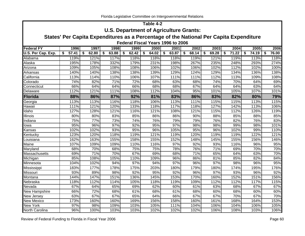|                    | Table 4-2                                                                              |             |             |                                   |    |       |             |             |             |             |             |             |  |  |
|--------------------|----------------------------------------------------------------------------------------|-------------|-------------|-----------------------------------|----|-------|-------------|-------------|-------------|-------------|-------------|-------------|--|--|
|                    | <b>U.S. Department of Agriculture Grants:</b>                                          |             |             |                                   |    |       |             |             |             |             |             |             |  |  |
|                    | States' Per Capita Expenditures as a Percentage of the National Per Capita Expenditure |             |             |                                   |    |       |             |             |             |             |             |             |  |  |
|                    |                                                                                        |             |             |                                   |    |       |             |             |             |             |             |             |  |  |
|                    |                                                                                        |             |             | Federal Fiscal Years 1996 to 2006 |    |       |             |             |             |             |             |             |  |  |
| <b>Federal FY</b>  | 1996                                                                                   | 1997        | 1998        | 1999                              |    | 2000  | 2001        | 2002        | 2003        | 2004        | 2005        | 2006        |  |  |
| U.S. Per Cap. Exp. | 57.41<br>\$                                                                            | \$<br>62.80 | \$<br>63.88 | 62.42<br>\$                       | \$ | 64.02 | \$<br>63.87 | \$<br>68.14 | \$<br>69.28 | 71.22<br>\$ | \$<br>74.19 | \$<br>76.00 |  |  |
| Alabama            | 119%                                                                                   | 121%        | 117%        | 118%                              |    | 118%  | 118%        | 119%        | 121%        | 119%        | 113%        | 118%        |  |  |
| Alaska             | 195%                                                                                   | 178%        | 332%        | 179%                              |    | 231%  | 198%        | 267%        | 235%        | 248%        | 293%        | 274%        |  |  |
| Arizona            | 109%                                                                                   | 105%        | 108%        | 108%                              |    | 106%  | 102%        | 106%        | 102%        | 112%        | 102%        | 100%        |  |  |
| Arkansas           | 140%                                                                                   | 140%        | 138%        | 138%                              |    | 139%  | 129%        | 124%        | 129%        | 134%        | 136%        | 138%        |  |  |
| California         | 113%                                                                                   | 114%        | 110%        | 106%                              |    | 107%  | 111%        | 111%        | 112%        | 113%        | 109%        | 108%        |  |  |
| Colorado           | 74%                                                                                    | 82%         | 71%         | 72%                               |    | 68%   | 63%         | 68%         | 74%         | 70%         | 64%         | 69%         |  |  |
| Connecticut        | 66%                                                                                    | 64%         | 64%         | 66%                               |    | 68%   | 68%         | 67%         | 64%         | 64%         | 63%         | 64%         |  |  |
| Delaware           | 112%                                                                                   | 121%        | 111%        | 108%                              |    | 112%  | 104%        | 95%         | 101%        | 105%        | 107%        | 101%        |  |  |
| <b>Florida</b>     | 88%                                                                                    | 86%         | 87%         | 92%                               |    | 81%   | 83%         | 86%         | 83%         | 82%         | 80%         | 79%         |  |  |
| Georgia            | 113%                                                                                   | 113%        | 116%        | 118%                              |    | 106%  | 113%        | 111%        | 115%        | 115%        | 113%        | 115%        |  |  |
| Hawaii             | 111%                                                                                   | 121%        | 120%        | 133%                              |    | 118%  | 117%        | 118%        | 127%        | 142%        | 113%        | 106%        |  |  |
| Idaho              | 127%                                                                                   | 128%        | 121%        | 116%                              |    | 121%  | 108%        | 121%        | 115%        | 112%        | 126%        | 119%        |  |  |
| Illinois           | 80%                                                                                    | 80%         | 83%         | 85%                               |    | 86%   | 86%         | 90%         | 88%         | 85%         | 88%         | 85%         |  |  |
| Indiana            | 75%                                                                                    | 77%         | 73%         | 74%                               |    | 76%   | 79%         | 79%         | 76%         | 82%         | 76%         | 83%         |  |  |
| lowa               | 95%                                                                                    | 96%         | 97%         | 92%                               |    | 95%   | 97%         | 98%         | 98%         | 99%         | 98%         | 101%        |  |  |
| ≺ansas             | 102%                                                                                   | 102%        | 93%         | 95%                               |    | 96%   | 105%        | 95%         | 96%         | 102%        | 99%         | 110%        |  |  |
| Kentucky           | 123%                                                                                   | 120%        | 118%        | 119%                              |    | 121%  | 119%        | 120%        | 119%        | 119%        | 122%        | 121%        |  |  |
| ouisiana <u>.</u>  | 162%                                                                                   | 163%        | 155%        | 158%                              |    | 155%  | 152%        | 148%        | 145%        | 155%        | 156%        | 146%        |  |  |
| Maine              | 107%                                                                                   | 109%        | 109%        | 110%                              |    | 116%  | 97%         | 92%         | 93%         | 116%        | 96%         | 95%         |  |  |
| Maryland           | 68%                                                                                    | 70%         | 68%         | 75%                               |    | 75%   | 78%         | 76%         | 71%         | 69%         | 70%         | 70%         |  |  |
| Massachusetts      | 69%                                                                                    | 71%         | 70%         | 67%                               |    | 69%   | 68%         | 71%         | 65%         | 64%         | 63%         | 70%         |  |  |
| Michigan           | 85%                                                                                    | 108%        | 105%        | 110%                              |    | 109%  | 96%         | 86%         | 81%         | 85%         | 82%         | 84%         |  |  |
| Minnesota          | 104%                                                                                   | 102%        | 94%         | 97%                               |    | 94%   | 97%         | 96%         | 97%         | 98%         | 96%         | 95%         |  |  |
| Mississippi        | 183%                                                                                   | 177%        | 178%        | 175%                              |    | 203%  | 180%        | 179%        | 180%        | 174%        | 195%        | 176%        |  |  |
| Missouri           | 93%                                                                                    | 89%         | 98%         | 92%                               |    | 95%   | 92%         | 96%         | 97%         | 93%         | 96%         | 92%         |  |  |
| Montana            | 144%                                                                                   | 147%        | 151%        | 136%                              |    | 145%  | 153%        | 170%        | 160%        | 152%        | 151%        | 156%        |  |  |
| Nebraska           | 118%                                                                                   | 112%        | 114%        | 105%                              |    | 118%  | 119%        | 109%        | 112%        | 112%        | 117%        | 115%        |  |  |
| Nevada             | 67%                                                                                    | 64%         | 65%         | 69%                               |    | 62%   | 60%         | 61%         | 63%         | 68%         | 67%         | 67%         |  |  |
| New Hampshire      | 66%                                                                                    | 72%         | 68%         | 61%                               |    | 68%   | 61%         | 68%         | 60%         | 68%         | 60%         | 60%         |  |  |
| New Jersey         | 63%                                                                                    | 67%         | 67%         | 65%                               |    | 64%   | 66%         | 67%         | 67%         | 70%         | 67%         | 70%         |  |  |
| New Mexico         | 173%                                                                                   | 160%        | 160%        | 169%                              |    | 156%  | 158%        | 160%        | 161%        | 168%        | 164%        | 153%        |  |  |
| New York           | 97%                                                                                    | 98%         | 109%        | 103%                              |    | 105%  | 111%        | 104%        | 106%        | 104%        | 106%        | 105%        |  |  |
| North Carolina     | 96%                                                                                    | 100%        | 103%        | 103%                              |    | 102%  | 102%        | 102%        | 106%        | 108%        | 103%        | 106%        |  |  |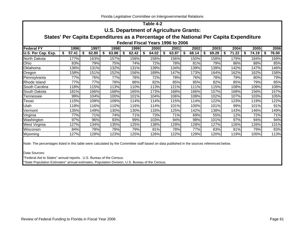| Table 4-2                                                                              |   |       |   |       |    |       |    |       |    |                                   |   |       |    |                                               |             |   |       |   |       |       |
|----------------------------------------------------------------------------------------|---|-------|---|-------|----|-------|----|-------|----|-----------------------------------|---|-------|----|-----------------------------------------------|-------------|---|-------|---|-------|-------|
|                                                                                        |   |       |   |       |    |       |    |       |    |                                   |   |       |    | <b>U.S. Department of Agriculture Grants:</b> |             |   |       |   |       |       |
| States' Per Capita Expenditures as a Percentage of the National Per Capita Expenditure |   |       |   |       |    |       |    |       |    |                                   |   |       |    |                                               |             |   |       |   |       |       |
|                                                                                        |   |       |   |       |    |       |    |       |    | Federal Fiscal Years 1996 to 2006 |   |       |    |                                               |             |   |       |   |       |       |
| <b>Federal FY</b>                                                                      |   | 1996  |   | 1997  |    | 1998  |    | 1999  |    | 2000                              |   | 2001  |    | 2002                                          | 2003        |   | 2004  |   | 2005  | 2006  |
| U.S. Per Cap. Exp.                                                                     | S | 57.41 | S | 62.80 | \$ | 63.88 | \$ | 62.42 | \$ | 64.02                             | S | 63.87 | \$ | 68.14                                         | \$<br>69.28 | S | 71.22 | S | 74.19 | 76.00 |
| North Dakota                                                                           |   | 177%  |   | 163%  |    | 157%  |    | 158%  |    | 158%                              |   | 156%  |    | 150%                                          | 158%        |   | 179%  |   | 184%  | 169%  |
| Ohio                                                                                   |   | 83%   |   | 79%   |    | 75%   |    | 74%   |    | 72%                               |   | 78%   |    | 81%                                           | 79%         |   | 86%   |   | 88%   | 85%   |
| Oklahoma                                                                               |   | 136%  |   | 131%  |    | 132%  |    | 131%  |    | 139%                              |   | 134%  |    | 139%                                          | 139%        |   | 142%  |   | 147%  | 146%  |
| Oregon                                                                                 |   | 158%  |   | 151%  |    | 152%  |    | 156%  |    | 189%                              |   | 147%  |    | 173%                                          | 164%        |   | 162%  |   | 162%  | 158%  |
| Pennsylvania                                                                           |   | 77%   |   | 76%   |    | 77%   |    | 78%   |    | 72%                               |   | 78%   |    | 76%                                           | 78%         |   | 79%   |   | 80%   | 79%   |
| Rhode Island                                                                           |   | 77%   |   | 77%   |    | 78%   |    | 86%   |    | 82%                               |   | 85%   |    | 85%                                           | 82%         |   | 85%   |   | 79%   | 85%   |
| South Carolina                                                                         |   | 118%  |   | 115%  |    | 113%  |    | 110%  |    | 113%                              |   | 121%  |    | 111%                                          | 115%        |   | 108%  |   | 109%  | 108%  |
| South Dakota                                                                           |   | 181%  |   | 166%  |    | 168%  |    | 165%  |    | 173%                              |   | 168%  |    | 166%                                          | 157%        |   | 168%  |   | 156%  | 157%  |
| Tennessee                                                                              |   | 99%   |   | 104%  |    | 100%  |    | 101%  |    | 104%                              |   | 106%  |    | 108%                                          | 102%        |   | 107%  |   | 103%  | 105%  |
| Texas                                                                                  |   | 115%  |   | 109%  |    | 109%  |    | 114%  |    | 114%                              |   | 115%  |    | 114%                                          | 122%        |   | 123%  |   | 119%  | 122%  |
| Utah                                                                                   |   | 118%  |   | 116%  |    | 110%  |    | 116%  |    | 114%                              |   | 101%  |    | 100%                                          | 101%        |   | 99%   |   | 101%  | 91%   |
| Vermont                                                                                |   | 135%  |   | 149%  |    | 130%  |    | 130%  |    | 133%                              |   | 125%  |    | 142%                                          | 138%        |   | 143%  |   | 146%  | 149%  |
| Virginia                                                                               |   | 77%   |   | 71%   |    | 74%   |    | 71%   |    | 73%                               |   | 71%   |    | 69%                                           | 55%         |   | 12%   |   | 72%   | 71%   |
| Washington                                                                             |   | 97%   |   | 96%   |    | 93%   |    | 99%   |    | 103%                              |   | 94%   |    | 98%                                           | 101%        |   | 97%   |   | 94%   | 94%   |
| West Virginia                                                                          |   | 127%  |   | 134%  |    | 135%  |    | 125%  |    | 138%                              |   | 129%  |    | 128%                                          | 127%        |   | 126%  |   | 126%  | 131%  |
| Wisconsin                                                                              |   | 84%   |   | 78%   |    | 78%   |    | 79%   |    | 81%                               |   | 78%   |    | 77%                                           | 83%         |   | 81%   |   | 79%   | 83%   |
| Wyoming                                                                                |   | 127%  |   | 129%  |    | 123%  |    | 125%  |    | 126%                              |   | 122%  |    | 129%                                          | 120%        |   | 119%  |   | 105%  | 113%  |

Data Sources:

"Federal Aid to States" annual reports. U.S. Bureau of the Census.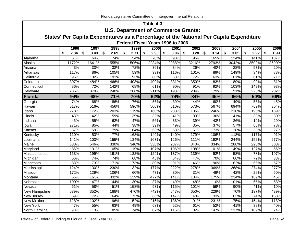|                      | Table 4-3                                                                              |            |            |                                   |    |       |            |                                            |            |            |            |            |  |  |
|----------------------|----------------------------------------------------------------------------------------|------------|------------|-----------------------------------|----|-------|------------|--------------------------------------------|------------|------------|------------|------------|--|--|
|                      |                                                                                        |            |            |                                   |    |       |            | <b>U.S. Department of Commerce Grants:</b> |            |            |            |            |  |  |
|                      | States' Per Capita Expenditures as a Percentage of the National Per Capita Expenditure |            |            |                                   |    |       |            |                                            |            |            |            |            |  |  |
|                      |                                                                                        |            |            | Federal Fiscal Years 1996 to 2006 |    |       |            |                                            |            |            |            |            |  |  |
|                      | 1996                                                                                   | 1997       | 1998       | 1999                              |    | 2000  | 2001       | 2002                                       | 2003       | 2004       | 2005       | 2006       |  |  |
|                      | 2.84<br>\$                                                                             | \$<br>3.43 | \$<br>2.69 | \$<br>2.71                        | \$ | 2.90  | \$<br>3.06 | 3.28<br>\$                                 | 3.14<br>\$ | 3.05<br>\$ | 2.92<br>\$ | 1.99<br>\$ |  |  |
| Alabama              | 51%                                                                                    | 64%        | 74%        | 54%                               |    | 70%   | 98%        | 95%                                        | 165%       | 124%       | 141%       | 187%       |  |  |
| Alaska               | 1172%                                                                                  | 1641%      | 1555%      | 1506%                             |    | 2234% | 2988%      | 3216%                                      | 2793%      | 3042%      | 3509%      | 3690%      |  |  |
| Arizona              | 43%                                                                                    | 33%        | 32%        | 72%                               |    | 36%   | 34%        | 26%                                        | 40%        | 28%        | 57%        | 20%        |  |  |
| Arkansas             | 117%                                                                                   | 86%        | 105%       | 59%                               |    | 93%   | 116%       | 101%                                       | 89%        | 149%       | 34%        | 88%        |  |  |
| California           | 96%                                                                                    | 102%       | 91%        | 93%                               |    | 80%   | 63%        | 72%                                        | 63%        | 61%        | 61%        | 71%        |  |  |
| Colorado             | 307%                                                                                   | 484%       | 466%       | 403%                              |    | 409%  | 331%       | 350%                                       | 83%        | 89%        | 99%        | 81%        |  |  |
| Connecticut          | 86%                                                                                    | 72%        | 142%       | 68%                               |    | 61%   | 90%        | 91%                                        | 92%        | 103%       | 149%       | 93%        |  |  |
| Delaware             | 235%                                                                                   | 379%       | 240%       | 266%                              |    | 211%  | 193%       | 204%                                       | 79%        | 91%        | 225%       | 202%       |  |  |
| <b>Florida</b>       | 94%                                                                                    | 68%        | 71%        | 70%                               |    | 62%   | 74%        | 84%                                        | 45%        | 66%        | 50%        | 66%        |  |  |
| Georgia              | 74%                                                                                    | 68%        | 86%        | 76%                               |    | 56%   | 39%        | 44%                                        | 60%        | 49%        | 56%        | 45%        |  |  |
| Hawaii               | 517%                                                                                   | 516%       | 456%       | 596%                              |    | 500%  | 510%       | 573%                                       | 567%       | 694%       | 769%       | 304%       |  |  |
| Idaho                | 278%                                                                                   | 172%       | 203%       | 119%                              |    | 160%  | 238%       | 186%                                       | 246%       | 218%       | 196%       | 169%       |  |  |
| Illinois             | 43%                                                                                    | 42%        | 59%        | 39%                               |    | 32%   | 41%        | 30%                                        | 36%        | 41%        | 39%        | 30%        |  |  |
| Indiana              | 45%                                                                                    | 55%        | 62%        | 47%                               |    | 56%   | 33%        | 39%                                        | 43%        | 26%        | 19%        | 29%        |  |  |
| lowa                 | 271%                                                                                   | 85%        | 44%        | 38%                               |    | 39%   | 49%        | 35%                                        | 37%        | 57%        | 68%        | 78%        |  |  |
| Kansas               | 67%                                                                                    | 59%        | 79%        | 64%                               |    | 63%   | 63%        | 61%                                        | 73%        | 28%        | 38%        | 27%        |  |  |
| Kentucky             | 110%                                                                                   | 53%        | 77%        | 168%                              |    | 149%  | 140%       | 179%                                       | 106%       | 118%       | 117%       | 91%        |  |  |
| ouisiana.            | 141%                                                                                   | 103%       | 155%       | 134%                              |    | 163%  | 126%       | 111%                                       | 192%       | 244%       | 152%       | 277%       |  |  |
| Maine                | 333%                                                                                   | 546%       | 330%       | 340%                              |    | 338%  | 287%       | 340%                                       | 334%       | 286%       | 226%       | 308%       |  |  |
| Maryland             | 86%                                                                                    | 131%       | 105%       | 119%                              |    | 107%  | 106%       | 108%                                       | 101%       | 149%       | 127%       | 65%        |  |  |
| <b>Massachusetts</b> | 163%                                                                                   | 199%       | 191%       | 132%                              |    | 129%  | 137%       | 139%                                       | 92%        | 58%        | 78%        | 107%       |  |  |
| Michigan             | 66%                                                                                    | 74%        | 74%        | 68%                               |    | 45%   | 64%        | 47%                                        | 70%        | 66%        | 72%        | 38%        |  |  |
| Minnesota            | 88%                                                                                    | 73%        | 71%        | 73%                               |    | 80%   | 91%        | 46%                                        | 90%        | 62%        | 65%        | 67%        |  |  |
| Mississippi          | 124%                                                                                   | 130%       | 230%       | 132%                              |    | 177%  | 222%       | 278%                                       | 369%       | 268%       | 274%       | 277%       |  |  |
| Missouri             | 172%                                                                                   | 129%       | 106%       | 60%                               |    | 47%   | 30%        | 31%                                        | 49%        | 42%        | 29%        | 50%        |  |  |
| Montana              | 66%                                                                                    | 161%       | 332%       | 129%                              |    | 477%  | 141%       | 134%                                       | 175%       | 234%       | 169%       | 46%        |  |  |
| Nebraska             | 100%                                                                                   | 47%        | 44%        | 30%                               |    | 37%   | 49%        | 48%                                        | 110%       | 101%       | 65%        | 58%        |  |  |
| Nevada               | 61%                                                                                    | 58%        | 51%        | 158%                              |    | 93%   | 115%       | 101%                                       | 59%        | 90%        | 41%        | 10%        |  |  |
| New Hampshire        | 539%                                                                                   | 352%       | 188%       | 470%                              |    | 742%  | 647%       | 650%                                       | 229%       | 70%        | 197%       | 439%       |  |  |
| <b>New Jersey</b>    | 69%                                                                                    | 72%        | 64%        | 73%                               |    | 86%   | 147%       | 48%                                        | 33%        | 63%        | 74%        | 158%       |  |  |
| New Mexico           | 128%                                                                                   | 102%       | 96%        | 152%                              |    | 216%  | 136%       | 91%                                        | 231%       | 175%       | 154%       | 118%       |  |  |
| New York             | 47%                                                                                    | 55%        | 63%        | 49%                               |    | 63%   | 52%        | 61%                                        | 52%        | 41%        | 38%        | 40%        |  |  |
| North Carolina       | 93%                                                                                    | 113%       | 85%        | 74%                               |    | 87%   | 115%       | 82%                                        | 147%       | 117%       | 109%       | 74%        |  |  |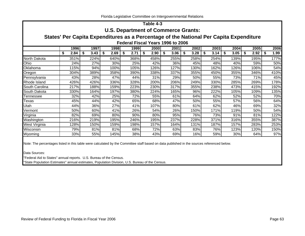| Table 4-3      |    |      |            |                                                                                        |                                            |    |      |   |      |    |      |            |    |      |            |    |      |
|----------------|----|------|------------|----------------------------------------------------------------------------------------|--------------------------------------------|----|------|---|------|----|------|------------|----|------|------------|----|------|
|                |    |      |            |                                                                                        | <b>U.S. Department of Commerce Grants:</b> |    |      |   |      |    |      |            |    |      |            |    |      |
|                |    |      |            | States' Per Capita Expenditures as a Percentage of the National Per Capita Expenditure |                                            |    |      |   |      |    |      |            |    |      |            |    |      |
|                |    |      |            |                                                                                        | Federal Fiscal Years 1996 to 2006          |    |      |   |      |    |      |            |    |      |            |    |      |
|                |    | 1996 | 1997       | 1998                                                                                   | 1999                                       |    | 2000 |   | 2001 |    | 2002 | 2003       |    | 2004 | 2005       |    | 2006 |
|                | \$ | 2.84 | \$<br>3.43 | \$<br>2.69                                                                             | 2.71<br>\$                                 | \$ | 2.90 | S | 3.06 | \$ | 3.28 | \$<br>3.14 | \$ | 3.05 | \$<br>2.92 | -S | 1.99 |
| North Dakota   |    | 351% | 224%       | 640%                                                                                   | 368%                                       |    | 458% |   | 255% |    | 258% | 254%       |    | 139% | 195%       |    | 177% |
| Ohio           |    | 24%  | 27%        | 30%                                                                                    | 25%                                        |    | 42%  |   | 36%  |    | 45%  | 48%        |    | 40%  | 59%        |    | 50%  |
| Oklahoma       |    | 115% | 94%        | 100%                                                                                   | 105%                                       |    | 126% |   | 127% |    | 130% | 162%       |    | 126% | 106%       |    | 54%  |
| Oregon         |    | 304% | 389%       | 358%                                                                                   | 390%                                       |    | 338% |   | 337% |    | 355% | 450%       |    | 355% | 346%       |    | 410% |
| Pennsylvania   |    | 43%  | 28%        | 47%                                                                                    | 44%                                        |    | 31%  |   | 29%  |    | 50%  | 55%        |    | 73%  | 71%        |    | 45%  |
| Rhode Island   |    | 426% | 426%       | 336%                                                                                   | 328%                                       |    | 200% |   | 206% |    | 249% | 330%       |    | 285% | 269%       |    | 178% |
| South Carolina |    | 217% | 188%       | 159%                                                                                   | 223%                                       |    | 230% |   | 317% |    | 355% | 238%       |    | 473% | 415%       |    | 192% |
| South Dakota   |    | 330% | 164%       | 197%                                                                                   | 380%                                       |    | 224% |   | 165% |    | 96%  | 222%       |    | 105% | 109%       |    | 135% |
| Tennessee      |    | 32%  | 42%        | 25%                                                                                    | 72%                                        |    | 55%  |   | 61%  |    | 64%  | 62%        |    | 52%  | 52%        |    | 70%  |
| Texas          |    | 45%  | 44%        | 42%                                                                                    | 65%                                        |    | 68%  |   | 47%  |    | 50%  | 55%        |    | 57%  | 56%        |    | 64%  |
| Utah           |    | 44%  | 36%        | 27%                                                                                    | 41%                                        |    | 107% |   | 80%  |    | 61%  | 62%        |    | 46%  | 69%        |    | 32%  |
| Vermont        |    | 50%  | 60%        | 41%                                                                                    | 26%                                        |    | 54%  |   | 26%  |    | 150% | 171%       |    | 119% | 50%        |    | 54%  |
| Virginia       |    | 82%  | 69%        | 80%                                                                                    | 90%                                        |    | 80%  |   | 95%  |    | 76%  | 73%        |    | 91%  | 81%        |    | 122% |
| Washington     |    | 216% | 219%       | 195%                                                                                   | 246%                                       |    | 195% |   | 237% |    | 228% | 371%       |    | 316% | 355%       |    | 387% |
| West Virginia  |    | 128% | 150%       | 159%                                                                                   | 198%                                       |    | 157% |   | 164% |    | 131% | 187%       |    | 157% | 283%       |    | 253% |
| Wisconsin      |    | 79%  | 81%        | 81%                                                                                    | 68%                                        |    | 72%  |   | 63%  |    | 83%  | 76%        |    | 123% | 120%       |    | 150% |
| Wyoming        |    | 33%  | 55%        | 145%                                                                                   | 38%                                        |    | 43%  |   | 69%  |    | 16%  | 59%        |    | 30%  | 64%        |    | 97%  |

Data Sources:

"Federal Aid to States" annual reports. U.S. Bureau of the Census.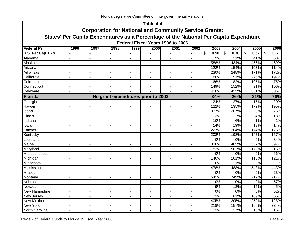|                       |                                                                                        |                          |                          |                          | Table 4-4                                                     |                          |                          |                  |                  |                  |            |
|-----------------------|----------------------------------------------------------------------------------------|--------------------------|--------------------------|--------------------------|---------------------------------------------------------------|--------------------------|--------------------------|------------------|------------------|------------------|------------|
|                       |                                                                                        |                          |                          |                          | <b>Corporation for National and Community Service Grants:</b> |                          |                          |                  |                  |                  |            |
|                       | States' Per Capita Expenditures as a Percentage of the National Per Capita Expenditure |                          |                          |                          |                                                               |                          |                          |                  |                  |                  |            |
|                       |                                                                                        |                          |                          |                          |                                                               |                          |                          |                  |                  |                  |            |
|                       |                                                                                        |                          |                          |                          | Federal Fiscal Years 1996 to 2006                             |                          |                          |                  |                  |                  |            |
| <b>Federal FY</b>     | 1996                                                                                   | 1997                     | 1998                     | 1999                     | 2000                                                          | 2001                     | 2002                     | 2003             | 2004             | 2005             | 2006       |
| U.S. Per Cap. Exp.    |                                                                                        | $\blacksquare$           |                          |                          |                                                               |                          | $\blacksquare$           | \$<br>0.50       | \$<br>0.38       | 0.52<br>\$       | \$<br>0.51 |
| Alabama               |                                                                                        |                          |                          |                          |                                                               |                          |                          | 9%               | 31%              | 41%              | 68%        |
| Alaska                | $\overline{\phantom{a}}$                                                               | $\overline{a}$           | $\blacksquare$           | $\blacksquare$           | $\overline{\phantom{a}}$                                      | $\overline{\phantom{a}}$ | $\blacksquare$           | 588%             | 434%             | 456%             | 469%       |
| Arizona               | $\blacksquare$                                                                         | $\blacksquare$           | $\blacksquare$           | $\blacksquare$           | $\blacksquare$                                                | $\blacksquare$           | $\blacksquare$           | 122%             | 154%             | 103%             | 114%       |
| Arkansas              |                                                                                        | $\blacksquare$           | $\blacksquare$           | $\blacksquare$           |                                                               |                          | $\overline{\phantom{a}}$ | 230%             | 248%             | 171%             | 172%       |
| California            | $\overline{\phantom{a}}$                                                               | $\overline{\phantom{0}}$ | $\blacksquare$           | $\blacksquare$           | $\overline{\phantom{a}}$                                      | $\overline{\phantom{a}}$ | $\blacksquare$           | 186%             | 151%             | 276%             | 197%       |
| Colorado              | $\blacksquare$                                                                         | $\blacksquare$           | $\blacksquare$           |                          |                                                               | $\overline{\phantom{a}}$ | $\blacksquare$           | 166%             | 182%             | 105%             | 75%        |
| Connecticut           |                                                                                        | $\overline{a}$           |                          |                          |                                                               |                          | $\overline{a}$           | 149%             | 152%             | 91%              | 106%       |
| Delaware              | $\overline{a}$                                                                         | $\overline{a}$           |                          | $\overline{a}$           |                                                               |                          | $\blacksquare$           | 418%             | 423%             | 381%             | 386%       |
| <b>Florida</b>        |                                                                                        |                          |                          |                          | No grant expenditures prior to 2003                           |                          |                          | 34%              | 26%              | 21%              | 70%        |
| Georgia               |                                                                                        |                          |                          |                          |                                                               |                          | $\blacksquare$           | 24%              | 27%              | 15%              | 20%        |
| Hawaii                | $\blacksquare$                                                                         | $\overline{\phantom{a}}$ | $\blacksquare$           | $\sim$                   | $\blacksquare$                                                | $\blacksquare$           | $\blacksquare$           | 122%             | 135%             | 172%             | 195%       |
| Idaho                 | $\blacksquare$                                                                         | $\blacksquare$           | $\overline{\phantom{a}}$ | $\blacksquare$           | $\overline{\phantom{a}}$                                      | $\overline{\phantom{a}}$ | $\blacksquare$           | 337%             | 307%             | 229%             | 276%       |
| Illinois              | $\blacksquare$                                                                         | $\blacksquare$           | $\blacksquare$           | $\blacksquare$           |                                                               |                          | $\blacksquare$           | 13%              | 22%              | 4%               | 13%        |
| Indiana               | $\blacksquare$                                                                         | $\blacksquare$           | $\blacksquare$           | $\blacksquare$           | $\blacksquare$                                                | $\blacksquare$           | ۰                        | 10%              | 6%               | 1%               | 1%         |
| lowa                  | $\blacksquare$                                                                         | $\blacksquare$           | $\blacksquare$           | $\blacksquare$           | $\blacksquare$                                                | $\overline{\phantom{a}}$ | $\blacksquare$           | 14%              | 19%              | 13%              | 14%        |
| Kansas                |                                                                                        | $\blacksquare$           |                          |                          |                                                               |                          |                          | 227%             | 264%             | 174%             | 176%       |
| Kentucky              | $\blacksquare$                                                                         | $\blacksquare$           | $\blacksquare$           | $\blacksquare$           | $\blacksquare$                                                | $\overline{a}$           | $\blacksquare$           | 208%             | 198%             | 147%             | 157%       |
| Louisiana             | $\blacksquare$                                                                         | $\blacksquare$           | $\blacksquare$           | $\overline{\phantom{a}}$ | $\overline{a}$                                                | $\overline{a}$           | $\blacksquare$           | 0%               | 0%               | 0%               | 84%        |
| Maine                 | $\overline{\phantom{a}}$                                                               | $\blacksquare$           | $\blacksquare$           |                          | $\blacksquare$                                                |                          | $\blacksquare$           | 336%             | 405%             | 337%             | 397%       |
| Maryland              | $\blacksquare$                                                                         | $\blacksquare$           |                          | $\blacksquare$           |                                                               |                          | $\blacksquare$           | 182%             | 502%             | 172%             | 216%       |
| Massachusetts         | $\blacksquare$                                                                         | $\blacksquare$           | $\blacksquare$           | $\blacksquare$           | $\overline{\phantom{a}}$                                      | $\blacksquare$           | $\blacksquare$           | $0\%$            | $0\%$            | $0\%$            | 66%        |
| Michigan              |                                                                                        | $\blacksquare$           | $\blacksquare$           |                          |                                                               |                          |                          | 140%             | 101%             | 116%             | 121%       |
| Minnesota             | $\overline{a}$                                                                         | $\blacksquare$           | $\overline{a}$           | $\blacksquare$           | $\overline{a}$                                                | $\overline{a}$           | $\blacksquare$           | 0%               | 1%               | 2%               | $1\%$      |
| Mississippi           | $\blacksquare$                                                                         | $\blacksquare$           | $\blacksquare$           | $\blacksquare$           | $\overline{\phantom{0}}$                                      | $\blacksquare$           | $\blacksquare$           | 478%             | 488%             | 543%             | 443%       |
| Missouri              | $\blacksquare$                                                                         | $\blacksquare$           | $\blacksquare$           | $\blacksquare$           | $\blacksquare$                                                | $\blacksquare$           | $\blacksquare$           | 0%               | 0%               | 0%               | 23%        |
| Montana               |                                                                                        | $\blacksquare$           |                          |                          |                                                               |                          |                          | 641%             | 749%             | 717%             | 717%       |
| Nebraska              | $\blacksquare$                                                                         | $\blacksquare$           | $\blacksquare$           | $\blacksquare$           | $\blacksquare$                                                | $\blacksquare$           | $\blacksquare$           | 0%               | $0\%$            | 0%               | 57%        |
| Nevada                | $\blacksquare$                                                                         | $\blacksquare$           | $\blacksquare$           | $\overline{\phantom{a}}$ | $\blacksquare$                                                | $\overline{\phantom{a}}$ | $\blacksquare$           | 9%               | 13%              | 15%              | 5%         |
| New Hampshire         |                                                                                        | $\blacksquare$           | $\overline{a}$           |                          |                                                               |                          | $\overline{a}$           | $\overline{0\%}$ | $\overline{0\%}$ | $\overline{0\%}$ | 52%        |
| New Jersey            | $\blacksquare$                                                                         | $\overline{\phantom{a}}$ | $\blacksquare$           | $\blacksquare$           | $\sim$                                                        | $\blacksquare$           | $\blacksquare$           | 113%             | 61%              | 109%             | 56%        |
| <b>New Mexico</b>     | $\blacksquare$                                                                         | $\blacksquare$           | $\blacksquare$           | $\blacksquare$           | $\blacksquare$                                                | $\blacksquare$           | $\blacksquare$           | 405%             | 205%             | 250%             | 128%       |
| <b>New York</b>       | $\blacksquare$                                                                         | $\blacksquare$           | $\blacksquare$           | $\blacksquare$           | $\overline{\phantom{a}}$                                      | $\overline{\phantom{a}}$ | $\blacksquare$           | 219%             | 187%             | 168%             | 224%       |
| <b>North Carolina</b> | $\blacksquare$                                                                         | $\overline{\phantom{a}}$ | $\blacksquare$           | $\overline{\phantom{a}}$ | $\overline{\phantom{a}}$                                      | $\blacksquare$           | $\blacksquare$           | 13%              | 17%              | 10%              | 15%        |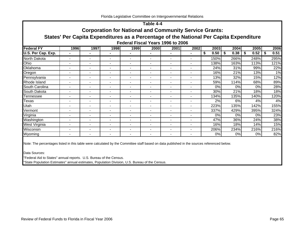| Table 4-4          |                                                                                        |                          |                          |                                                               |                |                          |                          |            |            |       |      |  |  |
|--------------------|----------------------------------------------------------------------------------------|--------------------------|--------------------------|---------------------------------------------------------------|----------------|--------------------------|--------------------------|------------|------------|-------|------|--|--|
|                    |                                                                                        |                          |                          | <b>Corporation for National and Community Service Grants:</b> |                |                          |                          |            |            |       |      |  |  |
|                    | States' Per Capita Expenditures as a Percentage of the National Per Capita Expenditure |                          |                          |                                                               |                |                          |                          |            |            |       |      |  |  |
|                    |                                                                                        |                          |                          |                                                               |                |                          |                          |            |            |       |      |  |  |
|                    |                                                                                        |                          |                          | Federal Fiscal Years 1996 to 2006                             |                |                          |                          |            |            |       |      |  |  |
| <b>Federal FY</b>  | 1996                                                                                   | 1997                     | 1998                     | 1999                                                          | 2000           | 2001                     | 2002                     | 2003       | 2004       | 2005  | 2006 |  |  |
| U.S. Per Cap. Exp. |                                                                                        | -                        |                          | $\blacksquare$                                                | $\blacksquare$ | $\blacksquare$           | $\blacksquare$           | \$<br>0.50 | \$<br>0.38 | 0.52  | 0.51 |  |  |
| North Dakota       |                                                                                        | $\blacksquare$           |                          |                                                               | $\blacksquare$ | $\overline{\phantom{a}}$ | $\blacksquare$           | 150%       | 266%       | 248%  | 295% |  |  |
| Ohio               |                                                                                        | $\blacksquare$           | $\overline{\phantom{0}}$ | $\blacksquare$                                                | ٠.             | $\overline{\phantom{a}}$ | $\blacksquare$           | 138%       | 163%       | 113%  | 121% |  |  |
| Oklahoma           |                                                                                        | $\overline{\phantom{0}}$ |                          | $\blacksquare$                                                | $\blacksquare$ |                          | $\blacksquare$           | 24%        | 31%        | 99%   | 22%  |  |  |
| Oregon             | $\overline{\phantom{0}}$                                                               | $\blacksquare$           | $\blacksquare$           | $\overline{\phantom{a}}$                                      | $\blacksquare$ | $\overline{\phantom{0}}$ | $\blacksquare$           | 16%        | 21%        | 13%   | 1%   |  |  |
| Pennsylvania       | $\overline{\phantom{0}}$                                                               | $\blacksquare$           | $\blacksquare$           | $\overline{\phantom{0}}$                                      | ۰.             | $\blacksquare$           | $\blacksquare$           | 13%        | 32%        | 15%   | 12%  |  |  |
| Rhode Island       |                                                                                        | $\overline{\phantom{0}}$ | $\blacksquare$           | $\overline{\phantom{a}}$                                      | $\blacksquare$ | $\blacksquare$           | $\blacksquare$           | 59%        | 114%       | 68%   | 89%  |  |  |
| South Carolina     |                                                                                        | $\overline{\phantom{a}}$ | $\blacksquare$           | $\blacksquare$                                                | $\blacksquare$ | $\blacksquare$           | $\blacksquare$           | 0%         | 0%         | $0\%$ | 28%  |  |  |
| South Dakota       | $\overline{\phantom{a}}$                                                               | $\blacksquare$           | $\blacksquare$           | $\overline{\phantom{a}}$                                      | $\blacksquare$ | $\overline{\phantom{a}}$ | $\blacksquare$           | 30%        | 21%        | 18%   | 18%  |  |  |
| Tennessee          |                                                                                        | $\blacksquare$           | $\blacksquare$           |                                                               | ۰              | $\blacksquare$           | $\blacksquare$           | 134%       | 135%       | 140%  | 120% |  |  |
| <b>Texas</b>       | $\overline{\phantom{a}}$                                                               | $\blacksquare$           | $\blacksquare$           | $\overline{\phantom{a}}$                                      | $\blacksquare$ | $\overline{\phantom{a}}$ | $\blacksquare$           | 2%         | 6%         | 4%    | 4%   |  |  |
| Utah               |                                                                                        | $\blacksquare$           | $\blacksquare$           | $\overline{\phantom{a}}$                                      | $\blacksquare$ | $\blacksquare$           | $\blacksquare$           | 223%       | 135%       | 142%  | 155% |  |  |
| Vermont            |                                                                                        | $\blacksquare$           | $\blacksquare$           | $\overline{\phantom{a}}$                                      | ٠.             | $\blacksquare$           | $\blacksquare$           | 337%       | 429%       | 395%  | 324% |  |  |
| Virginia           |                                                                                        | $\blacksquare$           |                          | $\overline{\phantom{0}}$                                      | ۰.             | $\overline{\phantom{0}}$ | $\overline{\phantom{0}}$ | 0%         | 0%         | $0\%$ | 23%  |  |  |
| Washington         |                                                                                        | $\blacksquare$           | $\overline{\phantom{0}}$ | $\overline{\phantom{a}}$                                      | $\blacksquare$ | $\overline{a}$           | $\blacksquare$           | 47%        | 36%        | 24%   | 38%  |  |  |
| West Virginia      |                                                                                        | $\blacksquare$           | $\blacksquare$           | $\overline{\phantom{a}}$                                      | ۰              | $\overline{\phantom{a}}$ | $\blacksquare$           | 16%        | 18%        | 14%   | 15%  |  |  |
| Wisconsin          | $\overline{\phantom{a}}$                                                               | $\overline{\phantom{a}}$ | $\blacksquare$           | $\blacksquare$                                                | $\blacksquare$ | $\overline{\phantom{a}}$ | $\blacksquare$           | 206%       | 234%       | 216%  | 216% |  |  |
| Wyoming            |                                                                                        | $\blacksquare$           |                          |                                                               |                |                          |                          | 0%         | 0%         | 0%    | 82%  |  |  |

Data Sources:

"Federal Aid to States" annual reports. U.S. Bureau of the Census.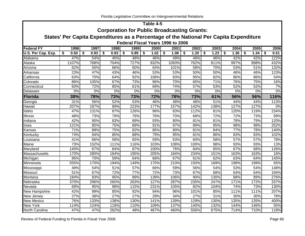|                    |            |            |            |            | Table 4-5  |                                                                                        |            |            |            |            |            |
|--------------------|------------|------------|------------|------------|------------|----------------------------------------------------------------------------------------|------------|------------|------------|------------|------------|
|                    |            |            |            |            |            | <b>Corporation for Public Broadcasting Grants:</b>                                     |            |            |            |            |            |
|                    |            |            |            |            |            | States' Per Capita Expenditures as a Percentage of the National Per Capita Expenditure |            |            |            |            |            |
|                    |            |            |            |            |            |                                                                                        |            |            |            |            |            |
|                    |            |            |            |            |            | Federal Fiscal Years 1996 to 2006                                                      |            |            |            |            |            |
| <b>Federal FY</b>  | 1996       | 1997       | 1998       | 1999       | 2000       | 2001                                                                                   | 2002       | 2003       | 2004       | 2005       | 2006       |
| U.S. Per Cap. Exp. | \$<br>0.50 | \$<br>0.93 | \$<br>0.93 | \$<br>0.89 | \$<br>1.02 | \$<br>1.08                                                                             | \$<br>1.20 | 1.23<br>\$ | \$<br>1.36 | 1.34<br>\$ | \$<br>0.51 |
| Alabama            | 47%        | 54%        | 45%        | 48%        | 46%        | 49%                                                                                    | 46%        | 46%        | 42%        | 42%        | 122%       |
| Alaska             | 1107%      | 768%       | 704%       | 727%       | 832%       | 1093%                                                                                  | 762%       | 811%       | 997%       | 998%       | 432%       |
| Arizona            | 62%        | 55%        | 66%        | 60%        | 64%        | 101%                                                                                   | 58%        | 70%        | 53%        | 51%        | 132%       |
| Arkansas           | 23%        | 47%        | 43%        | 46%        | 53%        | 53%                                                                                    | 50%        | 50%        | 46%        | 46%        | 123%       |
| California         | 63%        | 70%        | 64%        | 92%        | 106%       | 83%                                                                                    | 95%        | 82%        | 86%        | 86%        | 54%        |
| Colorado           | 86%        | 105%       | 67%        | 73%        | 96%        | 70%                                                                                    | 65%        | 71%        | 76%        | 75%        | 16%        |
| Connecticut        | 60%        | 72%        | 85%        | 61%        | 69%        | 74%                                                                                    | 57%        | 53%        | 52%        | 52%        | 7%         |
| Delaware           | 0%         | 0%         | 0%         | 0%         | 0%         | 0%                                                                                     | $0\%$      | 0%         | 0%         | 0%         | 0%         |
| <b>Florida</b>     | 38%        | 78%        | 73%        | 73%        | 72%        | 78%                                                                                    | 73%        | 61%        | 56%        | 56%        | 116%       |
| Georgia            | 31%        | 56%        | 52%        | 53%        | 46%        | 48%                                                                                    | 48%        | 51%        | 44%        | 44%        | 113%       |
| Hawaii             | 207%       | 187%       | 89%        | 223%       | 177%       | 157%                                                                                   | 142%       | 138%       | 127%       | 127%       | 0%         |
| Idaho              | 47%        | 131%       | 87%        | 126%       | 96%        | 83%                                                                                    | 112%       | 81%        | 120%       | 119%       | 234%       |
| Illinois           | 48%        | 73%        | 79%        | 76%        | 76%        | 70%                                                                                    | 68%        | 72%        | 72%        | 73%        | 99%        |
| Indiana            | 42%        | 90%        | 83%        | 89%        | 93%        | 90%                                                                                    | 81%        | 81%        | 78%        | 79%        | 120%       |
| lowa               | 121%       | 85%        | 75%        | 89%        | 91%        | 97%                                                                                    | 89%        | 95%        | 98%        | 98%        | 252%       |
| ≺ansas             | 71%        | 88%        | 75%        | 82%        | 85%        | 90%                                                                                    | 81%        | 84%        | 77%        | 78%        | 140%       |
| Kentucky           | 74%        | 94%        | 85%        | 88%        | 79%        | 95%                                                                                    | 81%        | 86%        | 83%        | 83%        | 102%       |
| ouisiana <u>.</u>  | 41%        | 66%        | 58%        | 65%        | 59%        | 63%                                                                                    | 60%        | 58%        | 57%        | 57%        | 78%        |
| Maine              | 73%        | 152%       | 111%       | 116%       | 103%       | 108%                                                                                   | 100%       | 98%        | 93%        | 93%        | 13%        |
| Maryland           | 140%       | 67%        | 84%        | 87%        | 100%       | 76%                                                                                    | 84%        | 65%        | 67%        | 68%        | 126%       |
| Massachusetts      | 170%       | 280%       | 184%       | 195%       | 205%       | 184%                                                                                   | 234%       | 151%       | 163%       | 163%       | 16%        |
| Michigan           | 95%        | 70%        | 59%        | 64%        | 68%        | 67%                                                                                    | 61%        | 62%        | 63%        | 64%        | 145%       |
| Minnesota          | 555%       | 170%       | 194%       | 149%       | 170%       | 210%                                                                                   | 150%       | 169%       | 198%       | 199%       | 65%        |
| Mississippi        | 49%        | 54%        | 51%        | 57%        | 66%        | 59%                                                                                    | 56%        | 54%        | 53%        | 54%        | 148%       |
| Missouri           | 51%        | 67%        | 72%        | 77%        | 72%        | 73%                                                                                    | 67%        | 68%        | 64%        | 64%        | 194%       |
| Montana            | 184%       | 83%        | 95%        | 89%        | 139%       | 106%                                                                                   | 90%        | 130%       | 88%        | 89%        | 276%       |
| Nebraska           | 370%       | 296%       | 260%       | 263%       | 127%       | 287%                                                                                   | 235%       | 247%       | 171%       | 172%       | 337%       |
| Nevada             | 69%        | 95%        | 98%        | 115%       | 231%       | 105%                                                                                   | 82%        | 104%       | 74%        | 73%        | 130%       |
| New Hampshire      | 42%        | 99%        | 85%        | 92%        | 94%        | 96%                                                                                    | 101%       | 85%        | 111%       | 111%       | 207%       |
| <b>New Jersey</b>  | 27%        | 38%        | 27%        | 27%        | 29%        | 34%                                                                                    | 27%        | 31%        | 30%        | 30%        | 78%        |
| New Mexico         | 76%        | 133%       | 138%       | 130%       | 141%       | 139%                                                                                   | 129%       | 130%       | 135%       | 135%       | 400%       |
| New York           | 114%       | 124%       | 118%       | 110%       | 109%       | 137%                                                                                   | 140%       | 132%       | 144%       | 146%       | 55%        |
| North Carolina     | 47%        | 47%        | 262%       | 48%        | 467%       | 460%                                                                                   | 556%       | 675%       | 714%       | 710%       | 118%       |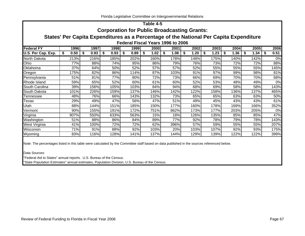| Table 4-5          |    |      |            |    |      |    |      |    |                                   |    |      |    |                                                    |      |      |                                                                                        |            |    |      |
|--------------------|----|------|------------|----|------|----|------|----|-----------------------------------|----|------|----|----------------------------------------------------|------|------|----------------------------------------------------------------------------------------|------------|----|------|
|                    |    |      |            |    |      |    |      |    |                                   |    |      |    | <b>Corporation for Public Broadcasting Grants:</b> |      |      |                                                                                        |            |    |      |
|                    |    |      |            |    |      |    |      |    |                                   |    |      |    |                                                    |      |      | States' Per Capita Expenditures as a Percentage of the National Per Capita Expenditure |            |    |      |
|                    |    |      |            |    |      |    |      |    | Federal Fiscal Years 1996 to 2006 |    |      |    |                                                    |      |      |                                                                                        |            |    |      |
| Federal FY         |    | 1996 | 1997       |    | 1998 |    | 1999 |    | 2000                              |    | 2001 |    | 2002                                               |      | 2003 | 2004                                                                                   | 2005       |    | 2006 |
| U.S. Per Cap. Exp. | \$ | 0.50 | \$<br>0.93 | \$ | 0.93 | \$ | 0.89 | \$ | 1.02                              | \$ | 1.08 | \$ | 1.20                                               | \$   | 1.23 | \$<br>1.36                                                                             | \$<br>1.34 | \$ | 0.51 |
| North Dakota       |    | 213% | 216%       |    | 185% |    | 202% |    | 160%                              |    | 178% |    | 148%                                               | 175% |      | 140%                                                                                   | 142%       |    | 0%   |
| Ohio               |    | 77%  | 88%        |    | 74%  |    | 95%  |    | 86%                               |    | 79%  |    | 76%                                                |      | 73%  | 72%                                                                                    | 72%        |    | 88%  |
| Oklahoma           |    | 37%  | 64%        |    | 50%  |    | 52%  |    | 57%                               |    | 57%  |    | 52%                                                |      | 55%  | 55%                                                                                    | 55%        |    | 145% |
| Oregon             |    | 175% | 82%        |    | 86%  |    | 114% |    | 87%                               |    | 103% |    | 91%                                                |      | 97%  | 99%                                                                                    | 98%        |    | 81%  |
| Pennsylvania       |    | 51%  | 81%        |    | 77%  |    | 80%  |    | 72%                               |    | 73%  |    | 66%                                                |      | 69%  | 70%                                                                                    | 70%        |    | 68%  |
| Rhode Island       |    | 59%  | 65%        |    | 52%  |    | 60%  |    | 61%                               |    | 60%  |    | 52%                                                |      | 53%  | 48%                                                                                    | 49%        |    | 0%   |
| South Carolina     |    | 39%  | 156%       |    | 105% |    | 103% |    | 84%                               |    | 94%  |    | 68%                                                |      | 69%  | 58%                                                                                    | 58%        |    | 143% |
| South Dakota       |    | 101% | 226%       |    | 159% |    | 137% |    | 146%                              |    | 142% |    | 122%                                               | 158% |      | 136%                                                                                   | 137%       |    | 465% |
| Tennessee          |    | 48%  | 76%        |    | 66%  |    | 143% |    | 132%                              |    | 73%  |    | 65%                                                |      | 65%  | 63%                                                                                    | 63%        |    | 50%  |
| Texas              |    | 29%  | 49%        |    | 47%  |    | 56%  |    | 47%                               |    | 51%  |    | 49%                                                |      | 45%  | 43%                                                                                    | 43%        |    | 61%  |
| Utah               |    | 88%  | 144%       |    | 151% |    | 185% |    | 150%                              |    | 177% |    | 160%                                               | 178% |      | 169%                                                                                   | 166%       |    | 352% |
| Vermont            |    | 90%  | 155%       |    | 191% |    | 172% |    | 751%                              |    | 862% |    | 173%                                               | 177% |      | 203%                                                                                   | 205%       |    | 0%   |
| Virginia           |    | 907% | 550%       |    | 633% |    | 563% |    | 15%                               |    | 18%  |    | 126%                                               | 135% |      | 85%                                                                                    | 85%        |    | 47%  |
| Washington         |    | 51%  | 88%        |    | 86%  |    | 84%  |    | 89%                               |    | 77%  |    | 92%                                                |      | 78%  | 79%                                                                                    | 78%        |    | 143% |
| West Virginia      |    | 41%  | 100%       |    | 72%  |    | 72%  |    | 62%                               |    | 396% |    | 57%                                                |      | 59%  | 55%                                                                                    | 55%        |    | 207% |
| Wisconsin          |    | 71%  | 91%        |    | 88%  |    | 92%  |    | 103%                              |    | 20%  |    | 103%                                               | 107% |      | 92%                                                                                    | 93%        |    | 175% |
| Wyoming            |    | 83%  | 116%       |    | 128% |    | 141% |    | 137%                              |    | 144% |    | 129%                                               | 139% |      | 122%                                                                                   | 122%       |    | 399% |

Data Sources:

"Federal Aid to States" annual reports. U.S. Bureau of the Census.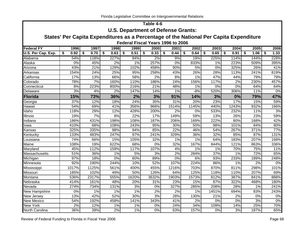|                      |            |            |            |            |            |                                                                                        |            |                  |            | Table 4-6  |            |  |  |  |  |  |  |  |  |  |  |  |  |
|----------------------|------------|------------|------------|------------|------------|----------------------------------------------------------------------------------------|------------|------------------|------------|------------|------------|--|--|--|--|--|--|--|--|--|--|--|--|
|                      |            |            |            |            |            | <b>U.S. Department of Defense Grants:</b>                                              |            |                  |            |            |            |  |  |  |  |  |  |  |  |  |  |  |  |
|                      |            |            |            |            |            | States' Per Capita Expenditures as a Percentage of the National Per Capita Expenditure |            |                  |            |            |            |  |  |  |  |  |  |  |  |  |  |  |  |
|                      |            |            |            |            |            |                                                                                        |            |                  |            |            |            |  |  |  |  |  |  |  |  |  |  |  |  |
|                      |            |            |            |            |            | Federal Fiscal Years 1996 to 2006                                                      |            |                  |            |            |            |  |  |  |  |  |  |  |  |  |  |  |  |
| <b>Federal FY</b>    | 1996       | 1997       | 1998       | 1999       | 2000       | 2001                                                                                   | 2002       | 2003             | 2004       | 2005       | 2006       |  |  |  |  |  |  |  |  |  |  |  |  |
| U.S. Per Cap. Exp.   | \$<br>0.92 | \$<br>0.70 | \$<br>0.63 | \$<br>0.51 | \$<br>0.33 | \$<br>0.44                                                                             | 0.64<br>\$ | 0.65<br>\$       | 0.91<br>\$ | \$<br>1.06 | \$<br>1.33 |  |  |  |  |  |  |  |  |  |  |  |  |
| Alabama              | 54%        | 118%       | 227%       | 84%        | 2%         | 9%                                                                                     | 19%        | 225%             | 114%       | 144%       | 228%       |  |  |  |  |  |  |  |  |  |  |  |  |
| Alaska               | $0\%$      | 45%        | 2%         | $1\%$      | 257%       | 0%                                                                                     | 833%       | 1%               | 223%       | 509%       | 395%       |  |  |  |  |  |  |  |  |  |  |  |  |
| Arizona              | 43%        | 21%        | 129%       | 102%       | 458%       | 90%                                                                                    | 5%         | $0\%$            | 325%       | 26%        | 41%        |  |  |  |  |  |  |  |  |  |  |  |  |
| Arkansas             | 154%       | 24%        | 25%        | 95%        | 258%       | 43%                                                                                    | 26%        | 28%              | 113%       | 241%       | 819%       |  |  |  |  |  |  |  |  |  |  |  |  |
| California           | 17%        | 13%        | 66%        | 58%        | 2%         | 8%                                                                                     | 1%         | 47%              | 44%        | 79%        | 79%        |  |  |  |  |  |  |  |  |  |  |  |  |
| Colorado             | 78%        | 7%         | 160%       | 110%       | 186%       | 24%                                                                                    | 156%       | 117%             | 2%         | 230%       | 457%       |  |  |  |  |  |  |  |  |  |  |  |  |
| Connecticut          | 8%         | 223%       | 800%       | 216%       | 21%        | 48%                                                                                    | 1%         | 0%               | 0%         | 64%        | 64%        |  |  |  |  |  |  |  |  |  |  |  |  |
| Delaware             | 3%         | 4%         | 2%         | 147%       | 14%        | 1%                                                                                     | $-8%$      | 520%             | 306%       | 11%        | 0%         |  |  |  |  |  |  |  |  |  |  |  |  |
| Florida              | 15%        | 73%        | 36%        | 2%         | 3%         | 91%                                                                                    | 14%        | 3%               | 0%         | 79%        | 47%        |  |  |  |  |  |  |  |  |  |  |  |  |
| Georgia              | 37%        | 12%        | 18%        | 24%        | 35%        | 31%                                                                                    | 20%        | 23%              | 17%        | 15%        | 59%        |  |  |  |  |  |  |  |  |  |  |  |  |
| Hawaii               | 54%        | 69%        | 41%        | 356%       | 968%       | 1514%                                                                                  | 1145%      | 440%             | 1243%      | 932%       | 166%       |  |  |  |  |  |  |  |  |  |  |  |  |
| Idaho                | 118%       | 29%        | 12%        | 428%       | 200%       | 2%                                                                                     | 0%         | 533%             | 232%       | 11%        | 3%         |  |  |  |  |  |  |  |  |  |  |  |  |
| Illinois             | 19%        | 7%         | 8%         | 22%        | 17%        | 149%                                                                                   | 59%        | 13%              | 26%        | 23%        | 59%        |  |  |  |  |  |  |  |  |  |  |  |  |
| Indiana              | 186%       | 431%       | 198%       | 108%       | 187%       | 206%                                                                                   | 169%       | 222%             | 80%        | 168%       | 42%        |  |  |  |  |  |  |  |  |  |  |  |  |
| lowa                 | 410%       | 68%        | 108%       | 243%       | 95%        | 30%                                                                                    | 50%        | 98%              | 101%       | 84%        | 80%        |  |  |  |  |  |  |  |  |  |  |  |  |
| ≺ansas               | 325%       | 335%       | 98%        | 94%        | 85%        | 22%                                                                                    | 46%        | 54%              | 267%       | 371%       | 77%        |  |  |  |  |  |  |  |  |  |  |  |  |
| Kentucky             | 133%       | 483%       | 247%       | 97%        | 241%       | 329%                                                                                   | 36%        | 32%              | 85%        | 87%        | 131%       |  |  |  |  |  |  |  |  |  |  |  |  |
| Louisiana            | 74%        | 66%        | 15%        | 105%       | 32%        | 1%                                                                                     | 1%         | 64%              | 183%       | 207%       | 168%       |  |  |  |  |  |  |  |  |  |  |  |  |
| Maine                | 108%       | 19%        | 622%       | 68%        | 0%         | 32%                                                                                    | 167%       | 844%             | 121%       | 863%       | 336%       |  |  |  |  |  |  |  |  |  |  |  |  |
| Maryland             | 45%        | 112%       | 159%       | 117%       | 107%       | 4%                                                                                     | 1%         | 1%               | 70%        | 75%        | 11%        |  |  |  |  |  |  |  |  |  |  |  |  |
| <b>Massachusetts</b> | 51%        | 36%        | 1%         | 5%         | 3%         | 2%                                                                                     | 284%       | 37%              | $1\%$      | 72%        | 65%        |  |  |  |  |  |  |  |  |  |  |  |  |
| Michigan             | 97%        | 18%        | 0%         | 60%        | 89%        | 0%                                                                                     | 6%         | 93%              | 233%       | 189%       | 248%       |  |  |  |  |  |  |  |  |  |  |  |  |
| Minnesota            | 92%        | 190%       | 244%       | 10%        | 52%        | 107%                                                                                   | 224%       | 86%              | 1%         | 2%         | 0%         |  |  |  |  |  |  |  |  |  |  |  |  |
| Mississippi          | 1017%      | 1125%      | 561%       | 400%       | 455%       | 1216%                                                                                  | 703%       | 870%             | 811%       | 298%       | 101%       |  |  |  |  |  |  |  |  |  |  |  |  |
| Missouri             | 185%       | 102%       | 49%        | 50%        | 126%       | 64%                                                                                    | 125%       | 118%             | 110%       | 207%       | 69%        |  |  |  |  |  |  |  |  |  |  |  |  |
| Montana              | 536%       | 2317%      | 555%       | 1620%      | 3632%      | 1903%                                                                                  | 1573%      | 812%             | 387%       | 841%       | 888%       |  |  |  |  |  |  |  |  |  |  |  |  |
| Nebraska             | 414%       | 161%       | 48%        | 20%        | 31%        | 23%                                                                                    | 15%        | 87%              | 322%       | 468%       | 180%       |  |  |  |  |  |  |  |  |  |  |  |  |
| Nevada               | 274%       | 734%       | 131%       | 3%         | 0%         | 327%                                                                                   | 285%       | 208%             | 28%        | 1%         | 241%       |  |  |  |  |  |  |  |  |  |  |  |  |
| New Hampshire        | 0%         | 1%         | 1%         | $1\%$      | 2%         | 2%                                                                                     | 1%         | 1451%            | 694%       | 83%        | 243%       |  |  |  |  |  |  |  |  |  |  |  |  |
| <b>New Jersey</b>    | 13%        | 42%        | 52%        | 30%        | 3%         | 28%                                                                                    | 130%       | 21%              | 2%         | 0%         | 0%         |  |  |  |  |  |  |  |  |  |  |  |  |
| <b>New Mexico</b>    | 54%        | 192%       | 458%       | 141%       | 343%       | 41%                                                                                    | 2%         | 0%               | 0%         | 3%         | 0%         |  |  |  |  |  |  |  |  |  |  |  |  |
| New York             | 2%         | 12%        | $1\%$      | $1\%$      | 0%         | 24%                                                                                    | 34%        | 109%             | 14%        | 25%        | 70%        |  |  |  |  |  |  |  |  |  |  |  |  |
| North Carolina       | 36%        | 39%        | 2%         | $1\%$      | $0\%$      | 63%                                                                                    | 157%       | $\overline{0\%}$ | 3%         | 187%       | 65%        |  |  |  |  |  |  |  |  |  |  |  |  |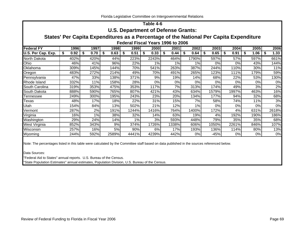| Table 4-6          |    |      |            |                                                                                        |                                           |            |    |           |    |       |             |            |    |       |       |
|--------------------|----|------|------------|----------------------------------------------------------------------------------------|-------------------------------------------|------------|----|-----------|----|-------|-------------|------------|----|-------|-------|
|                    |    |      |            |                                                                                        | <b>U.S. Department of Defense Grants:</b> |            |    |           |    |       |             |            |    |       |       |
|                    |    |      |            | States' Per Capita Expenditures as a Percentage of the National Per Capita Expenditure |                                           |            |    |           |    |       |             |            |    |       |       |
|                    |    |      |            |                                                                                        | Federal Fiscal Years 1996 to 2006         |            |    |           |    |       |             |            |    |       |       |
| <b>Federal FY</b>  |    | 1996 | 1997       | 1998                                                                                   | 1999                                      | 2000       |    | 2001      |    | 2002  | 2003        | 2004       |    | 2005  | 2006  |
| U.S. Per Cap. Exp. | \$ | 0.92 | 0.70<br>\$ | \$<br>0.63                                                                             | 0.51<br>\$                                | \$<br>0.33 |    | 0.44<br>S | \$ | 0.64  | 0.65<br>-\$ | 0.91<br>\$ | \$ | 1.06丨 | 1.33  |
| North Dakota       |    | 402% | 420%       | 44%                                                                                    | 223%                                      | 2243%      |    | 464%      |    | 1790% | 597%        | 57%        |    | 597%  | 661%  |
| Ohio               |    | 46%  | 41%        | 96%                                                                                    | 22%                                       |            | 1% | 1%        |    | $1\%$ | 0%          | $0\%$      |    | 43%   | 144%  |
| Oklahoma           |    | 309% | 145%       | 144%                                                                                   | 70%                                       | 541%       |    | 263%      |    | 387%  | 244%        | 110%       |    | 30%   | 11%   |
| Oregon             |    | 483% | 272%       | 214%                                                                                   | 49%                                       | 70%        |    | 491%      |    | 265%  | 123%        | 111%       |    | 179%  | 59%   |
| Pennsylvania       |    | 47%  | 33%        | 138%                                                                                   | 371%                                      |            | 9% | 19%       |    | 14%   | 68%         | 22%        |    | 53%   | 130%  |
| Rhode Island       |    | 332% | 11%        | 158%                                                                                   | 28%                                       |            | 0% | 0%        |    | 0%    | 0%          | 0%         |    | 0%    | 0%    |
| South Carolina     |    | 319% | 353%       | 475%                                                                                   | 353%                                      | 117%       |    | 7%        |    | 313%  | 174%        | 49%        |    | 3%    | 2%    |
| South Dakota       |    | 888% | 590%       | 765%                                                                                   | 807%                                      | 421%       |    | 43%       |    | 634%  | 1579%       | 1997%      |    | 463%  | 16%   |
| Tennessee          |    | 249% | 300%       | 195%                                                                                   | 243%                                      | 23%        |    | 20%       |    | 134%  | 177%        | 94%        |    | 32%   | 68%   |
| Texas              |    | 48%  | 17%        | 18%                                                                                    | 22%                                       | 31%        |    | 15%       |    | 7%    | 58%         | 74%        |    | 11%   | 3%    |
| Utah               |    | 154% | 84%        | 13%                                                                                    | 502%                                      | 21%        |    | 12%       |    | 1%    | 0%          | 0%         |    | 0%    | 0%    |
| Vermont            |    | 287% | 2%         | 191%                                                                                   | 1244%                                     | 1416%      |    | 764%      |    | 1400% | 172%        | 4%         |    | 631%  | 2618% |
| Virginia           |    | 16%  | 1%         | 38%                                                                                    | 32%                                       | 14%        |    | 63%       |    | 19%   | 4%          | 192%       |    | 190%  | 186%  |
| Washington         |    | 29%  | 24%        | 14%                                                                                    | 1%                                        |            | 3% | 593%      |    | 448%  | 79%         | 35%        |    | 35%   | 68%   |
| West Virginia      |    | 852% | 343%       | 9%                                                                                     | 374%                                      | 1726%      |    | 1338%     |    | 606%  | 1050%       | 2261%      |    | 846%  | 107%  |
| Wisconsin          |    | 257% | 16%        | 5%                                                                                     | 90%                                       |            | 6% | 17%       |    | 193%  | 136%        | 114%       |    | 80%   | 13%   |
| Wyoming            |    | 244% | 592%       | 2589%                                                                                  | 4441%                                     | 4239%      |    | 442%      |    | $0\%$ | -45%        | 0%         |    | 0%    | 0%    |

Data Sources:

"Federal Aid to States" annual reports. U.S. Bureau of the Census.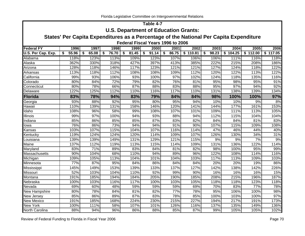|                    |             |             |             |             | Table 4-7   |                                                                                        |          |             |          |          |          |
|--------------------|-------------|-------------|-------------|-------------|-------------|----------------------------------------------------------------------------------------|----------|-------------|----------|----------|----------|
|                    |             |             |             |             |             | <b>U.S. Department of Education Grants:</b>                                            |          |             |          |          |          |
|                    |             |             |             |             |             | States' Per Capita Expenditures as a Percentage of the National Per Capita Expenditure |          |             |          |          |          |
|                    |             |             |             |             |             |                                                                                        |          |             |          |          |          |
|                    |             |             |             |             |             | Federal Fiscal Years 1996 to 2006                                                      |          |             |          |          |          |
| <b>Federal FY</b>  | 1996        | 1997        | 1998        | 1999        | 2000        | 2001                                                                                   | 2002     | 2003        | 2004     | 2005     | 2006     |
| U.S. Per Cap. Exp. | \$<br>55.96 | \$<br>65.08 | \$<br>76.70 | \$<br>81.45 | \$<br>91.14 | \$<br>86.75                                                                            | \$110.81 | 98.23<br>\$ | \$104.25 | \$112.00 | \$117.05 |
| Alabama            | 118%        | 123%        | 113%        | 109%        | 123%        | 107%                                                                                   | 106%     | 106%        | 111%     | 116%     | 118%     |
| Alaska             | 362%        | 330%        | 318%        | 427%        | 397%        | 413%                                                                                   | 385%     | 222%        | 215%     | 208%     | 186%     |
| Arizona            | 128%        | 118%        | 146%        | 117%        | 123%        | 121%                                                                                   | 121%     | 127%        | 124%     | 118%     | 122%     |
| Arkansas           | 113%        | 118%        | 112%        | 108%        | 108%        | 109%                                                                                   | 112%     | 120%        | 122%     | 113%     | 122%     |
| California         | 99%         | 93%         | 106%        | 93%         | 100%        | 97%                                                                                    | 102%     | 124%        | 118%     | 135%     | 116%     |
| Colorado           | 80%         | 84%         | 72%         | 79%         | 82%         | 76%                                                                                    | 81%      | 95%         | 98%      | 95%      | 91%      |
| Connecticut        | 80%         | 78%         | 66%         | 87%         | 88%         | 83%                                                                                    | 88%      | 95%         | 97%      | 94%      | 92%      |
| Delaware           | 122%        | 125%        | 112%        | 110%        | 116%        | 117%                                                                                   | 110%     | 131%        | 138%     | 139%     | 134%     |
| <b>Florida</b>     | 83%         | 78%         | 94%         | 83%         | 79%         | 84%                                                                                    | 84%      | 98%         | 100%     | 100%     | 97%      |
| Georgia            | 93%         | 88%         | 92%         | 95%         | 80%         | 95%                                                                                    | 94%      | 10%         | 10%      | 9%       | 8%       |
| Hawaii             | 110%        | 139%        | 131%        | 158%        | 146%        | 120%                                                                                   | 141%     | 144%        | 177%     | 161%     | 153%     |
| Idaho              | 108%        | 96%         | 58%         | 99%         | 108%        | 107%                                                                                   | 101%     | 109%        | 111%     | 113%     | 105%     |
| Illinois           | 99%         | 97%         | 100%        | 94%         | 93%         | 88%                                                                                    | 94%      | 112%        | 115%     | 104%     | 104%     |
| Indiana            | 85%         | 86%         | 85%         | 85%         | 87%         | 83%                                                                                    | 82%      | 84%         | 84%      | 81%      | 83%      |
| lowa               | 76%         | 86%         | 73%         | 94%         | 94%         | 91%                                                                                    | 90%      | 107%        | 115%     | 109%     | 108%     |
| Kansas             | 103%        | 107%        | 115%        | 104%        | 107%        | 116%                                                                                   | 114%     | 47%         | 46%      | 44%      | 40%      |
| Kentucky           | 119%        | 124%        | 124%        | 120%        | 114%        | 109%                                                                                   | 107%     | 126%        | 130%     | 34%      | 31%      |
| ouisiana <u>.</u>  | 139%        | 139%        | 149%        | 131%        | 129%        | 121%                                                                                   | 115%     | 9%          | 9%       | 7%       | 9%       |
| Maine              | 137%        | 112%        | 119%        | 113%        | 115%        | 114%                                                                                   | 109%     | 131%        | 136%     | 122%     | 114%     |
| Maryland           | 83%         | 71%         | 89%         | 83%         | 84%         | 81%                                                                                    | 82%      | 98%         | 100%     | 95%      | 99%      |
| Massachusetts      | 90%         | 104%        | 68%         | 110%        | 94%         | 89%                                                                                    | 96%      | 122%        | 108%     | 114%     | 116%     |
| Michigan           | 109%        | 105%        | 113%        | 104%        | 101%        | 104%                                                                                   | 103%     | 117%        | 113%     | 109%     | 103%     |
| Minnesota          | 77%         | 87%         | 95%         | 84%         | 86%         | 84%                                                                                    | 84%      | 20%         | 20%      | 19%      | 86%      |
| Mississippi        | 145%        | 149%        | 153%        | 139%        | 133%        | 137%                                                                                   | 127%     | 142%        | 138%     | 142%     | 226%     |
| Missouri           | 52%         | 103%        | 104%        | 110%        | 92%         | 99%                                                                                    | 90%      | 16%         | 16%      | 16%      | 15%      |
| Montana            | 191%        | 185%        | 194%        | 184%        | 205%        | 190%                                                                                   | 185%     | 208%        | 215%     | 196%     | 187%     |
| Nebraska           | 100%        | 103%        | 116%        | 117%        | 100%        | 103%                                                                                   | 105%     | 118%        | 118%     | 123%     | 118%     |
| Nevada             | 69%         | 60%         | 48%         | 59%         | 59%         | 59%                                                                                    | 69%      | 70%         | 83%      | 77%      | 78%      |
| New Hampshire      | 80%         | 78%         | 84%         | 81%         | 82%         | 77%                                                                                    | 78%      | 95%         | 106%     | 100%     | 98%      |
| <b>New Jersey</b>  | 85%         | 86%         | 89%         | 87%         | 83%         | 78%                                                                                    | 85%      | 100%        | 103%     | 100%     | 97%      |
| New Mexico         | 191%        | 185%        | 168%        | 224%        | 230%        | 215%                                                                                   | 227%     | 194%        | 217%     | 191%     | 173%     |
| New York           | 100%        | 111%        | 58%         | 107%        | 101%        | 126%                                                                                   | 116%     | 137%        | 135%     | 149%     | 136%     |
| North Carolina     | 88%         | 94%         | 96%         | 86%         | 88%         | 85%                                                                                    | 87%      | 99%         | 105%     | 105%     | 102%     |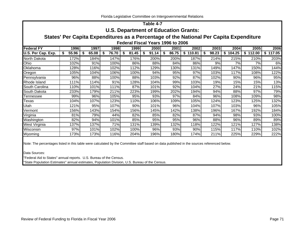| Table 4-7          |   |       |    |       |   |       |   |       |   |                                   |    |       |    |                                                                                        |   |       |              |      |    |        |    |        |
|--------------------|---|-------|----|-------|---|-------|---|-------|---|-----------------------------------|----|-------|----|----------------------------------------------------------------------------------------|---|-------|--------------|------|----|--------|----|--------|
|                    |   |       |    |       |   |       |   |       |   |                                   |    |       |    | <b>U.S. Department of Education Grants:</b>                                            |   |       |              |      |    |        |    |        |
|                    |   |       |    |       |   |       |   |       |   |                                   |    |       |    | States' Per Capita Expenditures as a Percentage of the National Per Capita Expenditure |   |       |              |      |    |        |    |        |
|                    |   |       |    |       |   |       |   |       |   | Federal Fiscal Years 1996 to 2006 |    |       |    |                                                                                        |   |       |              |      |    |        |    |        |
| Federal FY         |   | 1996  |    | 1997  |   | 1998  |   | 1999  |   | 2000                              |    | 2001  |    | 2002                                                                                   |   | 2003  |              | 2004 |    | 2005   |    | 2006   |
| U.S. Per Cap. Exp. | S | 55.96 | \$ | 65.08 | S | 76.70 | S | 81.45 | S | 91.14                             | £. | 86.75 | \$ | 110.81                                                                                 | S | 98.23 | 104.25<br>\$ |      | S. | 112.00 | S. | 117.05 |
| North Dakota       |   | 172%  |    | 184%  |   | 147%  |   | 176%  |   | 200%                              |    | 200%  |    | 187%                                                                                   |   | 214%  |              | 215% |    | 210%   |    | 203%   |
| Ohio               |   | 102%  |    | 91%   |   | 100%  |   | 86%   |   | 88%                               |    | 84%   |    | 86%                                                                                    |   | 9%    |              | 7%l  |    | 7%     |    | 6%     |
| Oklahoma           |   | 128%  |    | 116%  |   | 102%  |   | 112%  |   | 129%                              |    | 130%  |    | 131%                                                                                   |   | 149%  |              | 147% |    | 150%   |    | 144%   |
| Oregon             |   | 105%  |    | 104%  |   | 106%  |   | 100%  |   | 94%                               |    | 95%   |    | 97%                                                                                    |   | 103%  |              | 117% |    | 108%   |    | 122%   |
| Pennsylvania       |   | 96%   |    | 88%   |   | 100%  |   | 88%   |   | 103%                              |    | 92%   |    | 87%                                                                                    |   | 102%  |              | 90%  |    | 96%    |    | 95%    |
| Rhode Island       |   | 111%  |    | 114%  |   | 91%   |   | 128%  |   | 104%                              |    | 99%   |    | 103%                                                                                   |   | 19%   |              | 15%  |    | 15%    |    | 13%    |
| South Carolina     |   | 110%  |    | 101%  |   | 111%  |   | 87%   |   | 101%                              |    | 92%   |    | 104%                                                                                   |   | 27%   |              | 24%  |    | 21%    |    | 115%   |
| South Dakota       |   | 233%  |    | 179%  |   | 211%  |   | 223%  |   | 199%                              |    | 202%  |    | 194%                                                                                   |   | 94%   |              | 88%  |    | 97%    |    | 79%    |
| Tennessee          |   | 99%   |    | 96%   |   | 105%  |   | 95%   |   | 93%                               |    | 97%   |    | 84%                                                                                    |   | 96%   |              | 108% |    | 109%   |    | 98%    |
| Texas              |   | 104%  |    | 107%  |   | 123%  |   | 110%  |   | 106%                              |    | 109%  |    | 105%                                                                                   |   | 124%  |              | 123% |    | 125%   |    | 132%   |
| Utah               |   | 121%  |    | 95%   |   | 107%  |   | 90%   |   | 101%                              |    | 96%   |    | 104%                                                                                   |   | 107%  |              | 103% |    | 96%    |    | 105%   |
| Vermont            |   | 156%  |    | 143%  |   | 154%  |   | 156%  |   | 145%                              |    | 142%  |    | 138%                                                                                   |   | 196%  |              | 167% |    | 192%   |    | 184%   |
| Virginia           |   | 81%   |    | 79%   |   | 44%   |   | 82%   |   | 85%                               |    | 82%   |    | 87%                                                                                    |   | 94%   |              | 98%  |    | 93%    |    | 100%   |
| Washington         |   | 82%   |    | 94%   |   | 101%  |   | 85%   |   | 95%                               |    | 95%   |    | 96%                                                                                    |   | 88%   |              | 96%  |    | 89%    |    | 89%    |
| West Virginia      |   | 137%  |    | 137%  |   | 71%   |   | 131%  |   | 139%                              |    | 132%  |    | 118%                                                                                   |   | 122%  |              | 121% |    | 127%   |    | 138%   |
| Wisconsin          |   | 97%   |    | 101%  |   | 102%  |   | 100%  |   | 96%                               |    | 93%   |    | 90%                                                                                    |   | 115%  |              | 117% |    | 110%   |    | 102%   |
| Wyoming            |   | 173%  |    | 173%  |   | 116%  |   | 204%  |   | 196%                              |    | 180%  |    | 174%                                                                                   |   | 211%  |              | 225% |    | 229%   |    | 222%   |

Data Sources:

"Federal Aid to States" annual reports. U.S. Bureau of the Census.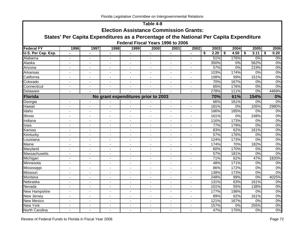|                       |                          |                          |                          |                          | Table 4-8                                                                              |                          |                          |            |                    |                    |                    |
|-----------------------|--------------------------|--------------------------|--------------------------|--------------------------|----------------------------------------------------------------------------------------|--------------------------|--------------------------|------------|--------------------|--------------------|--------------------|
|                       |                          |                          |                          |                          | <b>Election Assistance Commission Grants:</b>                                          |                          |                          |            |                    |                    |                    |
|                       |                          |                          |                          |                          | States' Per Capita Expenditures as a Percentage of the National Per Capita Expenditure |                          |                          |            |                    |                    |                    |
|                       |                          |                          |                          |                          | Federal Fiscal Years 1996 to 2006                                                      |                          |                          |            |                    |                    |                    |
| <b>Federal FY</b>     | 1996                     | 1997                     | 1998                     | 1999                     | 2000                                                                                   | 2001                     | 2002                     | 2003       |                    |                    |                    |
| U.S. Per Cap. Exp.    | $\blacksquare$           | $\blacksquare$           | $\blacksquare$           | $\blacksquare$           | $\blacksquare$                                                                         | $\mathbf{r}$             | $\mathbf{r}$             | \$<br>2.20 | 2004<br>4.50<br>\$ | 2005<br>\$<br>3.11 | 2006<br>\$<br>0.20 |
| Alabama               |                          | $\blacksquare$           | $\blacksquare$           | $\blacksquare$           | $\blacksquare$                                                                         |                          |                          | 51%        | 176%               | $0\%$              | $0\%$              |
| Alaska                | $\overline{a}$           | $\blacksquare$           | $\overline{a}$           | $\blacksquare$           | $\overline{a}$                                                                         | $\overline{a}$           | $\blacksquare$           | 350%       | 0%                 | 562%               | $0\%$              |
| Arizona               | $\overline{\phantom{a}}$ | $\blacksquare$           | $\blacksquare$           | $\overline{\phantom{a}}$ | $\blacksquare$                                                                         |                          | $\blacksquare$           | 57%        | $0\%$              | 219%               | $0\%$              |
| Arkansas              |                          | $\blacksquare$           | $\blacksquare$           | $\blacksquare$           |                                                                                        |                          | $\blacksquare$           | 103%       | 174%               | 0%                 | 0%                 |
| California            | $\overline{\phantom{a}}$ | $\overline{\phantom{a}}$ | $\blacksquare$           | $\blacksquare$           | $\blacksquare$                                                                         | $\blacksquare$           | $\blacksquare$           | 108%       | 59%                | 151%               | 0%                 |
| Colorado              | $\overline{\phantom{a}}$ | $\blacksquare$           | $\overline{\phantom{a}}$ |                          | $\blacksquare$                                                                         | $\blacksquare$           |                          | 70%        | 167%               | $\overline{0\%}$   | 0%                 |
| Connecticut           | $\overline{\phantom{a}}$ | $\blacksquare$           | $\blacksquare$           | $\blacksquare$           |                                                                                        | $\overline{a}$           | $\blacksquare$           | 65%        | 176%               | 0%                 | $0\%$              |
| Delaware              | $\blacksquare$           | $\blacksquare$           |                          |                          |                                                                                        |                          | $\blacksquare$           | 278%       | 111%               | $\overline{0\%}$   | 4469%              |
| <b>Florida</b>        |                          |                          |                          |                          | No grant expenditures prior to 2003                                                    |                          |                          | 70%        | 61%                | 154%               | 0%                 |
| Georgia               | $\blacksquare$           | $\blacksquare$           |                          |                          |                                                                                        | $\blacksquare$           | $\blacksquare$           | 66%        | 161%               | $\overline{0\%}$   | 0%                 |
| Hawaii                | $\overline{\phantom{a}}$ | $\blacksquare$           | $\overline{\phantom{0}}$ | $\blacksquare$           | $\overline{\phantom{a}}$                                                               | $\overline{\phantom{a}}$ | $\blacksquare$           | 181%       | 0%                 | 105%               | 2980%              |
| Idaho                 | $\blacksquare$           | $\overline{\phantom{a}}$ | $\blacksquare$           | $\blacksquare$           | $\blacksquare$                                                                         | $\blacksquare$           | $\blacksquare$           | 166%       | 185%               | 0%                 | 0%                 |
| Illinois              | $\overline{a}$           | $\overline{a}$           | $\overline{a}$           | $\blacksquare$           | $\overline{a}$                                                                         |                          | $\overline{a}$           | 161%       | 0%                 | 248%               | 0%                 |
| Indiana               | $\overline{\phantom{0}}$ | $\blacksquare$           | $\overline{\phantom{a}}$ | $\blacksquare$           | $\overline{\phantom{a}}$                                                               | $\overline{a}$           | $\blacksquare$           | 116%       | 173%               | 0%                 | 0%                 |
| lowa                  | $\overline{\phantom{a}}$ | $\blacksquare$           | $\blacksquare$           | $\blacksquare$           | $\blacksquare$                                                                         |                          | $\blacksquare$           | 77%        | 179%               | $0\%$              | 0%                 |
| Kansas                | $\overline{\phantom{a}}$ | $\overline{\phantom{0}}$ | $\overline{a}$           | $\overline{a}$           | $\overline{\phantom{0}}$                                                               |                          | $\overline{\phantom{a}}$ | 83%        | 62%                | 161%               | $0\%$              |
| Kentucky              | $\overline{a}$           | $\blacksquare$           | $\overline{\phantom{0}}$ | $\blacksquare$           | $\overline{\phantom{0}}$                                                               | $\overline{\phantom{0}}$ | $\overline{a}$           | 57%        | 176%               | 0%                 | 0%                 |
| Louisiana             | $\overline{a}$           | $\blacksquare$           | $\blacksquare$           | $\blacksquare$           | $\overline{\phantom{a}}$                                                               | $\overline{a}$           | $\blacksquare$           | 124%       | 173%               | $0\%$              | $0\%$              |
| Maine                 | $\overline{\phantom{0}}$ | $\blacksquare$           | $\blacksquare$           | $\blacksquare$           | $\blacksquare$                                                                         |                          | $\blacksquare$           | 174%       | 70%                | 182%               | $0\%$              |
| Maryland              | $\blacksquare$           | $\blacksquare$           | $\blacksquare$           | $\blacksquare$           | $\blacksquare$                                                                         | $\blacksquare$           | $\blacksquare$           | 60%        | 170%               | 0%                 | 0%                 |
| <b>Massachusetts</b>  | $\overline{\phantom{a}}$ | $\overline{\phantom{a}}$ | $\blacksquare$           | $\blacksquare$           | $\blacksquare$                                                                         | $\blacksquare$           | $\blacksquare$           | 57%        | 181%               | $0\%$              | 0%                 |
| Michigan              | $\overline{\phantom{a}}$ | $\blacksquare$           | $\blacksquare$           | $\blacksquare$           | $\blacksquare$                                                                         | $\blacksquare$           | $\blacksquare$           | 71%        | 62%                | 47%                | 1820%              |
| Minnesota             | $\overline{a}$           | $\sim$                   | $\overline{a}$           | $\overline{a}$           | $\overline{\phantom{0}}$                                                               | $\overline{a}$           | $\overline{a}$           | 48%        | 171%               | 0%                 | 0%                 |
| Mississippi           | $\overline{\phantom{a}}$ | $\overline{\phantom{a}}$ | $\blacksquare$           | $\blacksquare$           | $\blacksquare$                                                                         | $\blacksquare$           | $\blacksquare$           | 86%        | 172%               | $\overline{0\%}$   | $\overline{0\%}$   |
| Missouri              | $\blacksquare$           | $\overline{\phantom{a}}$ | $\blacksquare$           | $\blacksquare$           | $\blacksquare$                                                                         | $\blacksquare$           | $\blacksquare$           | 138%       | 173%               | 0%                 | $0\%$              |
| Montana               | $\overline{\phantom{a}}$ | $\blacksquare$           | $\overline{\phantom{a}}$ | $\overline{a}$           | $\overline{\phantom{a}}$                                                               |                          | $\overline{a}$           | 248%       | 99%                | 0%                 | 4025%              |
| Nebraska              | $\overline{\phantom{0}}$ | $\blacksquare$           | $\blacksquare$           | $\blacksquare$           | $\overline{\phantom{0}}$                                                               | $\overline{\phantom{a}}$ | $\blacksquare$           | 131%       | 63%                | 161%               | 0%                 |
| Nevada                | $\overline{a}$           | $\overline{a}$           | $\blacksquare$           | $\blacksquare$           | $\overline{a}$                                                                         | $\overline{a}$           | $\overline{a}$           | 101%       | 55%                | 138%               | 0%                 |
| New Hampshire         |                          | $\overline{\phantom{a}}$ | $\overline{\phantom{a}}$ | $\overline{a}$           |                                                                                        |                          |                          | 177%       | 198%               | 0%                 | $0\%$              |
| New Jersey            | $\blacksquare$           | $\blacksquare$           | $\blacksquare$           | $\blacksquare$           | $\blacksquare$                                                                         | $\blacksquare$           | $\blacksquare$           | 89%        | 62%                | 161%               | $0\%$              |
| <b>New Mexico</b>     | $\blacksquare$           | $\blacksquare$           | $\blacksquare$           | $\blacksquare$           | $\sim$                                                                                 | $\blacksquare$           | $\blacksquare$           | 121%       | 167%               | 0%                 | 0%                 |
| <b>New York</b>       | $\blacksquare$           | $\blacksquare$           | $\blacksquare$           | $\blacksquare$           | $\blacksquare$                                                                         | $\blacksquare$           | $\blacksquare$           | 157%       | 0%                 | 255%               | 0%                 |
| <b>North Carolina</b> | $\blacksquare$           | $\blacksquare$           | $\blacksquare$           | $\blacksquare$           | $\sim$                                                                                 |                          | $\blacksquare$           | 47%        | 170%               | $\overline{0\%}$   | 0%                 |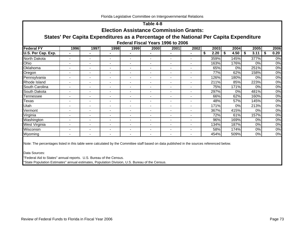|                    |                                                                                                                                                                                                                |                          |                          |                                               | Table 4-8                |                          |                          |            |      |      |      |  |  |  |  |
|--------------------|----------------------------------------------------------------------------------------------------------------------------------------------------------------------------------------------------------------|--------------------------|--------------------------|-----------------------------------------------|--------------------------|--------------------------|--------------------------|------------|------|------|------|--|--|--|--|
|                    |                                                                                                                                                                                                                |                          |                          | <b>Election Assistance Commission Grants:</b> |                          |                          |                          |            |      |      |      |  |  |  |  |
|                    | States' Per Capita Expenditures as a Percentage of the National Per Capita Expenditure                                                                                                                         |                          |                          |                                               |                          |                          |                          |            |      |      |      |  |  |  |  |
|                    |                                                                                                                                                                                                                |                          |                          | Federal Fiscal Years 1996 to 2006             |                          |                          |                          |            |      |      |      |  |  |  |  |
|                    | 2006<br><b>Federal FY</b><br>1997<br>1998<br>1999<br>2003<br>2005<br>1996<br>2000<br>2001<br>2002<br>2004<br>\$<br>S<br>$\blacksquare$<br>$\blacksquare$<br>$\blacksquare$<br>$\blacksquare$<br>$\blacksquare$ |                          |                          |                                               |                          |                          |                          |            |      |      |      |  |  |  |  |
| U.S. Per Cap. Exp. |                                                                                                                                                                                                                |                          |                          |                                               |                          |                          |                          | \$<br>2.20 | 4.50 | 3.11 | 0.20 |  |  |  |  |
| North Dakota       |                                                                                                                                                                                                                | $\overline{\phantom{0}}$ | $\blacksquare$           | $\blacksquare$                                | $\blacksquare$           | $\overline{\phantom{a}}$ | $\overline{\phantom{0}}$ | 359%       | 145% | 377% | 0%   |  |  |  |  |
| Ohio               | $\overline{\phantom{a}}$                                                                                                                                                                                       | $\blacksquare$           | $\blacksquare$           | $\blacksquare$                                | $\blacksquare$           | $\blacksquare$           | $\blacksquare$           | 163%       | 176% | 0%   | 0%   |  |  |  |  |
| Oklahoma           | $\overline{\phantom{0}}$                                                                                                                                                                                       | $\blacksquare$           | $\blacksquare$           | $\blacksquare$                                | $\overline{\phantom{a}}$ | $\blacksquare$           | $\blacksquare$           | 65%        | 0%   | 251% | 0%   |  |  |  |  |
| Oregon             | $\blacksquare$                                                                                                                                                                                                 | $\blacksquare$           | $\blacksquare$           | $\blacksquare$                                | $\blacksquare$           | $\blacksquare$           | $\overline{\phantom{0}}$ | 77%        | 62%  | 158% | 0%   |  |  |  |  |
| Pennsylvania       |                                                                                                                                                                                                                | $\overline{\phantom{0}}$ | $\overline{\phantom{0}}$ | $\blacksquare$                                | $\overline{\phantom{a}}$ | $\blacksquare$           | $\blacksquare$           | 126%       | 180% | 0%   | 0%   |  |  |  |  |
| Rhode Island       | $\overline{\phantom{a}}$                                                                                                                                                                                       | $\blacksquare$           | $\blacksquare$           | $\blacksquare$                                | $\overline{\phantom{a}}$ | $\blacksquare$           | $\blacksquare$           | 211%       | 85%  | 223% | 0%   |  |  |  |  |
| South Carolina     | $\blacksquare$                                                                                                                                                                                                 | $\blacksquare$           | $\overline{\phantom{0}}$ | $\blacksquare$                                | $\blacksquare$           | $\blacksquare$           | $\blacksquare$           | 75%        | 171% | 0%   | 0%   |  |  |  |  |
| South Dakota       | $\overline{\phantom{a}}$                                                                                                                                                                                       | $\blacksquare$           | $\overline{\phantom{0}}$ | $\blacksquare$                                | $\blacksquare$           | $\blacksquare$           | $\overline{\phantom{0}}$ | 297%       | 0%   | 481% | 0%   |  |  |  |  |
| Tennessee          |                                                                                                                                                                                                                | $\blacksquare$           |                          | $\overline{\phantom{a}}$                      | $\overline{\phantom{0}}$ | $\overline{\phantom{a}}$ | $\overline{\phantom{0}}$ | 66%        | 62%  | 160% | 0%   |  |  |  |  |
| Texas              | $\overline{\phantom{a}}$                                                                                                                                                                                       | $\blacksquare$           | $\blacksquare$           | $\blacksquare$                                | $\blacksquare$           | $\blacksquare$           | $\overline{\phantom{0}}$ | 48%        | 57%  | 145% | 0%   |  |  |  |  |
| Utah               | $\overline{\phantom{a}}$                                                                                                                                                                                       | $\blacksquare$           | $\overline{\phantom{0}}$ | $\overline{\phantom{a}}$                      | $\blacksquare$           | $\overline{\phantom{0}}$ | $\overline{\phantom{a}}$ | 171%       | 0%   | 213% | 0%   |  |  |  |  |
| Vermont            | $\blacksquare$                                                                                                                                                                                                 | $\overline{\phantom{0}}$ | $\blacksquare$           | $\blacksquare$                                | $\blacksquare$           | $\overline{\phantom{a}}$ | $\blacksquare$           | 367%       | 415% | 0%   | 0%   |  |  |  |  |
| Virginia           | $\blacksquare$                                                                                                                                                                                                 | $\overline{\phantom{0}}$ | $\blacksquare$           | $\blacksquare$                                | $\blacksquare$           | $\blacksquare$           | $\overline{\phantom{0}}$ | 72%        | 61%  | 157% | 0%   |  |  |  |  |
| Washington         | $\overline{\phantom{a}}$                                                                                                                                                                                       | $\blacksquare$           | $\blacksquare$           | $\blacksquare$                                | $\blacksquare$           | $\blacksquare$           | $\blacksquare$           | 96%        | 169% | 0%   | 0%   |  |  |  |  |
| West Virginia      | $\blacksquare$                                                                                                                                                                                                 | $\blacksquare$           | $\blacksquare$           | $\blacksquare$                                | $\blacksquare$           | $\overline{\phantom{a}}$ | $\overline{\phantom{0}}$ | 134%       | 187% | 0%   | 0%   |  |  |  |  |
| Wisconsin          | $\overline{\phantom{a}}$                                                                                                                                                                                       | $\blacksquare$           | $\blacksquare$           | $\blacksquare$                                | $\blacksquare$           | $\blacksquare$           | $\overline{\phantom{0}}$ | 58%        | 174% | 0%   | 0%   |  |  |  |  |
| Wyoming            |                                                                                                                                                                                                                | $\blacksquare$           | $\overline{\phantom{0}}$ |                                               | $\overline{\phantom{a}}$ |                          |                          | 454%       | 509% | 0%   | 0%   |  |  |  |  |

Data Sources:

"Federal Aid to States" annual reports. U.S. Bureau of the Census.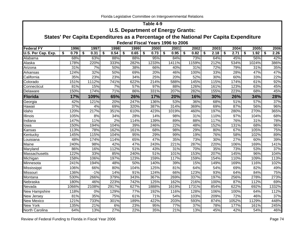|                       |                                                                                        |            |            |            | Table 4-9                                |            |            |            |            |            |            |
|-----------------------|----------------------------------------------------------------------------------------|------------|------------|------------|------------------------------------------|------------|------------|------------|------------|------------|------------|
|                       |                                                                                        |            |            |            | <b>U.S. Department of Energy Grants:</b> |            |            |            |            |            |            |
|                       | States' Per Capita Expenditures as a Percentage of the National Per Capita Expenditure |            |            |            |                                          |            |            |            |            |            |            |
|                       |                                                                                        |            |            |            |                                          |            |            |            |            |            |            |
|                       |                                                                                        |            |            |            | Federal Fiscal Years 1996 to 2006        |            |            |            |            |            |            |
| <b>Federal FY</b>     | 1996                                                                                   | 1997       | 1998       | 1999       | 2000                                     | 2001       | 2002       | 2003       | 2004       | 2005       | 2006       |
| U.S. Per Cap. Exp.    | \$<br>0.79                                                                             | \$<br>0.31 | \$<br>0.54 | \$<br>0.65 | \$<br>0.73                               | \$<br>0.95 | \$<br>0.82 | 2.18<br>£. | \$<br>2.71 | \$<br>1.92 | \$<br>2.26 |
| Alabama               | 68%                                                                                    | 63%        | 88%        | 88%        | 95%                                      | 84%        | 73%        | 64%        | 45%        | 56%        | 42%        |
| Alaska                | 178%                                                                                   | 220%       | 333%       | 282%       | 1233%                                    | 1411%      | 1159%      | 212%       | 534%       | 1024%      | 386%       |
| Arizona               | 31%                                                                                    | 7%         | 50%        | 38%        | 66%                                      | 40%        | 31%        | 72%        | 79%        | 31%        | 35%        |
| Arkansas              | 124%                                                                                   | 32%        | 50%        | 69%        | 20%                                      | 46%        | 100%       | 33%        | 28%        | 47%        | 47%        |
| California            | 35%                                                                                    | 23%        | 23%        | 34%        | 25%                                      | 20%        | 52%        | 30%        | 60%        | 33%        | 22%        |
| Colorado              | 151%                                                                                   | 1112%      | 741%       | 622%       | 214%                                     | 588%       | 145%       | 115%       | 174%       | 61%        | 92%        |
| Connecticut           | 81%                                                                                    | 15%        | 7%         | 57%        | 97%                                      | 88%        | 126%       | 161%       | 123%       | 63%        | 45%        |
| Delaware              | 150%                                                                                   | 174%       | 71%        | 86%        | 331%                                     | 207%       | 282%       | 155%       | 223%       | 68%        | 45%        |
| <b>Florida</b>        | 17%                                                                                    | 109%       | 65%        | 26%        | 17%                                      | 20%        | 16%        | 30%        | 26%        | 34%        | 28%        |
| Georgia               | 42%                                                                                    | 121%       | 20%        | 247%       | 136%                                     | 53%        | 36%        | 68%        | 51%        | 57%        | 37%        |
| Hawaii                | 37%                                                                                    | 4%         | 69%        | 320%       | 387%                                     | 314%       | 369%       | 69%        | 87%        | 56%        | 96%        |
| Idaho                 | 120%                                                                                   | 217%       | 351%       | 610%       | 423%                                     | 1019%      | 460%       | 197%       | 280%       | 270%       | 365%       |
| Illinois              | 105%                                                                                   | 8%         | 34%        | 28%        | 14%                                      | 98%        | 31%        | 110%       | 97%        | 104%       | 68%        |
| Indiana               | 147%                                                                                   | 11%        | 2%         | 114%       | 139%                                     | 89%        | 88%        | 117%       | 76%        | 31%        | 78%        |
| Iowa                  | 150%                                                                                   | 194%       | 104%       | 39%        | 246%                                     | 22%        | 48%        | 152%       | 131%       | 68%        | 96%        |
| Kansas                | 113%                                                                                   | 78%        | 162%       | 161%       | 68%                                      | 98%        | 29%        | 80%        | 67%        | 105%       | 75%        |
| Kentucky              | 145%                                                                                   | 115%       | 104%       | 95%        | 29%                                      | 99%        | 19%        | 76%        | 58%        | 102%       | 89%        |
| ouisiana.             | 48%                                                                                    | 174%       | 114%       | 65%        | 47%                                      | 35%        | 73%        | 30%        | 27%        | 60%        | 39%        |
| Maine                 | 240%                                                                                   | 98%        | 42%        | 47%        | 243%                                     | 221%       | 287%       | 220%       | 106%       | 169%       | 141%       |
| Maryland              | 86%                                                                                    | 16%        | 112%       | 51%        | 43%                                      | 31%        | 70%        | 35%        | 73%        | 53%        | 37%        |
| <b>Massachusetts</b>  | 122%                                                                                   | 33%        | 85%        | 240%       | 51%                                      | 101%       | 153%       | 207%       | 145%       | 96%        | 104%       |
| Michigan              | 158%                                                                                   | 106%       | 197%       | 123%       | 159%                                     | 117%       | 159%       | 154%       | 110%       | 109%       | 113%       |
| Minnesota             | 241%                                                                                   | 194%       | 48%        | 50%        | 140%                                     | 39%        | 15%        | 149%       | 169%       | 116%       | 102%       |
| Mississippi           | 106%                                                                                   | 66%        | 80%        | 104%       | 125%                                     | 81%        | 64%        | 54%        | 69%        | 82%        | 49%        |
| Missouri              | 136%                                                                                   | $-1%$      | 14%        | 91%        | 124%                                     | 66%        | 123%       | 93%        | 64%        | 84%        | 75%        |
| Montana               | 530%                                                                                   | 266%       | 379%       | 343%       | 367%                                     | 269%       | 337%       | 197%       | 256%       | 278%       | 273%       |
| Nebraska              | 180%                                                                                   | 46%        | 223%       | 742%       | 125%                                     | 162%       | 216%       | 100%       | 87%        | 112%       | 69%        |
| Nevada                | 1066%                                                                                  | 2108%      | 2917%      | 627%       | 1888%                                    | 1619%      | 1731%      | 854%       | 622%       | 692%       | 1332%      |
| <b>New Hampshire</b>  | 118%                                                                                   | 0%         | 129%       | 77%        | 192%                                     | 116%       | 128%       | 106%       | 100%       | 64%        | 112%       |
| New Jersey            | 81%                                                                                    | 35%        | 75%        | 61%        | 71%                                      | 54%        | 103%       | 209%       | 72%        | 46%        | 37%        |
| New Mexico            | 121%                                                                                   | 733%       | 301%       | 189%       | 422%                                     | 203%       | 593%       | 874%       | 1052%      | 1129%      | 448%       |
| <b>New York</b>       | 135%                                                                                   | 21%        | 6%         | 23%        | 95%                                      | 77%        | 37%        | 78%        | 177%       | 161%       | 245%       |
| <b>North Carolina</b> | 64%                                                                                    | 13%        | 27%        | 22%        | 35%                                      | 21%        | 13%        | 45%        | 42%        | 54%        | 46%        |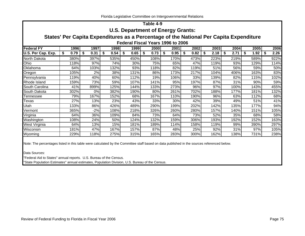|                    |            |            |            |                                          | Table 4-9  |            |            |            |                                                                                        |            |      |
|--------------------|------------|------------|------------|------------------------------------------|------------|------------|------------|------------|----------------------------------------------------------------------------------------|------------|------|
|                    |            |            |            | <b>U.S. Department of Energy Grants:</b> |            |            |            |            |                                                                                        |            |      |
|                    |            |            |            |                                          |            |            |            |            | States' Per Capita Expenditures as a Percentage of the National Per Capita Expenditure |            |      |
|                    |            |            |            | Federal Fiscal Years 1996 to 2006        |            |            |            |            |                                                                                        |            |      |
| <b>Federal FY</b>  | 1996       | 1997       | 1998       | 1999                                     | 2000       | 2001       | 2002       | 2003       | 2004                                                                                   | 2005       | 2006 |
| U.S. Per Cap. Exp. | \$<br>0.79 | \$<br>0.31 | \$<br>0.54 | $0.65$  <br>\$                           | \$<br>0.73 | \$<br>0.95 | \$<br>0.82 | \$<br>2.18 | 2.71<br>\$                                                                             | \$<br>1.92 | 2.26 |
| North Dakota       | 380%       | 397%       | 535%       | 450%                                     | 108%       | 170%       | 473%       | 223%       | 219%                                                                                   | 589%       | 922% |
| Ohio               | 118%       | 97%        | 74%        | 30%                                      | 75%        | 65%        | 47%        | 119%       | 93%                                                                                    | 129%       | 114% |
| Oklahoma           | 64%        | 103%       | 132%       | 93%                                      | 118%       | 82%        | 119%       | 51%        | 56%                                                                                    | 59%        | 50%  |
| Oregon             | 105%       | 2%         | 38%        | 131%                                     | 86%        | 173%       | 217%       | 104%       | 406%                                                                                   | 163%       | 83%  |
| Pennsylvania       | 119%       | 40%        | 60%        | 112%                                     | 19%        | 106%       | 33%        | 139%       | 82%                                                                                    | 115%       | 102% |
| Rhode Island       | 159%       | 73%        | 59%        | 107%                                     | 141%       | 95%        | 197%       | 87%        | 31%                                                                                    | 90%        | 59%  |
| South Carolina     | 41%        | 899%       | 125%       | 144%                                     | 133%       | 273%       | 96%        | 97%        | 100%                                                                                   | 143%       | 455% |
| South Dakota       | 302%       | 0%         | 382%       | 190%                                     | 80%        | 261%       | 702%       | 188%       | 177%                                                                                   | 181%       | 132% |
| Tennessee          | 79%        | 167%       | 152%       | 68%                                      | 167%       | 110%       | 190%       | 96%        | 63%                                                                                    | 112%       | 68%  |
| Texas              | 27%        | 13%        | 23%        | 43%                                      | 33%        | 30%        | 42%        | 39%        | 49%                                                                                    | 51%        | 41%  |
| Utah               | 133%       | 86%        | 426%       | 489%                                     | 290%       | 199%       | 202%       | 142%       | 135%                                                                                   | 177%       | 94%  |
| Vermont            | 365%       | $-2%$      | 108%       | 218%                                     | 326%       | 260%       | 280%       | 157%       | 140%                                                                                   | 151%       | 105% |
| Virginia           | 64%        | 36%        | 109%       | 84%                                      | 73%        | 64%        | 73%        | 52%        | 35%                                                                                    | 68%        | 58%  |
| Washington         | 108%       | 24%        | 50%        | 124%                                     | 132%       | 159%       | 306%       | 193%       | 192%                                                                                   | 152%       | 163% |
| West Virginia      | 64%        | 13%        | 15%        | 181%                                     | 189%       | 114%       | 158%       | 119%       | 99%                                                                                    | 390%       | 297% |
| Wisconsin          | 181%       | 47%        | 167%       | 157%                                     | 87%        | 48%        | 25%        | 92%        | 31%                                                                                    | 97%        | 105% |
| Wyoming            | 229%       | 118%       | 275%       | 315%                                     | 165%       | 283%       | 300%       | 162%       | 138%                                                                                   | 731%       | 238% |

Data Sources:

"Federal Aid to States" annual reports. U.S. Bureau of the Census.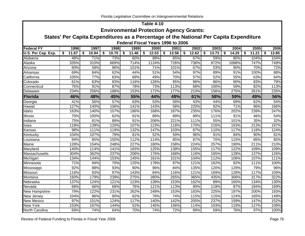|                      |                                                                                        |             |             |             | <b>Table 4-10</b> |                                   |                                                |             |             |             |             |
|----------------------|----------------------------------------------------------------------------------------|-------------|-------------|-------------|-------------------|-----------------------------------|------------------------------------------------|-------------|-------------|-------------|-------------|
|                      |                                                                                        |             |             |             |                   |                                   | <b>Environmental Protection Agency Grants:</b> |             |             |             |             |
|                      | States' Per Capita Expenditures as a Percentage of the National Per Capita Expenditure |             |             |             |                   |                                   |                                                |             |             |             |             |
|                      |                                                                                        |             |             |             |                   |                                   |                                                |             |             |             |             |
|                      |                                                                                        |             |             |             |                   | Federal Fiscal Years 1996 to 2006 |                                                |             |             |             |             |
| <b>Federal FY</b>    | 1996                                                                                   | 1997        | 1998        | 1999        | 2000              | 2001                              | 2002                                           | 2003        | 2004        | 2005        | 2006        |
| U.S. Per Cap. Exp.   | \$<br>11.67                                                                            | \$<br>10.94 | \$<br>10.70 | \$<br>11.46 | \$<br>12.53       | \$<br>13.58                       | \$<br>12.62                                    | 13.73<br>\$ | \$<br>14.25 | 11.21<br>\$ | \$<br>13.85 |
| Alabama              | 48%                                                                                    | 71%         | 73%         | 60%         | 89%               | 85%                               | 67%                                            | 59%         | 80%         | 104%        | 104%        |
| Alaska               | 335%                                                                                   | 310%        | 669%        | 714%        | 1124%             | 726%                              | 736%                                           | 872%        | 1088%       | 747%        | 749%        |
| Arizona              | 60%                                                                                    | 58%         | 96%         | 101%        | 71%               | 101%                              | 67%                                            | 53%         | 90%         | 70%         | 72%         |
| Arkansas             | 69%                                                                                    | 84%         | 62%         | 44%         | 51%               | 54%                               | 97%                                            | 89%         | 91%         | 100%        | 88%         |
| California           | 105%                                                                                   | 77%         | 83%         | 69%         | 49%               | 70%                               | 57%                                            | 52%         | 55%         | 63%         | 64%         |
| Colorado             | 61%                                                                                    | 63%         | 83%         | 116%        | 126%              | 95%                               | 96%                                            | 86%         | 90%         | 83%         | 79%         |
| Connecticut          | 76%                                                                                    | 91%         | 87%         | 78%         | 73%               | 113%                              | 88%                                            | 100%        | 59%         | 82%         | 113%        |
| Delaware             | 234%                                                                                   | 256%        | 188%        | 153%        | 172%              | 177%                              | 210%                                           | 156%        | 275%        | 261%        | 235%        |
| <b>Florida</b>       | 46%                                                                                    | 48%         | 45%         | 55%         | 44%               | 49%                               | 61%                                            | 58%         | 59%         | 49%         | 56%         |
| Georgia              | 41%                                                                                    | 56%         | 57%         | 63%         | 53%               | 58%                               | 43%                                            | 44%         | 69%         | 62%         | 54%         |
| Hawaii               | 127%                                                                                   | 140%        | 106%        | 141%        | 143%              | 58%                               | 220%                                           | 92%         | 71%         | 96%         | 166%        |
| Idaho                | 163%                                                                                   | 140%        | 107%        | 186%        | 168%              | 187%                              | 235%                                           | 176%        | 202%        | 239%        | 247%        |
| Illinois             | 70%                                                                                    | 100%        | 62%         | 91%         | 89%               | 89%                               | 89%                                            | 111%        | 91%         | 46%         | 54%         |
| Indiana              | 75%                                                                                    | 81%         | 89%         | 91%         | 206%              | 221%                              | 111%                                           | 55%         | 101%        | 35%         | 32%         |
| lowa                 | 118%                                                                                   | 139%        | 120%        | 107%        | 123%              | 118%                              | 170%                                           | 216%        | 163%        | 213%        | 197%        |
| Kansas               | 98%                                                                                    | 111%        | 119%        | 132%        | 147%              | 103%                              | 87%                                            | 110%        | 117%        | 118%        | 124%        |
| Kentucky             | 104%                                                                                   | 107%        | 79%         | 81%         | 52%               | 59%                               | 96%                                            | 91%         | 84%         | 90%         | 81%         |
| ouisiana.            | 94%                                                                                    | 85%         | 150%        | 112%        | 114%              | 85%                               | 87%                                            | 70%         | 115%        | 85%         | 85%         |
| Maine                | 128%                                                                                   | 154%        | 248%        | 227%        | 180%              | 158%                              | 224%                                           | 257%        | 190%        | 211%        | 210%        |
| Maryland             | 140%                                                                                   | 114%        | 141%        | 165%        | 125%              | 139%                              | 155%                                           | 117%        | 122%        | 109%        | 109%        |
| <b>Massachusetts</b> | 304%                                                                                   | 362%        | 237%        | 206%        | 176%              | 168%                              | 116%                                           | 165%        | 128%        | 137%        | 126%        |
| Michigan             | 134%                                                                                   | 144%        | 153%        | 145%        | 161%              | 101%                              | 104%                                           | 112%        | 106%        | 107%        | 111%        |
| Minnesota            | 71%                                                                                    | 94%         | 70%         | 125%        | 178%              | 97%                               | 121%                                           | 162%        | 92%         | 111%        | 100%        |
| Mississippi          | 92%                                                                                    | 88%         | 93%         | 90%         | 96%               | 84%                               | 135%                                           | 120%        | 129%        | 79%         | 96%         |
| Missouri             | 116%                                                                                   | 93%         | 97%         | 143%        | 84%               | 116%                              | 121%                                           | 169%        | 128%        | 117%        | 109%        |
| Montana              | 160%                                                                                   | 179%        | 239%        | 275%        | 280%              | 265%                              | 365%                                           | 435%        | 306%        | 317%        | 322%        |
| Nebraska             | 137%                                                                                   | 124%        | 121%        | 123%        | 139%              | 153%                              | 162%                                           | 89%         | 165%        | 134%        | 130%        |
| Nevada               | 68%                                                                                    | 66%         | 68%         | 76%         | 121%              | 113%                              | 90%                                            | 119%        | 87%         | 184%        | 169%        |
| <b>New Hampshire</b> | 79%                                                                                    | 122%        | 231%        | 262%        | 248%              | 153%                              | 183%                                           | 225%        | 197%        | 200%        | 193%        |
| New Jersey           | 104%                                                                                   | 96%         | 90%         | 62%         | 76%               | 74%                               | 115%                                           | 115%        | 124%        | 165%        | 149%        |
| New Mexico           | 97%                                                                                    | 151%        | 124%        | 117%        | 140%              | 142%                              | 205%                                           | 237%        | 159%        | 147%        | 152%        |
| <b>New York</b>      | 153%                                                                                   | 167%        | 144%        | 52%         | 145%              | 156%                              | 114%                                           | 103%        | 119%        | 127%        | 109%        |
| North Carolina       | 69%                                                                                    | 74%         | 64%         | 70%         | 74%               | 72%                               | 99%                                            | 69%         | 76%         | 97%         | 100%        |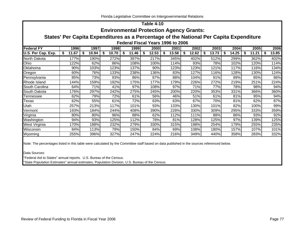|                                                                                        |             |   |       |             |             |   | <b>Table 4-10</b>                 |    |       |                                                |             |             |             |       |
|----------------------------------------------------------------------------------------|-------------|---|-------|-------------|-------------|---|-----------------------------------|----|-------|------------------------------------------------|-------------|-------------|-------------|-------|
|                                                                                        |             |   |       |             |             |   |                                   |    |       | <b>Environmental Protection Agency Grants:</b> |             |             |             |       |
| States' Per Capita Expenditures as a Percentage of the National Per Capita Expenditure |             |   |       |             |             |   |                                   |    |       |                                                |             |             |             |       |
|                                                                                        |             |   |       |             |             |   | Federal Fiscal Years 1996 to 2006 |    |       |                                                |             |             |             |       |
| <b>Federal FY</b>                                                                      | 1996        |   | 1997  | 1998        | 1999        |   | 2000                              |    | 2001  | 2002                                           | 2003        | 2004        | 2005        | 2006  |
| U.S. Per Cap. Exp.                                                                     | \$<br>11.67 | S | 10.94 | \$<br>10.70 | \$<br>11.46 | S | 12.53                             | S. | 13.58 | \$<br>12.62                                    | \$<br>13.73 | \$<br>14.25 | \$<br>11.21 | 13.85 |
| North Dakota                                                                           | 177%        |   | 190%  | 272%        | 397%        |   | 217%                              |    | 345%  | 402%                                           | 512%        | 299%        | 362%        | 402%  |
| Ohio                                                                                   | 122%        |   | 62%   | 86%         | 108%        |   | 100%                              |    | 114%  | 93%                                            | 78%         | 102%        | 120%        | 114%  |
| Oklahoma                                                                               | 90%         |   | 103%  | 123%        | 137%        |   | 90%                               |    | 123%  | 123%                                           | 121%        | 117%        | 116%        | 134%  |
| Oregon                                                                                 | 60%         |   | 76%   | 133%        | 238%        |   | 136%                              |    | 83%   | 127%                                           | 116%        | 128%        | 130%        | 124%  |
| Pennsylvania                                                                           | 85%         |   | 73%   | 93%         | 86%         |   | 87%                               |    | 88%   | 104%                                           | 91%         | 89%         | 85%         | 86%   |
| Rhode Island                                                                           | 144%        |   | 159%  | 192%        | 175%        |   | 177%                              |    | 179%  | 226%                                           | 272%        | 219%        | 251%        | 224%  |
| South Carolina                                                                         | 64%         |   | 71%   | 41%         | 97%         |   | 108%                              |    | 97%   | 71%                                            | 77%         | 78%         | 98%         | 94%   |
| South Dakota                                                                           | 176%        |   | 297%  | 242%        | 275%        |   | 245%                              |    | 200%  | 220%                                           | 353%        | 331%        | 366%        | 360%  |
| Tennessee                                                                              | 62%         |   | 79%   | 72%         | 61%         |   | 56%                               |    | 46%   | 51%                                            | 61%         | 81%         | 95%         | 94%   |
| Texas                                                                                  | 62%         |   | 55%   | 61%         | 72%         |   | 63%                               |    | 63%   | 67%                                            | 70%         | 81%         | 62%         | 87%   |
| Utah                                                                                   | 257%        |   | 213%  | 117%        | 101%        |   | 93%                               |    | 133%  | 130%                                           | 101%        | 82%         | 100%        | 99%   |
| Vermont                                                                                | 193%        |   | 184%  | 244%        | 408%        |   | 390%                              |    | 228%  | 330%                                           | 309%        | 295%        | 333%        | 359%  |
| Virginia                                                                               | 80%         |   | 80%   | 96%         | 88%         |   | 62%                               |    | 112%  | 111%                                           | 88%         | 86%         | 93%         | 92%   |
| Washington                                                                             | 94%         |   | 93%   | 125%        | 112%        |   | 78%                               |    | 81%   | 128%                                           | 125%        | 97%         | 139%        | 125%  |
| West Virginia                                                                          | 170%        |   | 188%  | 232%        | 279%        |   | 330%                              |    | 315%  | 198%                                           | 254%        | 179%        | 255%        | 235%  |
| Wisconsin                                                                              | 84%         |   | 113%  | 79%         | 150%        |   | 84%                               |    | 69%   | 108%                                           | 180%        | 157%        | 107%        | 101%  |
| Wyoming                                                                                | 255%        |   | 396%  | 327%        | 247%        |   | 224%                              |    | 216%  | 349%                                           | 440%        | 358%        | 283%        | 332%  |

Data Sources:

"Federal Aid to States" annual reports. U.S. Bureau of the Census.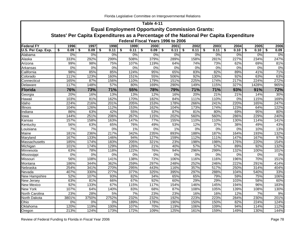|                      |            |                                                                                        |                                                        |            | Table 4-11                        |            |            |            |            |            |            |
|----------------------|------------|----------------------------------------------------------------------------------------|--------------------------------------------------------|------------|-----------------------------------|------------|------------|------------|------------|------------|------------|
|                      |            |                                                                                        | <b>Equal Employment Opportunity Commission Grants:</b> |            |                                   |            |            |            |            |            |            |
|                      |            | States' Per Capita Expenditures as a Percentage of the National Per Capita Expenditure |                                                        |            |                                   |            |            |            |            |            |            |
|                      |            |                                                                                        |                                                        |            |                                   |            |            |            |            |            |            |
|                      |            |                                                                                        |                                                        |            | Federal Fiscal Years 1996 to 2006 |            |            |            |            |            |            |
| <b>Federal FY</b>    | 1996       | 1997                                                                                   | 1998                                                   | 1999       | 2000                              | 2001       | 2002       | 2003       | 2004       | 2005       | 2006       |
| U.S. Per Cap. Exp.   | \$<br>0.09 | \$<br>0.09                                                                             | \$<br>0.11                                             | 0.11<br>\$ | 0.09<br>\$                        | 0.11<br>\$ | 0.11<br>\$ | \$<br>0.11 | 0.10<br>\$ | \$<br>0.10 | 0.09<br>\$ |
| Alabama              | 0%         | 0%                                                                                     | 0%                                                     | 0%         | 0%                                | 0%         | 0%         | 0%         | 0%         | 0%         | 0%         |
| Alaska               | 333%       | 292%                                                                                   | 299%                                                   | 508%       | 379%                              | 289%       | 158%       | 281%       | 227%       | 234%       | 247%       |
| Arizona              | 99%        | 98%                                                                                    | 75%                                                    | 107%       | 119%                              | 64%        | 74%        | 73%        | 62%        | 69%        | 81%        |
| Arkansas             | 0%         | 0%                                                                                     | $0\%$                                                  | 0%         | 0%                                | 0%         | 0%         | 0%         | 0%         | 0%         | 0%         |
| California           | 98%        | 85%                                                                                    | 85%                                                    | 124%       | 95%                               | 65%        | 83%        | 82%        | 89%        | 41%        | 71%        |
| Colorado             | 111%       | 123%                                                                                   | 160%                                                   | 151%       | 55%                               | 506%       | 92%        | 130%       | 92%        | 63%        | 63%        |
| Connecticut          | 165%       | 87%                                                                                    | 156%                                                   | 110%       | 179%                              | 151%       | 225%       | 174%       | 217%       | 224%       | 272%       |
| <b>Delaware</b>      | 117%       | 148%                                                                                   | 57%                                                    | 80%        | 169%                              | 290%       | 149%       | 115%       | 327%       | 1428%      | 965%       |
| Florida              | 76%        | 73%                                                                                    | 71%                                                    | 55%        | 78%                               | 79%        | 71%        | 71%        | 93%        | 91%        | 72%        |
| Georgia              | 20%        | 16%                                                                                    | 13%                                                    | 13%        | 12%                               | 16%        | 20%        | 21%        | 21%        | 14%        | 30%        |
| Hawaii               | 103%       | 81%                                                                                    | 162%                                                   | 170%       | 182%                              | 84%        | 111%       | 110%       | 0%         | 115%       | 169%       |
| ldaho                | 224%       | 216%                                                                                   | 201%                                                   | 205%       | 153%                              | 178%       | 266%       | 241%       | 220%       | 165%       | 247%       |
| <b>Illinois</b>      | 104%       | 126%                                                                                   | 112%                                                   | 153%       | 162%                              | 104%       | 173%       | 174%       | 123%       | 64%        | 122%       |
| Indiana              | 86%        | 63%                                                                                    | 42%                                                    | 55%        | 53%                               | 87%        | 81%        | 80%        | 69%        | 95%        | 80%        |
| lowa                 | 144%       | 251%                                                                                   | 206%                                                   | 267%       | 115%                              | 202%       | 560%       | 560%       | 286%       | 229%       | 240%       |
| Kansas               | 157%       | 158%                                                                                   | 163%                                                   | 147%       | 77%                               | 155%       | 110%       | 110%       | 130%       | 114%       | 141%       |
| Kentucky             | 56%        | 63%                                                                                    | 65%                                                    | 76%        | 49%                               | 53%        | 12%        | 37%        | 38%        | 49%        | 43%        |
| _ouisiana            | 7%         | 7%                                                                                     | 0%                                                     | $1\%$      | 0%                                | 1%         | $0\%$      | 0%         | 0%         | 10%        | 13%        |
| Maine                | 181%       | 236%                                                                                   | 217%                                                   | 342%       | 235%                              | 893%       | 188%       | 187%       | 164%       | 193%       | 132%       |
| Maryland             | 167%       | 133%                                                                                   | 146%                                                   | 94%        | 127%                              | 159%       | 112%       | 111%       | 147%       | 167%       | 97%        |
| Massachusetts        | 185%       | 174%                                                                                   | 183%                                                   | 205%       | 321%                              | 23%        | 198%       | 198%       | 176%       | 220%       | 154%       |
| Michigan             | 101%       | 174%                                                                                   | 129%                                                   | 126%       | 21%                               | 40%        | 57%        | 57%        | 89%        | 92%        | 132%       |
| Minnesota            | 63%        | 78%                                                                                    | 118%                                                   | 122%       | 76%                               | 94%        | 296%       | 299%       | 132%       | 100%       | 101%       |
| Mississippi          | 0%         | 0%                                                                                     | 0%                                                     | 0%         | 0%                                | 0%         | $0\%$      | 0%         | 0%         | 0%         | 0%         |
| Missouri             | 56%        | 108%                                                                                   | 141%                                                   | 138%       | 72%                               | 106%       | 116%       | 116%       | 196%       | 70%        | 151%       |
| Montana              | 186%       | 344%                                                                                   | 362%                                                   | 259%       | 297%                              | 248%       | 252%       | 246%       | 222%       | 291%       | 414%       |
| Nebraska             | 254%       | 341%                                                                                   | 270%                                                   | 295%       | 443%                              | 116%       | 357%       | 517%       | 250%       | 314%       | 404%       |
| Nevada               | 407%       | 330%                                                                                   | 277%                                                   | 377%       | 325%                              | 395%       | 297%       | 288%       | 104%       | 540%       | 33%        |
| <b>New Hampshire</b> | 52%        | 107%                                                                                   | 93%                                                    | 82%        | 34%                               | 65%        | 65%        | 79%        | 59%        | 75%        | 106%       |
| New Jersey           | 63%        | 81%                                                                                    | 66%                                                    | 67%        | 92%                               | 60%        | 29%        | 29%        | 103%       | 58%        | 60%        |
| <b>New Mexico</b>    | 92%        | 133%                                                                                   | 67%                                                    | 115%       | 117%                              | 154%       | 146%       | 145%       | 194%       | 96%        | 183%       |
| <b>New York</b>      | 107%       | 64%                                                                                    | 140%                                                   | 83%        | 68%                               | 87%        | 108%       | 105%       | 139%       | 108%       | 130%       |
| North Carolina       | 23%        | 28%                                                                                    | 5%                                                     | 7%         | 23%                               | 23%        | 16%        | 16%        | 12%        | 7%         | 9%         |
| North Dakota         | 3801%      | 3750%                                                                                  | 2752%                                                  | 232%       | 232%                              | 192%       | 223%       | 223%       | 284%       | 230%       | 201%       |
| Ohio                 | 0%         | 0%                                                                                     | 0%                                                     | 189%       | 178%                              | 190%       | 150%       | 150%       | 82%        | 224%       | 124%       |
| Oklahoma             | 120%       | 119%                                                                                   | 100%                                                   | 107%       | 70%                               | 119%       | 106%       | 109%       | 94%        | 114%       | 112%       |
| Oregon               | 213%       | 124%                                                                                   | 173%                                                   | 172%       | 109%                              | 125%       | 161%       | 159%       | 149%       | 130%       | 144%       |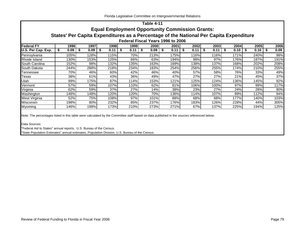|                    |       |      |           |                                                        | Table 4-11 |      |      |              |                                                                                        |      |      |
|--------------------|-------|------|-----------|--------------------------------------------------------|------------|------|------|--------------|----------------------------------------------------------------------------------------|------|------|
|                    |       |      |           | <b>Equal Employment Opportunity Commission Grants:</b> |            |      |      |              |                                                                                        |      |      |
|                    |       |      |           |                                                        |            |      |      |              | States' Per Capita Expenditures as a Percentage of the National Per Capita Expenditure |      |      |
|                    |       |      |           |                                                        |            |      |      |              |                                                                                        |      |      |
|                    |       |      |           | Federal Fiscal Years 1996 to 2006                      |            |      |      |              |                                                                                        |      |      |
| <b>Federal FY</b>  | 1996l | 1997 | 1998      | 1999                                                   | 2000       | 2001 | 2002 | <b>20031</b> | 2004l                                                                                  | 2005 | 2006 |
| U.S. Per Cap. Exp. | 0.09  | 0.09 | 0.11<br>S | 0.11<br>S                                              | 0.09       | 0.11 | 0.11 | 0.11         | 0.10                                                                                   | 0.10 | 0.09 |
| Pennsylvania       | 105%  | 128% | 115%      | 70%                                                    | 213%       | 175% | 116% | 116%         | 171%                                                                                   | 240% | 98%  |
| Rhode Island       | 130%  | 153% | 125%      | 66%                                                    | 63%        | 194% | 98%  | 97%          | 176%                                                                                   | 187% | 191% |
| South Carolina     | 152%  | 98%  | 132%      | 135%                                                   | 163%       | 169% | 138% | 137%         | 168%                                                                                   | 202% | 208% |
| South Dakota       | 244%  | 288% | 218%      | 234%                                                   | 183%       | 254% | 256% | 255%         | 174%                                                                                   | 210% | 255% |
| Tennessee          | 70%   | 46%  | 60%       | 42%                                                    | 46%        | 40%  | 57%  | 58%          | 76%                                                                                    | 33%  | 49%  |
| <b>Texas</b>       | 38%   | 61%  | 43%       | 36%                                                    | 49%        | 47%  | 27%  | 27%          | 21%                                                                                    | 45%  | 37%  |
| Utah               | 99%   | 175% | 87%       | 114%                                                   | 153%       | 121% | 125% | 124%         | 136%                                                                                   | 145% | 92%  |
| Vermont            | 57%   | 59%  | 107%      | 110%                                                   | 62%        | 81%  | 106% | 100%         | 97%                                                                                    | 99%  | 117% |
| Virginia           | 62%   | 59%  | 37%       | 27%                                                    | 14%        | 38%  | 23%  | 27%          | 24%                                                                                    | 28%  | 90%  |
| Washington         | 146%  | 148% | 120%      | 120%                                                   | 70%        | 136% | 114% | 107%         | 89%                                                                                    | 112% | 94%  |
| West Virginia      | 52%   | 75%  | 108%      | 97%                                                    | 101%       | 88%  | 68%  | 68%          | 177%                                                                                   | 140% | 103% |
| Wisconsin          | 198%  | 80%  | 232%      | 85%                                                    | 237%       | 176% | 183% | 126%         | 228%                                                                                   | 44%  | 305% |
| Wyoming            | 146%  | 198% | 173%      | 210%                                                   | 273%       | 271% | 67%  | 137%         | 225%                                                                                   | 194% | 125% |

Data Sources:

"Federal Aid to States" annual reports. U.S. Bureau of the Census.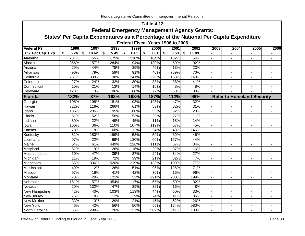|                      |                                                                                        |             |            |            | Table 4-12 |                                   |                                                    |                                  |                                   |                          |                          |
|----------------------|----------------------------------------------------------------------------------------|-------------|------------|------------|------------|-----------------------------------|----------------------------------------------------|----------------------------------|-----------------------------------|--------------------------|--------------------------|
|                      |                                                                                        |             |            |            |            |                                   | <b>Federal Emergency Management Agency Grants:</b> |                                  |                                   |                          |                          |
|                      | States' Per Capita Expenditures as a Percentage of the National Per Capita Expenditure |             |            |            |            |                                   |                                                    |                                  |                                   |                          |                          |
|                      |                                                                                        |             |            |            |            | Federal Fiscal Years 1996 to 2006 |                                                    |                                  |                                   |                          |                          |
| <b>Federal FY</b>    | 1996                                                                                   | 1997        | 1998       | 1999       | 2000       | 2001                              | 2002                                               | 2003                             | 2004                              | 2005                     | 2006                     |
| U.S. Per Cap. Exp.   | \$<br>5.24                                                                             | \$<br>18.62 | \$<br>5.49 | 6.85<br>\$ | \$<br>7.01 | \$<br>8.58                        | 11.09<br>\$                                        | $\blacksquare$                   | $\blacksquare$                    | $\blacksquare$           |                          |
| Alabama              | 231%                                                                                   | 55%         | 175%       | 210%       | 184%       | 132%                              | 54%                                                | $\overline{\phantom{a}}$         | $\overline{\phantom{a}}$          |                          |                          |
| Alaska               | 366%                                                                                   | 157%        | 284%       | 94%        | 130%       | 69%                               | 92%                                                | $\overline{a}$                   |                                   |                          |                          |
| Arizona              | 29%                                                                                    | 44%         | 75%        | 35%        | 46%        | 13%                               | 23%                                                | $\overline{a}$                   | $\overline{\phantom{0}}$          | $\overline{\phantom{0}}$ | $\overline{\phantom{a}}$ |
| Arkansas             | 96%                                                                                    | 79%         | 59%        | 91%        | 40%        | 759%                              | 70%                                                | $\blacksquare$                   | $\blacksquare$                    | $\blacksquare$           | $\blacksquare$           |
| California           | 261%                                                                                   | 339%        | 138%       | 241%       | 220%       | 168%                              | 140%                                               | $\blacksquare$                   | $\blacksquare$                    |                          |                          |
| Colorado             | 27%                                                                                    | 24%         | 32%        | 30%        | 38%        | 38%                               | 41%                                                | $\overline{\phantom{a}}$         | $\overline{\phantom{a}}$          | $\blacksquare$           | $\blacksquare$           |
| Connecticut          | 10%                                                                                    | 21%         | 13%        | 14%        | 16%        | 8%                                | 8%                                                 | $\overline{\phantom{a}}$         | $\blacksquare$                    | $\blacksquare$           | $\blacksquare$           |
| <b>IDelaware</b>     | 123%                                                                                   | 3%          | 106%       | 60%        | 72%        | 60%                               | 30%                                                |                                  |                                   |                          |                          |
| <b>Florida</b>       | 182%                                                                                   | 37%         | 162%       | 163%       | 187%       | 112%                              | 96%                                                |                                  | <b>Refer to Homeland Security</b> |                          |                          |
| Georgia              | 108%                                                                                   | 198%        | 181%       | 103%       | 123%       | 47%                               | 32%                                                |                                  |                                   |                          |                          |
|                      | 322%                                                                                   | 116%        | 266%       | 61%        | 53%        | 82%                               | 31%                                                | $\blacksquare$                   |                                   |                          |                          |
| Hawaii               | 186%                                                                                   | 205%        | 195%       | 60%        | 53%        | 32%                               | 20%                                                | $\blacksquare$                   |                                   |                          | $\overline{\phantom{a}}$ |
| Idaho<br>Illinois    | 51%                                                                                    | 52%         | 58%        | 53%        | 29%        | 27%                               | 11%                                                | $\blacksquare$                   | $\blacksquare$                    | $\overline{\phantom{0}}$ |                          |
|                      | 30%                                                                                    | 22%         | 49%        | 45%        | 11%        | 18%                               | 14%                                                | $\blacksquare$                   | $\blacksquare$                    | $\overline{\phantom{a}}$ |                          |
| Indiana              | 106%                                                                                   | 36%         | 110%       | 107%       | 119%       | 57%                               | 45%                                                | $\blacksquare$                   | $\blacksquare$                    | $\blacksquare$           | $\blacksquare$           |
| Iowa<br>Kansas       | 73%                                                                                    | 8%          | 68%        | 112%       | 54%        | 48%                               | 146%                                               | $\overline{\phantom{a}}$         | $\overline{\phantom{0}}$          |                          |                          |
| Kentucky             | 81%                                                                                    | 180%        | 199%       | 53%        | 59%        | 39%                               | 46%                                                |                                  |                                   |                          |                          |
| ouisianaـ            | 97%                                                                                    | 22%         | 69%        | 130%       | 60%        | 157%                              | 44%                                                | $\blacksquare$<br>$\blacksquare$ |                                   |                          |                          |
| Maine                | 54%                                                                                    | 61%         | 449%       | 226%       | 111%       | 67%                               | 34%                                                | $\blacksquare$                   | $\blacksquare$                    | $\overline{\phantom{0}}$ | $\blacksquare$           |
| Maryland             | 81%                                                                                    | 9%          | 26%        | 16%        | 29%        | 37%                               | 16%                                                | $\blacksquare$                   | $\blacksquare$                    | $\blacksquare$           | $\blacksquare$           |
| <b>Massachusetts</b> | 60%                                                                                    | 47%         | 39%        | 27%        | 29%        | 34%                               | 27%                                                | $\blacksquare$                   | $\blacksquare$                    |                          |                          |
| Michigan             | 11%                                                                                    | 19%         | 72%        | 39%        | 21%        | 82%                               | 7%                                                 | $\overline{\phantom{a}}$         | $\blacksquare$                    | $\blacksquare$           | $\blacksquare$           |
| Minnesota            | 36%                                                                                    | 336%        | 520%       | 219%       | 133%       | 109%                              | 77%                                                | $\blacksquare$                   | $\overline{\phantom{a}}$          | $\blacksquare$           | $\blacksquare$           |
| Mississippi          | 40%                                                                                    | 12%         | 26%        | 151%       | 95%        | 126%                              | 71%                                                | $\blacksquare$                   | $\overline{\phantom{0}}$          |                          |                          |
| Missouri             | 97%                                                                                    | 16%         | 41%        | 42%        | 30%        | 16%                               | 96%                                                | $\overline{\phantom{a}}$         |                                   |                          | $\overline{a}$           |
| Montana              | 70%                                                                                    | 29%         | 121%       | 32%        | 291%       | 200%                              | 199%                                               | $\blacksquare$                   | $\blacksquare$                    |                          | ۰                        |
| Nebraska             | 151%                                                                                   | $-57%$      | 354%       | 117%       | 65%        | 50%                               | 32%                                                | $\blacksquare$                   | $\blacksquare$                    |                          |                          |
| Nevada               | 20%                                                                                    | 132%        | 47%        | 39%        | 32%        | 16%                               | 8%                                                 | $\overline{\phantom{a}}$         | $\blacksquare$                    |                          |                          |
| <b>New Hampshire</b> | 42%                                                                                    | 40%         | 103%       | 119%       | 44%        | 50%                               | 33%                                                | $\blacksquare$                   | $\blacksquare$                    | $\overline{\phantom{a}}$ |                          |
| New Jersey           | 75%                                                                                    | 18%         | 12%        | 9%         | 74%        | 41%                               | 86%                                                | $\overline{\phantom{a}}$         | $\blacksquare$                    | $\blacksquare$           | $\blacksquare$           |
| <b>New Mexico</b>    | 33%                                                                                    | 13%         | 29%        | 21%        | 45%        | 52%                               | 26%                                                | $\overline{a}$                   | $\blacksquare$                    |                          | $\overline{\phantom{a}}$ |
| New York             | 46%                                                                                    | 42%         | 56%        | 50%        | 55%        | 124%                              | 580%                                               | $\overline{\phantom{0}}$         | $\blacksquare$                    | $\overline{\phantom{a}}$ | $\overline{\phantom{a}}$ |
| North Carolina       | 65%                                                                                    | 298%        | 120%       | 137%       | 509%       | 341%                              | 133%                                               | $\blacksquare$                   |                                   |                          |                          |
|                      |                                                                                        |             |            |            |            |                                   |                                                    |                                  |                                   |                          |                          |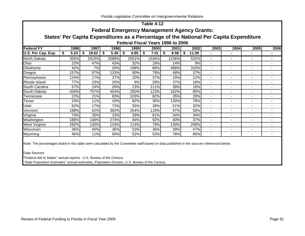|                    |           |                                                                                        |            |           | Table 4-12 |                                   |                                                    |                          |                          |                          |      |
|--------------------|-----------|----------------------------------------------------------------------------------------|------------|-----------|------------|-----------------------------------|----------------------------------------------------|--------------------------|--------------------------|--------------------------|------|
|                    |           |                                                                                        |            |           |            |                                   | <b>Federal Emergency Management Agency Grants:</b> |                          |                          |                          |      |
|                    |           | States' Per Capita Expenditures as a Percentage of the National Per Capita Expenditure |            |           |            |                                   |                                                    |                          |                          |                          |      |
|                    |           |                                                                                        |            |           |            |                                   |                                                    |                          |                          |                          |      |
|                    |           |                                                                                        |            |           |            | Federal Fiscal Years 1996 to 2006 |                                                    |                          |                          |                          |      |
| <b>Federal FY</b>  | 1996      | 1997                                                                                   | 1998       | 1999      | 2000       | 2001                              | 2002                                               | 2003                     | 2004                     | 2005                     | 2006 |
| U.S. Per Cap. Exp. | 5.24<br>S | \$<br>18.62                                                                            | 5.49<br>\$ | 6.85<br>S | \$<br>7.01 | 8.58<br>S                         | \$<br>11.09                                        | $\blacksquare$           |                          |                          |      |
| North Dakota       | 355%      | 2415%                                                                                  | 2088%      | 2001%     | 1536%      | 1236%                             | 532%                                               | $\overline{\phantom{a}}$ | $\blacksquare$           | ۰                        |      |
| Ohio               | 22%       | 47%                                                                                    | 43%        | 32%       | 19%        | 14%                               | 9%                                                 | $\blacksquare$           | $\blacksquare$           | ۰                        |      |
| Oklahoma           | 42%       | 7%                                                                                     | 20%        | 188%      | 66%        | 468%                              | 315%                                               | $\overline{\phantom{a}}$ |                          | ۰                        |      |
| Oregon             | 157%      | 97%                                                                                    | 133%       | 90%       | 79%        | 48%                               | 37%                                                | $\blacksquare$           | $\blacksquare$           | Ξ.                       |      |
| Pennsylvania       | 124%      | 17%                                                                                    | 37%        | 20%       | 37%        | 19%                               | 12%                                                | $\blacksquare$           | $\overline{\phantom{0}}$ | $\blacksquare$           |      |
| Rhode Island       | 77%       | 23%                                                                                    | 20%        | 6%        | 29%        | 37%                               | 16%                                                | $\overline{\phantom{a}}$ |                          | ۰                        |      |
| South Carolina     | 57%       | 24%                                                                                    | 26%        | 23%       | 111%       | 38%                               | 16%                                                | $\overline{\phantom{a}}$ |                          | ۰                        |      |
| South Dakota       | 426%      | 757%                                                                                   | 454%       | 250%      | 123%       | 162%                              | 85%                                                | $\overline{\phantom{a}}$ |                          | ۰                        |      |
| Tennessee          | 22%       | 21%                                                                                    | 83%        | 103%      | 82%        | 35%                               | 28%                                                | $\blacksquare$           |                          |                          |      |
| Texas              | 23%       | 11%                                                                                    | 10%        | 82%       | 35%        | 130%                              | 76%                                                | $\overline{\phantom{a}}$ | -                        | ۰                        |      |
| Utah               | 62%       | 17%                                                                                    | 73%        | 55%       | 39%        | 51%                               | 32%                                                |                          |                          |                          |      |
| Vermont            | 188%      | 62%                                                                                    | 362%       | 254%      | 119%       | 97%                               | 56%                                                | $\overline{\phantom{0}}$ |                          | Ξ.                       |      |
| Virginia           | 74%       | 35%                                                                                    | 33%        | 39%       | 61%        | 34%                               | 34%                                                | $\overline{\phantom{0}}$ |                          | Ξ.                       |      |
| Washington         | 186%      | 148%                                                                                   | 274%       | 84%       | 92%        | 40%                               | 37%                                                |                          |                          |                          |      |
| West Virginia      | 282%      | 130%                                                                                   | 143%       | 114%      | 79%        | 130%                              | 248%                                               |                          |                          |                          |      |
| Wisconsin          | 36%       | 40%                                                                                    | 36%        | 53%       | 36%        | 39%                               | 47%                                                |                          | $\overline{\phantom{0}}$ | $\overline{\phantom{0}}$ |      |
| Wyoming            | 46%       | 11%                                                                                    | 50%        | 52%       | 53%        | 78%                               | 85%                                                |                          |                          |                          |      |

Data Sources:

"Federal Aid to States" annual reports. U.S. Bureau of the Census.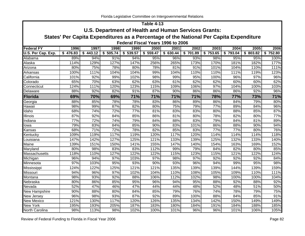|                      |                                                                                        |          |          |          | Table 4-13                        |          |                                                      |          |            |          |          |
|----------------------|----------------------------------------------------------------------------------------|----------|----------|----------|-----------------------------------|----------|------------------------------------------------------|----------|------------|----------|----------|
|                      |                                                                                        |          |          |          |                                   |          | U.S. Department of Health and Human Services Grants: |          |            |          |          |
|                      | States' Per Capita Expenditures as a Percentage of the National Per Capita Expenditure |          |          |          |                                   |          |                                                      |          |            |          |          |
|                      |                                                                                        |          |          |          |                                   |          |                                                      |          |            |          |          |
|                      |                                                                                        |          |          |          | Federal Fiscal Years 1996 to 2006 |          |                                                      |          |            |          |          |
| <b>Federal FY</b>    | 1996                                                                                   | 1997     | 1998     | 1999     | 2000                              | 2001     | 2002                                                 | 2003     | 2004       | 2005     | 2006     |
| U.S. Per Cap. Exp.   | \$476.83                                                                               | \$443.12 | \$505.74 | \$539.57 | \$559.47                          | \$630.44 | \$701.89                                             | \$753.65 | \$793.04   | \$803.82 | \$752.80 |
| Alabama              | 89%                                                                                    | 94%      | 91%      | 94%      | 95%                               | 96%      | 93%                                                  | 98%      | 95%        | 95%      | 100%     |
| Alaska               | 114%                                                                                   | 129%     | 127%     | 147%     | 256%                              | 265%     | 173%                                                 | 170%     | 181%       | 182%     | 177%     |
| Arizona              | 80%                                                                                    | 75%      | 78%      | 80%      | 78%                               | 81%      | 91%                                                  | 101%     | 104%       | 110%     | 111%     |
| Arkansas             | 100%                                                                                   | 111%     | 104%     | 104%     | 99%                               | 104%     | 110%                                                 | 110%     | 111%       | 119%     | 123%     |
| California           | 101%                                                                                   | 92%      | 99%      | 102%     | 98%                               | 99%      | 95%                                                  | 100%     | 96%        | 97%      | 96%      |
| Colorado             | 65%                                                                                    | 70%      | 63%      | 62%      | 63%                               | 61%      | 62%                                                  | 62%      | 60%        | 60%      | 62%      |
| Connecticut          | 124%                                                                                   | 111%     | 120%     | 123%     | 115%                              | 109%     | 106%                                                 | 97%      | 104%       | 100%     | 103%     |
| Delaware             | 88%                                                                                    | 92%      | 82%      | 91%      | 87%                               | 90%      | 86%                                                  | 86%      | 86%        | 92%      | 96%      |
| <b>Florida</b>       | 69%                                                                                    | 70%      | 69%      | 71%      | 71%                               | 71%      | 71%                                                  | 78%      | <b>77%</b> | 73%      | 71%      |
| Georgia              | 88%                                                                                    | 85%      | 78%      | 78%      | 83%                               | 86%      | 89%                                                  | 86%      | 84%        | 79%      | 80%      |
| Hawaii               | 98%                                                                                    | 99%      | 87%      | 82%      | 80%                               | 75%      | 79%                                                  | 77%      | 89%        | 84%      | 96%      |
| Idaho                | 68%                                                                                    | 74%      | 72%      | 77%      | 81%                               | 83%      | 83%                                                  | 80%      | 88%        | 85%      | 87%      |
| Illinois             | 87%                                                                                    | 92%      | 84%      | 85%      | 86%                               | 81%      | 80%                                                  | 78%      | 82%        | 80%      | 77%      |
| Indiana              | 77%                                                                                    | 72%      | 74%      | 79%      | 84%                               | 88%      | 83%                                                  | 79%      | 84%        | 81%      | 89%      |
| lowa                 | 79%                                                                                    | 83%      | 84%      | 85%      | 90%                               | 83%      | 101%                                                 | 86%      | 88%        | 90%      | 94%      |
| Kansas               | 68%                                                                                    | 71%      | 72%      | 78%      | 82%                               | 85%      | 83%                                                  | 77%      | 77%        | 80%      | 76%      |
| Kentucky             | 109%                                                                                   | 119%     | 117%     | 119%     | 120%                              | 117%     | 120%                                                 | 114%     | 114%       | 114%     | 118%     |
| ouisiana <u>.</u>    | 147%                                                                                   | 142%     | 127%     | 125%     | 121%                              | 133%     | 139%                                                 | 125%     | 132%       | 133%     | 140%     |
| Maine                | 139%                                                                                   | 151%     | 150%     | 141%     | 155%                              | 147%     | 140%                                                 | 154%     | 163%       | 169%     | 152%     |
| Maryland             | 80%                                                                                    | 98%      | 83%      | 83%      | 112%                              | 99%      | 79%                                                  | 84%      | 82%        | 80%      | 85%      |
| <b>Massachusetts</b> | 118%                                                                                   | 110%     | 127%     | 122%     | 122%                              | 115%     | 123%                                                 | 115%     | 121%       | 122%     | 124%     |
| Michigan             | 96%                                                                                    | 94%      | 97%      | 103%     | 97%                               | 98%      | 97%                                                  | 92%      | 92%        | 92%      | 84%      |
| Minnesota            | 97%                                                                                    | 103%     | 95%      | 93%      | 90%                               | 93%      | 96%                                                  | 94%      | 99%        | 95%      | 98%      |
| Mississippi          | 124%                                                                                   | 122%     | 125%     | 121%     | 121%                              | 135%     | 139%                                                 | 139%     | 144%       | 139%     | 159%     |
| Missouri             | 94%                                                                                    | 96%      | 97%      | 102%     | 104%                              | 110%     | 108%                                                 | 105%     | 109%       | 110%     | 111%     |
| Montana              | 98%                                                                                    | 93%      | 92%      | 88%      | 106%                              | 112%     | 102%                                                 | 98%      | 100%       | 100%     | 104%     |
| Nebraska             | 80%                                                                                    | 86%      | 85%      | 95%      | 96%                               | 94%      | 95%                                                  | 88%      | 92%        | 88%      | 92%      |
| Nevada               | 52%                                                                                    | 47%      | 46%      | 47%      | 44%                               | 44%      | 48%                                                  | 52%      | 48%        | 51%      | 50%      |
| New Hampshire        | 90%                                                                                    | 88%      | 80%      | 84%      | 85%                               | 79%      | 76%                                                  | 74%      | 78%        | 79%      | 75%      |
| New Jersey           | 96%                                                                                    | 98%      | 93%      | 87%      | 92%                               | 89%      | 100%                                                 | 88%      | 84%        | 85%      | 91%      |
| New Mexico           | 121%                                                                                   | 130%     | 117%     | 120%     | 126%                              | 135%     | 134%                                                 | 142%     | 150%       | 149%     | 149%     |
| New York             | 195%                                                                                   | 193%     | 205%     | 187%     | 183%                              | 180%     | 184%                                                 | 191%     | 184%       | 188%     | 185%     |
| North Carolina       | 98%                                                                                    | 113%     | 98%      | 102%     | 100%                              | 101%     | 96%                                                  | 96%      | 101%       | 106%     | 105%     |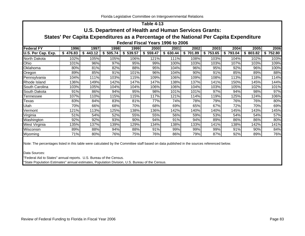|                   |                                                                                                                                                                                                                                                                              |      |      |      | <b>Table 4-13</b>                                    |      |      |      |      |      |      |  |  |  |
|-------------------|------------------------------------------------------------------------------------------------------------------------------------------------------------------------------------------------------------------------------------------------------------------------------|------|------|------|------------------------------------------------------|------|------|------|------|------|------|--|--|--|
|                   |                                                                                                                                                                                                                                                                              |      |      |      | U.S. Department of Health and Human Services Grants: |      |      |      |      |      |      |  |  |  |
|                   | States' Per Capita Expenditures as a Percentage of the National Per Capita Expenditure                                                                                                                                                                                       |      |      |      |                                                      |      |      |      |      |      |      |  |  |  |
|                   |                                                                                                                                                                                                                                                                              |      |      |      | Federal Fiscal Years 1996 to 2006                    |      |      |      |      |      |      |  |  |  |
|                   |                                                                                                                                                                                                                                                                              |      |      |      |                                                      |      |      |      |      |      |      |  |  |  |
| <b>Federal FY</b> | 1996                                                                                                                                                                                                                                                                         | 1997 | 1998 | 1999 | 2000                                                 | 2001 | 2002 | 2003 | 2004 | 2005 | 2006 |  |  |  |
|                   | \$559.47<br>U.S. Per Cap. Exp.<br>505.74<br>\$539.57<br>\$630.44<br>701.89<br>\$<br>753.65<br>\$<br>803.82<br>752.80<br>476.83<br>\$<br>443.12<br>\$<br>\$<br>793.04<br>North Dakota<br>102%<br>105%<br>105%<br>106%<br>121%<br>111%<br>108%<br>103%<br>104%<br>102%<br>103% |      |      |      |                                                      |      |      |      |      |      |      |  |  |  |
|                   |                                                                                                                                                                                                                                                                              |      |      |      |                                                      |      |      |      |      |      |      |  |  |  |
| Ohio              | 101%                                                                                                                                                                                                                                                                         | 96%  | 97%  | 95%  | 99%                                                  | 100% | 103% | 103% | 107% | 103% | 109% |  |  |  |
| Oklahoma          | 80%                                                                                                                                                                                                                                                                          | 81%  | 82%  | 88%  | 95%                                                  | 104% | 96%  | 95%  | 92%  | 96%  | 100% |  |  |  |
| Oregon            | 89%                                                                                                                                                                                                                                                                          | 85%  | 91%  | 101% | 96%                                                  | 104% | 90%  | 91%  | 85%  | 89%  | 88%  |  |  |  |
| Pennsylvania      | 104%                                                                                                                                                                                                                                                                         | 111% | 103% | 115% | 109%                                                 | 106% | 109% | 108% | 113% | 118% | 114% |  |  |  |
| Rhode Island      | 136%                                                                                                                                                                                                                                                                         | 149% | 142% | 147% | 147%                                                 | 138% | 137% | 141% | 150% | 145% | 144% |  |  |  |
| South Carolina    | 103%                                                                                                                                                                                                                                                                         | 105% | 104% | 104% | 106%                                                 | 106% | 104% | 103% | 105% | 102% | 101% |  |  |  |
| South Dakota      | 91%                                                                                                                                                                                                                                                                          | 86%  | 94%  | 95%  | 98%                                                  | 101% | 101% | 97%  | 94%  | 98%  | 97%  |  |  |  |
| Tennessee         | 107%                                                                                                                                                                                                                                                                         | 110% | 115% | 115% | 117%                                                 | 121% | 114% | 119% | 125% | 124% | 106% |  |  |  |
| Texas             | 83%                                                                                                                                                                                                                                                                          | 84%  | 83%  | 81%  | 77%                                                  | 74%  | 78%  | 79%  | 76%  | 76%  | 80%  |  |  |  |
| Utah              | 70%                                                                                                                                                                                                                                                                          | 66%  | 68%  | 70%  | 68%                                                  | 69%  | 65%  | 67%  | 72%  | 70%  | 69%  |  |  |  |
| Vermont           | 121%                                                                                                                                                                                                                                                                         | 113% | 125% | 138% | 136%                                                 | 142% | 140% | 140% | 145% | 143% | 145% |  |  |  |
| Virginia          | 51%                                                                                                                                                                                                                                                                          | 54%  | 52%  | 55%  | 55%                                                  | 56%  | 59%  | 53%  | 54%  | 54%  | 57%  |  |  |  |
| Washington        | 92%                                                                                                                                                                                                                                                                          | 92%  | 93%  | 90%  | 94%                                                  | 91%  | 94%  | 89%  | 86%  | 86%  | 80%  |  |  |  |
| West Virginia     | 135%                                                                                                                                                                                                                                                                         | 137% | 139% | 129% | 134%                                                 | 138% | 133% | 141% | 138% | 142% | 141% |  |  |  |
| Wisconsin         | 89%                                                                                                                                                                                                                                                                          | 88%  | 94%  | 88%  | 91%                                                  | 99%  | 99%  | 99%  | 91%  | 90%  | 84%  |  |  |  |
| Wyoming           | 71%                                                                                                                                                                                                                                                                          | 80%  | 76%  | 75%  | 76%                                                  | 86%  | 79%  | 87%  | 92%  | 89%  | 76%  |  |  |  |

Data Sources:

"Federal Aid to States" annual reports. U.S. Bureau of the Census.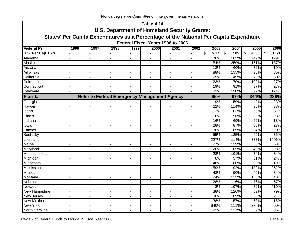|                       |                          |                |                          |                          | Table 4-14                                                                             |                          |                          |             |             |             |             |
|-----------------------|--------------------------|----------------|--------------------------|--------------------------|----------------------------------------------------------------------------------------|--------------------------|--------------------------|-------------|-------------|-------------|-------------|
|                       |                          |                |                          |                          | <b>U.S. Department of Homeland Security Grants:</b>                                    |                          |                          |             |             |             |             |
|                       |                          |                |                          |                          | States' Per Capita Expenditures as a Percentage of the National Per Capita Expenditure |                          |                          |             |             |             |             |
|                       |                          |                |                          |                          | Federal Fiscal Years 1996 to 2006                                                      |                          |                          |             |             |             |             |
|                       |                          |                |                          |                          |                                                                                        |                          |                          |             |             |             |             |
| <b>Federal FY</b>     | 1996                     | 1997           | 1998                     | 1999                     | 2000                                                                                   | 2001                     | 2002                     | 2003        | 2004        | 2005        | 2006        |
| U.S. Per Cap. Exp.    | $\blacksquare$           | $\blacksquare$ | $\blacksquare$           | $\blacksquare$           | $\blacksquare$                                                                         | $\blacksquare$           | $\blacksquare$           | \$<br>15.17 | 17.89<br>\$ | 26.36<br>\$ | 31.68<br>\$ |
| Alabama               | $\blacksquare$           | $\blacksquare$ | $\blacksquare$           | $\blacksquare$           | $\overline{\phantom{a}}$                                                               | $\overline{\phantom{0}}$ | $\blacksquare$           | 76%         | 103%        | 249%        | 129%        |
| Alaska                |                          | $\blacksquare$ | $\blacksquare$           | $\blacksquare$           | $\blacksquare$                                                                         |                          | $\blacksquare$           | 54%         | 259%        | 161%        | 187%        |
| Arizona               |                          | $\blacksquare$ | $\blacksquare$           | $\blacksquare$           |                                                                                        |                          | $\blacksquare$           | 13%         | 60%         | 32%         | 19%         |
| Arkansas              | $\overline{\phantom{0}}$ | $\blacksquare$ | $\blacksquare$           | $\blacksquare$           | $\overline{\phantom{a}}$                                                               | $\overline{a}$           | $\blacksquare$           | 88%         | 155%        | 90%         | 85%         |
| California            | $\blacksquare$           | $\blacksquare$ | $\blacksquare$           | $\blacksquare$           | $\blacksquare$                                                                         | $\blacksquare$           | $\blacksquare$           | 99%         | 145%        | 78%         | 50%         |
| Colorado              |                          |                | $\blacksquare$           | $\blacksquare$           |                                                                                        |                          | $\blacksquare$           | 23%         | 70%         | 100%        | 27%         |
| Connecticut           | $\blacksquare$           | $\blacksquare$ | $\blacksquare$           |                          | $\blacksquare$                                                                         | $\blacksquare$           | $\blacksquare$           | 19%         | 91%         | 37%         | 27%         |
| Delaware              |                          |                |                          |                          |                                                                                        |                          | $\blacksquare$           | 33%         | 190%        | 92%         | 174%        |
| Florida               |                          |                |                          |                          | <b>Refer to Federal Emergency Management Agency</b>                                    |                          |                          | 65%         | 87%         | 344%        | 289%        |
| Georgia               | $\overline{\phantom{a}}$ | $\blacksquare$ | $\blacksquare$           |                          |                                                                                        | $\blacksquare$           | $\blacksquare$           | 19%         | 59%         | 42%         | 23%         |
| Hawaii                | $\blacksquare$           | $\blacksquare$ | $\blacksquare$           | $\blacksquare$           | $\blacksquare$                                                                         | $\blacksquare$           | $\blacksquare$           | 22%         | 114%        | 95%         | 38%         |
| Idaho                 | $\blacksquare$           | $\blacksquare$ | $\blacksquare$           | $\blacksquare$           | $\blacksquare$                                                                         | $\blacksquare$           |                          | 12%         | 103%        | 56%         | 31%         |
| Illinois              | $\blacksquare$           | $\blacksquare$ | $\blacksquare$           |                          |                                                                                        |                          | $\blacksquare$           | $0\%$       | 56%         | 38%         | 28%         |
| Indiana               | $\overline{a}$           | $\overline{a}$ | $\overline{a}$           | $\overline{\phantom{a}}$ | $\overline{\phantom{a}}$                                                               | $\overline{\phantom{0}}$ | $\blacksquare$           | 16%         | 69%         | 52%         | 18%         |
| lowa                  | $\overline{\phantom{a}}$ | $\blacksquare$ | $\blacksquare$           | $\blacksquare$           | $\overline{\phantom{0}}$                                                               | $\overline{a}$           | $\blacksquare$           | 28%         | 87%         | 56%         | 23%         |
| Kansas                | $\overline{a}$           | $\mathbf{r}$   | $\overline{a}$           | $\overline{a}$           | $\overline{a}$                                                                         |                          | $\overline{a}$           | 36%         | 89%         | 94%         | 620%        |
| Kentucky              | $\overline{\phantom{a}}$ | $\blacksquare$ | $\blacksquare$           | $\blacksquare$           | $\overline{\phantom{a}}$                                                               | $\overline{a}$           | $\blacksquare$           | 55%         | 125%        | 60%         | 35%         |
| Louisiana             | $\overline{\phantom{a}}$ | $\blacksquare$ | $\blacksquare$           | $\blacksquare$           | $\blacksquare$                                                                         |                          | $\blacksquare$           | 227%        | 114%        | 333%        | 1406%       |
| Maine                 | $\overline{\phantom{0}}$ | $\blacksquare$ | $\overline{\phantom{a}}$ | $\blacksquare$           |                                                                                        |                          | $\blacksquare$           | 27%         | 139%        | 88%         | 53%         |
| Maryland              | $\blacksquare$           | $\blacksquare$ | $\blacksquare$           | $\blacksquare$           | $\overline{a}$                                                                         | $\overline{a}$           | $\blacksquare$           | 26%         | 105%        | 46%         | 28%         |
| Massachusetts         | $\overline{a}$           | $\blacksquare$ | $\blacksquare$           | $\blacksquare$           | $\overline{\phantom{0}}$                                                               | $\overline{a}$           | $\blacksquare$           | 28%         | 101%        | 74%         | 34%         |
| Michigan              | $\overline{\phantom{a}}$ | $\blacksquare$ | $\blacksquare$           | $\overline{a}$           | $\overline{\phantom{0}}$                                                               | $\overline{a}$           | $\blacksquare$           | 8%          | 57%         | 31%         | 24%         |
| Minnesota             | $\overline{a}$           | $\sim$         | $\mathbf{r}$             | $\mathbf{r}$             | $\sim$                                                                                 | $\overline{a}$           | $\overline{a}$           | 48%         | 86%         | 38%         | 19%         |
| Mississippi           | $\overline{\phantom{0}}$ | $\overline{a}$ | $\blacksquare$           | $\blacksquare$           | $\overline{\phantom{0}}$                                                               | $\overline{\phantom{a}}$ | $\overline{\phantom{0}}$ | 59%         | 92%         | 139%        | 952%        |
| Missouri              | $\blacksquare$           | $\blacksquare$ | $\blacksquare$           | $\blacksquare$           | $\blacksquare$                                                                         |                          | $\blacksquare$           | 43%         | 90%         | 40%         | 34%         |
| Montana               |                          | $\overline{a}$ | $\overline{a}$           | $\overline{a}$           |                                                                                        |                          | $\overline{a}$           | 24%         | 215%        | 158%        | 43%         |
| Nebraska              | $\overline{a}$           | $\blacksquare$ | $\blacksquare$           | $\blacksquare$           | $\overline{\phantom{0}}$                                                               | $\overline{\phantom{0}}$ | $\blacksquare$           | 28%         | 116%        | 76%         | 57%         |
| Nevada                | $\overline{\phantom{a}}$ | $\blacksquare$ | $\blacksquare$           | $\blacksquare$           | $\blacksquare$                                                                         | $\blacksquare$           | $\blacksquare$           | 8%          | 107%        | 72%         | 410%        |
| <b>New Hampshire</b>  |                          | $\overline{a}$ | $\overline{\phantom{a}}$ | $\overline{a}$           |                                                                                        |                          |                          | 38%         | 126%        | 69%         | 79%         |
| New Jersey            | $\blacksquare$           | $\blacksquare$ | $\blacksquare$           | $\blacksquare$           | $\sim$                                                                                 | $\blacksquare$           | $\blacksquare$           | 30%         | 89%         | 33%         | 21%         |
| <b>New Mexico</b>     | $\blacksquare$           | $\blacksquare$ | $\blacksquare$           | $\blacksquare$           | $\sim$                                                                                 | $\blacksquare$           | $\blacksquare$           | 38%         | 157%        | 58%         | 16%         |
| <b>New York</b>       | $\blacksquare$           | $\blacksquare$ | $\blacksquare$           | $\blacksquare$           | $\blacksquare$                                                                         | $\blacksquare$           | $\overline{\phantom{a}}$ | 840%        | 111%        | 278%        | 50%         |
| <b>North Carolina</b> | $\blacksquare$           | $\blacksquare$ | $\blacksquare$           | $\blacksquare$           | $\sim$                                                                                 |                          | $\blacksquare$           | 92%         | 117%        | 59%         | 35%         |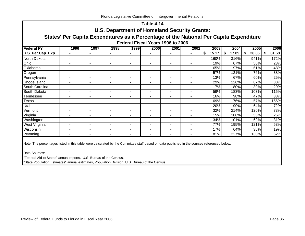|                    |                                                                                                                                                 |                          |                          |                          | Table 4-14                                          |                          |                          |             |             |       |       |  |  |  |  |
|--------------------|-------------------------------------------------------------------------------------------------------------------------------------------------|--------------------------|--------------------------|--------------------------|-----------------------------------------------------|--------------------------|--------------------------|-------------|-------------|-------|-------|--|--|--|--|
|                    |                                                                                                                                                 |                          |                          |                          | <b>U.S. Department of Homeland Security Grants:</b> |                          |                          |             |             |       |       |  |  |  |  |
|                    | States' Per Capita Expenditures as a Percentage of the National Per Capita Expenditure                                                          |                          |                          |                          |                                                     |                          |                          |             |             |       |       |  |  |  |  |
|                    |                                                                                                                                                 |                          |                          |                          | Federal Fiscal Years 1996 to 2006                   |                          |                          |             |             |       |       |  |  |  |  |
| <b>Federal FY</b>  | 1996                                                                                                                                            | 1997                     | 1998                     | 1999                     | 2000                                                | 2001                     | 2002                     | 2003        | 2004        | 2005  | 2006  |  |  |  |  |
| U.S. Per Cap. Exp. |                                                                                                                                                 |                          |                          |                          | $\blacksquare$                                      |                          | ٠                        | \$<br>15.17 | 17.89<br>\$ | 26.36 | 31.68 |  |  |  |  |
| North Dakota       | $\overline{\phantom{a}}$                                                                                                                        | $\overline{a}$           | $\blacksquare$           | $\blacksquare$           | $\sim$                                              | $\overline{\phantom{a}}$ | $\blacksquare$           | 160%        | 316%        | 941%  | 172%  |  |  |  |  |
| Ohio               | $\overline{\phantom{a}}$                                                                                                                        | $\blacksquare$           | $\blacksquare$           | $\blacksquare$           | -                                                   | $\blacksquare$           | $\blacksquare$           | 19%         | 67%         | 56%   | 23%   |  |  |  |  |
| Oklahoma           | $\overline{\phantom{a}}$                                                                                                                        |                          | $\overline{\phantom{0}}$ | $\overline{\phantom{a}}$ | $\overline{\phantom{a}}$                            | $\overline{\phantom{0}}$ | $\blacksquare$           | 65%         | 97%         | 61%   | 48%   |  |  |  |  |
| Oregon             | 76%<br>57%<br>121%<br>38%<br>$\blacksquare$<br>$\blacksquare$<br>$\blacksquare$<br>$\blacksquare$<br>$\blacksquare$<br>$\overline{\phantom{a}}$ |                          |                          |                          |                                                     |                          |                          |             |             |       |       |  |  |  |  |
| Pennsylvania       | $\overline{\phantom{a}}$                                                                                                                        | $\overline{\phantom{0}}$ | $\blacksquare$           | $\blacksquare$           | $\blacksquare$                                      | $\blacksquare$           | $\overline{\phantom{a}}$ | 13%         | 67%         | 60%   | 25%   |  |  |  |  |
| Rhode Island       | $\overline{\phantom{a}}$                                                                                                                        | $\overline{\phantom{0}}$ | $\blacksquare$           | $\blacksquare$           | $\overline{\phantom{a}}$                            | $\blacksquare$           | $\blacksquare$           | 29%         | 126%        | 87%   | 33%   |  |  |  |  |
| South Carolina     | $\blacksquare$                                                                                                                                  | $\blacksquare$           | $\blacksquare$           | $\blacksquare$           | $\overline{\phantom{a}}$                            | $\blacksquare$           | $\overline{\phantom{a}}$ | 17%         | 80%         | 39%   | 29%   |  |  |  |  |
| South Dakota       | $\overline{\phantom{a}}$                                                                                                                        | $\blacksquare$           | $\blacksquare$           | $\blacksquare$           | $\overline{\phantom{a}}$                            | $\blacksquare$           | $\blacksquare$           | 59%         | 183%        | 103%  | 115%  |  |  |  |  |
| Tennessee          | $\overline{\phantom{a}}$                                                                                                                        | $\overline{\phantom{0}}$ | $\blacksquare$           | $\blacksquare$           | $\blacksquare$                                      | $\blacksquare$           | $\blacksquare$           | 16%         | 98%         | 47%   | 33%   |  |  |  |  |
| Texas              | $\blacksquare$                                                                                                                                  | $\blacksquare$           | $\overline{\phantom{0}}$ | $\blacksquare$           | $\blacksquare$                                      | $\blacksquare$           | $\blacksquare$           | 69%         | 76%         | 57%   | 166%  |  |  |  |  |
| Utah               |                                                                                                                                                 | $\blacksquare$           | $\overline{\phantom{0}}$ | $\blacksquare$           | $\blacksquare$                                      | $\overline{\phantom{a}}$ | $\blacksquare$           | 20%         | 99%         | 64%   | 72%   |  |  |  |  |
| Vermont            | $\overline{\phantom{a}}$                                                                                                                        | $\blacksquare$           | $\blacksquare$           | $\blacksquare$           | $\blacksquare$                                      | $\blacksquare$           | $\blacksquare$           | 32%         | 214%        | 120%  | 73%   |  |  |  |  |
| Virginia           |                                                                                                                                                 | $\overline{\phantom{0}}$ | $\blacksquare$           | $\blacksquare$           | $\overline{\phantom{a}}$                            | $\blacksquare$           | $\blacksquare$           | 15%         | 188%        | 53%   | 26%   |  |  |  |  |
| Washington         | $\blacksquare$                                                                                                                                  | -                        | $\blacksquare$           | $\blacksquare$           | $\blacksquare$                                      | $\blacksquare$           | $\overline{\phantom{0}}$ | 34%         | 101%        | 62%   | 31%   |  |  |  |  |
| West Virginia      | $\overline{\phantom{a}}$                                                                                                                        | $\blacksquare$           | $\blacksquare$           | $\blacksquare$           | $\blacksquare$                                      | $\blacksquare$           | $\overline{\phantom{0}}$ | 77%         | 195%        | 121%  | 53%   |  |  |  |  |
| Wisconsin          | $\blacksquare$                                                                                                                                  | $\blacksquare$           | $\blacksquare$           | $\blacksquare$           | $\blacksquare$                                      | $\overline{\phantom{a}}$ | $\overline{\phantom{0}}$ | 17%         | 64%         | 38%   | 19%   |  |  |  |  |
| Wyoming            |                                                                                                                                                 | -                        |                          |                          | $\overline{\phantom{a}}$                            |                          |                          | 81%         | 227%        | 130%  | 52%   |  |  |  |  |

Data Sources:

"Federal Aid to States" annual reports. U.S. Bureau of the Census.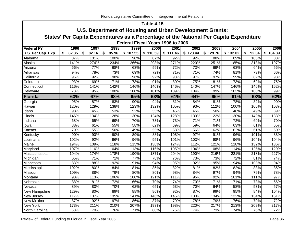|                                         |                                                                                        |                     |                     |                  | <b>Table 4-15</b>                 |                                |                                                          |                  |                  |                     |                                |
|-----------------------------------------|----------------------------------------------------------------------------------------|---------------------|---------------------|------------------|-----------------------------------|--------------------------------|----------------------------------------------------------|------------------|------------------|---------------------|--------------------------------|
|                                         |                                                                                        |                     |                     |                  |                                   |                                | U.S. Department of Housing and Urban Development Grants: |                  |                  |                     |                                |
|                                         | States' Per Capita Expenditures as a Percentage of the National Per Capita Expenditure |                     |                     |                  |                                   |                                |                                                          |                  |                  |                     |                                |
|                                         |                                                                                        |                     |                     |                  | Federal Fiscal Years 1996 to 2006 |                                |                                                          |                  |                  |                     |                                |
|                                         |                                                                                        |                     |                     |                  |                                   |                                |                                                          |                  |                  |                     |                                |
| <b>Federal FY</b><br>U.S. Per Cap. Exp. | 1996<br>\$<br>82.35                                                                    | 1997<br>\$<br>82.16 | 1998<br>\$<br>95.96 | 1999<br>\$107.55 | 2000<br>\$110.59                  | 2001<br>$\overline{\$}$ 111.46 | 2002<br>\$123.44                                         | 2003<br>\$129.76 | 2004<br>\$132.02 | 2005<br>\$<br>92.04 | 2006<br>$\overline{\$}$ 134.89 |
| Alabama                                 | 87%                                                                                    | 101%                | 100%                | 90%              | 87%                               | 92%                            | 92%                                                      | 88%              | 89%              | 105%                | 88%                            |
| Alaska                                  | 141%                                                                                   | 274%                | 234%                | 266%             | 298%                              | 271%                           | 220%                                                     | 251%             | 185%             | 318%                | 197%                           |
| Arizona                                 | 66%                                                                                    | 77%                 | 68%                 | 63%              | 59%                               | 72%                            | 73%                                                      | 69%              | 63%              | 64%                 | 56%                            |
| Arkansas                                | 94%                                                                                    | 78%                 | 73%                 | 69%              | 72%                               | 71%                            | 71%                                                      | 74%              | 81%              | 73%                 | 66%                            |
| California                              | 96%                                                                                    | 92%                 | 98%                 | 96%              | 92%                               | 93%                            | 97%                                                      | 97%              | 99%              | 82%                 | 93%                            |
| Colorado                                | 93%                                                                                    | 69%                 | 71%                 | 73%              | 91%                               | 80%                            | 75%                                                      | 81%              | 73%              | 62%                 | 75%                            |
| Connecticut                             | 116%                                                                                   | 141%                | 142%                | 146%             | 140%                              | 146%                           | 140%                                                     | 147%             | 146%             | 146%                | 162%                           |
| Delaware                                | 73%                                                                                    | 95%                 | 100%                | 100%             | 101%                              | 109%                           | 104%                                                     | 99%              | 103%             | 108%                | 99%                            |
| <b>Florida</b>                          | 63%                                                                                    | 67%                 | 68%                 | 65%              | 63%                               | 61%                            | 64%                                                      | 65%              | 61%              | 63%                 | 62%                            |
| Georgia                                 | 95%                                                                                    | 87%                 | 83%                 | 90%              | 94%                               | 81%                            | 84%                                                      | 81%              | 78%              | 82%                 | 90%                            |
| Hawaii                                  | 120%                                                                                   | 129%                | 138%                | 123%             | 132%                              | 105%                           | 93%                                                      | 112%             | 100%             | 100%                | 108%                           |
| Idaho                                   | 93%                                                                                    | 45%                 | 53%                 | 52%              | 55%                               | 45%                            | 45%                                                      | 50%              | 48%              | 49%                 | 39%                            |
| Illinois                                | 146%                                                                                   | 134%                | 128%                | 130%             | 124%                              | 128%                           | 130%                                                     | 122%             | 130%             | 142%                | 133%                           |
| Indiana                                 | 68%                                                                                    | 65%                 | 69%                 | 70%              | 73%                               | 73%                            | 71%                                                      | 71%              | 72%              | 69%                 | 70%                            |
| lowa                                    | 88%                                                                                    | 61%                 | 55%                 | 58%              | 62%                               | 69%                            | 59%                                                      | 64%              | 63%              | 61%                 | 65%                            |
| Kansas                                  | 79%                                                                                    | 55%                 | 50%                 | 49%              | 55%                               | 58%                            | 56%                                                      | 62%              | 62%              | 61%                 | 60%                            |
| Kentucky                                | 90%                                                                                    | 90%                 | 90%                 | 89%              | 88%                               | 108%                           | 97%                                                      | 91%              | 96%              | 101%                | 88%                            |
| ouisiana.                               | 102%                                                                                   | 92%                 | 96%                 | 96%              | 95%                               | 101%                           | 103%                                                     | 98%              | 96%              | 104%                | 104%                           |
| Maine                                   | 194%                                                                                   | 109%                | 118%                | 115%             | 138%                              | 124%                           | 112%                                                     | 121%             | 118%             | 132%                | 136%                           |
| Maryland                                | 107%                                                                                   | 116%                | 104%                | 113%             | 116%                              | 105%                           | 104%                                                     | 108%             | 114%             | 125%                | 129%                           |
| Massachusetts                           | 194%                                                                                   | 174%                | 178%                | 190%             | 187%                              | 204%                           | 190%                                                     | 216%             | 221%             | 218%                | 227%                           |
| Michigan                                | 65%                                                                                    | 71%                 | 71%                 | 77%              | 78%                               | 76%                            | 73%                                                      | 73%              | 72%              | 81%                 | 74%                            |
| Minnesota                               | 83%                                                                                    | 88%                 | 92%                 | 91%              | 94%                               | 95%                            | 92%                                                      | 95%              | 94%              | 103%                | 94%                            |
| Mississippi                             | 102%                                                                                   | 80%                 | 84%                 | 81%              | 85%                               | 82%                            | 81%                                                      | 82%              | 82%              | 88%                 | 85%                            |
| Missouri                                | 109%                                                                                   | 88%                 | 79%                 | 80%              | 80%                               | 98%                            | 84%                                                      | 97%              | 94%              | 79%                 | 78%                            |
| Montana                                 | 90%                                                                                    | 113%                | 106%                | 100%             | 121%                              | 111%                           | 96%                                                      | 92%              | 101%             | 111%                | 97%                            |
| Nebraska                                | 88%                                                                                    | 81%                 | 72%                 | 66%              | 70%                               | 74%                            | 70%                                                      | 71%              | 71%              | 73%                 | 66%                            |
| Nevada                                  | 89%                                                                                    | 83%                 | 70%                 | 62%              | 65%                               | 63%                            | 70%                                                      | 64%              | 58%              | 53%                 | 57%                            |
| New Hampshire                           | 129%                                                                                   | 80%                 | 89%                 | 88%              | 86%                               | 92%                            | 87%                                                      | 99%              | 95%              | 84%                 | 104%                           |
| New Jersey                              | 117%                                                                                   | 137%                | 135%                | 141%             | 146%                              | 145%                           | 130%                                                     | 134%             | 132%             | 134%                | 151%                           |
| New Mexico                              | 87%                                                                                    | 92%                 | 97%                 | 86%              | 87%                               | 79%                            | 78%                                                      | 79%              | 76%              | 70%                 | 72%                            |
| New York                                | 173%                                                                                   | 211%                | 210%                | 207%             | 193%                              | 198%                           | 220%                                                     | 217%             | 213%             | 209%                | 217%                           |
| North Carolina                          | 68%                                                                                    | 70%                 | 76%                 | 71%              | 80%                               | 76%                            | 74%                                                      | 73%              | 74%              | 76%                 | 72%                            |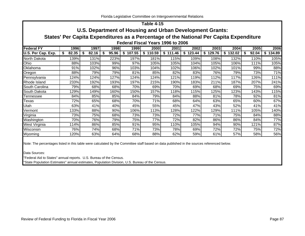|                                                                                        |                                                                                                                                                        |       |   |       |    |       |    |        | <b>Table 4-15</b>                 |        |           |      |  |                                                          |  |        |              |       |  |        |
|----------------------------------------------------------------------------------------|--------------------------------------------------------------------------------------------------------------------------------------------------------|-------|---|-------|----|-------|----|--------|-----------------------------------|--------|-----------|------|--|----------------------------------------------------------|--|--------|--------------|-------|--|--------|
|                                                                                        |                                                                                                                                                        |       |   |       |    |       |    |        |                                   |        |           |      |  | U.S. Department of Housing and Urban Development Grants: |  |        |              |       |  |        |
| States' Per Capita Expenditures as a Percentage of the National Per Capita Expenditure |                                                                                                                                                        |       |   |       |    |       |    |        |                                   |        |           |      |  |                                                          |  |        |              |       |  |        |
|                                                                                        |                                                                                                                                                        |       |   |       |    |       |    |        | Federal Fiscal Years 1996 to 2006 |        |           |      |  |                                                          |  |        |              |       |  |        |
| <b>Federal FY</b>                                                                      |                                                                                                                                                        | 1996  |   | 1997  |    | 1998  |    | 1999   |                                   | 2000   |           | 2001 |  | 2002                                                     |  | 2003   | 2004         | 2005  |  | 2006   |
| U.S. Per Cap. Exp.                                                                     |                                                                                                                                                        | 82.35 | S | 82.16 | \$ | 95.96 | \$ | 107.55 | \$                                | 110.59 | \$<br>111 | .46  |  | 123.44                                                   |  | 129.76 | \$<br>132.02 | 92.04 |  | 134.89 |
| North Dakota                                                                           |                                                                                                                                                        | 139%  |   | 131%  |    | 223%  |    | 197%   |                                   | 181%   |           | 115% |  | 109%                                                     |  | 108%   | 132%         | 110%  |  | 105%   |
| Ohio                                                                                   | 88%<br>103%<br>97%<br>105%<br>105%<br>104%<br>105%<br>106%<br>111%<br>99%<br>91%<br>102%<br>103%<br>102%<br>106%<br>101%<br>99%<br>96%<br>104%<br>102% |       |   |       |    |       |    |        |                                   |        |           |      |  |                                                          |  | 105%   |              |       |  |        |
| Oklahoma                                                                               | 73%<br>88%<br>79%<br>81%<br>83%<br>76%<br>79%<br>85%                                                                                                   |       |   |       |    |       |    |        |                                   |        |           |      |  |                                                          |  | 88%    |              |       |  |        |
| Oregon                                                                                 | 79%<br>82%                                                                                                                                             |       |   |       |    |       |    |        |                                   |        |           |      |  |                                                          |  |        |              |       |  |        |
| Pennsylvania                                                                           | 71%<br>127%<br>117%<br>126%<br>124%<br>124%<br>124%<br>124%<br>121%<br>119%<br>112%                                                                    |       |   |       |    |       |    |        |                                   |        |           |      |  |                                                          |  | 111%   |              |       |  |        |
| Rhode Island                                                                           |                                                                                                                                                        | 233%  |   | 192%  |    | 193%  |    | 197%   |                                   | 215%   |           | 190% |  | 183%                                                     |  | 211%   | 187%         | 207%  |  | 241%   |
| South Carolina                                                                         |                                                                                                                                                        | 79%   |   | 68%   |    | 68%   |    | 70%    |                                   | 69%    |           | 70%  |  | 69%                                                      |  | 68%    | 69%          | 75%   |  | 69%    |
| South Dakota                                                                           |                                                                                                                                                        | 129%  |   | 149%  |    | 160%  |    | 150%   |                                   | 157%   |           | 118% |  | 115%                                                     |  | 125%   | 123%         | 143%  |  | 115%   |
| Tennessee                                                                              |                                                                                                                                                        | 84%   |   | 85%   |    | 85%   |    | 84%    |                                   | 79%    |           | 84%  |  | 88%                                                      |  | 81%    | 78%          | 92%   |  | 81%    |
| Texas                                                                                  |                                                                                                                                                        | 72%   |   | 65%   |    | 68%   |    | 70%    |                                   | 71%    |           | 68%  |  | 64%                                                      |  | 63%    | 65%          | 60%   |  | 67%    |
| Utah                                                                                   |                                                                                                                                                        | 63%   |   | 41%   |    | 40%   |    | 45%    |                                   | 55%    |           | 45%  |  | 47%                                                      |  | 43%    | 52%          | 41%   |  | 41%    |
| Vermont                                                                                |                                                                                                                                                        | 133%  |   | 88%   |    | 90%   |    | 106%   |                                   | 113%   |           | 128% |  | 122%                                                     |  | 129%   | 111%         | 105%  |  | 140%   |
| Virginia                                                                               |                                                                                                                                                        | 73%   |   | 75%   |    | 68%   |    | 73%    |                                   | 73%    |           | 72%  |  | 77%                                                      |  | 71%    | 75%          | 84%   |  | 88%    |
| Washington                                                                             |                                                                                                                                                        | 70%   |   | 76%   |    | 79%   |    | 75%    |                                   | 77%    |           | 72%  |  | 82%                                                      |  | 86%    | 86%          | 84%   |  | 77%    |
| West Virginia                                                                          |                                                                                                                                                        | 114%  |   | 86%   |    | 85%   |    | 91%    |                                   | 95%    |           | 110% |  | 105%                                                     |  | 94%    | 90%          | 121%  |  | 87%    |
| Wisconsin                                                                              |                                                                                                                                                        | 76%   |   | 74%   |    | 68%   |    | 71%    |                                   | 73%    |           | 78%  |  | 69%                                                      |  | 72%    | 72%          | 75%   |  | 72%    |
| Wyoming                                                                                |                                                                                                                                                        | 120%  |   | 63%   |    | 64%   |    | 68%    |                                   | 88%    |           | 62%  |  | 59%                                                      |  | 61%    | 57%          | 58%   |  | 56%    |

Data Sources:

"Federal Aid to States" annual reports. U.S. Bureau of the Census.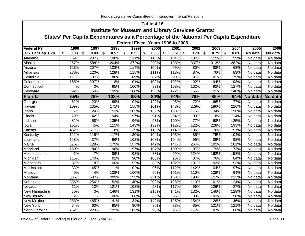|                          |                                                                                    |              |              |              | Table 4-16   |                                                                                        |              |              |             |                    |                    |  |  |  |  |
|--------------------------|------------------------------------------------------------------------------------|--------------|--------------|--------------|--------------|----------------------------------------------------------------------------------------|--------------|--------------|-------------|--------------------|--------------------|--|--|--|--|
|                          |                                                                                    |              |              |              |              | <b>Institute for Museum and Library Services Grants:</b>                               |              |              |             |                    |                    |  |  |  |  |
|                          |                                                                                    |              |              |              |              | States' Per Capita Expenditures as a Percentage of the National Per Capita Expenditure |              |              |             |                    |                    |  |  |  |  |
|                          |                                                                                    |              |              |              |              |                                                                                        |              |              |             |                    |                    |  |  |  |  |
|                          |                                                                                    |              |              |              |              | Federal Fiscal Years 1996 to 2006                                                      |              |              |             |                    |                    |  |  |  |  |
| <b>Federal FY</b>        | 1996                                                                               | 1997         | 1998         | 1999         | 2000         | 2001                                                                                   | 2002         | 2003<br>0.79 | 2004        | 2005               | 2006               |  |  |  |  |
| U.S. Per Cap. Exp.       | \$<br>0.03                                                                         | \$<br>0.03   | \$<br>0.57   | 0.55<br>\$   | \$<br>0.56   | \$<br>0.51                                                                             | \$<br>0.73   | \$           | \$<br>0.81  | No data            | No data            |  |  |  |  |
| Alabama<br>Alaska        | 69%<br>267%                                                                        | 207%<br>588% | 108%<br>204% | 111%<br>272% | 116%<br>290% | 104%<br>193%                                                                           | 107%<br>337% | 115%<br>313% | 99%<br>282% | No data<br>No data | No data            |  |  |  |  |
|                          | 123%                                                                               | 207%         | 103%         | 114%         | 106%         | 99%                                                                                    | 80%          | 88%          | 68%         | No data            | No data<br>No data |  |  |  |  |
| Arizona                  | 278%                                                                               | 120%         | 128%         | 115%         | 111%         | 113%                                                                                   | 87%          | 76%          | 83%         | No data            | No data            |  |  |  |  |
| Arkansas<br>California   | 111%                                                                               | 87%          | 88%          | 89%          | 87%          | 90%                                                                                    | 91%          | 81%          | 75%         | No data            | No data            |  |  |  |  |
|                          | 158%                                                                               | 297%         | 113%         | 101%         | 100%         | 102%                                                                                   | 92%          | 94%          | 93%         | No data            | No data            |  |  |  |  |
| Colorado                 | 4%                                                                                 | 0%           | 95%          | 100%         | 93%          | 108%                                                                                   | 132%         | 92%          | 127%        | No data            | No data            |  |  |  |  |
| Connecticut<br>Delaware  | 392%                                                                               | 164%         | 199%         | 168%         | 155%         | 172%                                                                                   | 155%         | 121%         | 148%        | No data            | No data            |  |  |  |  |
| <b>Florida</b>           | 55%                                                                                | 26%          | 102%         | 83%          | 84%          | 91%                                                                                    | 79%          | 86%          | 84%         | No data            | No data            |  |  |  |  |
|                          |                                                                                    |              |              |              |              |                                                                                        |              |              |             |                    |                    |  |  |  |  |
| Georgia                  | 61%<br>23%<br>99%<br>122%<br>95%<br>72%<br>66%<br>77%<br>94%<br>No data<br>No data |              |              |              |              |                                                                                        |              |              |             |                    |                    |  |  |  |  |
| Hawaii                   | 109%                                                                               | 135%         | 171%         | 158%         | 161%         | 143%                                                                                   | 229%         | 186%         | 226%        | No data            | No data            |  |  |  |  |
| Idaho                    | 7%<br>20%                                                                          | 24%<br>42%   | 153%         | 265%         | 152%         | 138%<br>94%                                                                            | 176%         | 134%<br>118% | 156%        | No data            | No data            |  |  |  |  |
| Illinois                 |                                                                                    |              | 94%          | 97%          | 91%          |                                                                                        | 99%          |              | 114%        | No data            | No data            |  |  |  |  |
| Indiana                  | 82%                                                                                | 58%          | 135%         | 96%          | 98%          | 100%                                                                                   | 77%<br>122%  | 68%<br>228%  | 125%        | No data            | No data            |  |  |  |  |
| Iowa                     | 151%                                                                               | 45%          | 115%         | 143%         | 139%         | 112%                                                                                   |              |              | 193%<br>97% | No data            | No data            |  |  |  |  |
| Kansas                   | 462%                                                                               | 517%         | 118%         | 139%         | 113%         | 114%                                                                                   | 106%         | 76%          |             | No data            | No data            |  |  |  |  |
| Kentucky                 | 121%                                                                               | 115%         | 117%         | 130%         | 104%         | 105%                                                                                   | 85%          | 75%          | 104%<br>92% | No data            | No data            |  |  |  |  |
| ouisiana.                | 123%<br>376%                                                                       | 37%          | 96%<br>175%  | 102%<br>157% | 108%<br>142% | 104%                                                                                   | 99%          | 89%          |             | No data            | No data            |  |  |  |  |
| Maine                    | 169%                                                                               | 129%         | 96%          | 97%          | 107%         | 141%<br>100%                                                                           | 264%<br>97%  | 192%<br>79%  | 181%<br>73% | No data            | No data            |  |  |  |  |
| Maryland                 | 6%                                                                                 | 84%<br>7%    | 86%          | 92%          | 88%          | 99%                                                                                    | 124%         | 162%         | 158%        | No data            | No data            |  |  |  |  |
| <b>Massachusetts</b>     |                                                                                    | 140%         | 91%          |              |              | 96%                                                                                    | 87%          | 76%          | 84%         | No data            | No data            |  |  |  |  |
| Michigan                 | 116%<br>82%                                                                        | 118%         | 100%         | 90%<br>92%   | 106%<br>88%  | 102%                                                                                   | 101%         | 93%          | 93%         | No data            | No data            |  |  |  |  |
| Minnesota<br>Mississippi | 33%                                                                                | 45%          | 111%         | 102%         | 96%          | 112%                                                                                   | 142%         | 104%         | 97%         | No data<br>No data | No data<br>No data |  |  |  |  |
|                          | 0%                                                                                 | 4%           | 108%         | 100%         | 90%          | 101%                                                                                   | 110%         | 138%         | 94%         | No data            | No data            |  |  |  |  |
| Missouri                 | 305%                                                                               | 537%         | 209%         | 195%         | 231%         | 163%                                                                                   | 198%         | 157%         | 213%        | No data            |                    |  |  |  |  |
| Montana<br>Nebraska      | 386%                                                                               | 256%         | 152%         | 140%         | 209%         | 128%                                                                                   | 113%         | 101%         | 124%        | No data            | No data<br>No data |  |  |  |  |
| Nevada                   | 11%                                                                                | 12%          | 121%         | 108%         | 98%          | 117%                                                                                   | 99%          | 126%         | 87%         | No data            | No data            |  |  |  |  |
| New Hampshire            | 60%                                                                                | 0%           | 146%         | 131%         | 218%         | 141%                                                                                   | 132%         | 146%         | 129%        | No data            | No data            |  |  |  |  |
| <b>New Jersey</b>        | 2%                                                                                 | 1%           | 100%         | 88%          | 83%          | 96%                                                                                    | 83%          | 103%         | 90%         | No data            | No data            |  |  |  |  |
| <b>New Mexico</b>        | 383%                                                                               | 465%         | 141%         | 134%         | 142%         | 125%                                                                                   | 154%         | 126%         | 146%        | No data            | No data            |  |  |  |  |
| New York                 | 74%                                                                                | 60%          | 95%          | 90%          | 86%          | 93%                                                                                    | 85%          | 121%         | 121%        | No data            |                    |  |  |  |  |
| North Carolina           | 262%                                                                               | 223%         | 122%         | 102%         | 96%          | 96%                                                                                    | 172%         | 87%          | 86%         | No data            | No data<br>No data |  |  |  |  |
|                          |                                                                                    |              |              |              |              |                                                                                        |              |              |             |                    |                    |  |  |  |  |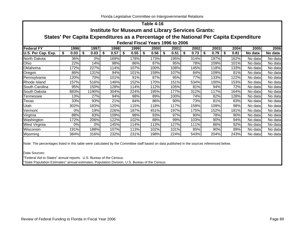|                                                                                                                                                                          |                                                                                 |      |                                                                                        |                                                          |    |      |    | Table 4-16                        |    |      |    |      |             |    |         |         |         |
|--------------------------------------------------------------------------------------------------------------------------------------------------------------------------|---------------------------------------------------------------------------------|------|----------------------------------------------------------------------------------------|----------------------------------------------------------|----|------|----|-----------------------------------|----|------|----|------|-------------|----|---------|---------|---------|
|                                                                                                                                                                          |                                                                                 |      |                                                                                        | <b>Institute for Museum and Library Services Grants:</b> |    |      |    |                                   |    |      |    |      |             |    |         |         |         |
|                                                                                                                                                                          |                                                                                 |      | States' Per Capita Expenditures as a Percentage of the National Per Capita Expenditure |                                                          |    |      |    |                                   |    |      |    |      |             |    |         |         |         |
|                                                                                                                                                                          |                                                                                 |      |                                                                                        |                                                          |    |      |    |                                   |    |      |    |      |             |    |         |         |         |
|                                                                                                                                                                          |                                                                                 |      |                                                                                        |                                                          |    |      |    | Federal Fiscal Years 1996 to 2006 |    |      |    |      |             |    |         |         |         |
| <b>Federal FY</b>                                                                                                                                                        |                                                                                 | 1996 | 1997                                                                                   | 1998                                                     |    | 1999 |    | 2000                              |    | 2001 |    | 2002 | 2003        |    | 2004    | 2005    | 2006    |
| U.S. Per Cap. Exp.                                                                                                                                                       | \$<br>0.03                                                                      |      | \$<br>0.03                                                                             | \$<br>0.57                                               | \$ | 0.55 | \$ | 0.56                              | \$ | 0.51 | \$ | 0.73 | -\$<br>0.79 | \$ | 0.81    | No data | No data |
| 36%<br>0%<br>169%<br>178%<br>173%<br>195%<br>314%<br>197%<br>162%<br>North Dakota<br>No data<br>14%<br>101%<br>22%<br>98%<br>86%<br>87%<br>95%<br>78%<br>109%<br>No data |                                                                                 |      |                                                                                        |                                                          |    |      |    |                                   |    |      |    |      |             |    | No data |         |         |
| Ohio                                                                                                                                                                     |                                                                                 |      |                                                                                        |                                                          |    |      |    |                                   |    |      |    |      |             |    |         | No data |         |
| Oklahoma                                                                                                                                                                 | 227%<br>114%<br>107%<br>108%<br>133%<br>No data<br>172%<br>100%<br>145%<br>118% |      |                                                                                        |                                                          |    |      |    |                                   |    |      |    |      |             |    |         | No data |         |
| Oregon                                                                                                                                                                   |                                                                                 | 86%  | 131%                                                                                   | 94%                                                      |    | 101% |    | 159%                              |    | 107% |    | 84%  | 109%        |    | 81%     | No data | No data |
| Pennsylvania                                                                                                                                                             | 120%                                                                            |      | 70%                                                                                    | 101%                                                     |    | 91%  |    | 87%                               |    | 95%  |    | 77%  | 133%        |    | 122%    | No data | No data |
| Rhode Island                                                                                                                                                             | 157%                                                                            |      | 516%                                                                                   | 146%                                                     |    | 152% |    | 170%                              |    | 151% |    | 534% | 100%        |    | 153%    | No data | No data |
| South Carolina                                                                                                                                                           |                                                                                 | 95%  | 150%                                                                                   | 128%                                                     |    | 114% |    | 112%                              |    | 105% |    | 81%  | 94%         |    | 72%     | No data | No data |
| South Dakota                                                                                                                                                             | 883%                                                                            |      | 1190%                                                                                  | 304%                                                     |    | 224% |    | 195%                              |    | 177% |    | 312% | 117%        |    | 164%    | No data | No data |
| Tennessee                                                                                                                                                                |                                                                                 | 13%  | 27%                                                                                    | 94%                                                      |    | 98%  |    | 89%                               |    | 100% |    | 74%  | 82%         |    | 128%    | No data | No data |
| Texas                                                                                                                                                                    |                                                                                 | 33%  | 93%                                                                                    | 21%                                                      |    | 84%  |    | 86%                               |    | 90%  |    | 73%  | 81%         |    | 83%     | No data | No data |
| Utah                                                                                                                                                                     | 302%                                                                            |      | 183%                                                                                   | 120%                                                     |    | 115% |    | 118%                              |    | 117% |    | 159% | 109%        |    | 98%     | No data | No data |
| Vermont                                                                                                                                                                  |                                                                                 | 0%   | 19%                                                                                    | 226%                                                     |    | 187% |    | 451%                              |    | 197% |    | 175% | 152%        |    | 181%    | No data | No data |
| Virginia                                                                                                                                                                 |                                                                                 | 88%  | 83%                                                                                    | 109%                                                     |    | 98%  |    | 93%                               |    | 97%  |    | 90%  | 78%         |    | 90%     | No data | No data |
| Washington                                                                                                                                                               | 172%                                                                            |      | 206%                                                                                   | 122%                                                     |    | 102% |    | 88%                               |    | 99%  |    | 103% | 90%         |    | 94%     | No data | No data |
| West Virginia                                                                                                                                                            |                                                                                 | 0%   | 0%                                                                                     | 145%                                                     |    | 114% |    | 113%                              |    | 127% |    | 111% | 86%         |    | 92%     | No data | No data |
| Wisconsin                                                                                                                                                                | 191%                                                                            |      | 188%                                                                                   | 107%                                                     |    | 113% |    | 102%                              |    | 101% |    | 85%  | 90%         |    | 89%     | No data | No data |
| Wyoming                                                                                                                                                                  | 384%                                                                            |      | 316%                                                                                   | 232%                                                     |    | 231% |    | 198%                              |    | 224% |    | 543% | 204%        |    | 243%    | No data | No data |

Data Sources:

"Federal Aid to States" annual reports. U.S. Bureau of the Census.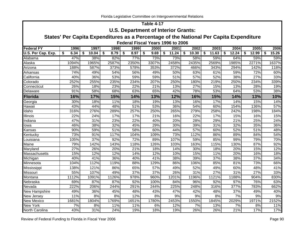|                    | Table 4-17                                                                             |             |            |            |            |                                            |             |            |               |                     |             |  |  |  |
|--------------------|----------------------------------------------------------------------------------------|-------------|------------|------------|------------|--------------------------------------------|-------------|------------|---------------|---------------------|-------------|--|--|--|
|                    |                                                                                        |             |            |            |            | <b>U.S. Department of Interior Grants:</b> |             |            |               |                     |             |  |  |  |
|                    | States' Per Capita Expenditures as a Percentage of the National Per Capita Expenditure |             |            |            |            |                                            |             |            |               |                     |             |  |  |  |
|                    |                                                                                        |             |            |            |            |                                            |             |            |               |                     |             |  |  |  |
|                    |                                                                                        |             |            |            |            | Federal Fiscal Years 1996 to 2006          |             |            |               |                     |             |  |  |  |
| <b>Federal FY</b>  | 1996                                                                                   | 1997        | 1998       | 1999       | 2000       | 2001                                       | 2002        | 2003<br>\$ | 2004<br>12.24 | 2005<br>12.99<br>\$ | 2006        |  |  |  |
| U.S. Per Cap. Exp. | \$<br>6.34                                                                             | \$<br>10.04 | \$<br>8.79 | \$<br>8.97 | \$<br>9.69 | \$<br>11.24                                | 10.30<br>\$ | 11.63      | \$            |                     | \$<br>15.26 |  |  |  |
| Alabama            | 47%                                                                                    | 38%         | 82%        | 77%        | 73%        | 73%                                        | 58%         | 59%        | 64%           | 59%                 | 59%         |  |  |  |
| Alaska             | 1094%                                                                                  | 1965%       | 2587%      | 2350%      | 3307%      | 2458%                                      | 2435%       | 2569%      | 1985%         | 2271%               | 1637%       |  |  |  |
| Arizona            | 188%                                                                                   | 587%        | 373%       | 578%       | 353%       | 372%                                       | 466%        | 343%       | 294%          | 142%                | 118%        |  |  |  |
| Arkansas           | 74%                                                                                    | 49%         | 54%        | 56%        | 49%        | 50%                                        | 63%         | 61%        | 59%           | 72%                 | 60%         |  |  |  |
| California         | 40%                                                                                    | 36%         | 53%        | 59%        | 59%        | 51%                                        | 57%         | 52%        | 38%           | 27%                 | 33%         |  |  |  |
| Colorado           | 252%                                                                                   | 255%        | 235%       | 234%       | 207%       | 250%                                       | 180%        | 219%       | 250%          | 234%                | 339%        |  |  |  |
| Connecticut        | 26%                                                                                    | 18%         | 23%        | 22%        | 21%        | 13%                                        | 27%         | 15%        | 13%           | 28%                 | 19%         |  |  |  |
| Delaware           | 91%                                                                                    | 58%         | 68%        | 63%        | 65%        | 42%                                        | 78%         | 53%        | 64%           | 53%                 | 38%         |  |  |  |
| <b>Florida</b>     | 16%                                                                                    | 17%         | 15%        | 14%        | 13%        | 12%                                        | 16%         | 15%        | 14%           | 13%                 | 10%         |  |  |  |
| Georgia            | 30%                                                                                    | 18%         | 11%        | 18%        | 19%        | 13%                                        | 16%         | 17%        | 14%           | 15%                 | 14%         |  |  |  |
| Hawaii             | 43%                                                                                    | 44%         | 48%        | 51%        | 53%        | 36%                                        | 54%         | 60%        | 154%          | 136%                | 57%         |  |  |  |
| Idaho              | 316%                                                                                   | 276%        | 289%       | 257%       | 250%       | 265%                                       | 279%        | 258%       | 242%          | 198%                | 184%        |  |  |  |
| Illinois           | 22%                                                                                    | 24%         | 17%        | 17%        | 21%        | 16%                                        | 22%         | 17%        | 15%           | 16%                 | 15%         |  |  |  |
| Indiana            | 47%                                                                                    | 31%         | 23%        | 22%        | 40%        | 20%                                        | 28%         | 29%        | 21%           | 25%                 | 24%         |  |  |  |
| lowa               | 46%                                                                                    | 38%         | 32%        | 45%        | 29%        | 30%                                        | 39%         | 31%        | 32%           | 35%                 | 36%         |  |  |  |
| ≺ansas             | 90%                                                                                    | 59%         | 51%        | 58%        | 60%        | 44%                                        | 57%         | 60%        | 52%           | 51%                 | 48%         |  |  |  |
| Kentucky           | 73%                                                                                    | 91%         | 117%       | 104%       | 109%       | 73%                                        | 112%        | 86%        | 89%           | 84%                 | 54%         |  |  |  |
| ouisiana <u>.</u>  | 105%                                                                                   | 37%         | 92%        | 72%        | 89%        | 107%                                       | 59%         | 85%        | 99%           | 79%                 | 70%         |  |  |  |
| Maine              | 79%                                                                                    | 142%        | 143%       | 118%       | 126%       | 103%                                       | 163%        | 115%       | 130%          | 87%                 | 92%         |  |  |  |
| Maryland           | 27%                                                                                    | 26%         | 20%        | 21%        | 18%        | 14%                                        | 30%         | 18%        | 20%           | 15%                 | 12%         |  |  |  |
| Massachusetts      | 15%                                                                                    | 12%         | 12%        | 14%        | 12%        | 10%                                        | 15%         | 11%        | 20%           | 16%                 | 18%         |  |  |  |
| Michigan           | 40%                                                                                    | 41%         | 36%        | 40%        | 41%        | 38%                                        | 39%         | 37%        | 38%           | 37%                 | 34%         |  |  |  |
| Minnesota          | 104%                                                                                   | 112%        | 119%       | 88%        | 129%       | 86%                                        | 106%        | 85%        | 81%           | 73%                 | 66%         |  |  |  |
| Mississippi        | 138%                                                                                   | 121%        | 86%        | 65%        | 57%        | 49%                                        | 52%         | 49%        | 60%           | 48%                 | 41%         |  |  |  |
| Missouri           | 55%                                                                                    | 107%        | 49%        | 37%        | 37%        | 26%                                        | 31%         | 27%        | 31%           | 27%                 | 33%         |  |  |  |
| Montana            | 1112%                                                                                  | 1091%       | 1126%      | 978%       | 960%       | 1201%                                      | 1196%       | 1121%      | 1188%         | 904%                | 830%        |  |  |  |
| Nebraska           | 69%                                                                                    | 87%         | 87%        | 92%        | 100%       | 84%                                        | 96%         | 92%        | 97%           | 76%                 | 63%         |  |  |  |
| Nevada             | 222%                                                                                   | 206%        | 244%       | 291%       | 244%       | 225%                                       | 248%        | 316%       | 377%          | 783%                | 662%        |  |  |  |
| New Hampshire      | 49%                                                                                    | 36%         | 45%        | 48%        | 43%        | 47%                                        | 42%         | 48%        | 37%           | 49%                 | 40%         |  |  |  |
| <b>New Jersey</b>  | 11%                                                                                    | 8%          | 8%         | 12%        | 8%         | 9%                                         | 9%          | 8%         | 7%            | 9%                  | 9%          |  |  |  |
| New Mexico         | 1681%                                                                                  | 1804%       | 1769%      | 1651%      | 1780%      | 2453%                                      | 1550%       | 1845%      | 2029%         | 1971%               | 2152%       |  |  |  |
| New York           | $\overline{7\%}$                                                                       | 8%          | 11%        | 11%        | 6%         | 12%                                        | 7%          | 13%        | 7%            | 8%                  | 11%         |  |  |  |
| North Carolina     | 43%                                                                                    | 31%         | 24%        | 19%        | 18%        | 19%                                        | 26%         | 26%        | 21%           | 17%                 | 17%         |  |  |  |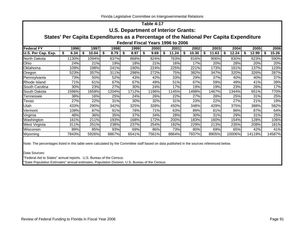|                    |                                                                                        |            |           |                                            | Table 4-17 |            |               |            |            |            |        |
|--------------------|----------------------------------------------------------------------------------------|------------|-----------|--------------------------------------------|------------|------------|---------------|------------|------------|------------|--------|
|                    |                                                                                        |            |           | <b>U.S. Department of Interior Grants:</b> |            |            |               |            |            |            |        |
|                    | States' Per Capita Expenditures as a Percentage of the National Per Capita Expenditure |            |           |                                            |            |            |               |            |            |            |        |
|                    |                                                                                        |            |           | Federal Fiscal Years 1996 to 2006          |            |            |               |            |            |            |        |
| Federal FY         | 1996                                                                                   | 1997       | 1998      | 1999                                       | 2000       | 2001       | 2002          | 2003       | 2004       | 2005       | 2006   |
| U.S. Per Cap. Exp. | \$<br>6.34                                                                             | S<br>10.04 | 8.79<br>S | 8.97<br>\$                                 | 9.69<br>\$ | 11.24<br>S | 10.30<br>- \$ | 11.63<br>S | 12.24<br>S | 12.99<br>S | 15.26  |
| North Dakota       | 1130%                                                                                  | 1094%      | 837%      | 868%                                       | 824%       | 763%       | 816%          | 906%       | 830%       | 623%       | 590%   |
| Ohio               | 24%                                                                                    | 21%        | 19%       | 18%                                        | 21%        | 16%        | 17%           | 20%        | 28%        | 20%        | 20%    |
| Oklahoma           | 109%                                                                                   | 198%       | 241%      | 190%                                       | 224%       | 225%       | 221%          | 173%       | 161%       | 137%       | 123%   |
| Oregon             | 523%                                                                                   | 357%       | 311%      | 298%                                       | 272%       | 75%        | 382%          | 347%       | 320%       | 326%       | 287%   |
| Pennsylvania       | 73%                                                                                    | 50%        | 52%       | 43%                                        | 42%        | 33%        | 29%           | 37%        | 40%        | 40%        | 37%    |
| Rhode Island       | 71%                                                                                    | 61%        | 67%       | 67%                                        | 49%        | 51%        | 67%           | 59%        | 49%        | 41%        | 39%    |
| South Carolina     | 30%                                                                                    | 23%        | 27%       | 30%                                        | 24%        | 17%        | 19%           | 19%        | 23%        | 26%        | 17%    |
| South Dakota       | 1596%                                                                                  | 1659%      | 1204%     | 1712%                                      | 1196%      | 1145%      | 1498%         | 1467%      | 1344%      | 651%       | 770%   |
| Tennessee          | 38%                                                                                    | 16%        | 25%       | 24%                                        | 26%        | 22%        | 27%           | 28%        | 25%        | 31%        | 25%    |
| Texas              | 27%                                                                                    | 22%        | 31%       | 30%                                        | 32%        | 31%        | 23%           | 22%        | 27%        | 21%        | 19%    |
| Utah               | 433%                                                                                   | 290%       | 342%      | 325%                                       | 328%       | 450%       | 348%          | 429%       | 375%       | 388%       | 582%   |
| Vermont            | 108%                                                                                   | 87%        | 91%       | 78%                                        | 71%        | 63%        | 89%           | 81%        | 86%        | 87%        | 64%    |
| Virginia           | 48%                                                                                    | 36%        | 35%       | 37%                                        | 34%        | 28%        | 30%           | 31%        | 29%        | 31%        | 25%    |
| Washington         | 161%                                                                                   | 211%       | 193%      | 168%                                       | 172%       | 200%       | 183%          | 160%       | 154%       | 128%       | 106%   |
| West Virginia      | 311%                                                                                   | 251%       | 238%      | 237%                                       | 254%       | 192%       | 229%          | 213%       | 235%       | 208%       | 181%   |
| Wisconsin          | 89%                                                                                    | 85%        | 93%       | 69%                                        | 86%        | 73%        | 80%           | 69%        | 65%        | 42%        | 41%    |
| Wyoming            | 7843%                                                                                  | 5926%      | 6867%     | 6541%                                      | 7561%      | 8864%      | 7937%         | 8905%      | 10006%     | 14119%     | 14587% |

Data Sources:

"Federal Aid to States" annual reports. U.S. Bureau of the Census.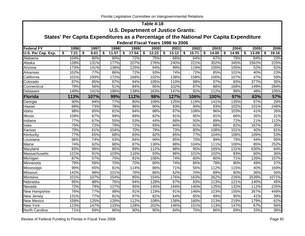|                    | Table 4-18 |            |             |             |             |                                                                                        |             |             |             |             |             |  |  |  |
|--------------------|------------|------------|-------------|-------------|-------------|----------------------------------------------------------------------------------------|-------------|-------------|-------------|-------------|-------------|--|--|--|
|                    |            |            |             |             |             | <b>U.S. Department of Justice Grants:</b>                                              |             |             |             |             |             |  |  |  |
|                    |            |            |             |             |             | States' Per Capita Expenditures as a Percentage of the National Per Capita Expenditure |             |             |             |             |             |  |  |  |
|                    |            |            |             |             |             | Federal Fiscal Years 1996 to 2006                                                      |             |             |             |             |             |  |  |  |
| <b>Federal FY</b>  | 1996       | 1997       | 1998        | 1999        | 2000        | 2001                                                                                   | 2002        | 2003        | 2004        | 2005        | 2006        |  |  |  |
| U.S. Per Cap. Exp. | \$<br>7.21 | \$<br>9.61 | \$<br>11.57 | \$<br>17.54 | \$<br>12.23 | \$<br>13.12                                                                            | 15.71<br>\$ | \$<br>14.00 | \$<br>14.95 | \$<br>13.09 | \$<br>19.16 |  |  |  |
| Alabama            | 104%       | 80%        | 80%         | 72%         | 75%         | 66%                                                                                    | 64%         | 87%         | 79%         | 84%         | 23%         |  |  |  |
| Alaska             | 128%       | 131%       | 177%        | 207%        | 276%        | 240%                                                                                   | 221%        | 302%        | 345%        | 1562%       | 225%        |  |  |  |
| Arizona            | 173%       | 141%       | 136%        | 125%        | 94%         | 99%                                                                                    | 119%        | 100%        | 105%        | 52%         | 52%         |  |  |  |
| Arkansas           | 102%       | 77%        | 86%         | 72%         | 93%         | 74%                                                                                    | 72%         | 85%         | 101%        | 40%         | 23%         |  |  |  |
| California         | 101%       | 193%       | 172%        | 168%        | 102%        | 138%                                                                                   | 158%        | 100%        | 107%        | 47%         | 59%         |  |  |  |
| Colorado           | 87%        | 85%        | 87%         | 94%         | 105%        | 110%                                                                                   | 98%         | 97%         | 83%         | 377%        | 35%         |  |  |  |
| Connecticut        | 79%        | 56%        | 51%         | 84%         | 65%         | 102%                                                                                   | 87%         | 88%         | 166%        | 149%        | 284%        |  |  |  |
| Delaware           | 149%       | 141%       | 196%        | 138%        | 163%        | 147%                                                                                   | 92%         | 112%        | 99%         | 48%         | 105%        |  |  |  |
| <b>Florida</b>     | 113%       | 107%       | 99%         | 112%        | 98%         | 127%                                                                                   | 106%        | 100%        | 97%         | 63%         | 57%         |  |  |  |
| Georgia            | 90%        | 84%        | 77%         | 80%         | 109%        | 125%                                                                                   | 119%        | 141%        | 135%        | 97%         | 29%         |  |  |  |
| Hawaii             | 68%        | 73%        | 78%         | 96%         | 90%         | 93%                                                                                    | 90%         | 93%         | 102%        | 101%        | 248%        |  |  |  |
| Idaho              | 98%        | 85%        | 81%         | 84%         | 88%         | 87%                                                                                    | 108%        | 96%         | 103%        | 41%         | 26%         |  |  |  |
| Illinois           | 109%       | 87%        | 99%         | 89%         | 82%         | 91%                                                                                    | 85%         | 81%         | 66%         | 35%         | 31%         |  |  |  |
| Indiana            | 77%        | 67%        | 55%         | 53%         | 44%         | 68%                                                                                    | 50%         | 89%         | 72%         | 21%         | 112%        |  |  |  |
| lowa               | 75%        | 72%        | 79%         | 72%         | 83%         | 84%                                                                                    | 81%         | 88%         | 82%         | 167%        | 35%         |  |  |  |
| ≺ansas             | 70%        | 61%        | 104%        | 70%         | 79%         | 73%                                                                                    | 80%         | 108%        | 101%        | 40%         | 81%         |  |  |  |
| Kentucky           | 77%        | 65%        | 68%         | 65%         | 82%         | 85%                                                                                    | 77%         | 104%        | 108%        | 109%        | 53%         |  |  |  |
| ouisiana <u>.</u>  | 96%        | 74%        | 93%         | 84%         | 99%         | 85%                                                                                    | 75%         | 89%         | 79%         | 44%         | 95%         |  |  |  |
| Maine              | 74%        | 62%        | 88%         | 87%         | 130%        | 88%                                                                                    | 104%        | 111%        | 100%        | 85%         | 252%        |  |  |  |
| Maryland           | 83%        | 99%        | 85%         | 89%         | 112%        | 88%                                                                                    | 95%         | 165%        | 131%        | 630%        | 84%         |  |  |  |
| Massachusetts      | 121%       | 91%        | 103%        | 116%        | 93%         | 96%                                                                                    | 101%        | 102%        | 83%         | 60%         | 36%         |  |  |  |
| Michigan           | 87%        | 57%        | 75%         | 81%         | 106%        | 74%                                                                                    | 60%         | 80%         | 71%         | 126%        | 157%        |  |  |  |
| Minnesota          | 79%        | 59%        | 70%         | 70%         | 80%         | 74%                                                                                    | 85%         | 78%         | 90%         | 49%         | 37%         |  |  |  |
| Mississippi        | 99%        | 65%        | 81%         | 114%        | 86%         | 71%                                                                                    | 55%         | 112%        | 115%        | 40%         | 169%        |  |  |  |
| Missouri           | 142%       | 98%        | 101%        | 76%         | 86%         | 62%                                                                                    | 70%         | 89%         | 80%         | 36%         | 56%         |  |  |  |
| Montana            | 101%       | 107%       | 154%        | 85%         | 154%        | 176%                                                                                   | 163%        | 262%        | 226%        | 2539%       | 1071%       |  |  |  |
| Nebraska           | 95%        | 88%        | 76%         | 94%         | 128%        | 87%                                                                                    | 83%         | 113%        | 121%        | 140%        | 49%         |  |  |  |
| Nevada             | 72%        | 79%        | 127%        | 95%         | 140%        | 144%                                                                                   | 140%        | 125%        | 132%        | 112%        | 225%        |  |  |  |
| New Hampshire      | 76%        | 77%        | 98%         | 91%         | 119%        | 91%                                                                                    | 146%        | 223%        | 155%        | 357%        | 449%        |  |  |  |
| <b>New Jersey</b>  | 131%       | 77%        | 81%         | 97%         | 82%         | 64%                                                                                    | 65%         | 89%         | 95%         | 41%         | 39%         |  |  |  |
| New Mexico         | 158%       | 125%       | 126%        | 112%        | 108%        | 138%                                                                                   | 160%        | 213%        | 219%        | 179%        | 61%         |  |  |  |
| New York           | 123%       | 147%       | 133%        | 128%        | 202%        | 146%                                                                                   | 151%        | 113%        | 147%        | 67%         | 56%         |  |  |  |
| North Carolina     | 71%        | 69%        | 86%         | 90%         | 95%         | 84%                                                                                    | 70%         | 86%         | 69%         | 33%         | 38%         |  |  |  |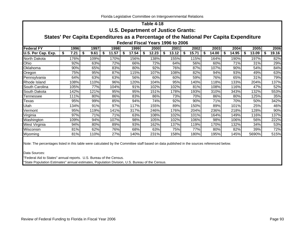|                    |                                                                              |                                                                                        |            |             | Table 4-18 |                                           |               |            |            |            |  |       |  |  |  |
|--------------------|------------------------------------------------------------------------------|----------------------------------------------------------------------------------------|------------|-------------|------------|-------------------------------------------|---------------|------------|------------|------------|--|-------|--|--|--|
|                    |                                                                              |                                                                                        |            |             |            | <b>U.S. Department of Justice Grants:</b> |               |            |            |            |  |       |  |  |  |
|                    |                                                                              | States' Per Capita Expenditures as a Percentage of the National Per Capita Expenditure |            |             |            |                                           |               |            |            |            |  |       |  |  |  |
|                    |                                                                              |                                                                                        |            |             |            | Federal Fiscal Years 1996 to 2006         |               |            |            |            |  |       |  |  |  |
| Federal FY         | 1996                                                                         | 1997                                                                                   | 1998       | 1999        | 2000       | 2001                                      | 2002          | 2003       | 2004       | 2005       |  | 2006  |  |  |  |
| U.S. Per Cap. Exp. | \$<br>7.21                                                                   | \$<br>9.61                                                                             | 11.57<br>S | 17.54<br>\$ | 12.23<br>S | 13.12<br>S                                | 15.71<br>- \$ | 14.00<br>S | 14.95<br>S | 13.09<br>S |  | 19.16 |  |  |  |
| North Dakota       | 176%                                                                         | 109%                                                                                   | 170%       | 156%        | 138%       | 155%                                      | 115%          | 164%       | 190%       | 197%       |  | 82%   |  |  |  |
| Ohio               | 92%                                                                          | 63%                                                                                    | 72%        | 66%         | 72%        | 64%                                       | 56%           | 60%        | 71%        | 31%        |  | 29%   |  |  |  |
| Oklahoma           | 90%                                                                          | 65%                                                                                    | 83%        | 80%         | 92%        | 76%                                       | 87%           | 107%       | 90%        | 54%        |  | 84%   |  |  |  |
| Oregon             | 75%<br>95%<br>87%<br>115%<br>107%<br>108%<br>82%<br>94%<br>93%<br>49%<br>63% |                                                                                        |            |             |            |                                           |               |            |            |            |  |       |  |  |  |
| Pennsylvania       | 64%                                                                          | 63%                                                                                    | 63%        | 56%         | 60%        | 60%                                       | 59%           | 76%        | 65%        | 31%        |  | 79%   |  |  |  |
| Rhode Island       | 108%                                                                         | 110%                                                                                   | 96%        | 120%        | 104%       | 95%                                       | 140%          | 118%       | 133%       | 204%       |  | 137%  |  |  |  |
| South Carolina     | 105%                                                                         | 77%                                                                                    | 104%       | 91%         | 102%       | 102%                                      | 81%           | 108%       | 116%       | 47%        |  | 52%   |  |  |  |
| South Dakota       | 142%                                                                         | 121%                                                                                   | 95%        | 95%         | 151%       | 178%                                      | 193%          | 310%       | 343%       | 132%       |  | 553%  |  |  |  |
| Tennessee          | 111%                                                                         | 80%                                                                                    | 86%        | 83%         | 86%        | 73%                                       | 70%           | 86%        | 80%        | 125%       |  | 35%   |  |  |  |
| Texas              | 95%                                                                          | 99%                                                                                    | 85%        | 94%         | 74%        | 92%                                       | 90%           | 71%        | 70%        | 50%        |  | 342%  |  |  |  |
| Utah               | 134%                                                                         | 91%                                                                                    | 97%        | 117%        | 155%       | 89%                                       | 150%          | 89%        | 101%       | 25%        |  | 46%   |  |  |  |
| Vermont            | 95%                                                                          | 119%                                                                                   | 141%       | 317%        | 246%       | 176%                                      | 204%          | 236%       | 218%       | 128%       |  | 90%   |  |  |  |
| Virginia           | 97%                                                                          | 71%                                                                                    | 71%        | 63%         | 108%       | 102%                                      | 101%          | 164%       | 149%       | 116%       |  | 137%  |  |  |  |
| Washington         | 109%                                                                         | 94%                                                                                    | 107%       | 98%         | 105%       | 102%                                      | 106%          | 98%        | 106%       | 56%        |  | 222%  |  |  |  |
| West Virginia      | 94%                                                                          | 80%                                                                                    | 89%        | 93%         | 162%       | 137%                                      | 119%          | 170%       | 132%       | 34%        |  | 53%   |  |  |  |
| Wisconsin          | 81%                                                                          | 62%                                                                                    | 76%        | 68%         | 63%        | 75%                                       | 77%           | 80%        | 82%        | 39%        |  | 72%   |  |  |  |
| Wyoming            | 81%                                                                          | 110%                                                                                   | 27%        | 140%        | 231%       | 158%                                      | 180%          | 195%       | 145%       | 5690%      |  | 515%  |  |  |  |

Data Sources:

"Federal Aid to States" annual reports. U.S. Bureau of the Census.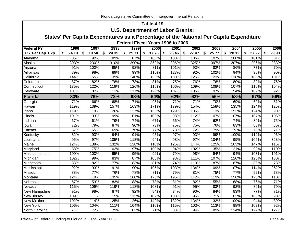|                         |                                                                                                                                       |             |             |             |              |                                         | Table 4-19    |                     |              |               |             |  |  |  |  |  |  |  |  |  |
|-------------------------|---------------------------------------------------------------------------------------------------------------------------------------|-------------|-------------|-------------|--------------|-----------------------------------------|---------------|---------------------|--------------|---------------|-------------|--|--|--|--|--|--|--|--|--|
|                         |                                                                                                                                       |             |             |             |              | <b>U.S. Department of Labor Grants:</b> |               |                     |              |               |             |  |  |  |  |  |  |  |  |  |
|                         | States' Per Capita Expenditures as a Percentage of the National Per Capita Expenditure                                                |             |             |             |              |                                         |               |                     |              |               |             |  |  |  |  |  |  |  |  |  |
|                         |                                                                                                                                       |             |             |             |              |                                         |               |                     |              |               |             |  |  |  |  |  |  |  |  |  |
|                         |                                                                                                                                       |             |             |             |              | Federal Fiscal Years 1996 to 2006       |               |                     |              |               |             |  |  |  |  |  |  |  |  |  |
| <b>Federal FY</b>       | 1996<br>\$                                                                                                                            | 1997        | 1998        | 1999        | 2000         | 2001                                    | 2002<br>27.47 | 2003<br>25.77<br>\$ | 2004         | 2005<br>27.22 | 2006<br>\$  |  |  |  |  |  |  |  |  |  |
| U.S. Per Cap. Exp.      | 24.18                                                                                                                                 | \$<br>19.50 | \$<br>24.35 | \$<br>25.71 | 17.78<br>\$  | \$<br>25.46                             | \$            |                     | \$<br>28.12  | \$            | 29.98       |  |  |  |  |  |  |  |  |  |
| Alabama<br>Alaska       | 86%<br>303%                                                                                                                           | 92%<br>230% | 89%<br>310% | 87%<br>290% | 103%<br>352% | 108%<br>396%                            | 106%<br>325%  | 107%<br>397%        | 108%<br>307% | 101%<br>296%  | 81%<br>283% |  |  |  |  |  |  |  |  |  |
|                         | 91%                                                                                                                                   | 100%        | 95%         | 92%         | 81%          | 101%                                    | 93%           | 82%                 | 86%          | 77%           | 70%         |  |  |  |  |  |  |  |  |  |
| Arizona                 | 89%                                                                                                                                   | 98%         | 89%         | 99%         | 110%         | 127%                                    | 92%           | 102%                | 94%          | 96%           | 90%         |  |  |  |  |  |  |  |  |  |
| Arkansas<br>California  | 144%                                                                                                                                  | 155%        | 139%        | 140%        | 135%         | 130%                                    | 125%          | 123%                | 118%         | 105%          | 101%        |  |  |  |  |  |  |  |  |  |
| Colorado                | 87%                                                                                                                                   | 82%         | 78%         | 73%         | 81%          | 75%                                     | 76%           | 76%                 | 80%          | 82%           | 76%         |  |  |  |  |  |  |  |  |  |
|                         |                                                                                                                                       | 122%        |             | 126%        | 115%         |                                         | 109%          | 108%                | 107%         | 110%          | 104%        |  |  |  |  |  |  |  |  |  |
| Connecticut<br>Delaware | 135%                                                                                                                                  |             | 119%        |             |              | 106%                                    |               |                     |              |               |             |  |  |  |  |  |  |  |  |  |
|                         | 92%<br>87%<br>111%<br>117%<br>126%<br>106%<br>97%<br>94%<br>109%<br>101%<br>107%<br>83%<br>76%<br>68%<br>62%<br>58%                   |             |             |             |              |                                         |               |                     |              |               |             |  |  |  |  |  |  |  |  |  |
|                         | <b>Florida</b><br>72%<br>64%<br>62%<br>56%<br>67%<br>56%<br>68%<br>95%<br>71%<br>70%<br>69%<br>71%<br>66%<br>71%<br>71%<br>69%<br>61% |             |             |             |              |                                         |               |                     |              |               |             |  |  |  |  |  |  |  |  |  |
| Georgia                 |                                                                                                                                       |             |             |             |              |                                         |               |                     |              |               |             |  |  |  |  |  |  |  |  |  |
| Hawaii                  | 119%                                                                                                                                  | 139%        | 157%        | 163%        | 171%         | 179%                                    | 154%          | 158%                | 135%         | 124%          | 125%        |  |  |  |  |  |  |  |  |  |
| Idaho                   | 119%                                                                                                                                  | 119%        | 126%        | 127%        | 135%         | 129%                                    | 136%          | 113%                | 153%         | 124%          | 90%         |  |  |  |  |  |  |  |  |  |
| Illinois                | 101%                                                                                                                                  | 93%         | 99%         | 101%        | 102%         | 98%                                     | 112%          | 107%                | 107%         | 107%          | 105%        |  |  |  |  |  |  |  |  |  |
| Indiana                 | 67%                                                                                                                                   | 61%         | 79%         | 74%         | 67%          | 66%                                     | 74%           | 62%                 | 74%          | 89%           | 75%         |  |  |  |  |  |  |  |  |  |
| lowa                    | 72%                                                                                                                                   | 79%         | 87%         | 90%         | 73%          | 75%                                     | 75%           | 76%                 | 83%          | 83%           | 85%         |  |  |  |  |  |  |  |  |  |
| Kansas                  | 67%                                                                                                                                   | 65%         | 69%         | 76%         | 77%          | 78%                                     | 72%           | 79%                 | 73%          | 70%           | 71%         |  |  |  |  |  |  |  |  |  |
| Kentucky                | 82%                                                                                                                                   | 93%         | 94%         | 91%         | 95%          | 97%                                     | 93%           | 99%                 | 109%         | 112%          | 96%         |  |  |  |  |  |  |  |  |  |
| ouisiana.               | 95%                                                                                                                                   | 97%         | 105%        | 113%        | 94%          | 98%                                     | 97%           | 104%                | 99%          | 105%          | 363%        |  |  |  |  |  |  |  |  |  |
| Maine                   | 124%                                                                                                                                  | 138%        | 132%        | 138%        | 110%         | 126%                                    | 144%          | 125%                | 163%         | 147%          | 116%        |  |  |  |  |  |  |  |  |  |
| Maryland                | 88%                                                                                                                                   | 75%         | 102%        | 97%         | 100%         | 94%                                     | 102%          | 135%                | 121%         | 92%           | 110%        |  |  |  |  |  |  |  |  |  |
| Massachusetts           | 109%                                                                                                                                  | 103%        | 95%         | 95%         | 92%          | 79%                                     | 98%           | 94%                 | 94%          | 103%          | 101%        |  |  |  |  |  |  |  |  |  |
| Michigan                | 102%                                                                                                                                  | 99%         | 83%         | 87%         | 108%         | 98%                                     | 111%          | 107%                | 120%         | 128%          | 130%        |  |  |  |  |  |  |  |  |  |
| Minnesota               | 83%                                                                                                                                   | 82%         | 77%         | 83%         | 81%          | 74%                                     | 110%          | 87%                 | 87%          | 88%           | 78%         |  |  |  |  |  |  |  |  |  |
| Mississippi             | 92%                                                                                                                                   | 93%         | 91%         | 90%         | 105%         | 103%                                    | 134%          | 109%                | 107%         | 114%          | 252%        |  |  |  |  |  |  |  |  |  |
| Missouri                | 88%                                                                                                                                   | 77%         | 76%         | 78%         | 81%          | 79%                                     | 81%           | 75%                 | 77%          | 92%           | 78%         |  |  |  |  |  |  |  |  |  |
| Montana                 | 124%                                                                                                                                  | 119%        | 135%        | 160%        | 175%         | 196%                                    | 142%          | 119%                | 156%         | 123%          | 110%        |  |  |  |  |  |  |  |  |  |
| Nebraska                | 67%                                                                                                                                   | 53%         | 83%         | 83%         | 78%          | 81%                                     | 82%           | 55%                 | 68%          | 76%           | 71%         |  |  |  |  |  |  |  |  |  |
| Nevada                  | 115%                                                                                                                                  | 109%        | 119%        | 118%        | 108%         | 91%                                     | 95%           | 83%                 | 92%          | 89%           | 70%         |  |  |  |  |  |  |  |  |  |
| New Hampshire           | 91%                                                                                                                                   | 98%         | 87%         | 92%         | 84%          | 74%                                     | 90%           | 84%                 | 83%          | 77%           | 71%         |  |  |  |  |  |  |  |  |  |
| <b>New Jersey</b>       | 109%                                                                                                                                  | 111%        | 115%        | 113%        | 102%         | 103%                                    | 96%           | 71%                 | 83%          | 103%          | 90%         |  |  |  |  |  |  |  |  |  |
| <b>New Mexico</b>       | 102%                                                                                                                                  | 114%        | 125%        | 126%        | 142%         | 132%                                    | 134%          | 132%                | 109%         | 94%           | 89%         |  |  |  |  |  |  |  |  |  |
| <b>New York</b>         | 106%                                                                                                                                  | 104%        | 111%        | 104%        | 110%         | 115%                                    | 103%          | 113%                | 98%          | 102%          | 92%         |  |  |  |  |  |  |  |  |  |
| North Carolina          | 71%                                                                                                                                   | 72%         | 79%         | 82%         | 71%          | 83%                                     | 94%           | 89%                 | 114%         | 122%          | 127%        |  |  |  |  |  |  |  |  |  |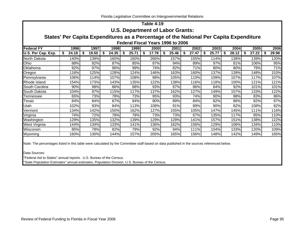|                    |             |                                                                                        |             |             | Table 4-19  |                                         |             |             |             |            |       |
|--------------------|-------------|----------------------------------------------------------------------------------------|-------------|-------------|-------------|-----------------------------------------|-------------|-------------|-------------|------------|-------|
|                    |             |                                                                                        |             |             |             | <b>U.S. Department of Labor Grants:</b> |             |             |             |            |       |
|                    |             | States' Per Capita Expenditures as a Percentage of the National Per Capita Expenditure |             |             |             |                                         |             |             |             |            |       |
|                    |             |                                                                                        |             |             |             | Federal Fiscal Years 1996 to 2006       |             |             |             |            |       |
| <b>Federal FY</b>  | 1996        | 1997                                                                                   | 1998        | 1999        | 2000        | 2001                                    | 2002        | 2003        | 2004        | 2005       | 2006  |
| U.S. Per Cap. Exp. | \$<br>24.18 | \$<br>19.50                                                                            | 24.35<br>\$ | 25.71<br>\$ | \$<br>17.78 | 25.46<br>- \$                           | \$<br>27.47 | 25.77<br>\$ | \$<br>28.12 | 27.22<br>S | 29.98 |
| North Dakota       | 140%        | 139%                                                                                   | 160%        | 160%        | 266%        | 157%                                    | 155%        | 114%        | 138%        | 139%       | 120%  |
| Ohio               | 88%         | 82%                                                                                    | 87%         | 85%         | 87%         | 94%                                     | 89%         | 97%         | 81%         | 106%       | 95%   |
| Oklahoma           | 92%         | 97%                                                                                    | 96%         | 99%         | 74%         | 82%                                     | 71%         | 80%         | 80%         | 79%        | 71%   |
| Oregon             | 116%        | 125%                                                                                   | 128%        | 124%        | 146%        | 163%                                    | 160%        | 137%        | 139%        | 148%       | 153%  |
| Pennsylvania       | 106%        | 114%                                                                                   | 107%        | 108%        | 98%         | 105%                                    | 110%        | 109%        | 107%        | 117%       | 107%  |
| Rhode Island       | 154%        | 173%                                                                                   | 143%        | 135%        | 122%        | 138%                                    | 116%        | 118%        | 100%        | 121%       | 121%  |
| South Carolina     | 90%         | 98%                                                                                    | 86%         | 88%         | 93%         | 87%                                     | 86%         | 84%         | 92%         | 101%       | 101%  |
| South Dakota       | 104%        | 87%                                                                                    | 115%        | 117%        | 137%        | 162%                                    | 127%        | 149%        | 157%        | 133%       | 122%  |
| Tennessee          | 65%         | 73%                                                                                    | 78%         | 73%         | 95%         | 93%                                     | 74%         | 90%         | 98%         | 83%        | 86%   |
| <b>Texas</b>       | 84%         | 84%                                                                                    | 87%         | 84%         | 80%         | 89%                                     | 84%         | 82%         | 86%         | 82%        | 87%   |
| Utah               | 102%        | 93%                                                                                    | 84%         | 113%        | 108%        | 91%                                     | 89%         | 90%         | 82%         | 108%       | 82%   |
| Vermont            | 134%        | 142%                                                                                   | 150%        | 162%        | 127%        | 155%                                    | 105%        | 147%        | 145%        | 111%       | 116%  |
| Virginia           | 74%         | 72%                                                                                    | 78%         | 78%         | 73%         | 73%                                     | 67%         | 135%        | 117%        | 85%        | 110%  |
| Washington         | 129%        | 135%                                                                                   | 132%        | 139%        | 129%        | 129%                                    | 141%        | 157%        | 151%        | 138%       | 122%  |
| West Virginia      | 144%        | 134%                                                                                   | 133%        | 141%        | 136%        | 162%                                    | 156%        | 129%        | 106%        | 134%       | 110%  |
| Wisconsin          | 85%         | 78%                                                                                    | 82%         | 79%         | 92%         | 94%                                     | 111%        | 104%        | 133%        | 120%       | 109%  |
| Wyoming            | 160%        | 130%                                                                                   | 144%        | 157%        | 205%        | 165%                                    | 156%        | 148%        | 142%        | 149%       | 165%  |

Data Sources:

"Federal Aid to States" annual reports. U.S. Bureau of the Census.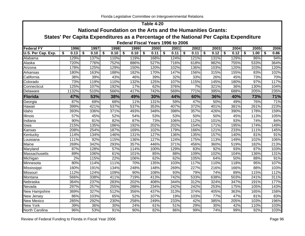|                      |                                                                                        |            |                                                                   |                                   | Table 4-20 |      |            |            |            |            |            |            |
|----------------------|----------------------------------------------------------------------------------------|------------|-------------------------------------------------------------------|-----------------------------------|------------|------|------------|------------|------------|------------|------------|------------|
|                      |                                                                                        |            | <b>National Foundation on the Arts and the Humanities Grants:</b> |                                   |            |      |            |            |            |            |            |            |
|                      | States' Per Capita Expenditures as a Percentage of the National Per Capita Expenditure |            |                                                                   |                                   |            |      |            |            |            |            |            |            |
|                      |                                                                                        |            |                                                                   |                                   |            |      |            |            |            |            |            |            |
|                      |                                                                                        |            |                                                                   | Federal Fiscal Years 1996 to 2006 |            |      |            |            |            |            |            |            |
| <b>Federal FY</b>    | 1996                                                                                   | 1997       | 1998                                                              | 1999                              |            | 2000 | 2001       | 2002       | 2003       | 2004       | 2005       | 2006       |
| U.S. Per Cap. Exp.   | \$<br>0.13                                                                             | \$<br>0.10 | \$<br>0.10                                                        | 0.10<br>\$                        | \$<br>0.11 |      | \$<br>0.11 | \$<br>0.11 | 0.12<br>\$ | 0.12<br>\$ | 1.00<br>S. | \$<br>0.86 |
| Alabama              | 129%                                                                                   | 137%       | 110%                                                              | 119%                              | 168%       |      | 124%       | 121%       | 131%       | 129%       | 86%        | 94%        |
| Alaska               | 720%                                                                                   | 776%       | 752%                                                              | 886%                              | 527%       |      | 716%       | 618%       | 982%       | 755%       | 533%       | 364%       |
| Arizona              | 178%                                                                                   | 125%       | 129%                                                              | 150%                              | 120%       |      | 102%       | 136%       | 103%       | 120%       | 103%       | 120%       |
| Arkansas             | 180%                                                                                   | 163%       | 188%                                                              | 182%                              | 170%       |      | 147%       | 156%       | 315%       | 155%       | 83%        | 102%       |
| California           | 38%                                                                                    | 39%        | 43%                                                               | 46%                               |            | 39%  | 32%        | 33%        | 26%        | 45%        | 73%        | 70%        |
| Colorado             | 73%                                                                                    | 119%       | 110%                                                              | 132%                              | 125%       |      | 107%       | 115%       | 145%       | 180%       | 97%        | 117%       |
| Connecticut          | 125%                                                                                   | 107%       | 192%                                                              | 17%                               |            | 62%  | 376%       | 7%         | 321%       | 36%        | 130%       | 104%       |
| <b>IDelaware</b>     | 1132%                                                                                  | 510%       | 566%                                                              | 417%                              | 742%       |      | 569%       | 771%       | 395%       | 688%       | 205%       | 235%       |
| <b>Florida</b>       | 47%                                                                                    | 53%        | 38%                                                               | 49%                               | 30%        |      | 44%        | 60%        | 36%        | 40%        | 73%        | 71%        |
| Georgia              | 87%                                                                                    | 69%        | 68%                                                               | 11%                               | 131%       |      | 59%        | 47%        | 50%        | 49%        | 76%        | 71%        |
| Hawaii               | 399%                                                                                   | 421%       | 537%                                                              | 537%                              | 353%       |      | 407%       | 372%       | 401%       | 381%       | 261%       | 223%       |
| Idaho                | 393%                                                                                   | 336%       | 371%                                                              | 493%                              | 348%       |      | 398%       | 357%       | 426%       | 390%       | 178%       | 159%       |
| Illinois             | 57%                                                                                    | 45%        | 52%                                                               | 54%                               |            | 53%  | 53%        | 50%        | 50%        | 45%        | 113%       | 105%       |
| Indiana              | 90%                                                                                    | 81%        | 82%                                                               | 87%                               |            | 73%  | 106%       | 112%       | 101%       | 93%        | 74%        | 84%        |
| Iowa                 | 215%                                                                                   | 135%       | 186%                                                              | 192%                              | 202%       |      | 202%       | 154%       | 171%       | 195%       | 174%       | 149%       |
| Kansas               | 208%                                                                                   | 254%       | 187%                                                              | 169%                              | 102%       |      | 179%       | 166%       | 121%       | 233%       | 111%       | 145%       |
| Kentucky             | 114%                                                                                   | 134%       | 146%                                                              | 131%                              | 127%       |      | 136%       | 135%       | 157%       | 140%       | 81%        | 91%        |
| ouisianaـ            | 111%                                                                                   | 92%        | 115%                                                              | 136%                              | 127%       |      | 124%       | 175%       | 113%       | 149%       | 102%       | 106%       |
| Maine                | 269%                                                                                   | 342%       | 293%                                                              | 357%                              | 446%       |      | 371%       | 456%       | 360%       | 519%       | 182%       | 213%       |
| Maryland             | 87%                                                                                    | 128%       | 57%                                                               | 114%                              | 100%       |      | 129%       | 83%        | 92%        | 93%        | 87%        | 103%       |
| <b>Massachusetts</b> | 89%                                                                                    | 106%       | 61%                                                               | 101%                              |            | 85%  | 88%        | 109%       | 102%       | 104%       | 136%       | 131%       |
| Michigan             | 2%                                                                                     | 115%       | 22%                                                               | 106%                              |            | 62%  | 62%        | 105%       | 64%        | 50%        | 88%        | 91%        |
| Minnesota            | 80%                                                                                    | 114%       | 111%                                                              | 70%                               | 135%       |      | 103%       | 117%       | 110%       | 118%       | 95%        | 107%       |
| Mississippi          | 160%                                                                                   | 191%       | 134%                                                              | 248%                              | 148%       |      | 269%       | 227%       | 216%       | 166%       | 88%        | 103%       |
| Missouri             | 112%                                                                                   | 124%       | 109%                                                              | 90%                               | 108%       |      | 93%        | 79%        | 74%        | 89%        | 115%       | 112%       |
| Montana              | 566%                                                                                   | 338%       | 411%                                                              | 719%                              | 413%       |      | 742%       | 533%       | 638%       | 503%       | 241%       | 311%       |
| Nebraska             | 364%                                                                                   | 237%       | 283%                                                              | 202%                              | 408%       |      | 344%       | 312%       | 324%       | 347%       | 191%       | 177%       |
| Nevada               | 297%                                                                                   | 257%       | 255%                                                              | 288%                              | 234%       |      | 242%       | 242%       | 253%       | 175%       | 105%       | 143%       |
| <b>New Hampshire</b> | 369%                                                                                   | 327%       | 512%                                                              | 356%                              | 437%       |      | 313%       | 374%       | 405%       | 363%       | 165%       | 158%       |
| New Jersey           | 86%                                                                                    | 103%       | 65%                                                               | 52%                               | 107%       |      | 19%        | 103%       | 77%        | 47%        | 81%        | 83%        |
| <b>New Mexico</b>    | 285%                                                                                   | 292%       | 230%                                                              | 258%                              | 249%       |      | 233%       | 42%        | 385%       | 205%       | 103%       | 196%       |
| <b>New York</b>      | 39%                                                                                    | 36%        | 30%                                                               | 24%                               |            | 61%  | 51%        | 29%        | 30%        | 42%        | 110%       | 103%       |
| North Carolina       | 96%                                                                                    | 53%        | 91%                                                               | 90%                               |            | 82%  | 86%        | 99%        | 74%        | 99%        | 92%        | 103%       |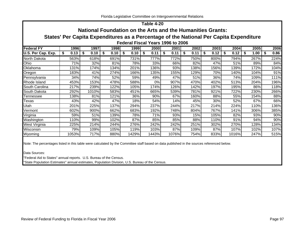|                    |                                                                                                                             |                                                                   |           |            | Table 4-20 |           |              |              |            |            |             |  |  |  |  |
|--------------------|-----------------------------------------------------------------------------------------------------------------------------|-------------------------------------------------------------------|-----------|------------|------------|-----------|--------------|--------------|------------|------------|-------------|--|--|--|--|
|                    |                                                                                                                             | <b>National Foundation on the Arts and the Humanities Grants:</b> |           |            |            |           |              |              |            |            |             |  |  |  |  |
|                    |                                                                                                                             |                                                                   |           |            |            |           |              |              |            |            |             |  |  |  |  |
|                    | States' Per Capita Expenditures as a Percentage of the National Per Capita Expenditure<br>Federal Fiscal Years 1996 to 2006 |                                                                   |           |            |            |           |              |              |            |            |             |  |  |  |  |
| <b>Federal FY</b>  | 1996                                                                                                                        | 1997                                                              | 1998      | 1999       | 2000       | 2001      | 2002         | 2003         | 2004       | 2005       | 2006        |  |  |  |  |
| U.S. Per Cap. Exp. | S<br>0.13                                                                                                                   | - \$<br>0.10                                                      | S<br>0.10 | 0.10<br>\$ | \$<br>0.11 | S<br>0.11 | - \$<br>0.11 | 0.12<br>- \$ | 0.12<br>\$ | 1.00<br>\$ | 0.86<br>- 5 |  |  |  |  |
| North Dakota       | 267%<br>224%<br>563%<br>618%<br>691%<br>731%<br>777%<br>772%<br>750%<br>800%<br>794%                                        |                                                                   |           |            |            |           |              |              |            |            |             |  |  |  |  |
| Ohio               | 81%<br>78%<br>66%<br>82%<br>47%<br>51%<br>89%<br>84%<br>71%<br>32%<br>33%                                                   |                                                                   |           |            |            |           |              |              |            |            |             |  |  |  |  |
| Oklahoma           | 131%<br>174%<br>134%<br>201%<br>93%<br>138%<br>156%<br>139%<br>172%<br>104%<br>136%                                         |                                                                   |           |            |            |           |              |              |            |            |             |  |  |  |  |
| Oregon             | 104%<br>91%<br>183%<br>41%<br>274%<br>166%<br>135%<br>155%<br>129%<br>70%<br>140%                                           |                                                                   |           |            |            |           |              |              |            |            |             |  |  |  |  |
| Pennsylvania       | 34%                                                                                                                         | 74%                                                               | 52%       | 59%        | 49%        | 47%       | 51%          | 36%          | 74%        | 109%       | 111%        |  |  |  |  |
| Rhode Island       | 453%                                                                                                                        | 153%                                                              | 478%      | 588%       | $0\%$      | 907%      | 470%         | 402%         | 513%       | 204%       | 196%        |  |  |  |  |
| South Carolina     | 217%                                                                                                                        | 239%                                                              | 122%      | 105%       | 174%       | 126%      | 142%         | 197%         | 195%       | 86%        | 118%        |  |  |  |  |
| South Dakota       | 292%                                                                                                                        | 1010%                                                             | 583%      | 451%       | 665%       | 539%      | 781%         | 921%         | 722%       | 230%       | 266%        |  |  |  |  |
| Tennessee          | 138%                                                                                                                        | 81%                                                               | 121%      | 36%        | 90%        | 67%       | 160%         | 88%          | 55%        | 154%       | 88%         |  |  |  |  |
| Texas              | 43%                                                                                                                         | 42%                                                               | 47%       | 18%        | 54%        | 14%       | 45%          | 30%          | 52%        | 67%        | 66%         |  |  |  |  |
| Utah               | 201%                                                                                                                        | 225%                                                              | 137%      | 294%       | 237%       | 244%      | 217%         | 214%         | 224%       | 110%       | 136%        |  |  |  |  |
| Vermont            | 602%                                                                                                                        | 900%                                                              | 662%      | 683%       | 192%       | 748%      | 804%         | 767%         | 141%       | 306%       | 385%        |  |  |  |  |
| Virginia           | 59%                                                                                                                         | 51%                                                               | 139%      | 78%        | 71%        | 93%       | 15%          | 105%         | 82%        | 93%        | 90%         |  |  |  |  |
| Washington         | 110%                                                                                                                        | 99%                                                               | 102%      | 87%        | 85%        | 85%       | 88%          | 110%         | 91%        | 94%        | 90%         |  |  |  |  |
| West Virginia      | 225%                                                                                                                        | 214%                                                              | 244%      | 276%       | 242%       | 242%      | 251%         | 302%         | 270%       | 128%       | 134%        |  |  |  |  |
| Wisconsin          | 79%                                                                                                                         | 109%                                                              | 105%      | 119%       | 103%       | 87%       | 109%         | 87%          | 107%       | 102%       | 107%        |  |  |  |  |
| Wyoming            | 1053%                                                                                                                       | 717%                                                              | 880%      | 1429%      | 1443%      | 1076%     | 754%         | 833%         | 1016%      | 247%       | 515%        |  |  |  |  |

Data Sources:

"Federal Aid to States" annual reports. U.S. Bureau of the Census.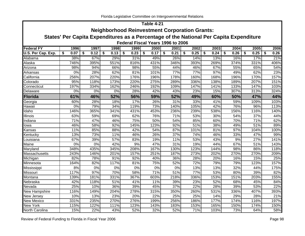|                       |                                                                                        |                  |                                                      |                                   | Table 4-21 |            |            |            |            |            |            |
|-----------------------|----------------------------------------------------------------------------------------|------------------|------------------------------------------------------|-----------------------------------|------------|------------|------------|------------|------------|------------|------------|
|                       |                                                                                        |                  | <b>Neighborhood Reinvestment Corporation Grants:</b> |                                   |            |            |            |            |            |            |            |
|                       | States' Per Capita Expenditures as a Percentage of the National Per Capita Expenditure |                  |                                                      |                                   |            |            |            |            |            |            |            |
|                       |                                                                                        |                  |                                                      |                                   |            |            |            |            |            |            |            |
|                       |                                                                                        |                  |                                                      | Federal Fiscal Years 1996 to 2006 |            |            |            |            |            |            |            |
| <b>Federal FY</b>     | 1996                                                                                   | 1997             | 1998                                                 | 1999                              | 2000       | 2001       | 2002       | 2003       | 2004       | 2005       | 2006       |
| U.S. Per Cap. Exp.    | 0.07<br>\$                                                                             | \$<br>0.12       | \$<br>0.13                                           | \$<br>0.23                        | \$<br>0.17 | \$<br>0.21 | \$<br>0.25 | 0.24<br>\$ | \$<br>0.26 | \$<br>0.25 | \$<br>0.26 |
| Alabama               | 38%                                                                                    | 67%              | 29%                                                  | 31%                               | 49%        | 26%        | 14%        | 13%        | 16%        | 17%        | 21%        |
| Alaska                | 746%                                                                                   | 395%             | 551%                                                 | 816%                              | 431%       | 346%       | 393%       | 269%       | 374%       | 331%       | 406%       |
| Arizona               | 98%                                                                                    | 94%              | 66%                                                  | 98%                               | 55%        | 44%        | 46%        | 67%        | 55%        | 65%        | 54%        |
| Arkansas              | 0%                                                                                     | 28%              | 62%                                                  | 81%                               | 101%       | 77%        | 77%        | 97%        | 49%        | 62%        | 23%        |
| California            | 256%                                                                                   | 207%             | 220%                                                 | 176%                              | 196%       | 178%       | 160%       | 168%       | 196%       | 170%       | 157%       |
| Colorado              | 95%                                                                                    | 118%             | 173%                                                 | 220%                              | 275%       | 289%       | 336%       | 138%       | 189%       | 207%       | 151%       |
| Connecticut           | 197%                                                                                   | 334%             | 162%                                                 | 246%                              | 192%       | 109%       | 147%       | 141%       | 133%       | 147%       | 103%       |
| <b>IDelaware</b>      | 0%                                                                                     | 0%               | 0%                                                   | 28%                               | 42%        | 43%        | 23%        | 15%        | 307%       | 313%       | 324%       |
| <b>Florida</b>        | 61%                                                                                    | 46%              | 52%                                                  | 56%                               | 59%        | 52%        | 49%        | 60%        | 50%        | 47%        | 44%        |
| Georgia               | 60%                                                                                    | 28%              | 18%                                                  | 17%                               | 26%        | 31%        | 33%        | 41%        | 59%        | 109%       | 103%       |
| Hawaii                | 0%                                                                                     | 79%              | 34%                                                  | 119%                              | 73%        | 140%       | 105%       | 42%        | 76%        | 96%        | 113%       |
| Idaho                 | 146%                                                                                   | 365%             | 341%                                                 | 431%                              | 453%       | 236%       | 239%       | 538%       | 156%       | 116%       | 140%       |
| Illinois              | 63%                                                                                    | 59%              | 69%                                                  | 62%                               | 76%        | 71%        | 53%        | 30%        | 54%        | 37%        | 44%        |
| Indiana               | 71%                                                                                    | 47%              | 46%                                                  | 75%                               | 50%        | 54%        | 85%        | 60%        | 70%        | 71%        | 62%        |
| Iowa                  | 46%                                                                                    | 58%              | 92%                                                  | 145%                              | 123%       | 92%        | 51%        | 38%        | 49%        | 51%        | 89%        |
| Kansas                | 11%                                                                                    | 85%              | 88%                                                  | 42%                               | 54%        | 87%        | 101%       | 81%        | 97%        | 104%       | 100%       |
| Kentucky              | 13%                                                                                    | 73%              | 11%                                                  | 46%                               | 26%        | 37%        | 74%        | 46%        | 33%        | 47%        | 99%        |
| ouisianaـ             | 67%                                                                                    | 39%              | 57%                                                  | 83%                               | 19%        | 11%        | 53%        | 43%        | 9%         | 27%        | 141%       |
| Maine                 | 0%                                                                                     | $\overline{0\%}$ | 42%                                                  | 9%                                | 47%        | 31%        | 19%        | 44%        | 67%        | 51%        | 143%       |
| Maryland              | 348%                                                                                   | 435%             | 345%                                                 | 208%                              | 167%       | 130%       | 123%       | 144%       | 98%        | 86%        | 118%       |
| Massachusetts         | 243%                                                                                   | 146%             | 201%                                                 | 157%                              | 251%       | 187%       | 273%       | 202%       | 270%       | 270%       | 209%       |
| Michigan              | 82%                                                                                    | 78%              | 91%                                                  | 92%                               | 40%        | 36%        | 28%        | 20%        | 16%        | 15%        | 25%        |
| Minnesota             | 164%                                                                                   | 82%              | 117%                                                 | 81%                               | 75%        | 52%        | 72%        | 79%        | 79%        | 123%       | 157%       |
| Mississippi           | 8%                                                                                     | 0%               | 0%                                                   | 0%                                | 0%         | 0%         | 13%        | 13%        | 32%        | 44%        | 175%       |
| Missouri              | 117%                                                                                   | 97%              | 70%                                                  | 58%                               | 71%        | 51%        | 77%        | 53%        | 80%        | 39%        | 82%        |
| Montana               | 139%                                                                                   | 181%             | 331%                                                 | 367%                              | 603%       | 218%       | 336%       | 153%       | 151%       | 203%       | 155%       |
| Nebraska              | 42%                                                                                    | 118%             | 51%                                                  | 41%                               | 11%        | 39%        | 23%        | 52%        | 68%        | 45%        | 84%        |
| Nevada                | 25%                                                                                    | 10%              | 36%                                                  | 39%                               | 45%        | 37%        | 22%        | 28%        | 39%        | 53%        | 22%        |
| <b>New Hampshire</b>  | 116%                                                                                   | 149%             | 204%                                                 | 278%                              | 315%       | 350%       | 260%       | 531%       | 336%       | 407%       | 393%       |
| New Jersey            | 10%                                                                                    | 13%              | 23%                                                  | 20%                               | 22%        | 25%        | 25%        | 14%        | 29%        | 28%        | 21%        |
| New Mexico            | 331%                                                                                   | 235%             | 270%                                                 | 276%                              | 199%       | 256%       | 186%       | 177%       | 174%       | 116%       | 197%       |
| New York              | 115%                                                                                   | 122%             | 111%                                                 | 123%                              | 143%       | 183%       | 153%       | 165%       | 150%       | 174%       | 150%       |
| <b>North Carolina</b> | 15%                                                                                    | 22%              | 43%                                                  | 52%                               | 32%        | 52%        | 71%        | 103%       | 73%        | 64%        | 58%        |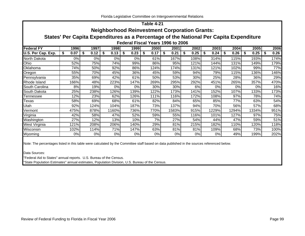|                                                                                                                             |                                                                                      |            |                                                      |            | Table 4-21 |           |            |            |            |            |            |  |  |  |
|-----------------------------------------------------------------------------------------------------------------------------|--------------------------------------------------------------------------------------|------------|------------------------------------------------------|------------|------------|-----------|------------|------------|------------|------------|------------|--|--|--|
|                                                                                                                             |                                                                                      |            | <b>Neighborhood Reinvestment Corporation Grants:</b> |            |            |           |            |            |            |            |            |  |  |  |
|                                                                                                                             |                                                                                      |            |                                                      |            |            |           |            |            |            |            |            |  |  |  |
| States' Per Capita Expenditures as a Percentage of the National Per Capita Expenditure<br>Federal Fiscal Years 1996 to 2006 |                                                                                      |            |                                                      |            |            |           |            |            |            |            |            |  |  |  |
| <b>Federal FY</b>                                                                                                           | 2006<br>1997<br>1999<br>2001<br>2002<br>2003<br>2005<br>1996<br>1998<br>2000<br>2004 |            |                                                      |            |            |           |            |            |            |            |            |  |  |  |
| U.S. Per Cap. Exp.                                                                                                          | \$<br>0.07                                                                           | \$<br>0.12 | \$<br>0.13                                           | 0.23<br>\$ | \$<br>0.17 | 0.21<br>S | \$<br>0.25 | \$<br>0.24 | 0.26<br>\$ | 0.25<br>\$ | 0.26<br>-S |  |  |  |
| 0%<br>0%<br>0%<br>167%<br>108%<br>115%<br>193%<br>174%<br>North Dakota<br>0%<br>61%<br>314%                                 |                                                                                      |            |                                                      |            |            |           |            |            |            |            |            |  |  |  |
| Ohio<br>52%<br>99%<br>149%<br>75%<br>74%<br>86%<br>95%<br>121%<br>144%<br>131%<br>179%                                      |                                                                                      |            |                                                      |            |            |           |            |            |            |            |            |  |  |  |
| Oklahoma<br>74%<br>50%<br>92%<br>86%<br>131%<br>121%<br>102%<br>99%<br>77%<br>124%<br>174%                                  |                                                                                      |            |                                                      |            |            |           |            |            |            |            |            |  |  |  |
| Oregon<br>55%<br>136%<br>146%<br>70%<br>45%<br>36%<br>45%<br>59%<br>94%<br>79%<br>115%                                      |                                                                                      |            |                                                      |            |            |           |            |            |            |            |            |  |  |  |
| Pennsylvania                                                                                                                | 35%                                                                                  | 69%        | 42%                                                  | 61%        | 50%        | 53%       | 30%        | 25%        | 28%        | 36%        | 29%        |  |  |  |
| Rhode Island                                                                                                                | 166%                                                                                 | 48%        | 223%                                                 | 147%       | 269%       | 295%      | 292%       | 451%       | 265%       | 357%       | 470%       |  |  |  |
| South Carolina                                                                                                              | 8%                                                                                   | 19%        | 0%                                                   | 0%         | 30%        | 30%       | 6%         | 0%         | 0%         | 0%         | 16%        |  |  |  |
| South Dakota                                                                                                                | 25%                                                                                  | 238%       | 126%                                                 | 139%       | 122%       | 173%      | 141%       | 152%       | 107%       | 133%       | 173%       |  |  |  |
| Tennessee                                                                                                                   | 12%                                                                                  | 23%        | 62%                                                  | 126%       | 111%       | 116%      | 172%       | 108%       | 97%        | 78%        | 74%        |  |  |  |
| Texas                                                                                                                       | 58%                                                                                  | 69%        | 68%                                                  | 61%        | 82%        | 84%       | 65%        | 85%        | 77%        | 63%        | 54%        |  |  |  |
| Utah                                                                                                                        | 92%                                                                                  | 124%       | 104%                                                 | 187%       | 73%        | 137%      | 94%        | 70%        | 56%        | 57%        | 68%        |  |  |  |
| Vermont                                                                                                                     | 475%                                                                                 | 878%       | 1160%                                                | 736%       | 770%       | 1583%     | 915%       | 1229%      | 1294%      | 1334%      | 951%       |  |  |  |
| Virginia                                                                                                                    | 42%                                                                                  | 58%        | 47%                                                  | 52%        | 59%        | 55%       | 116%       | 101%       | 127%       | 97%        | 75%        |  |  |  |
| Washington                                                                                                                  | 27%                                                                                  | 12%        | 13%                                                  | 10%        | 7%         | 27%       | 54%        | 44%        | 47%        | 59%        | 51%        |  |  |  |
| West Virginia                                                                                                               | 121%                                                                                 | 208%       | 206%                                                 | 140%       | 29%        | 81%       | 215%       | 182%       | 110%       | 120%       | 118%       |  |  |  |
| Wisconsin                                                                                                                   | 102%                                                                                 | 114%       | 71%                                                  | 147%       | 63%        | 81%       | 81%        | 109%       | 68%        | 73%        | 100%       |  |  |  |
| Wyoming                                                                                                                     | 0%                                                                                   | 0%         | 0%                                                   | 0%         | 0%         | 0%        | 0%         | 0%         | 49%        | 199%       | 202%       |  |  |  |

Data Sources:

"Federal Aid to States" annual reports. U.S. Bureau of the Census.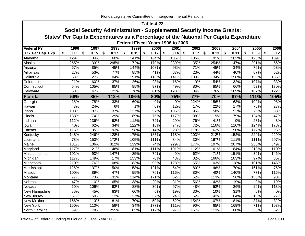|                                         |                                                                                        |                                                                              |                    |                                   | Table 4-22         |                    |                    |                    |                    |                    |                    |
|-----------------------------------------|----------------------------------------------------------------------------------------|------------------------------------------------------------------------------|--------------------|-----------------------------------|--------------------|--------------------|--------------------|--------------------|--------------------|--------------------|--------------------|
|                                         |                                                                                        | <b>Social Security Administration - Supplemental Security Income Grants:</b> |                    |                                   |                    |                    |                    |                    |                    |                    |                    |
|                                         | States' Per Capita Expenditures as a Percentage of the National Per Capita Expenditure |                                                                              |                    |                                   |                    |                    |                    |                    |                    |                    |                    |
|                                         |                                                                                        |                                                                              |                    |                                   |                    |                    |                    |                    |                    |                    |                    |
|                                         |                                                                                        |                                                                              |                    | Federal Fiscal Years 1996 to 2006 |                    |                    |                    |                    |                    |                    |                    |
| <b>Federal FY</b><br>U.S. Per Cap. Exp. | 1996<br>\$<br>0.11                                                                     | 1997<br>\$<br>0.15                                                           | 1998<br>\$<br>0.17 | 1999<br>\$<br>0.19                | 2000<br>\$<br>0.17 | 2001<br>\$<br>0.14 | 2002<br>\$<br>0.17 | 2003<br>\$<br>0.11 | 2004<br>\$<br>0.11 | 2005<br>\$<br>0.09 | 2006<br>\$<br>0.12 |
|                                         | 129%                                                                                   | 104%                                                                         | 60%                | 141%                              | 164%               | 105%               | 136%               | 91%                | 162%               | 123%               | 109%               |
| Alabama<br>Alaska                       | 265%                                                                                   | 33%                                                                          | 295%               | 72%                               | 170%               | 239%               | 35%                | 254%               | 147%               | 291%               | 56%                |
| Arizona                                 | 67%                                                                                    | 85%                                                                          | 45%                | 144%                              | 108%               | 93%                | 71%                | 45%                | 34%                | 79%                | 63%                |
| Arkansas                                | 27%                                                                                    | 53%                                                                          | 77%                | 85%                               | 41%                | 67%                | 23%                | 44%                | 40%                | 67%                | 52%                |
| California                              | 53%                                                                                    | 27%                                                                          | 104%               | 191%                              | 116%               | 141%               | 130%               | 134%               | 158%               | 158%               | 135%               |
| Colorado                                | 21%                                                                                    | 60%                                                                          | 37%                | 26%                               | 23%                | 16%                | 9%                 | 54%                | 32%                | 107%               | 33%                |
| Connecticut                             | 54%                                                                                    | 105%                                                                         | 85%                | 85%                               | 97%                | 49%                | 80%                | 85%                | 66%                | 52%                | 170%               |
| Delaware                                | 60%                                                                                    | 47%                                                                          | 21%                | 78%                               | 81%                | 123%               | 84%                | 76%                | 109%               | 187%               | 122%               |
| Florida                                 | 56%                                                                                    | 85%                                                                          | 112%               | 106%                              | 80%                | 75%                | 77%                | 70%                | 87%                | 111%               | 105%               |
| Georgia                                 | 18%                                                                                    | 78%                                                                          | 33%                | 69%                               | 0%                 | 0%                 | 224%               | 156%               | 63%                | 109%               | 98%                |
| Hawaii                                  | 3%                                                                                     | 24%                                                                          | 6%                 | 1%                                | 0%                 | 12%                | 17%                | 22%                | 17%                | 75%                | 27%                |
| Idaho                                   | 108%                                                                                   | 87%                                                                          | 137%               | 127%                              | 57%                | 106%               | 96%                | 58%                | 52%                | 73%                | 33%                |
| Illinois                                | 183%                                                                                   | 174%                                                                         | 129%               | 89%                               | 76%                | 117%               | 88%                | 119%               | 79%                | 124%               | 47%                |
| Indiana                                 | 112%                                                                                   | 136%                                                                         | 92%                | 112%                              | 72%                | 29%                | 76%                | 41%                | 9%                 | 23%                | 3%                 |
| Iowa                                    | 40%                                                                                    | 62%                                                                          | 34%                | 122%                              | 16%                | 74%                | 72%                | 116%               | 110%               | 124%               | 178%               |
| Kansas                                  | 116%                                                                                   | 105%                                                                         | 93%                | 58%                               | 14%                | 23%                | 118%               | 162%               | 90%                | 177%               | 96%                |
| Kentuckv                                | 148%                                                                                   | 246%                                                                         | 128%               | 175%                              | 183%               | 118%               | 203%               | 212%               | 152%               | 229%               | 229%               |
| ouisiana.                               | 78%                                                                                    | 150%                                                                         | 172%               | 105%                              | 111%               | 84%                | 30%                | 167%               | 111%               | 111%               | 207%               |
| Maine                                   | 131%                                                                                   | 106%                                                                         | 312%               | 139%                              | 74%                | 229%               | 177%               | 107%               | 207%               | 238%               | 349%               |
| Maryland                                | 117%                                                                                   | 121%                                                                         | 48%                | 81%                               | 111%               | 101%               | 112%               | 161%               | 84%                | 210%               | 110%               |
| <b>Massachusetts</b>                    | 101%                                                                                   | 93%                                                                          | 147%               | 85%                               | 79%                | 49%                | 62%                | 71%                | 151%               | 39%                | 146%               |
| Michigan                                | 117%                                                                                   | 149%                                                                         | 17%                | 153%                              | 70%                | 43%                | 82%                | 166%               | 103%               | 97%                | 85%                |
| Minnesota                               | 210%                                                                                   | 76%                                                                          | 108%               | 83%                               | 99%                | 128%               | 65%                | 103%               | 118%               | 101%               | 145%               |
| Mississippi                             | 126%                                                                                   | 137%                                                                         | 150%               | 158%                              | 121%               | 54%                | 80%                | 46%                | 70%                | 161%               | 76%                |
| Missouri                                | 100%                                                                                   | 89%                                                                          | 47%                | 55%                               | 76%                | 116%               | 80%                | 40%                | 140%               | 77%                | 116%               |
| Montana                                 | 77%                                                                                    | 73%                                                                          | 131%               | 114%                              | 171%               | 52%                | 62%                | 113%               | 56%                | 153%               | 98%                |
| Nebraska                                | 47%                                                                                    | $\overline{0\%}$                                                             | 65%                | 38%                               | 29%                | 31%                | 56%                | 42%                | 19%                | 0%                 | 19%                |
| lNevada                                 | 60%                                                                                    | 106%                                                                         | 92%                | 88%                               | 30%                | 97%                | 48%                | 52%                | 26%                | 20%                | 113%               |
| <b>New Hampshire</b>                    | 86%                                                                                    | 45%                                                                          | 83%                | 60%                               | 6%                 | 19%                | 30%                | 10%                | 31%                | 0%                 | $0\%$              |
| New Jersey                              | 61%                                                                                    | 50%                                                                          | 12%                | 37%                               | 32%                | 24%                | 52%                | 42%                | 64%                | 15%                | 27%                |
| <b>New Mexico</b>                       | 156%                                                                                   | 113%                                                                         | 81%                | 70%                               | 50%                | 62%                | 154%               | 107%               | 181%               | 87%                | 82%                |
| New York                                | 150%                                                                                   | 110%                                                                         | 59%                | 34%                               | 177%               | 111%               | 90%                | 65%                | 169%               | 71%                | 103%               |
| <b>North Carolina</b>                   | 89%                                                                                    | 178%                                                                         | 255%               | 85%                               | 112%               | 97%                | 157%               | 113%               | 60%                | 36%                | 62%                |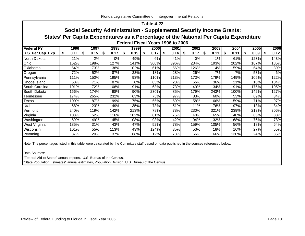|                                                                                                                                        |                                                                                           |                                                                                        |            |            | Table 4-22 |            |            |            |           |           |      |  |  |  |  |
|----------------------------------------------------------------------------------------------------------------------------------------|-------------------------------------------------------------------------------------------|----------------------------------------------------------------------------------------|------------|------------|------------|------------|------------|------------|-----------|-----------|------|--|--|--|--|
|                                                                                                                                        |                                                                                           | <b>Social Security Administration - Supplemental Security Income Grants:</b>           |            |            |            |            |            |            |           |           |      |  |  |  |  |
|                                                                                                                                        |                                                                                           | States' Per Capita Expenditures as a Percentage of the National Per Capita Expenditure |            |            |            |            |            |            |           |           |      |  |  |  |  |
|                                                                                                                                        |                                                                                           |                                                                                        |            |            |            |            |            |            |           |           |      |  |  |  |  |
| Federal Fiscal Years 1996 to 2006<br><b>Federal FY</b><br>2000<br>2002<br>2003<br>2005<br>1996<br>1997<br>1998<br>1999<br>2001<br>2004 |                                                                                           |                                                                                        |            |            |            |            |            |            |           |           |      |  |  |  |  |
|                                                                                                                                        |                                                                                           |                                                                                        |            |            |            |            |            |            |           |           | 2006 |  |  |  |  |
| U.S. Per Cap. Exp.                                                                                                                     | \$<br>0.11                                                                                | \$<br>0.15                                                                             | \$<br>0.17 | \$<br>0.19 | \$<br>0.17 | \$<br>0.14 | \$<br>0.17 | \$<br>0.11 | 0.11<br>S | 0.09<br>S | 0.12 |  |  |  |  |
| North Dakota                                                                                                                           | 21%                                                                                       | 2%                                                                                     | 0%         | 49%        | 6%         | 41%        | 0%         | 1%         | 61%       | 123%      | 143% |  |  |  |  |
| Ohio                                                                                                                                   | 162%                                                                                      | 198%                                                                                   | 127%       | 141%       | 360%       | 396%       | 234%       | 193%       | 202%      | 167%      | 185% |  |  |  |  |
| Oklahoma                                                                                                                               | 64%                                                                                       | 73%                                                                                    | 38%        | 102%       | 61%        | 56%        | 126%       | 114%       | 59%       | 64%       | 39%  |  |  |  |  |
| Oregon                                                                                                                                 | 72%                                                                                       | 52%                                                                                    | 87%        | 33%        | 18%        | 28%        | 26%        | 7%         | 7%        | 53%       |      |  |  |  |  |
| Pennsylvania                                                                                                                           | 6%<br>195%<br>179%<br>149%<br>105%<br>122%<br>111%<br>150%<br>93%<br>110%<br>213%<br>173% |                                                                                        |            |            |            |            |            |            |           |           |      |  |  |  |  |
| Rhode Island                                                                                                                           | 50%                                                                                       | 71%                                                                                    | 87%        | 0%         | 83%        | 28%        | 66%        | 36%        | 21%       | 10%       | 104% |  |  |  |  |
| South Carolina                                                                                                                         | 101%                                                                                      | 72%                                                                                    | 108%       | 91%        | 63%        | 73%        | 49%        | 134%       | 91%       | 175%      | 105% |  |  |  |  |
| South Dakota                                                                                                                           | 166%                                                                                      | 174%                                                                                   | 98%        | 90%        | 230%       | 85%        | 179%       | 243%       | 100%      | 142%      | 127% |  |  |  |  |
| Tennessee                                                                                                                              | 174%                                                                                      | 265%                                                                                   | 232%       | 63%        | 75%        | 97%        | 83%        | 60%        | 53%       | 69%       | 34%  |  |  |  |  |
| Texas                                                                                                                                  | 109%                                                                                      | 87%                                                                                    | 99%        | 75%        | 65%        | 69%        | 58%        | 66%        | 59%       | 71%       | 97%  |  |  |  |  |
| Utah                                                                                                                                   | 68%                                                                                       | 23%                                                                                    | 49%        | 35%        | 73%        | 51%        | 11%        | 76%        | 97%       | 13%       | 84%  |  |  |  |  |
| Vermont                                                                                                                                | 240%                                                                                      | 119%                                                                                   | 142%       | 213%       | 78%        | 78%        | 230%       | 321%       | 239%      | 213%      | 306% |  |  |  |  |
| Virginia                                                                                                                               | 108%                                                                                      | 52%                                                                                    | 116%       | 102%       | 81%        | 75%        | 48%        | 65%        | 40%       | 85%       | 83%  |  |  |  |  |
| Washington                                                                                                                             | 59%                                                                                       | 49%                                                                                    | 45%        | 108%       | 93%        | 42%        | 94%        | 32%        | 68%       | 76%       | 78%  |  |  |  |  |
| West Virginia                                                                                                                          | 185%                                                                                      | 31%                                                                                    | 43%        | 47%        | 52%        | 78%        | 159%       | 105%       | 56%       | 18%       | 64%  |  |  |  |  |
| Wisconsin                                                                                                                              | 101%                                                                                      | 55%                                                                                    | 113%       | 43%        | 124%       | 35%        | 53%        | 18%        | 16%       | 27%       | 55%  |  |  |  |  |
| Wyoming                                                                                                                                | 37%                                                                                       | 20%                                                                                    | 37%        | 68%        | 12%        | 73%        | 56%        | 66%        | 130%      | 24%       | 35%  |  |  |  |  |

Data Sources:

"Federal Aid to States" annual reports. U.S. Bureau of the Census.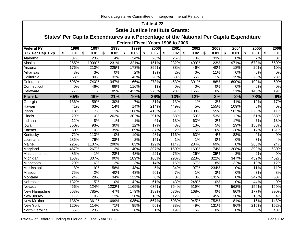|                      |                                                                                        |            |            |                  | Table 4-23 |                                        |            |                  |                  |            |                  |
|----------------------|----------------------------------------------------------------------------------------|------------|------------|------------------|------------|----------------------------------------|------------|------------------|------------------|------------|------------------|
|                      |                                                                                        |            |            |                  |            | <b>State Justice Institute Grants:</b> |            |                  |                  |            |                  |
|                      | States' Per Capita Expenditures as a Percentage of the National Per Capita Expenditure |            |            |                  |            |                                        |            |                  |                  |            |                  |
|                      |                                                                                        |            |            |                  |            | Federal Fiscal Years 1996 to 2006      |            |                  |                  |            |                  |
| <b>Federal FY</b>    | 1996                                                                                   | 1997       | 1998       | 1999             | 2000       | 2001                                   | 2002       | 2003             | 2004             | 2005       | 2006             |
| U.S. Per Cap. Exp.   | \$<br>0.01                                                                             | \$<br>0.01 | \$<br>0.02 | 0.02<br>\$       | \$<br>0.02 | \$<br>0.02                             | 0.02<br>\$ | 0.01<br>\$       | \$<br>0.01       | \$<br>0.01 | \$<br>0.01       |
| Alabama              | 87%                                                                                    | 123%       | 4%         | 34%              | 26%        | 26%                                    | 13%        | 33%              | 8%               | 7%         | $\overline{0\%}$ |
| Alaska               | 255%                                                                                   | 1009%      | 231%       | 321%             | 151%       | 232%                                   | 499%       | 23%              | 971%             | 673%       | 660%             |
| Arizona              | 176%                                                                                   | 210%       | 225%       | 173%             | 395%       | 38%                                    | 46%        | 40%              | 18%              | 26%        | 10%              |
| Arkansas             | 8%                                                                                     | 3%         | 0%         | 2%               | 19%        | 2%                                     | 0%         | 11%              | 0%               | 6%         | 0%               |
| California           | 53%                                                                                    | 80%        | 32%        | 43%              | 20%        | 68%                                    | 55%        | 1%               | 19%              | 25%        | 28%              |
| Colorado             | 598%                                                                                   | 740%       | 347%       | 166%             | 273%       | 453%                                   | 301%       | 86%              | 690%             | 109%       | 60%              |
| Connecticut          | 0%                                                                                     | 46%        | 69%        | 116%             | 1%         | 0%                                     | 0%         | 0%               | 0%               | 0%         | 0%               |
| <b>IDelaware</b>     | 77%                                                                                    | 11%        | 185%       | 1422%            | 273%       | 23%                                    | 156%       | $\overline{0\%}$ | 21%              | 146%       | 19%              |
| <b>Florida</b>       | 65%                                                                                    | 49%        | 21%        | 10%              | 26%        | 13%                                    | 12%        | 2%               | 2%               | 78%        | 6%               |
| Georgia              | 136%                                                                                   | 59%        | 30%        | $\overline{7\%}$ | 81%        | 13%                                    | $1\%$      | 3%               | 41%              | 19%        | 17%              |
| Hawaii               | 41%                                                                                    | 63%        | 14%        | 14%              | 214%       | 449%                                   | 5%         | 155%             | 109%             | 0%         | 0%               |
| Idaho                | 18%                                                                                    | 7%         | 11%        | 106%             | 415%       | 551%                                   | 108%       | 55%              | 582%             | 323%       | 11%              |
| Illinois             | 29%                                                                                    | 10%        | 262%       | 302%             | 291%       | 58%                                    | 53%        | 53%              | 12%              | 61%        | 358%             |
| Indiana              | 12%                                                                                    | 8%         | 1%         | 1%               | 6%         | 13%                                    | 63%        | 2%               | 17%              | 7%         | 13%              |
| Iowa                 | 350%                                                                                   | 93%        | 30%        | 12%              | 17%        | 8%                                     | 13%        | 5%               | 29%              | 150%       | 38%              |
| Kansas               | 30%                                                                                    | 0%         | 39%        | 69%              | 87%        | 2%                                     | 5%         | 6%               | 38%              | 17%        | 151%             |
| Kentucky             | 72%                                                                                    | 113%       | 0%         | 19%              | 28%        | 116%                                   | 63%        | 4%               | 83%              | 0%         | 0%               |
| ouisianaـ            | 286%                                                                                   | 76%        | 38%        | $\overline{2\%}$ | 15%        | $1\%$                                  | 1%         | $\overline{0\%}$ | 0%               | 3%         | 4%               |
| Maine                | 226%                                                                                   | 1107%      | 290%       | 83%              | 129%       | 114%                                   | 234%       | 69%              | $\overline{0\%}$ | 268%       | 24%              |
| Maryland             | 457%                                                                                   | 267%       | 2%         | 40%              | 307%       | 150%                                   | 169%       | 174%             | 208%             | 399%       | 630%             |
| <b>Massachusetts</b> | 85%                                                                                    | $1\%$      | 28%        | 48%              | 22%        | 75%                                    | 26%        | 35%              | 3%               | 2%         | $0\%$            |
| Michigan             | 153%                                                                                   | 307%       | 90%        | 189%             | 166%       | 296%                                   | 223%       | 322%             | 347%             | 452%       | 452%             |
| Minnesota            | 20%                                                                                    | 16%        | 2%         | 3%               | 14%        | 16%                                    | 67%        | 18%              | 132%             | 12%        | 12%              |
| Mississippi          | 8%                                                                                     | 9%         | 58%        | 48%              | 5%         | 34%                                    | 97%        | 234%             | 0%               | 11%        | 11%              |
| Missouri             | 75%                                                                                    | 2%         | 40%        | 43%              | 50%        | 7%                                     | 1%         | 3%               | 0%               | 3%         | 8%               |
| Montana              | 24%                                                                                    | 28%        | 34%        | 122%             | 0%         | 0%                                     | 0%         | 131%             | 0%               | 247%       | 68%              |
| Nebraska             | 132%                                                                                   | 15%        | $0\%$      | 42%              | 61%        | 43%                                    | 248%       | 0%               | $0\%$            | 44%        | 0%               |
| Nevada               | 466%                                                                                   | 124%       | 1232%      | 1169%            | 635%       | 764%                                   | 519%       | 7%               | 562%             | 159%       | 160%             |
| <b>New Hampshire</b> | 568%                                                                                   | 785%       | 47%        | 179%             | 189%       | 636%                                   | 168%       | 0%               | 80%              | 177%       | 390%             |
| New Jersey           | 11%                                                                                    | 10%        | 12%        | 20%              | 16%        | 12%                                    | 1%         | 45%              | 38%              | 18%        | 4%               |
| <b>New Mexico</b>    | 136%                                                                                   | 361%       | 699%       | 935%             | 567%       | 508%                                   | 945%       | 753%             | 181%             | 16%        | 148%             |
| New York             | 120%                                                                                   | 114%       | 71%        | 95%              | 56%        | 33%                                    | 49%        | 131%             | 96%              | 215%       | 152%             |
| North Carolina       | 65%                                                                                    | 23%        | 60%        | 8%               | 1%         | 19%                                    | 15%        | 0%               | 0%               | 30%        | 40%              |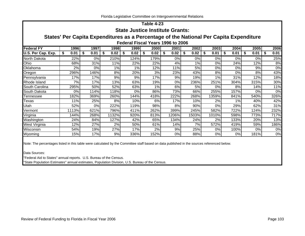|                                                                                                                             |                                                                                      |            |                        |                                        | Table 4-23 |                        |              |           |           |           |            |  |  |  |  |
|-----------------------------------------------------------------------------------------------------------------------------|--------------------------------------------------------------------------------------|------------|------------------------|----------------------------------------|------------|------------------------|--------------|-----------|-----------|-----------|------------|--|--|--|--|
|                                                                                                                             |                                                                                      |            |                        | <b>State Justice Institute Grants:</b> |            |                        |              |           |           |           |            |  |  |  |  |
|                                                                                                                             |                                                                                      |            |                        |                                        |            |                        |              |           |           |           |            |  |  |  |  |
| States' Per Capita Expenditures as a Percentage of the National Per Capita Expenditure<br>Federal Fiscal Years 1996 to 2006 |                                                                                      |            |                        |                                        |            |                        |              |           |           |           |            |  |  |  |  |
| <b>Federal FY</b>                                                                                                           | 2005<br>2006<br>1996<br>1997<br>1998<br>1999<br>2001<br>2002<br>2003<br>2004<br>2000 |            |                        |                                        |            |                        |              |           |           |           |            |  |  |  |  |
| U.S. Per Cap. Exp.                                                                                                          | S<br>0.01                                                                            | \$<br>0.01 | S<br>0.02 <sub>1</sub> | 0.02<br>\$                             | 0.02<br>-S | 0.02 <sub>1</sub><br>S | - \$<br>0.02 | S<br>0.01 | 0.01<br>S | 0.01<br>S | 0.01<br>S. |  |  |  |  |
| North Dakota                                                                                                                | 25%<br>22%<br>210%<br>124%<br>179%<br>0%<br>0%<br>0%<br>0%<br>0%<br>0%               |            |                        |                                        |            |                        |              |           |           |           |            |  |  |  |  |
| Ohio                                                                                                                        | 31%<br>24%<br>12%<br>8%<br>68%<br>11%<br>22%<br>4%<br>1%<br>0%<br>22%                |            |                        |                                        |            |                        |              |           |           |           |            |  |  |  |  |
| Oklahoma                                                                                                                    | 0%<br>1%<br>9%<br>2%<br>0%<br>1%<br>12%<br>11%<br>5%<br>0%<br>0%                     |            |                        |                                        |            |                        |              |           |           |           |            |  |  |  |  |
| Oregon                                                                                                                      | 43%<br>146%<br>8%<br>43%<br>0%<br>8%<br>296%<br>20% <br>3%<br>23%<br>8%              |            |                        |                                        |            |                        |              |           |           |           |            |  |  |  |  |
| Pennsylvania                                                                                                                | 17%                                                                                  | 17%        | 9%                     | 9%                                     | 17%        | 9%                     | 19%          | 1%        | 31%       | 12%       | 18%        |  |  |  |  |
| Rhode Island                                                                                                                | 7%                                                                                   | 17%        | 13%                    | 63%                                    | 19%        | 0%                     | 236%         | 251%      | 304%      | 315%      | 30%        |  |  |  |  |
| South Carolina                                                                                                              | 295%                                                                                 | 50%        | 52%                    | 63%                                    | 1%         | 6%                     | 5%           | 0%        | 8%        | 14%       | 11%        |  |  |  |  |
| South Dakota                                                                                                                | 0%                                                                                   | 114%       | 118%                   | 0%                                     | 86%        | 73%                    | 66%          | 255%      | 157%      | 0%        | 0%         |  |  |  |  |
| Tennessee                                                                                                                   | 182%                                                                                 | 369%       | 260%                   | 144%                                   | 418%       | 222%                   | 268%         | 1359%     | 841%      | 540%      | 326%       |  |  |  |  |
| Texas                                                                                                                       | 11%                                                                                  | 25%        | 8%                     | 10%                                    | 6%         | 17%                    | 10%          | 2%        | 1%        | 40%       | 42%        |  |  |  |  |
| Utah                                                                                                                        | 52%                                                                                  | 0%         | 222%                   | 119%                                   | 98%        | 8%                     | 90%          | 0%        | 29%       | 62%       | 31%        |  |  |  |  |
| Vermont                                                                                                                     | 1113%                                                                                | 621%       | 796%                   | 411%                                   | 262%       | 399%                   | 245%         | 582%      | 722%      | 124%      | 232%       |  |  |  |  |
| Virginia                                                                                                                    | 144%                                                                                 | 268%       | 1132%                  | 920%                                   | 813%       | 1206%                  | 1503%        | 1010%     | 598%      | 773%      | 717%       |  |  |  |  |
| Washington                                                                                                                  | 24%                                                                                  | 84%        | 127%                   | 42%                                    | 65%        | 134%                   | 24%          | 2%        | 133%      | 20%       | 13%        |  |  |  |  |
| West Virginia                                                                                                               | 12%                                                                                  | 27%        | 2%                     | 50%                                    | 61%        | 14%                    | 7%           | 572%      | 419%      | 59%       | 186%       |  |  |  |  |
| Wisconsin                                                                                                                   | 54%                                                                                  | 19%        | 27%                    | 17%                                    | 2%         | 9%                     | 25%          | 0%        | 100%      | 0%        | 0%         |  |  |  |  |
| Wyoming                                                                                                                     | 15%                                                                                  | 17%        | 9%                     | 336%                                   | 152%       | 0%                     | 88%          | 0%        | 0%        | 181%      | $0\%$      |  |  |  |  |

Data Sources:

"Federal Aid to States" annual reports. U.S. Bureau of the Census.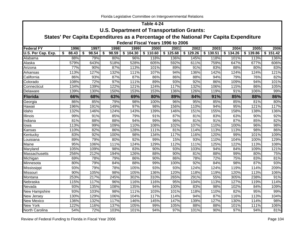|                      |                                                                                        |             |             |                                   | Table 4-24 |          |                                                  |          |          |          |          |
|----------------------|----------------------------------------------------------------------------------------|-------------|-------------|-----------------------------------|------------|----------|--------------------------------------------------|----------|----------|----------|----------|
|                      |                                                                                        |             |             |                                   |            |          | <b>U.S. Department of Transportation Grants:</b> |          |          |          |          |
|                      |                                                                                        |             |             |                                   |            |          |                                                  |          |          |          |          |
|                      | States' Per Capita Expenditures as a Percentage of the National Per Capita Expenditure |             |             |                                   |            |          |                                                  |          |          |          |          |
|                      |                                                                                        |             |             | Federal Fiscal Years 1996 to 2006 |            |          |                                                  |          |          |          |          |
| <b>Federal FY</b>    | 1996                                                                                   | 1997        | 1998        | 1999                              | 2000       | 2001     | 2002                                             | 2003     | 2004     | 2005     | 2006     |
| U.S. Per Cap. Exp.   | \$<br>88.43                                                                            | \$<br>98.54 | \$<br>98.59 | \$104.30                          | \$110.60   | \$125.68 | \$129.26                                         | \$130.51 | \$134.26 | \$139.86 | \$151.42 |
| Alabama              | 88%                                                                                    | 79%         | 80%         | 96%                               | 118%       | 136%     | 145%                                             | 118%     | 101%     | 113%     | 136%     |
| Alaska               | 579%                                                                                   | 643%        | 518%        | 528%                              | 605%       | 592%     | 611%                                             | 759%     | 647%     | 677%     | 606%     |
| Arizona              | 77%                                                                                    | 90%         | 87%         | 113%                              | 101%       | 89%      | 91%                                              | 83%      | 88%      | 80%      | 83%      |
| Arkansas             | 113%                                                                                   | 127%        | 132%        | 111%                              | 107%       | 94%      | 136%                                             | 142%     | 124%     | 124%     | 121%     |
| California           | 86%                                                                                    | 93%         | 87%         | 87%                               | 86%        | 86%      | 88%                                              | 94%      | 79%      | 76%      | 82%      |
| Colorado             | 108%                                                                                   | 72%         | 97%         | 111%                              | 89%        | 93%      | 92%                                              | 86%      | 109%     | 94%      | 101%     |
| Connecticut          | 134%                                                                                   | 139%        | 122%        | 121%                              | 124%       | 117%     | 132%                                             | 106%     | 115%     | 86%      | 105%     |
| Delaware             | 139%                                                                                   | 130%        | 150%        | 153%                              | 153%       | 136%     | 126%                                             | 119%     | 91%      | 106%     | 99%      |
| <b>Florida</b>       | 66%                                                                                    | 68%         | 63%         | 69%                               | 80%        | 89%      | 84%                                              | 91%      | 85%      | 88%      | 86%      |
| Georgia              | 86%                                                                                    | 85%         | 79%         | 98%                               | 100%       | 96%      | 95%                                              | 85%      | 85%      | 81%      | 80%      |
| Hawaii               | 196%                                                                                   | 191%        | 149%        | 97%                               | 98%        | 156%     | 110%                                             | 94%      | 95%      | 121%     | 117%     |
| Idaho                | 132%                                                                                   | 146%        | 124%        | 143%                              | 139%       | 146%     | 151%                                             | 155%     | 158%     | 138%     | 136%     |
| Illinois             | 99%                                                                                    | 91%         | 85%         | 79%                               | 91%        | 87%      | 81%                                              | 83%      | 63%      | 90%      | 92%      |
| Indiana              | 81%                                                                                    | 88%         | 88%         | 94%                               | 99%        | 96%      | 81%                                              | 91%      | 87%      | 85%      | 82%      |
| lowa                 | 113%                                                                                   | 99%         | 109%        | 110%                              | 108%       | 102%     | 107%                                             | 110%     | 100%     | 96%      | 98%      |
| Kansas               | 110%                                                                                   | 82%         | 86%         | 128%                              | 111%       | 81%      | 114%                                             | 113%     | 113%     | 98%      | 86%      |
| Kentucky             | 83%                                                                                    | 92%         | 100%        | 98%                               | 134%       | 117%     | 116%                                             | 120%     | 99%      | 101%     | 109%     |
| _ouisiana            | 89%                                                                                    | 79%         | 80%         | 92%                               | 99%        | 15%      | 93%                                              | 110%     | 104%     | 100%     | 129%     |
| Maine                | 95%                                                                                    | 106%        | 111%        | 124%                              | 129%       | 112%     | 111%                                             | 125%     | 122%     | 113%     | 108%     |
| Maryland             | 105%                                                                                   | 109%        | 98%         | 83%                               | 90%        | 93%      | 103%                                             | 94%      | 84%      | 109%     | 121%     |
| Massachusetts        | 256%                                                                                   | 212%        | 194%        | 126%                              | 88%        | 90%      | 81%                                              | 88%      | 99%      | 80%      | 75%      |
| Michigan             | 69%                                                                                    | 78%         | 79%         | 86%                               | 90%        | 86%      | 78%                                              | 72%      | 75%      | 83%      | 81%      |
| Minnesota            | 80%                                                                                    | 79%         | 84%         | 88%                               | 99%        | 100%     | 92%                                              | 84%      | 98%      | 87%      | 93%      |
| Mississippi          | 93%                                                                                    | 79%         | 78%         | 105%                              | 93%        | 93%      | 124%                                             | 124%     | 119%     | 114%     | 209%     |
| Missouri             | 90%                                                                                    | 105%        | 98%         | 105%                              | 136%       | 120%     | 118%                                             | 119%     | 120%     | 113%     | 106%     |
| Montana              | 253%                                                                                   | 217%        | 245%        | 302%                              | 310%       | 265%     | 291%                                             | 55%      | 305%     | 238%     | 91%      |
| Nebraska             | 115%                                                                                   | 117%        | 96%         | 116%                              | 116%       | 95%      | 104%                                             | 113%     | 127%     | 119%     | 114%     |
| Nevada               | 93%                                                                                    | 135%        | 108%        | 135%                              | 94%        | 100%     | 83%                                              | 98%      | 102%     | 84%      | 109%     |
| <b>New Hampshire</b> | 93%                                                                                    | 103%        | 98%         | 111%                              | 103%       | 101%     | 118%                                             | 110%     | 82%      | 95%      | 99%      |
| New Jersey           | 130%                                                                                   | 129%        | 106%        | 104%                              | 117%       | 114%     | 94%                                              | 87%      | 116%     | 113%     | 104%     |
| New Mexico           | 136%                                                                                   | 132%        | 117%        | 146%                              | 145%       | 147%     | 139%                                             | 127%     | 130%     | 114%     | 98%      |
| New York             | 122%                                                                                   | 116%        | 137%        | 105%                              | 99%        | 105%     | 88%                                              | 88%      | 101%     | 111%     | 106%     |
| North Carolina       | 54%                                                                                    | 72%         | 103%        | 101%                              | 94%        | 97%      | 101%                                             | 90%      | 97%      | 94%      | 81%      |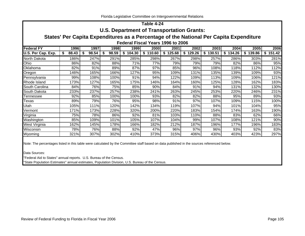|                                                                                                                             |                                                                                                                                                                   |       |   |       |    |       |    |        |    | Table 4-24 |    |        |    |                                                  |    |        |              |              |  |        |
|-----------------------------------------------------------------------------------------------------------------------------|-------------------------------------------------------------------------------------------------------------------------------------------------------------------|-------|---|-------|----|-------|----|--------|----|------------|----|--------|----|--------------------------------------------------|----|--------|--------------|--------------|--|--------|
|                                                                                                                             |                                                                                                                                                                   |       |   |       |    |       |    |        |    |            |    |        |    | <b>U.S. Department of Transportation Grants:</b> |    |        |              |              |  |        |
|                                                                                                                             |                                                                                                                                                                   |       |   |       |    |       |    |        |    |            |    |        |    |                                                  |    |        |              |              |  |        |
| States' Per Capita Expenditures as a Percentage of the National Per Capita Expenditure<br>Federal Fiscal Years 1996 to 2006 |                                                                                                                                                                   |       |   |       |    |       |    |        |    |            |    |        |    |                                                  |    |        |              |              |  |        |
| Federal FY                                                                                                                  |                                                                                                                                                                   | 1996  |   | 1997  |    | 1998  |    | 1999   |    | 2000       |    | 2001   |    | 2002                                             |    | 2003   | 2004         | 2005         |  | 2006   |
| U.S. Per Cap. Exp.                                                                                                          | \$                                                                                                                                                                | 88.43 | S | 98.54 | \$ | 98.59 | \$ | 104.30 | \$ | 110.60     | \$ | 125.68 | \$ | 129.26                                           | \$ | 130.51 | \$<br>134.26 | \$<br>139.86 |  | 151.42 |
| North Dakota                                                                                                                | 291%<br>286%<br>186%<br>247%<br>285%<br>298%<br>267%<br>298%<br>257%<br>303%<br>281%<br>86%<br>82%<br>88%<br>71%<br>79%<br>79%<br>79%<br>82%<br>86%<br>95%<br>77% |       |   |       |    |       |    |        |    |            |    |        |    |                                                  |    |        |              |              |  |        |
| Ohio                                                                                                                        |                                                                                                                                                                   |       |   |       |    |       |    |        |    |            |    |        |    |                                                  |    |        |              |              |  |        |
| Oklahoma                                                                                                                    | 82%<br>87%<br>96%<br>112%<br>91%<br>89%<br>97%<br>85%<br>108%<br>118%<br>112%                                                                                     |       |   |       |    |       |    |        |    |            |    |        |    |                                                  |    |        |              |              |  |        |
| Oregon                                                                                                                      | 146%<br>166%<br>127%<br>131%<br>109%<br>93%<br>165%<br>95%<br>109%<br>135%<br>139%                                                                                |       |   |       |    |       |    |        |    |            |    |        |    |                                                  |    |        |              |              |  |        |
| Pennsylvania                                                                                                                |                                                                                                                                                                   | 99%   |   | 108%  |    | 100%  |    | 91%    |    | 94%        |    | 122%   |    | 109%                                             |    | 113%   | 109%         | 106%         |  | 121%   |
| Rhode Island                                                                                                                |                                                                                                                                                                   | 173%  |   | 127%  |    | 165%  |    | 175%   |    | 146%       |    | 164%   |    | 160%                                             |    | 125%   | 128%         | 162%         |  | 183%   |
| South Carolina                                                                                                              |                                                                                                                                                                   | 84%   |   | 76%   |    | 75%   |    | 85%    |    | 90%        |    | 84%    |    | 91%                                              |    | 94%    | 131%         | 132%         |  | 130%   |
| South Dakota                                                                                                                |                                                                                                                                                                   | 233%  |   | 237%  |    | 257%  |    | 238%   |    | 241%       |    | 263%   |    | 245%                                             |    | 253%   | 220%         | 246%         |  | 231%   |
| Tennessee                                                                                                                   |                                                                                                                                                                   | 92%   |   | 85%   |    | 100%  |    | 100%   |    | 93%        |    | 82%    |    | 82%                                              |    | 88%    | 95%          | 89%          |  | 93%    |
| Texas                                                                                                                       |                                                                                                                                                                   | 89%   |   | 79%   |    | 76%   |    | 95%    |    | 98%        |    | 91%    |    | 97%                                              |    | 107%   | 109%         | 115%         |  | 100%   |
| Utah                                                                                                                        |                                                                                                                                                                   | 105%  |   | 111%  |    | 120%  |    | 142%   |    | 134%       |    | 119%   |    | 107%                                             |    | 94%    | 101%         | 104%         |  | 95%    |
| Vermont                                                                                                                     |                                                                                                                                                                   | 171%  |   | 173%  |    | 228%  |    | 320%   |    | 200%       |    | 220%   |    | 183%                                             |    | 154%   | 174%         | 163%         |  | 190%   |
| Virginia                                                                                                                    |                                                                                                                                                                   | 75%   |   | 78%   |    | 86%   |    | 92%    |    | 81%        |    | 103%   |    | 110%                                             |    | 88%    | 83%          | 62%          |  | 66%    |
| Washington                                                                                                                  |                                                                                                                                                                   | 85%   |   | 109%  |    | 101%  |    | 105%   |    | 107%       |    | 104%   |    | 99%                                              |    | 107%   | 108%         | 121%         |  | 90%    |
| West Virginia                                                                                                               |                                                                                                                                                                   | 162%  |   | 145%  |    | 178%  |    | 166%   |    | 182%       |    | 212%   |    | 187%                                             |    | 196%   | 177%         | 196%         |  | 183%   |
| Wisconsin                                                                                                                   |                                                                                                                                                                   | 78%   |   | 76%   |    | 88%   |    | 92%    |    | 47%        |    | 96%    |    | 97%                                              |    | 96%    | 93%          | 92%          |  | 83%    |
| Wyoming                                                                                                                     |                                                                                                                                                                   | 321%  |   | 307%  |    | 302%  |    | 410%   |    | 373%       |    | 315%   |    | 406%                                             |    | 430%   | 403%         | 423%         |  | 297%   |

Data Sources:

"Federal Aid to States" annual reports. U.S. Bureau of the Census.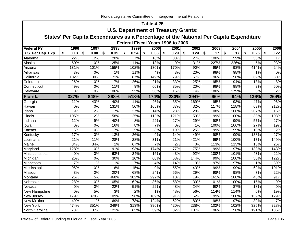|                      |                                                                                        |                  |            |            | Table 4-25 |                                            |            |                       |                       |            |            |
|----------------------|----------------------------------------------------------------------------------------|------------------|------------|------------|------------|--------------------------------------------|------------|-----------------------|-----------------------|------------|------------|
|                      |                                                                                        |                  |            |            |            | <b>U.S. Department of Treasury Grants:</b> |            |                       |                       |            |            |
|                      | States' Per Capita Expenditures as a Percentage of the National Per Capita Expenditure |                  |            |            |            |                                            |            |                       |                       |            |            |
|                      |                                                                                        |                  |            |            |            | Federal Fiscal Years 1996 to 2006          |            |                       |                       |            |            |
| <b>Federal FY</b>    | 1996                                                                                   | 1997             | 1998       | 1999       | 2000       | 2001                                       | 2002       | 2003                  | 2004                  | 2005       | 2006       |
| U.S. Per Cap. Exp.   | \$<br>0.13                                                                             | \$<br>0.08       | \$<br>0.35 | 0.54<br>\$ | \$<br>0.38 | \$<br>0.29                                 | 0.24<br>\$ | \$<br>$\overline{17}$ | $\overline{17}$<br>\$ | 0.25<br>Ŝ. | 0.22<br>\$ |
| Alabama              | 22%                                                                                    | 12%              | 20%        | 7%         | 16%        | 33%                                        | 27%        | 100%                  | 99%                   | 33%        | $1\%$      |
| Alaska               | 60%                                                                                    | $\overline{0\%}$ | 25%        | 11%        | 13%        | 9%                                         | 31%        | 227%                  | 226%                  | 5%         | 93%        |
| Arizona              | 131%                                                                                   | 101%             | 155%       | 102%       | 130%       | 170%                                       | 90%        | 95%                   | 93%                   | 414%       | 24%        |
| Arkansas             | 3%                                                                                     | 0%               | 1%         | 11%        | 4%         | 3%                                         | 20%        | 98%                   | 98%                   | 1%         | 0%         |
| California           | 102%                                                                                   | 30%              | 71%        | 87%        | 149%       | 79%                                        | 67%        | 96%                   | 96%                   | 69%        | 30%        |
| Colorado             | 26%                                                                                    | 0%               | 17%        | 26%        | 21%        | 33%                                        | 25%        | 95%                   | 94%                   | 18%        | 8%         |
| Connecticut          | 49%                                                                                    | 0%               | 11%        | 9%         | 60%        | 35%                                        | 20%        | 98%                   | 98%                   | 3%         | 50%        |
| Delaware             | 0%                                                                                     | 0%               | 106%       | 55%        | 38%        | 15%                                        | 14%        | 180%                  | 179%                  | 5%         | 2%         |
| <b>Florida</b>       | 327%                                                                                   | 848%             | 398%       | 518%       | 174%       | 230%                                       | 394%       | 96%                   | 94%                   | 136%       | 264%       |
| Georgia              | 11%                                                                                    | 43%              | 40%        | 11%        | 26%        | 35%                                        | 169%       | 95%                   | 93%                   | 47%        | 96%        |
| Hawaii               | 0%                                                                                     | 0%               | 131%       | 50%        | 108%       | 87%                                        | 32%        | 117%                  | 118%                  | 63%        | 212%       |
| Idaho                | 9%                                                                                     | 2%               | 7%         | 27%        | 14%        | 28%                                        | 28%        | 108%                  | 106%                  | 207%       | 16%        |
| Illinois             | 105%                                                                                   | 2%               | 58%        | 125%       | 112%       | 121%                                       | 59%        | 99%                   | 100%                  | 38%        | 108%       |
| Indiana              | 12%                                                                                    | 9%               | 40%        | 8%         | 22%        | 27%                                        | 29%        | 98%                   | 99%                   | 57%        | 27%        |
| lowa                 | 0%                                                                                     | 0%               | 16%        | 8%         | 7%         | $0\%$                                      | 1%         | 100%                  | 100%                  | 27%        | 19%        |
| ≺ansas               | 5%                                                                                     | 0%               | 17%        | 5%         | 8%         | 19%                                        | 25%        | 99%                   | 99%                   | 10%        | 2%         |
| Kentucky             | 17%                                                                                    | 0%               | 13%        | 26%        | 9%         | 14%                                        | 49%        | 98%                   | 99%                   | 138%       | 27%        |
| ouisiana.            | 21%                                                                                    | 11%              | 28%        | 28%        | 31%        | 21%                                        | 421%       | 99%                   | 100%                  | 17%        | 149%       |
| Maine                | 84%                                                                                    | 34%              | 1%         | 67%        | 7%         | 2%                                         | 0%         | 113%                  | 113%                  | 13%        | 26%        |
| Maryland             | 128%                                                                                   | 0%               | 91%        | 93%        | 174%       | 77%                                        | 75%        | 99%                   | 97%                   | 133%       | 143%       |
| <b>Massachusetts</b> | 0%                                                                                     | 0%               | 63%        | 24%        | 15%        | 43%                                        | 92%        | 100%                  | 101%                  | 43%        | 22%        |
| Michigan             | 26%                                                                                    | 0%               | 30%        | 10%        | 60%        | 63%                                        | 144%       | 99%                   | 100%                  | 50%        | 122%       |
| Minnesota            | 7%                                                                                     | 1%               | 1%         | 7%         | 4%         | 14%                                        | 9%         | 97%                   | 97%                   | 1%         | 39%        |
| Mississippi          | 95%                                                                                    | $0\%$            | 8%         | 15%        | 9%         | 55%                                        | 43%        | 99%                   | 99%                   | 62%        | 101%       |
| Missouri             | 3%                                                                                     | 0%               | 20%        | 68%        | 24%        | 56%                                        | 29%        | 98%                   | 98%                   | 7%         | 22%        |
| Montana              | 26%                                                                                    | 5%               | 468%       | 302%       | 292%       | 10%                                        | 19%        | 161%                  | 160%                  | 48%        | 91%        |
| Nebraska             | 28%                                                                                    | 0%               | 105%       | 62%        | 36%        | 58%                                        | 30%        | 101%                  | 100%                  | 15%        | 9%         |
| Nevada               | 0%                                                                                     | 0%               | 22%        | 51%        | 22%        | 48%                                        | 24%        | 90%                   | 87%                   | 18%        | 0%         |
| New Hampshire        | 0%                                                                                     | 5%               | 3%         | 2%         | 1%         | 48%                                        | 56%        | 114%                  | 114%                  | 0%         | 19%        |
| New Jersey           | 179%                                                                                   | 379%             | 109%       | 96%        | 189%       | 91%                                        | 52%        | 99%                   | 100%                  | 139%       | 129%       |
| New Mexico           | 49%                                                                                    | 1%               | 69%        | 78%        | 124%       | 62%                                        | 80%        | 98%                   | 97%                   | 30%        | 7%         |
| <b>New York</b>      | 474%                                                                                   | 351%             | 349%       | 313%       | 396%       | 420%                                       | 238%       | 102%                  | 102%                  | 325%       | 228%       |
| North Carolina       | 73%                                                                                    | 37%              | 121%       | 65%        | 39%        | 32%                                        | 107%       | 96%                   | 96%                   | 191%       | 136%       |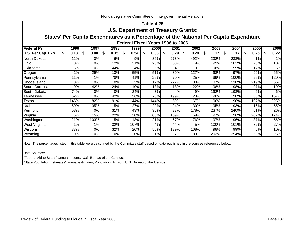|                                                                                                           | Table 4-25                                                                                                                  |            |           |           |                                            |           |              |          |          |           |      |  |  |  |  |
|-----------------------------------------------------------------------------------------------------------|-----------------------------------------------------------------------------------------------------------------------------|------------|-----------|-----------|--------------------------------------------|-----------|--------------|----------|----------|-----------|------|--|--|--|--|
|                                                                                                           |                                                                                                                             |            |           |           | <b>U.S. Department of Treasury Grants:</b> |           |              |          |          |           |      |  |  |  |  |
|                                                                                                           |                                                                                                                             |            |           |           |                                            |           |              |          |          |           |      |  |  |  |  |
|                                                                                                           | States' Per Capita Expenditures as a Percentage of the National Per Capita Expenditure<br>Federal Fiscal Years 1996 to 2006 |            |           |           |                                            |           |              |          |          |           |      |  |  |  |  |
| <b>Federal FY</b><br>1996<br>1997<br>2002<br>2003<br>2004<br>2005<br>2006<br>1998<br>1999<br>2000<br>2001 |                                                                                                                             |            |           |           |                                            |           |              |          |          |           |      |  |  |  |  |
| U.S. Per Cap. Exp.                                                                                        | 0.13<br>S                                                                                                                   | \$<br>0.08 | 0.35<br>S | 0.54<br>S | 0.38<br>S                                  | 0.29<br>S | 0.24<br>- \$ | \$<br>17 | \$<br>17 | 0.25<br>S | 0.22 |  |  |  |  |
| North Dakota                                                                                              | 12%                                                                                                                         | 0%         | 6%        | 9%        | 36%                                        | 273%      | 492%         | 232%     | 233%     | 1%        | 2%   |  |  |  |  |
| Ohio                                                                                                      | 0%                                                                                                                          | 0%         | 12%       | 31%       | 25%                                        | 53%       | 19%          | 99%      | 101%     | 25%       | 10%  |  |  |  |  |
| Oklahoma                                                                                                  | 5%                                                                                                                          | 0%         | 44%       | 4%        | 5%                                         | 4%        | 3%           | 98%      | 99%      | 17%       | 6%   |  |  |  |  |
| Oregon                                                                                                    | 42%                                                                                                                         | 29%        | 13%       | 55%       | 51%                                        | 89%       | 127%         | 98%      | 97%      | 99%       | 65%  |  |  |  |  |
| Pennsylvania                                                                                              | 1%<br>78%<br>26%<br>120%<br>11%<br>41%<br>26%<br>70%<br>25%<br>99%<br>100%                                                  |            |           |           |                                            |           |              |          |          |           |      |  |  |  |  |
| Rhode Island                                                                                              | 0%                                                                                                                          | 0%         | 0%        | 3%        | 12%                                        | 227%      | 30%          | 137%     | 138%     | 219%      | 65%  |  |  |  |  |
| South Carolina                                                                                            | 0%                                                                                                                          | 42%        | 24%       | 10%       | 13%                                        | 18%       | 22%          | 98%      | 98%      | 97%       | 19%  |  |  |  |  |
| South Dakota                                                                                              | 74%                                                                                                                         | 0%         | 0%        | 24%       | 3%                                         | 4%        | 9%           | 192%     | 193%     | 6%        | 6%   |  |  |  |  |
| Tennessee                                                                                                 | 62%                                                                                                                         | 0%         | 42%       | 56%       | 70%                                        | 199%      | 123%         | 98%      | 98%      | 33%       | 167% |  |  |  |  |
| Texas                                                                                                     | 146%                                                                                                                        | 82%        | 191%      | 144%      | 144%                                       | 69%       | 67%          | 96%      | 96%      | 197%      | 225% |  |  |  |  |
| Utah                                                                                                      | 59%                                                                                                                         | 35%        | 15%       | 27%       | 29%                                        | 24%       | 30%          | 95%      | 93%      | 16%       | 55%  |  |  |  |  |
| Vermont                                                                                                   | 53%                                                                                                                         | 0%         | 31%       | 43%       | 95%                                        | 33%       | 178%         | 237%     | 240%     | 61%       | 26%  |  |  |  |  |
| Virginia                                                                                                  | 5%                                                                                                                          | 15%        | 22%       | 30%       | 60%                                        | 109%      | 59%          | 97%      | 96%      | 202%      | 174% |  |  |  |  |
| Washington                                                                                                | 21%                                                                                                                         | 103%       | 15%       | 13%       | 21%                                        | 67%       | 76%          | 97%      | 96%      | 37%       | 56%  |  |  |  |  |
| West Virginia                                                                                             | 1%                                                                                                                          | 1%         | 32%       | 107%      | 4%                                         | 44%       | 5%           | 100%     | 101%     | 82%       | 27%  |  |  |  |  |
| Wisconsin                                                                                                 | 33%                                                                                                                         | 0%         | 32%       | 20%       | 55%                                        | 139%      | 108%         | 98%      | 99%      | 8%        | 10%  |  |  |  |  |
| Wyoming                                                                                                   | 0%                                                                                                                          | 0%         | 0%        | 0%        | 1%                                         | 7%        | 189%         | 293%     | 294%     | 53%       | 26%  |  |  |  |  |

Data Sources:

"Federal Aid to States" annual reports. U.S. Bureau of the Census.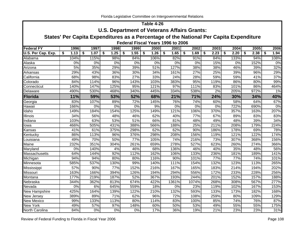|                    |            |                                                                                        |                                                    |                                   | Table 4-26 |                  |            |            |            |            |            |
|--------------------|------------|----------------------------------------------------------------------------------------|----------------------------------------------------|-----------------------------------|------------|------------------|------------|------------|------------|------------|------------|
|                    |            |                                                                                        | <b>U.S. Department of Veterans Affairs Grants:</b> |                                   |            |                  |            |            |            |            |            |
|                    |            | States' Per Capita Expenditures as a Percentage of the National Per Capita Expenditure |                                                    |                                   |            |                  |            |            |            |            |            |
|                    |            |                                                                                        |                                                    | Federal Fiscal Years 1996 to 2006 |            |                  |            |            |            |            |            |
| <b>Federal FY</b>  | 1996       | 1997                                                                                   | 1998                                               | 1999                              | 2000       | 2001             | 2002       | 2003       | 2004       | 2005       | 2006       |
| U.S. Per Cap. Exp. | \$<br>1.13 | \$<br>1.07                                                                             | \$<br>1.25                                         | 1.55<br>\$                        | \$<br>1.26 | \$<br>1.65       | \$<br>1.69 | \$<br>2.23 | 2.20<br>\$ | \$<br>2.38 | \$<br>1.94 |
| Alabama            | 104%       | 115%                                                                                   | 98%                                                | 84%                               | 106%       | 82%              | 91%        | 84%        | 133%       | 94%        | 108%       |
| Alaska             | $0\%$      | 0%                                                                                     | 0%                                                 | $0\%$                             | 0%         | $\overline{0\%}$ | $0\%$      | 15%        | $0\%$      | 152%       | 0%         |
| Arizona            | 5%         | 35%                                                                                    | 29%                                                | 39%                               | 51%        | 127%             | 38%        | 38%        | 46%        | 39%        | 32%        |
| Arkansas           | 29%        | 43%                                                                                    | 36%                                                | 30%                               | 34%        | 161%             | 27%        | 25%        | 39%        | 96%        | 29%        |
| California         | 68%        | 98%                                                                                    | 83%                                                | 27%                               | 33%        | 24%              | 28%        | 59%        | 59%        | 41%        | 37%        |
| Colorado           | 84%        | 114%                                                                                   | 96%                                                | 143%                              | 103%       | 383%             | 95%        | 119%       | 86%        | 80%        | 99%        |
| Connecticut        | 140%       | 147%                                                                                   | 125%                                               | 95%                               | 121%       | 97%              | 111%       | 83%        | 101%       | 86%        | 464%       |
| Delaware           | 490%       | 530%                                                                                   | 468%                                               | 340%                              | 445%       | 334%             | 538%       | 2%         | 205%       | 972%       | 1%         |
| <b>Florida</b>     | 11%        | 59%                                                                                    | 53%                                                | 52%                               | 68%        | 21%              | 71%        | 24%        | 30%        | 34%        | 40%        |
| Georgia            | 83%        | 107%                                                                                   | 89%                                                | 72%                               | 145%       | 76%              | 74%        | 60%        | 58%        | 64%        | 67%        |
| Hawaii             | 166%       | 0%                                                                                     | 0%                                                 | 0%                                | 9%         | 0%               | 0%         | 0%         | 722%       | 690%       | 0%         |
| Idaho              | 149%       | 184%                                                                                   | 154%                                               | 125%                              | 149%       | 121%             | 106%       | 370%       | 357%       | 163%       | 207%       |
| Illinois           | 34%        | 56%                                                                                    | 48%                                                | 46%                               | 62%        | 40%              | 77%        | 67%        | 89%        | 83%        | 83%        |
| Indiana            | 103%       | 63%                                                                                    | 53%                                                | 51%                               | 66%        | 81%              | 48%        | 49%        | 48%        | 39%        | 34%        |
| lowa               | 466%       | 505%                                                                                   | 431%                                               | 388%                              | 566%       | 188%             | 25%        | 211%       | 208%       | 179%       | 224%       |
| Kansas             | 41%        | 61%                                                                                    | 375%                                               | 298%                              | 62%        | 62%              | 90%        | 186%       | 178%       | 69%        | 78%        |
| Kentucky           | 86%        | 113%                                                                                   | 96%                                                | 376%                              | 298%       | 208%             | 156%       | 119%       | 121%       | 122%       | 174%       |
| ouisiana <u>.</u>  | 49%        | 70%                                                                                    | 50%                                                | 77%                               | 105%       | 74%              | 216%       | 73%        | 307%       | 368%       | 156%       |
| Maine              | 232%       | 351%                                                                                   | 304%                                               | 261%                              | 659%       | 278%             | 527%       | 623%       | 260%       | 274%       | 366%       |
| Maryland           | 0%         | 140%                                                                                   | 4%                                                 | 46%                               | 68%        | 136%             | 46%        | 40%        | 35%        | 48%        | 56%        |
| Massachusetts      | 64%        | 144%                                                                                   | 92%                                                | 112%                              | 162%       | 106%             | 133%       | 236%       | 181%       | 189%       | 141%       |
| Michigan           | 94%        | 94%                                                                                    | 80%                                                | 80%                               | 116%       | 90%              | 101%       | 77%        | 77%        | 74%        | 101%       |
| Minnesota          | 585%       | 537%                                                                                   | 130%                                               | 99%                               | 140%       | 111%             | 154%       | 132%       | 123%       | 113%       | 265%       |
| Mississippi        | 57%        | 90%                                                                                    | 77%                                                | 152%                              | 216%       | 167%             | 165%       | 183%       | 214%       | 194%       | 202%       |
| Missouri           | 163%       | 166%                                                                                   | 394%                                               | 126%                              | 194%       | 294%             | 556%       | 172%       | 233%       | 228%       | 256%       |
| Montana            | 177%       | 219%                                                                                   | 187%                                               | 52%                               | 367%       | 193%             | 244%       | 201%       | 152%       | 157%       | 188%       |
| Nebraska           | 344%       | 362%                                                                                   | 813%                                               | 674%                              | 422%       | 1361%            | 1074%      | 268%       | 308%       | 567%       | 277%       |
| Nevada             | 0%         | 6%                                                                                     | 645%                                               | 559%                              | 18%        | 0%               | 23%        | 119%       | 102%       | 167%       | 153%       |
| New Hampshire      | 425%       | 164%                                                                                   | 139%                                               | 122%                              | 210%       | 132%             | 593%       | 133%       | 173%       | 182%       | 168%       |
| New Jersey         | 389%       | 89%                                                                                    | 71%                                                | 62%                               | 96%        | 72%              | 108%       | 259%       | 80%        | 109%       | 129%       |
| New Mexico         | 99%        | 133%                                                                                   | 113%                                               | 80%                               | 114%       | 83%              | 100%       | 85%        | 74%        | 76%        | 87%        |
| <b>New York</b>    | 49%        | 57%                                                                                    | 97%                                                | 148%                              | 60%        | 50%              | 53%        | 49%        | 55%        | 55%        | 175%       |
| North Carolina     | 84%        | $\overline{0\%}$                                                                       | $\overline{0\%}$                                   | $0\%$                             | 17%        | 36%              | 19%        | 21%        | 23%        | 23%        | 31%        |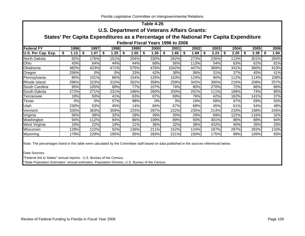| Table 4-26                                                                                         |    |      |            |            |            |   |       |    |       |    |      |    |      |            |   |      |      |
|----------------------------------------------------------------------------------------------------|----|------|------------|------------|------------|---|-------|----|-------|----|------|----|------|------------|---|------|------|
| <b>U.S. Department of Veterans Affairs Grants:</b>                                                 |    |      |            |            |            |   |       |    |       |    |      |    |      |            |   |      |      |
| States' Per Capita Expenditures as a Percentage of the National Per Capita Expenditure             |    |      |            |            |            |   |       |    |       |    |      |    |      |            |   |      |      |
| Federal Fiscal Years 1996 to 2006                                                                  |    |      |            |            |            |   |       |    |       |    |      |    |      |            |   |      |      |
| Federal FY<br>2002<br>2003<br>2004<br>2005<br>2006<br>1996<br>1997<br>1998<br>1999<br>2000<br>2001 |    |      |            |            |            |   |       |    |       |    |      |    |      |            |   |      |      |
| U.S. Per Cap. Exp.                                                                                 | \$ | 1.13 | \$<br>1.07 | 1.25<br>\$ | 1.55<br>\$ | S | 1.26  | \$ | 1.65  | \$ | 1.69 | \$ | 2.23 | \$<br>2.20 | S | 2.38 | 1.94 |
| North Dakota                                                                                       |    | 92%  | 176%       | 151%       | 204%       |   | 330%  |    | 262%  |    | 273% |    | 235% | 113%       |   | 301% | 284% |
| Ohio                                                                                               |    | 43%  | 64%        | 44%        | 44%        |   | 68%   |    | 56%   |    | 113% |    | 54%  | 63%        |   | 62%  | 81%  |
| Oklahoma                                                                                           |    | 482% | 423%       | 471%       | 575%       |   | 476%  |    | 1042% |    | 447% |    | 369% | 341%       |   | 360% | 410% |
| Oregon                                                                                             |    | 256% | $0\%$      | 0%         | 33%l       |   | 42%   |    | 38%   |    | 36%  |    | 31%  | 37%        |   | 45%  | 41%  |
| Pennsylvania                                                                                       |    | 80%  | 101%       | 86%        | 154%       |   | 125%  |    | 163%  |    | 124% |    | 90%  | 112%       |   | 114% | 108% |
| Rhode Island                                                                                       |    | 296% | 323%       | 310%       | 262%       |   | 358%  |    | 259%  |    | 342% |    | 300% | 216%       |   | 208% | 257% |
| South Carolina                                                                                     |    | 95%  | 105%       | 89%        | 77%        |   | 107%  |    | 74%   |    | 80%  |    | 270% | 72%        |   | 66%  | 66%  |
| South Dakota                                                                                       |    | 272% | 271%       | 231%       | 186%       |   | 260%  |    | 200%  |    | 201% |    | 111% | 188%       |   | 74%  | 85%  |
| Tennessee                                                                                          |    | 18%  | 50%        | 41%        | 63%        |   | 87%   |    | 69%   |    | 76%  |    | 42%  | 162%       |   | 141% | 37%  |
| Texas                                                                                              |    | 0%   | 0%         | 57%        | 98%        |   | $0\%$ |    | 3%    |    | 19%  |    | 58%  | 67%        |   | 59%  | 50%  |
| Utah                                                                                               |    | 230% | 53%        | 45%        | 14%        |   | 84%   |    | 67%   |    | 68%  |    | 45%  | 61%        |   | 54%  | 48%  |
| Vermont                                                                                            |    | 335% | 363%       | 359%       | 225%       |   | 287%  |    | 222%  |    | 235% |    | 214% | 233%       |   | 198% | 245% |
| Virginia                                                                                           |    | 56%  | 38%        | 32%        | 28%        |   | 39%   |    | 30%   |    | 29%  |    | 69%  | 122%       |   | 116% | 32%  |
| Washington                                                                                         |    | 94%  | 112%       | 94%        | 86%        |   | 109%  |    | 89%   |    | 93%  |    | 301% | 86%        |   | 88%  | 94%  |
| West Virginia                                                                                      |    | 19%  | 22%        | 19%        | 21%        |   | 36%   |    | 32%   |    | 38%  |    | 432% | 40%        |   | 35%  | 33%  |
| Wisconsin                                                                                          |    | 128% | 122%       | 92%        | 136%       |   | 211%  |    | 152%  |    | 124% |    | 187% | 297%       |   | 282% | 133% |
| Wyoming                                                                                            |    | 179% | 229%       | 195%       | 95%        |   | 283%  |    | 221%  |    | 230% |    | 175% | 89%        |   | 109% | 93%  |

Data Sources:

"Federal Aid to States" annual reports. U.S. Bureau of the Census.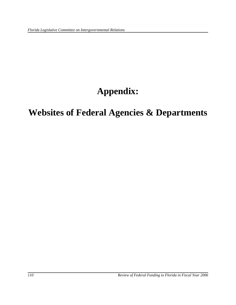## **Appendix:**

## **Websites of Federal Agencies & Departments**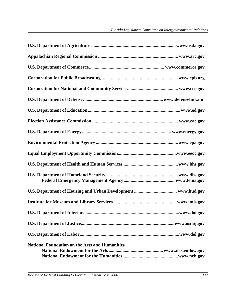| <b>National Foundation on the Arts and Humanities</b> |
|-------------------------------------------------------|